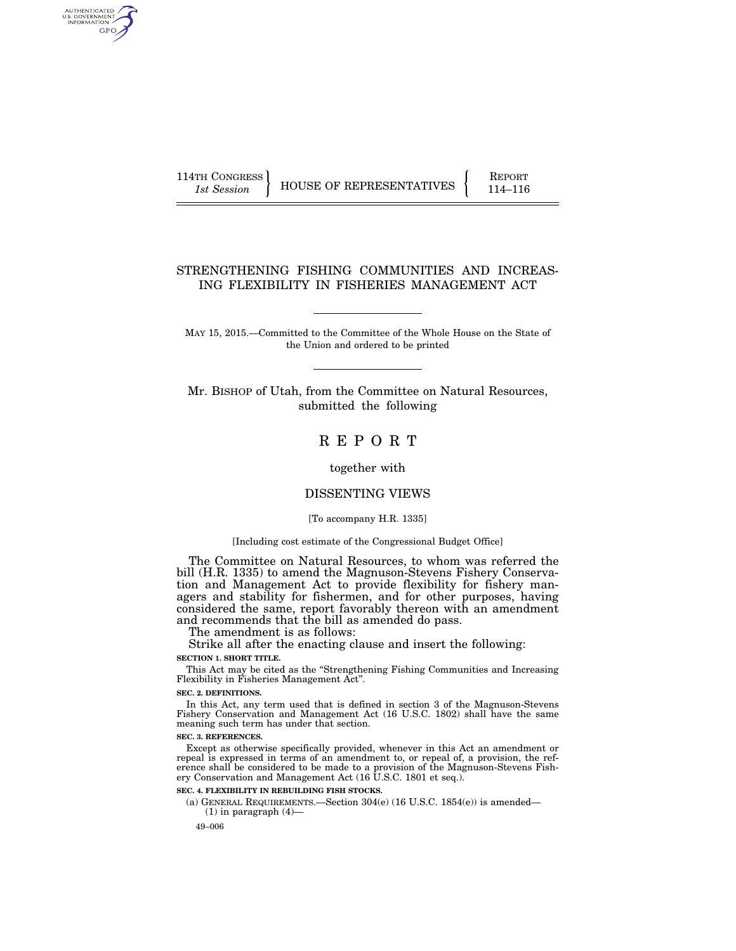AUTHENTICATED<br>U.S. GOVERNMENT<br>INFORMATION GPO

114TH CONGRESS HOUSE OF REPRESENTATIVES FEPORT 114–116

# STRENGTHENING FISHING COMMUNITIES AND INCREAS-ING FLEXIBILITY IN FISHERIES MANAGEMENT ACT

MAY 15, 2015.—Committed to the Committee of the Whole House on the State of the Union and ordered to be printed

Mr. BISHOP of Utah, from the Committee on Natural Resources, submitted the following

R E P O R T

together with

# DISSENTING VIEWS

### [To accompany H.R. 1335]

## [Including cost estimate of the Congressional Budget Office]

The Committee on Natural Resources, to whom was referred the bill (H.R. 1335) to amend the Magnuson-Stevens Fishery Conservation and Management Act to provide flexibility for fishery managers and stability for fishermen, and for other purposes, having considered the same, report favorably thereon with an amendment and recommends that the bill as amended do pass.

The amendment is as follows:

Strike all after the enacting clause and insert the following: **SECTION 1. SHORT TITLE.** 

This Act may be cited as the ''Strengthening Fishing Communities and Increasing Flexibility in Fisheries Management Act''.

### **SEC. 2. DEFINITIONS.**

In this Act, any term used that is defined in section 3 of the Magnuson-Stevens Fishery Conservation and Management Act (16 U.S.C. 1802) shall have the same meaning such term has under that section.

**SEC. 3. REFERENCES.** 

Except as otherwise specifically provided, whenever in this Act an amendment or repeal is expressed in terms of an amendment to, or repeal of, a provision, the reference shall be considered to be made to a provision of the Magnuson-Stevens Fishery Conservation and Management Act (16 U.S.C. 1801 et seq.).

**SEC. 4. FLEXIBILITY IN REBUILDING FISH STOCKS.** 

(a) GENERAL REQUIREMENTS.—Section 304(e) (16 U.S.C. 1854(e)) is amended—  $(1)$  in paragraph  $(4)$ —

49–006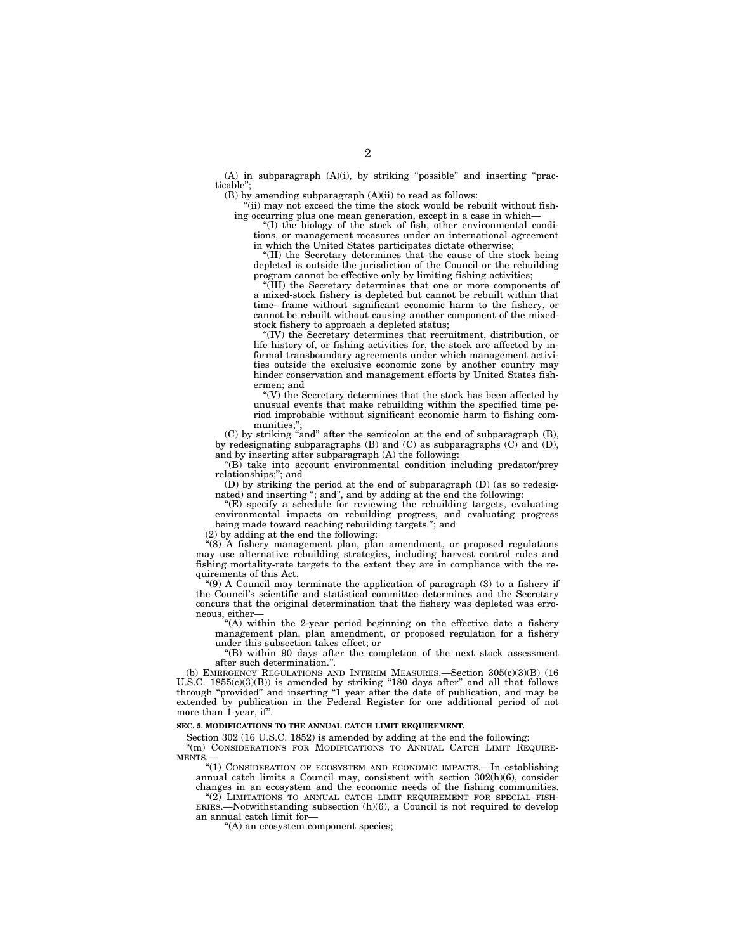(A) in subparagraph (A)(i), by striking ''possible'' and inserting ''practicable'';

(B) by amending subparagraph (A)(ii) to read as follows:

"(ii) may not exceed the time the stock would be rebuilt without fishing occurring plus one mean generation, except in a case in which—

''(I) the biology of the stock of fish, other environmental conditions, or management measures under an international agreement in which the United States participates dictate otherwise;

''(II) the Secretary determines that the cause of the stock being depleted is outside the jurisdiction of the Council or the rebuilding program cannot be effective only by limiting fishing activities;

''(III) the Secretary determines that one or more components of a mixed-stock fishery is depleted but cannot be rebuilt within that time- frame without significant economic harm to the fishery, or cannot be rebuilt without causing another component of the mixedstock fishery to approach a depleted status;

''(IV) the Secretary determines that recruitment, distribution, or life history of, or fishing activities for, the stock are affected by informal transboundary agreements under which management activities outside the exclusive economic zone by another country may hinder conservation and management efforts by United States fishermen; and

''(V) the Secretary determines that the stock has been affected by unusual events that make rebuilding within the specified time period improbable without significant economic harm to fishing communities;'';

(C) by striking ''and'' after the semicolon at the end of subparagraph (B), by redesignating subparagraphs (B) and (C) as subparagraphs (C) and  $(D)$ , and by inserting after subparagraph (A) the following:

''(B) take into account environmental condition including predator/prey relationships;''; and

(D) by striking the period at the end of subparagraph (D) (as so redesignated) and inserting "; and", and by adding at the end the following:

''(E) specify a schedule for reviewing the rebuilding targets, evaluating environmental impacts on rebuilding progress, and evaluating progress being made toward reaching rebuilding targets.''; and

(2) by adding at the end the following:

"(8) A fishery management plan, plan amendment, or proposed regulations may use alternative rebuilding strategies, including harvest control rules and fishing mortality-rate targets to the extent they are in compliance with the requirements of this Act.

 $(9)$  A Council may terminate the application of paragraph  $(3)$  to a fishery if the Council's scientific and statistical committee determines and the Secretary concurs that the original determination that the fishery was depleted was erroneous, either—

''(A) within the 2-year period beginning on the effective date a fishery management plan, plan amendment, or proposed regulation for a fishery under this subsection takes effect; or

''(B) within 90 days after the completion of the next stock assessment after such determination.''.

(b) EMERGENCY REGULATIONS AND INTERIM MEASURES.—Section  $305(c)(3)(B)$  (16 U.S.C.  $1855(c)(3)(B)$  is amended by striking "180 days after" and all that follows through ''provided'' and inserting ''1 year after the date of publication, and may be extended by publication in the Federal Register for one additional period of not more than 1 year, if".

## **SEC. 5. MODIFICATIONS TO THE ANNUAL CATCH LIMIT REQUIREMENT.**

Section 302 (16 U.S.C. 1852) is amended by adding at the end the following: "(m) CONSIDERATIONS FOR MODIFICATIONS TO ANNUAL CATCH LIMIT REQUIRE-MENTS.

''(1) CONSIDERATION OF ECOSYSTEM AND ECONOMIC IMPACTS.—In establishing annual catch limits a Council may, consistent with section 302(h)(6), consider changes in an ecosystem and the economic needs of the fishing communities. "(2) LIMITATIONS TO ANNUAL CATCH LIMIT REQUIREMENT FOR SPECIAL FISH-

ERIES.—Notwithstanding subsection (h)(6), a Council is not required to develop an annual catch limit for—

''(A) an ecosystem component species;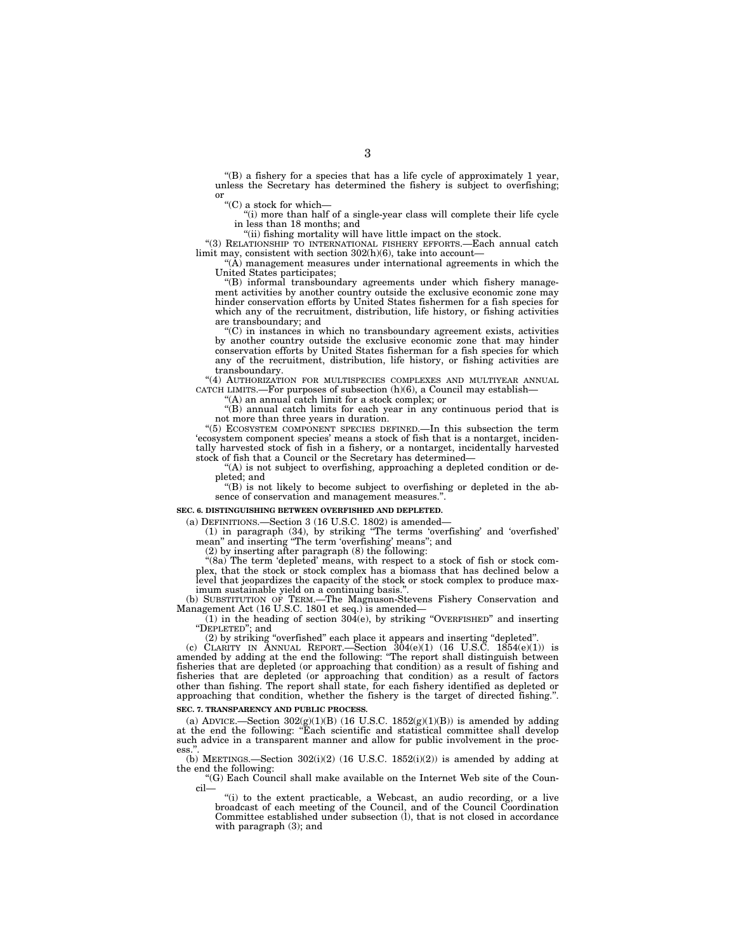''(B) a fishery for a species that has a life cycle of approximately 1 year, unless the Secretary has determined the fishery is subject to overfishing; or

" $(C)$  a stock for which-

''(i) more than half of a single-year class will complete their life cycle in less than 18 months; and

''(ii) fishing mortality will have little impact on the stock.

''(3) RELATIONSHIP TO INTERNATIONAL FISHERY EFFORTS.—Each annual catch limit may, consistent with section 302(h)(6), take into account—

 $(A)$  management measures under international agreements in which the United States participates;

''(B) informal transboundary agreements under which fishery management activities by another country outside the exclusive economic zone may hinder conservation efforts by United States fishermen for a fish species for which any of the recruitment, distribution, life history, or fishing activities are transboundary; and

 $(C)$  in instances in which no transboundary agreement exists, activities by another country outside the exclusive economic zone that may hinder conservation efforts by United States fisherman for a fish species for which any of the recruitment, distribution, life history, or fishing activities are transboundary.

''(4) AUTHORIZATION FOR MULTISPECIES COMPLEXES AND MULTIYEAR ANNUAL CATCH LIMITS.—For purposes of subsection  $(h)(6)$ , a Council may establish-

(A) an annual catch limit for a stock complex; or

''(B) annual catch limits for each year in any continuous period that is not more than three years in duration.

''(5) ECOSYSTEM COMPONENT SPECIES DEFINED.—In this subsection the term 'ecosystem component species' means a stock of fish that is a nontarget, incidentally harvested stock of fish in a fishery, or a nontarget, incidentally harvested stock of fish that a Council or the Secretary has determined—

''(A) is not subject to overfishing, approaching a depleted condition or depleted; and

" $(B)$  is not likely to become subject to overfishing or depleted in the absence of conservation and management measures.''.

### **SEC. 6. DISTINGUISHING BETWEEN OVERFISHED AND DEPLETED.**

(a) DEFINITIONS.—Section 3 (16 U.S.C. 1802) is amended—

(1) in paragraph (34), by striking ''The terms 'overfishing' and 'overfished' mean'' and inserting ''The term 'overfishing' means''; and

(2) by inserting after paragraph (8) the following:

"(8a) The term 'depleted' means, with respect to a stock of fish or stock complex, that the stock or stock complex has a biomass that has declined below a level that jeopardizes the capacity of the stock or stock complex to produce maximum sustainable yield on a continuing basis.''.

(b) SUBSTITUTION OF TERM.—The Magnuson-Stevens Fishery Conservation and Management Act (16 U.S.C. 1801 et seq.) is amended—

 $(1)$  in the heading of section  $30\overline{4}$ (e), by striking "OVERFISHED" and inserting "DEPLETED"; and

(2) by striking ''overfished'' each place it appears and inserting ''depleted''.

(c) CLARITY IN ANNUAL REPORT.—Section  $304(e)(1)$  (16 U.S.C. 1854 $(e)(1)$ ) is amended by adding at the end the following: ''The report shall distinguish between fisheries that are depleted (or approaching that condition) as a result of fishing and fisheries that are depleted (or approaching that condition) as a result of factors other than fishing. The report shall state, for each fishery identified as depleted or approaching that condition, whether the fishery is the target of directed fishing.''.

### **SEC. 7. TRANSPARENCY AND PUBLIC PROCESS.**

(a) ADVICE.—Section  $302(g)(1)(B)$  (16 U.S.C. 1852 $(g)(1)(B)$ ) is amended by adding at the end the following: ''Each scientific and statistical committee shall develop such advice in a transparent manner and allow for public involvement in the process.'

(b) MEETINGS.—Section  $302(i)(2)$  (16 U.S.C.  $1852(i)(2)$ ) is amended by adding at the end the following:

''(G) Each Council shall make available on the Internet Web site of the Council—

''(i) to the extent practicable, a Webcast, an audio recording, or a live broadcast of each meeting of the Council, and of the Council Coordination Committee established under subsection (l), that is not closed in accordance with paragraph (3); and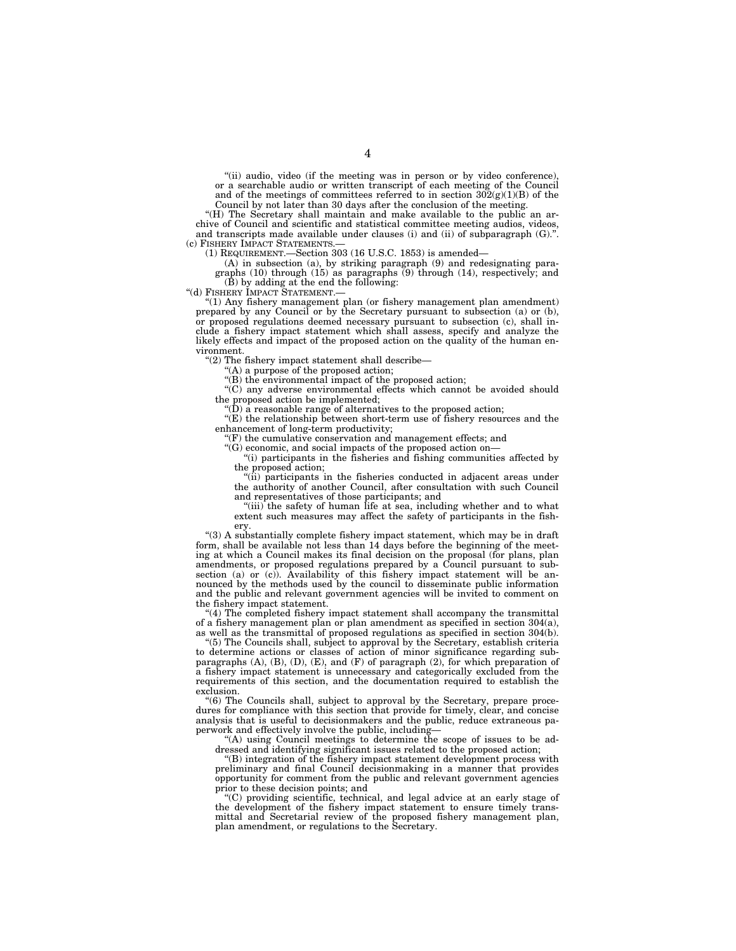"(ii) audio, video (if the meeting was in person or by video conference) or a searchable audio or written transcript of each meeting of the Council and of the meetings of committees referred to in section  $302(g)(1)(B)$  of the Council by not later than 30 days after the conclusion of the meeting.

"(H) The Secretary shall maintain and make available to the public an archive of Council and scientific and statistical committee meeting audios, videos, and transcripts made available under clauses (i) and (ii) of subparagraph (G).''. (c) FISHERY IMPACT STATEMENTS.—

(1) REQUIREMENT.—Section 303 (16 U.S.C. 1853) is amended—

(A) in subsection (a), by striking paragraph (9) and redesignating paragraphs (10) through (15) as paragraphs (9) through (14), respectively; and (B) by adding at the end the following:

''(d) FISHERY IMPACT STATEMENT.—

''(1) Any fishery management plan (or fishery management plan amendment) prepared by any Council or by the Secretary pursuant to subsection (a) or (b), or proposed regulations deemed necessary pursuant to subsection (c), shall include a fishery impact statement which shall assess, specify and analyze the likely effects and impact of the proposed action on the quality of the human environment.

" $(2)$  The fishery impact statement shall describe-

 $(A)$  a purpose of the proposed action;

''(B) the environmental impact of the proposed action;

 $(C)$  any adverse environmental effects which cannot be avoided should the proposed action be implemented;

 $\mathcal{L}(\mathbf{D})$  a reasonable range of alternatives to the proposed action;

 $E(E)$  the relationship between short-term use of fishery resources and the enhancement of long-term productivity;

 $f(F)$  the cumulative conservation and management effects; and

''(G) economic, and social impacts of the proposed action on—

''(i) participants in the fisheries and fishing communities affected by the proposed action;

''(ii) participants in the fisheries conducted in adjacent areas under the authority of another Council, after consultation with such Council and representatives of those participants; and

"(iii) the safety of human life at sea, including whether and to what extent such measures may affect the safety of participants in the fishery.

''(3) A substantially complete fishery impact statement, which may be in draft form, shall be available not less than 14 days before the beginning of the meeting at which a Council makes its final decision on the proposal (for plans, plan amendments, or proposed regulations prepared by a Council pursuant to subsection (a) or (c)). Availability of this fishery impact statement will be announced by the methods used by the council to disseminate public information and the public and relevant government agencies will be invited to comment on the fishery impact statement.

''(4) The completed fishery impact statement shall accompany the transmittal of a fishery management plan or plan amendment as specified in section 304(a), as well as the transmittal of proposed regulations as specified in section 304(b).

''(5) The Councils shall, subject to approval by the Secretary, establish criteria to determine actions or classes of action of minor significance regarding subparagraphs  $(A)$ ,  $(B)$ ,  $(D)$ ,  $(E)$ , and  $(F)$  of paragraph  $(2)$ , for which preparation of a fishery impact statement is unnecessary and categorically excluded from the requirements of this section, and the documentation required to establish the exclusion.

''(6) The Councils shall, subject to approval by the Secretary, prepare procedures for compliance with this section that provide for timely, clear, and concise analysis that is useful to decisionmakers and the public, reduce extraneous paperwork and effectively involve the public, including—

''(A) using Council meetings to determine the scope of issues to be addressed and identifying significant issues related to the proposed action;

''(B) integration of the fishery impact statement development process with preliminary and final Council decisionmaking in a manner that provides opportunity for comment from the public and relevant government agencies prior to these decision points; and

''(C) providing scientific, technical, and legal advice at an early stage of the development of the fishery impact statement to ensure timely transmittal and Secretarial review of the proposed fishery management plan, plan amendment, or regulations to the Secretary.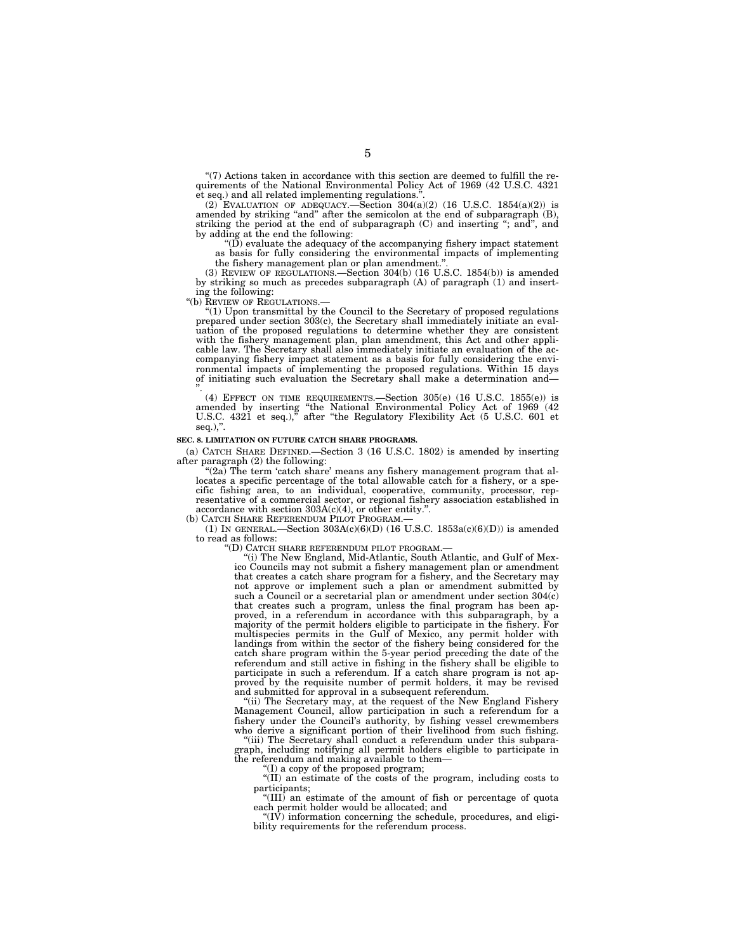"(7) Actions taken in accordance with this section are deemed to fulfill the requirements of the National Environmental Policy Act of 1969 (42 U.S.C. 4321 et seq.) and all related implementing regulations.

(2) EVALUATION OF ADEQUACY.—Section  $304(a)(2)$  (16 U.S.C. 1854 $(a)(2)$ ) is amended by striking "and" after the semicolon at the end of subparagraph (B), striking the period at the end of subparagraph (C) and inserting "; and", and by adding at the end the following:

" $(D)$  evaluate the adequacy of the accompanying fishery impact statement as basis for fully considering the environmental impacts of implementing the fishery management plan or plan amendment."

(3) REVIEW OF REGULATIONS.—Section 304(b) (16 U.S.C. 1854(b)) is amended by striking so much as precedes subparagraph  $(A)$  of paragraph  $(1)$  and inserting the following:

''(b) REVIEW OF REGULATIONS.—

''(1) Upon transmittal by the Council to the Secretary of proposed regulations prepared under section 303(c), the Secretary shall immediately initiate an evaluation of the proposed regulations to determine whether they are consistent with the fishery management plan, plan amendment, this Act and other applicable law. The Secretary shall also immediately initiate an evaluation of the accompanying fishery impact statement as a basis for fully considering the environmental impacts of implementing the proposed regulations. Within 15 days of initiating such evaluation the Secretary shall make a determination and— ''.

(4) EFFECT ON TIME REQUIREMENTS.—Section 305(e) (16 U.S.C. 1855(e)) is amended by inserting ''the National Environmental Policy Act of 1969 (42 U.S.C. 4321 et seq.)," after "the Regulatory Flexibility Act (5 U.S.C. 601 et seq.), $\cdot$ 

### **SEC. 8. LIMITATION ON FUTURE CATCH SHARE PROGRAMS.**

(a) CATCH SHARE DEFINED.—Section 3 (16 U.S.C. 1802) is amended by inserting after paragraph (2) the following:

 $(2a)$  The term 'catch share' means any fishery management program that allocates a specific percentage of the total allowable catch for a fishery, or a specific fishing area, to an individual, cooperative, community, processor, representative of a commercial sector, or regional fishery association established in accordance with section 303A(c)(4), or other entity.''.

(b) CATCH SHARE REFERENDUM PILOT PROGRAM.

(1) IN GENERAL.—Section  $303A(c)(6)(D)$  (16 U.S.C.  $1853a(c)(6)(D)$ ) is amended to read as follows:

''(D) CATCH SHARE REFERENDUM PILOT PROGRAM.—

"(i) The New England, Mid-Atlantic, South Atlantic, and Gulf of Mexico Councils may not submit a fishery management plan or amendment that creates a catch share program for a fishery, and the Secretary may not approve or implement such a plan or amendment submitted by such a Council or a secretarial plan or amendment under section  $304(c)$ that creates such a program, unless the final program has been approved, in a referendum in accordance with this subparagraph, by a majority of the permit holders eligible to participate in the fishery. For multispecies permits in the Gulf of Mexico, any permit holder with landings from within the sector of the fishery being considered for the catch share program within the 5-year period preceding the date of the referendum and still active in fishing in the fishery shall be eligible to participate in such a referendum. If a catch share program is not approved by the requisite number of permit holders, it may be revised and submitted for approval in a subsequent referendum.

"(ii) The Secretary may, at the request of the New England Fishery Management Council, allow participation in such a referendum for a fishery under the Council's authority, by fishing vessel crewmembers who derive a significant portion of their livelihood from such fishing.

"(iii) The Secretary shall conduct a referendum under this subparagraph, including notifying all permit holders eligible to participate in the referendum and making available to them—

''(I) a copy of the proposed program;

''(II) an estimate of the costs of the program, including costs to participants;<br>"(III) an estimate of the amount of fish or percentage of quota

each permit holder would be allocated; and

" $(IV)$  information concerning the schedule, procedures, and eligibility requirements for the referendum process.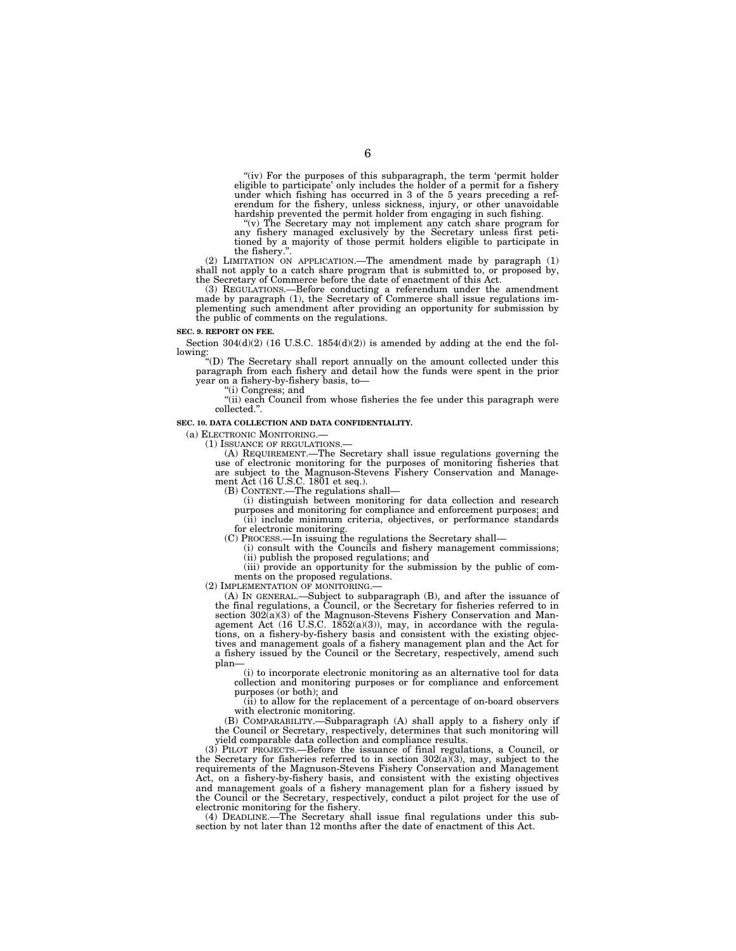"(iv) For the purposes of this subparagraph, the term 'permit holder eligible to participate' only includes the holder of a permit for a fishery under which fishing has occurred in 3 of the 5 years preceding a referendum for the fishery, unless sickness, injury, or other unavoidable hardship prevented the permit holder from engaging in such fishing.

''(v) The Secretary may not implement any catch share program for any fishery managed exclusively by the Secretary unless first petitioned by a majority of those permit holders eligible to participate in the fishery."

(2) LIMITATION ON APPLICATION.—The amendment made by paragraph (1) shall not apply to a catch share program that is submitted to, or proposed by, the Secretary of Commerce before the date of enactment of this Act.

(3) REGULATIONS.—Before conducting a referendum under the amendment made by paragraph (1), the Secretary of Commerce shall issue regulations implementing such amendment after providing an opportunity for submission by the public of comments on the regulations.

### **SEC. 9. REPORT ON FEE.**

Section  $304(d)(2)$  (16 U.S.C. 1854(d)(2)) is amended by adding at the end the fol-

lowing:<br>"(D) The Secretary shall report annually on the amount collected under this paragraph from each fishery and detail how the funds were spent in the prior year on a fishery-by-fishery basis, to—

''(i) Congress; and

"(ii) each Council from whose fisheries the fee under this paragraph were collected.''.

### **SEC. 10. DATA COLLECTION AND DATA CONFIDENTIALITY.**

(a) ELECTRONIC MONITORING.—<br>(1) ISSUANCE OF REGULATIONS.—<br>(A) REQUIREMENT.—The Secretary shall issue regulations governing the use of electronic monitoring for the purposes of monitoring fisheries that are subject to the Magnuson-Stevens Fishery Conservation and Management Act (16 U.S.C. 1801 et seq.). (B) CONTENT.—The regulations shall—

(i) distinguish between monitoring for data collection and research purposes and monitoring for compliance and enforcement purposes; and (ii) include minimum criteria, objectives, or performance standards for electronic monitoring.

(C) PROCESS.—In issuing the regulations the Secretary shall— (i) consult with the Councils and fishery management commissions; (ii) publish the proposed regulations; and

(iii) provide an opportunity for the submission by the public of comments on the proposed regulations.

(2) IMPLEMENTATION OF MONITORING.—

(A) IN GENERAL.—Subject to subparagraph (B), and after the issuance of the final regulations, a Council, or the Secretary for fisheries referred to in section 302(a)(3) of the Magnuson-Stevens Fishery Conservation and Management Act  $(16 \text{ U.S.C. } 1852(a)(3))$ , may, in accordance with the regulations, on a fishery-by-fishery basis and consistent with the existing objectives and management goals of a fishery management plan and the Act for a fishery issued by the Council or the Secretary, respectively, amend such plan—

(i) to incorporate electronic monitoring as an alternative tool for data collection and monitoring purposes or for compliance and enforcement purposes (or both); and

(ii) to allow for the replacement of a percentage of on-board observers with electronic monitoring.

(B) COMPARABILITY.—Subparagraph (A) shall apply to a fishery only if the Council or Secretary, respectively, determines that such monitoring will yield comparable data collection and compliance results.

(3) PILOT PROJECTS.—Before the issuance of final regulations, a Council, or the Secretary for fisheries referred to in section  $302(a)(3)$ , may, subject to the requirements of the Magnuson-Stevens Fishery Conservation and Management Act, on a fishery-by-fishery basis, and consistent with the existing objectives and management goals of a fishery management plan for a fishery issued by the Council or the Secretary, respectively, conduct a pilot project for the use of electronic monitoring for the fishery.

(4) DEADLINE.—The Secretary shall issue final regulations under this subsection by not later than 12 months after the date of enactment of this Act.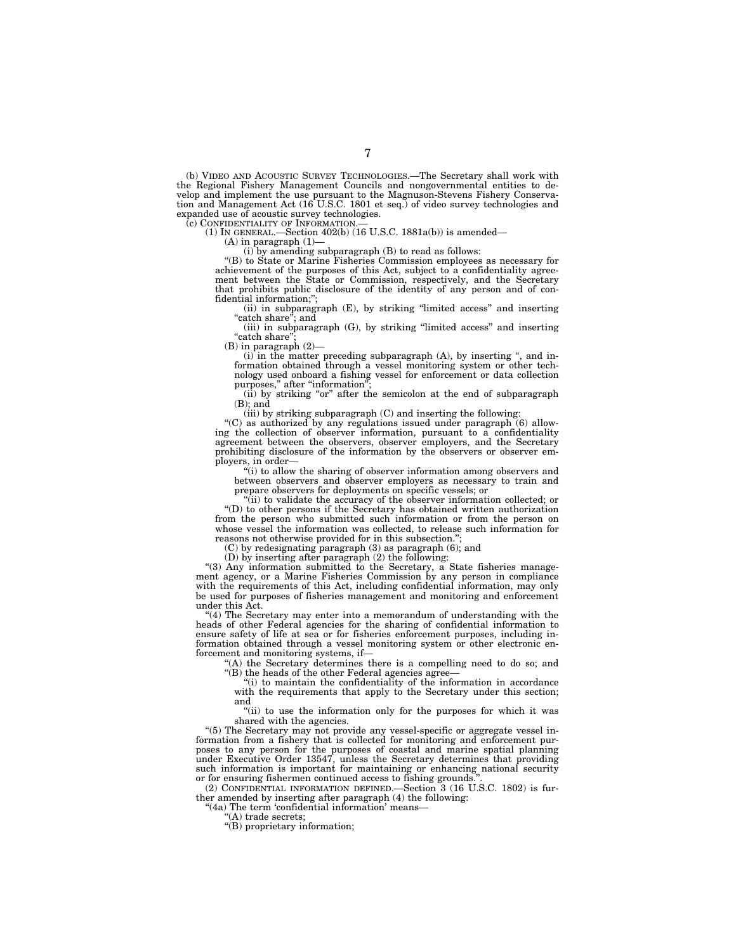(b) VIDEO AND ACOUSTIC SURVEY TECHNOLOGIES.—The Secretary shall work with the Regional Fishery Management Councils and nongovernmental entities to develop and implement the use pursuant to the Magnuson-Stevens Fishery Conserva-tion and Management Act (16 U.S.C. 1801 et seq.) of video survey technologies and expanded use of acoustic survey technologies.

(c) CONFIDENTIALITY OF INFORMATION.—<br>
(1) IN GENERAL.—Section 402(b) (16 U.S.C. 1881a(b)) is amended—

 $(A)$  in paragraph  $(1)$ –

(i) by amending subparagraph (B) to read as follows:

''(B) to State or Marine Fisheries Commission employees as necessary for achievement of the purposes of this Act, subject to a confidentiality agreement between the State or Commission, respectively, and the Secretary that prohibits public disclosure of the identity of any person and of confidential information;"

(ii) in subparagraph (E), by striking ''limited access'' and inserting "catch share"; and

(iii) in subparagraph (G), by striking ''limited access'' and inserting ''catch share'';

(B) in paragraph (2)—

(i) in the matter preceding subparagraph (A), by inserting '', and in-formation obtained through a vessel monitoring system or other technology used onboard a fishing vessel for enforcement or data collection purposes," after "information"

(ii) by striking "or" after the semicolon at the end of subparagraph (B); and

(iii) by striking subparagraph (C) and inserting the following:

''(C) as authorized by any regulations issued under paragraph (6) allowing the collection of observer information, pursuant to a confidentiality agreement between the observers, observer employers, and the Secretary prohibiting disclosure of the information by the observers or observer employers, in order-

"(i) to allow the sharing of observer information among observers and between observers and observer employers as necessary to train and prepare observers for deployments on specific vessels; or

(ii) to validate the accuracy of the observer information collected; or ''(D) to other persons if the Secretary has obtained written authorization from the person who submitted such information or from the person on whose vessel the information was collected, to release such information for reasons not otherwise provided for in this subsection.

(C) by redesignating paragraph (3) as paragraph (6); and

(D) by inserting after paragraph (2) the following:

"(3) Any information submitted to the Secretary, a State fisheries management agency, or a Marine Fisheries Commission by any person in compliance with the requirements of this Act, including confidential information, may only be used for purposes of fisheries management and monitoring and enforcement under this Act.

''(4) The Secretary may enter into a memorandum of understanding with the heads of other Federal agencies for the sharing of confidential information to ensure safety of life at sea or for fisheries enforcement purposes, including information obtained through a vessel monitoring system or other electronic enforcement and monitoring systems, if—

(A) the Secretary determines there is a compelling need to do so; and ''(B) the heads of the other Federal agencies agree—

''(i) to maintain the confidentiality of the information in accordance with the requirements that apply to the Secretary under this section; and

''(ii) to use the information only for the purposes for which it was shared with the agencies.

''(5) The Secretary may not provide any vessel-specific or aggregate vessel information from a fishery that is collected for monitoring and enforcement purposes to any person for the purposes of coastal and marine spatial planning under Executive Order 13547, unless the Secretary determines that providing such information is important for maintaining or enhancing national security or for ensuring fishermen continued access to fishing grounds.

(2) CONFIDENTIAL INFORMATION DEFINED.—Section 3 (16 U.S.C. 1802) is further amended by inserting after paragraph (4) the following:

"(4a) The term 'confidential information' means-

''(A) trade secrets;

''(B) proprietary information;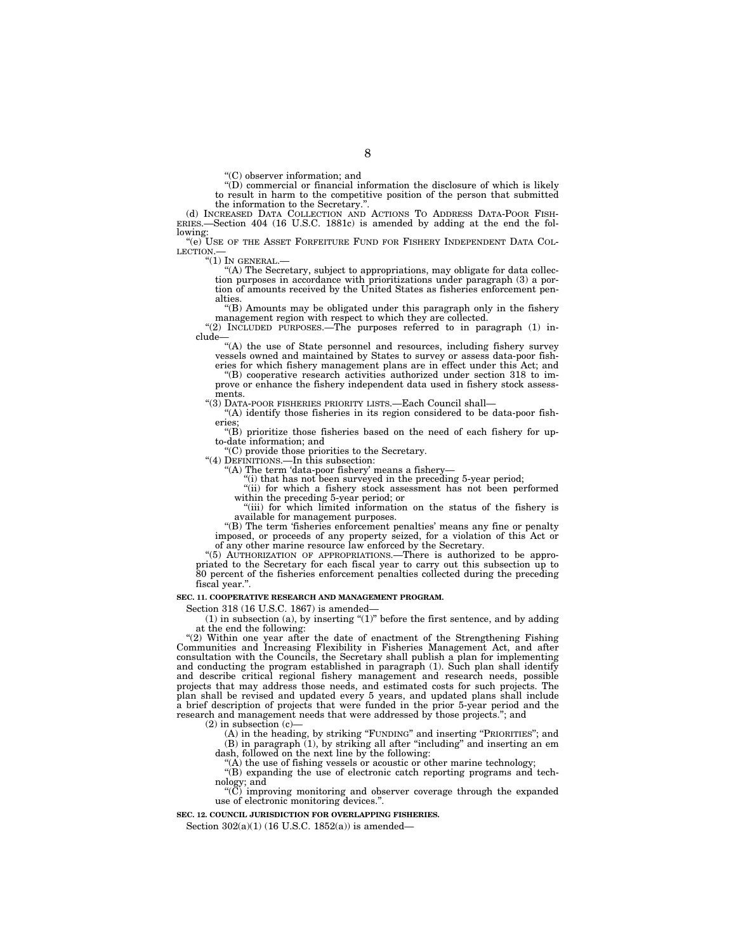''(C) observer information; and

 $\mathrm{``(D)}$  commercial or financial information the disclosure of which is likely to result in harm to the competitive position of the person that submitted

the information to the Secretary.".<br>(d) INCREASED DATA COLLECTION AND ACTIONS TO ADDRESS DATA-POOR FISH-ERIES.—Section 404 (16 U.S.C. 1881c) is amended by adding at the end the following:

 $\cdot$ "(e) USE OF THE ASSET FORFEITURE FUND FOR FISHERY INDEPENDENT DATA COLLECTION.— $\cdot$ "(1) IN GENERAL.—

"(A) The Secretary, subject to appropriations, may obligate for data collection purposes in accordance with prioritizations under paragraph (3) a por-tion of amounts received by the United States as fisheries enforcement penalties.

''(B) Amounts may be obligated under this paragraph only in the fishery

management region with respect to which they are collected.<br>"(2) INCLUDED PURPOSES.—The purposes referred to in paragraph (1) include—

''(A) the use of State personnel and resources, including fishery survey vessels owned and maintained by States to survey or assess data-poor fish-eries for which fishery management plans are in effect under this Act; and

''(B) cooperative research activities authorized under section 318 to im-prove or enhance the fishery independent data used in fishery stock assessments.

''(3) DATA-POOR FISHERIES PRIORITY LISTS.—Each Council shall—  $(A)$  identify those fisheries in its region considered to be data-poor fish-

eries; ''(B) prioritize those fisheries based on the need of each fishery for upto-date information; and

''(C) provide those priorities to the Secretary. ''(4) DEFINITIONS.—In this subsection:

''(A) The term 'data-poor fishery' means a fishery—

"(i) that has not been surveyed in the preceding 5-year period;

"(ii) for which a fishery stock assessment has not been performed

within the preceding 5-year period; or

''(iii) for which limited information on the status of the fishery is available for management purposes.

''(B) The term 'fisheries enforcement penalties' means any fine or penalty imposed, or proceeds of any property seized, for a violation of this Act or of any other marine resource law enforced by the Secretary.

''(5) AUTHORIZATION OF APPROPRIATIONS.—There is authorized to be appropriated to the Secretary for each fiscal year to carry out this subsection up to 80 percent of the fisheries enforcement penalties collected during the preceding fiscal year.''.

## **SEC. 11. COOPERATIVE RESEARCH AND MANAGEMENT PROGRAM.**

Section 318 (16 U.S.C. 1867) is amended—

 $(1)$  in subsection  $(a)$ , by inserting " $(1)$ " before the first sentence, and by adding at the end the following:

''(2) Within one year after the date of enactment of the Strengthening Fishing Communities and Increasing Flexibility in Fisheries Management Act, and after consultation with the Councils, the Secretary shall publish a plan for implementing and conducting the program established in paragraph (1). Such plan shall identify and describe critical regional fishery management and research needs, possible projects that may address those needs, and estimated costs for such projects. The plan shall be revised and updated every 5 years, and updated plans shall include a brief description of projects that were funded in the prior 5-year period and the research and management needs that were addressed by those projects.''; and

 $(2)$  in subsection  $(c)$ 

(A) in the heading, by striking "FUNDING" and inserting "PRIORITIES"; and (B) in paragraph (1), by striking all after ''including'' and inserting an em

dash, followed on the next line by the following:

''(A) the use of fishing vessels or acoustic or other marine technology;

"(B) expanding the use of electronic catch reporting programs and technology; and

" $(\check{C})$  improving monitoring and observer coverage through the expanded use of electronic monitoring devices."

**SEC. 12. COUNCIL JURISDICTION FOR OVERLAPPING FISHERIES.** 

Section 302(a)(1) (16 U.S.C. 1852(a)) is amended—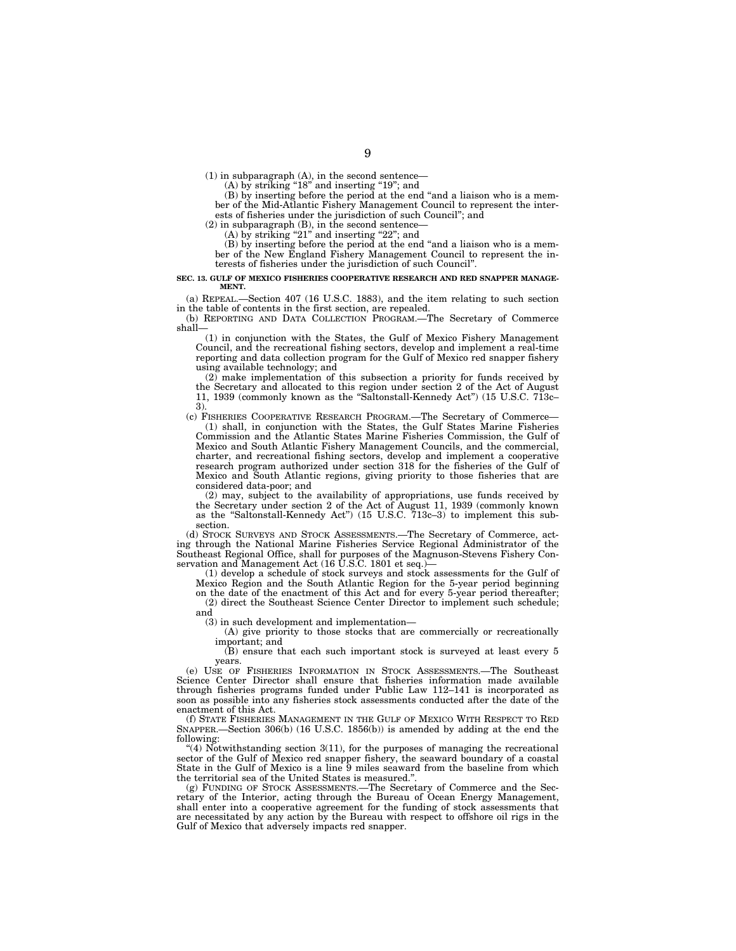(1) in subparagraph (A), in the second sentence—

 $(A)$  by striking "18" and inserting "19"; and

(B) by inserting before the period at the end ''and a liaison who is a member of the Mid-Atlantic Fishery Management Council to represent the interests of fisheries under the jurisdiction of such Council''; and

 $(2)$  in subparagraph  $(B)$ , in the second sentence-

 $(A)$  by striking "21" and inserting "22"; and

(B) by inserting before the period at the end ''and a liaison who is a member of the New England Fishery Management Council to represent the interests of fisheries under the jurisdiction of such Council''.

### **SEC. 13. GULF OF MEXICO FISHERIES COOPERATIVE RESEARCH AND RED SNAPPER MANAGE-MENT.**

(a) REPEAL.—Section 407 (16 U.S.C. 1883), and the item relating to such section in the table of contents in the first section, are repealed.

(b) REPORTING AND DATA COLLECTION PROGRAM.—The Secretary of Commerce shall—

(1) in conjunction with the States, the Gulf of Mexico Fishery Management Council, and the recreational fishing sectors, develop and implement a real-time reporting and data collection program for the Gulf of Mexico red snapper fishery using available technology; and

(2) make implementation of this subsection a priority for funds received by the Secretary and allocated to this region under section 2 of the Act of August 11, 1939 (commonly known as the ''Saltonstall-Kennedy Act'') (15 U.S.C. 713c– 3).

(c) FISHERIES COOPERATIVE RESEARCH PROGRAM.—The Secretary of Commerce— (1) shall, in conjunction with the States, the Gulf States Marine Fisheries Commission and the Atlantic States Marine Fisheries Commission, the Gulf of Mexico and South Atlantic Fishery Management Councils, and the commercial, charter, and recreational fishing sectors, develop and implement a cooperative research program authorized under section 318 for the fisheries of the Gulf of Mexico and South Atlantic regions, giving priority to those fisheries that are considered data-poor; and

(2) may, subject to the availability of appropriations, use funds received by the Secretary under section 2 of the Act of August 11, 1939 (commonly known as the "Saltonstall-Kennedy Act") (15 U.S.C. 713c-3) to implement this subsection.

(d) STOCK SURVEYS AND STOCK ASSESSMENTS.—The Secretary of Commerce, acting through the National Marine Fisheries Service Regional Administrator of the Southeast Regional Office, shall for purposes of the Magnuson-Stevens Fishery Conservation and Management Act  $(16 \text{ }\mathbf{\hat{U}}.\mathbf{S}.\mathbf{\hat{C}}.\mathbf{1801}$  et seq.)

(1) develop a schedule of stock surveys and stock assessments for the Gulf of Mexico Region and the South Atlantic Region for the 5-year period beginning on the date of the enactment of this Act and for every 5-year period thereafter;

(2) direct the Southeast Science Center Director to implement such schedule; and

(3) in such development and implementation—

(A) give priority to those stocks that are commercially or recreationally important; and

(B) ensure that each such important stock is surveyed at least every 5 years.

(e) USE OF FISHERIES INFORMATION IN STOCK ASSESSMENTS.—The Southeast Science Center Director shall ensure that fisheries information made available through fisheries programs funded under Public Law 112–141 is incorporated as soon as possible into any fisheries stock assessments conducted after the date of the enactment of this Act.

(f) STATE FISHERIES MANAGEMENT IN THE GULF OF MEXICO WITH RESPECT TO RED SNAPPER.—Section 306(b) (16 U.S.C. 1856(b)) is amended by adding at the end the following:

 $(4)$  Notwithstanding section  $3(11)$ , for the purposes of managing the recreational sector of the Gulf of Mexico red snapper fishery, the seaward boundary of a coastal State in the Gulf of Mexico is a line 9 miles seaward from the baseline from which the territorial sea of the United States is measured.''.

(g) FUNDING OF STOCK ASSESSMENTS.—The Secretary of Commerce and the Secretary of the Interior, acting through the Bureau of Ocean Energy Management, shall enter into a cooperative agreement for the funding of stock assessments that are necessitated by any action by the Bureau with respect to offshore oil rigs in the Gulf of Mexico that adversely impacts red snapper.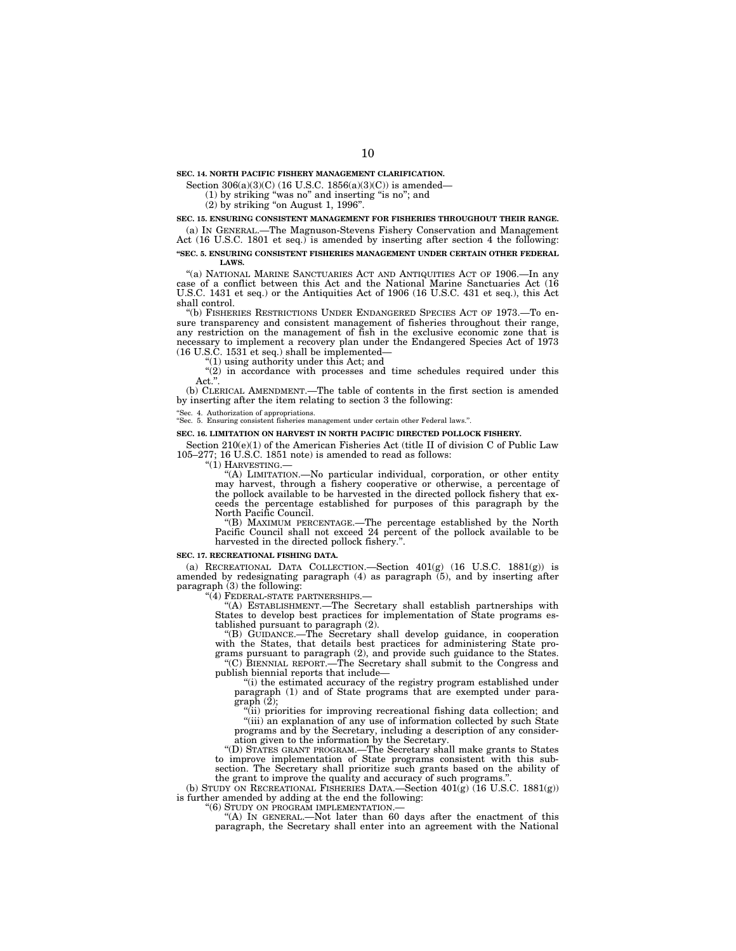**SEC. 14. NORTH PACIFIC FISHERY MANAGEMENT CLARIFICATION.** 

Section  $306(a)(3)(C)$  (16 U.S.C. 1856(a)(3)(C)) is amended—

(1) by striking ''was no'' and inserting ''is no''; and

(2) by striking ''on August 1, 1996''.

**SEC. 15. ENSURING CONSISTENT MANAGEMENT FOR FISHERIES THROUGHOUT THEIR RANGE.**  (a) IN GENERAL.—The Magnuson-Stevens Fishery Conservation and Management

Act (16 U.S.C. 1801 et seq.) is amended by inserting after section 4 the following:

**''SEC. 5. ENSURING CONSISTENT FISHERIES MANAGEMENT UNDER CERTAIN OTHER FEDERAL LAWS.** 

"(a) NATIONAL MARINE SANCTUARIES ACT AND ANTIQUITIES ACT OF 1906.—In any case of a conflict between this Act and the National Marine Sanctuaries Act (16 U.S.C. 1431 et seq.) or the Antiquities Act of 1906 (16 U.S.C. 431 et seq.), this Act shall control.

''(b) FISHERIES RESTRICTIONS UNDER ENDANGERED SPECIES ACT OF 1973.—To ensure transparency and consistent management of fisheries throughout their range, any restriction on the management of fish in the exclusive economic zone that is necessary to implement a recovery plan under the Endangered Species Act of 1973  $(16 \text{ U.S.} \text{C. } 1531 \text{ et seq.})$  shall be implemented-

''(1) using authority under this Act; and

"(2) in accordance with processes and time schedules required under this Act."

(b) CLERICAL AMENDMENT.—The table of contents in the first section is amended by inserting after the item relating to section 3 the following:

''Sec. 4. Authorization of appropriations. ''Sec. 5. Ensuring consistent fisheries management under certain other Federal laws.''.

**SEC. 16. LIMITATION ON HARVEST IN NORTH PACIFIC DIRECTED POLLOCK FISHERY.** 

Section 210(e)(1) of the American Fisheries Act (title II of division C of Public Law 105–277; 16 U.S.C. 1851 note) is amended to read as follows:

"(1) HARVESTING.

''(A) LIMITATION.—No particular individual, corporation, or other entity may harvest, through a fishery cooperative or otherwise, a percentage of the pollock available to be harvested in the directed pollock fishery that exceeds the percentage established for purposes of this paragraph by the North Pacific Council.

''(B) MAXIMUM PERCENTAGE.—The percentage established by the North Pacific Council shall not exceed 24 percent of the pollock available to be harvested in the directed pollock fishery.''.

### **SEC. 17. RECREATIONAL FISHING DATA.**

(a) RECREATIONAL DATA COLLECTION.—Section  $401(g)$  (16 U.S.C. 1881 $(g)$ ) is amended by redesignating paragraph (4) as paragraph (5), and by inserting after paragraph (3) the following:

'(4) FEDERAL-STATE PARTNERSHIPS.-

''(A) ESTABLISHMENT.—The Secretary shall establish partnerships with States to develop best practices for implementation of State programs established pursuant to paragraph (2).

''(B) GUIDANCE.—The Secretary shall develop guidance, in cooperation with the States, that details best practices for administering State programs pursuant to paragraph (2), and provide such guidance to the States. ''(C) BIENNIAL REPORT.—The Secretary shall submit to the Congress and publish biennial reports that include—

''(i) the estimated accuracy of the registry program established under paragraph (1) and of State programs that are exempted under para $graph (2);$ 

(ii) priorities for improving recreational fishing data collection; and "(iii) an explanation of any use of information collected by such State programs and by the Secretary, including a description of any consideration given to the information by the Secretary.

''(D) STATES GRANT PROGRAM.—The Secretary shall make grants to States to improve implementation of State programs consistent with this subsection. The Secretary shall prioritize such grants based on the ability of the grant to improve the quality and accuracy of such programs.

(b) STUDY ON RECREATIONAL FISHERIES DATA.—Section  $401(g)$  (16 U.S.C. 1881(g)) is further amended by adding at the end the following:

"(6) STUDY ON PROGRAM IMPLEMENTATION.

"(A) IN GENERAL.—Not later than 60 days after the enactment of this paragraph, the Secretary shall enter into an agreement with the National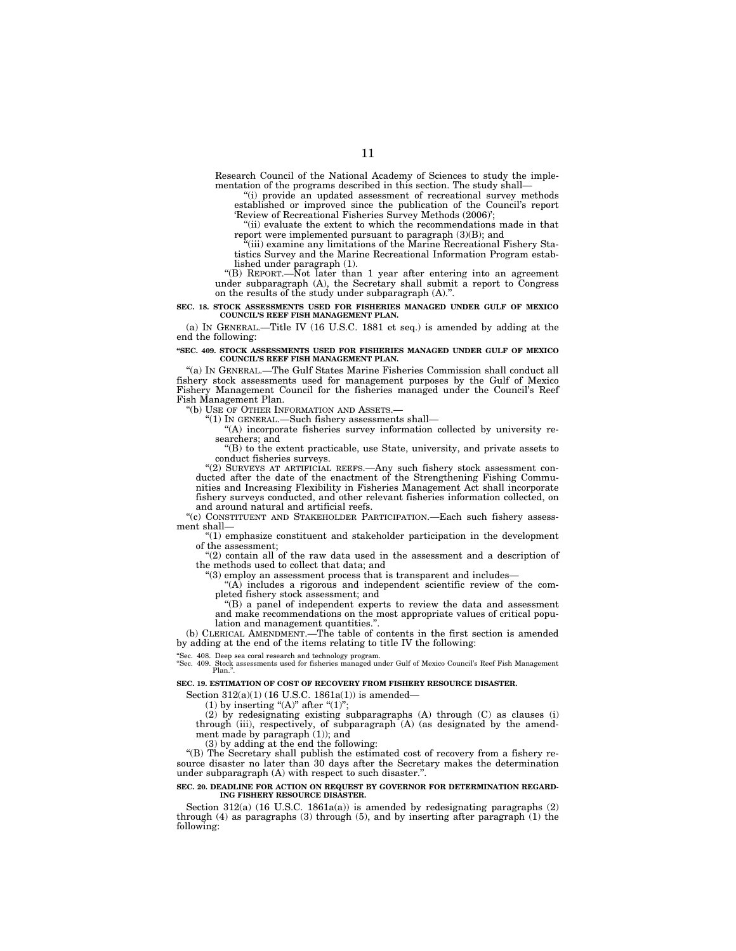Research Council of the National Academy of Sciences to study the implementation of the programs described in this section. The study shall—

''(i) provide an updated assessment of recreational survey methods established or improved since the publication of the Council's report 'Review of Recreational Fisheries Survey Methods (2006)';

"(ii) evaluate the extent to which the recommendations made in that report were implemented pursuant to paragraph (3)(B); and

''(iii) examine any limitations of the Marine Recreational Fishery Statistics Survey and the Marine Recreational Information Program established under paragraph (1).

''(B) REPORT.—Not later than 1 year after entering into an agreement under subparagraph (A), the Secretary shall submit a report to Congress on the results of the study under subparagraph (A).''.

**SEC. 18. STOCK ASSESSMENTS USED FOR FISHERIES MANAGED UNDER GULF OF MEXICO COUNCIL'S REEF FISH MANAGEMENT PLAN.** 

(a) IN GENERAL.—Title IV (16 U.S.C. 1881 et seq.) is amended by adding at the end the following:

**''SEC. 409. STOCK ASSESSMENTS USED FOR FISHERIES MANAGED UNDER GULF OF MEXICO COUNCIL'S REEF FISH MANAGEMENT PLAN.** 

''(a) IN GENERAL.—The Gulf States Marine Fisheries Commission shall conduct all fishery stock assessments used for management purposes by the Gulf of Mexico Fishery Management Council for the fisheries managed under the Council's Reef Fish Management Plan.

''(b) USE OF OTHER INFORMATION AND ASSETS.—

''(1) IN GENERAL.—Such fishery assessments shall—

"(A) incorporate fisheries survey information collected by university researchers; and

''(B) to the extent practicable, use State, university, and private assets to conduct fisheries surveys.

''(2) SURVEYS AT ARTIFICIAL REEFS.—Any such fishery stock assessment conducted after the date of the enactment of the Strengthening Fishing Communities and Increasing Flexibility in Fisheries Management Act shall incorporate fishery surveys conducted, and other relevant fisheries information collected, on and around natural and artificial reefs.

"(c) CONSTITUENT AND STAKEHOLDER PARTICIPATION.—Each such fishery assessment shall—

''(1) emphasize constituent and stakeholder participation in the development of the assessment;

''(2) contain all of the raw data used in the assessment and a description of the methods used to collect that data; and

''(3) employ an assessment process that is transparent and includes—

''(A) includes a rigorous and independent scientific review of the completed fishery stock assessment; and

''(B) a panel of independent experts to review the data and assessment and make recommendations on the most appropriate values of critical population and management quantities.''.

(b) CLERICAL AMENDMENT.—The table of contents in the first section is amended by adding at the end of the items relating to title IV the following:

''Sec. 408. Deep sea coral research and technology program. ''Sec. 409. Stock assessments used for fisheries managed under Gulf of Mexico Council's Reef Fish Management Plan.''.

### **SEC. 19. ESTIMATION OF COST OF RECOVERY FROM FISHERY RESOURCE DISASTER.**

Section 312(a)(1) (16 U.S.C. 1861a(1)) is amended—

(1) by inserting "(A)" after "(1)";

(2) by redesignating existing subparagraphs (A) through (C) as clauses (i) through (iii), respectively, of subparagraph (A) (as designated by the amendment made by paragraph (1)); and

(3) by adding at the end the following:

''(B) The Secretary shall publish the estimated cost of recovery from a fishery resource disaster no later than 30 days after the Secretary makes the determination under subparagraph (A) with respect to such disaster.''.

### **SEC. 20. DEADLINE FOR ACTION ON REQUEST BY GOVERNOR FOR DETERMINATION REGARD-ING FISHERY RESOURCE DISASTER.**

Section  $312(a)$  (16 U.S.C. 1861a(a)) is amended by redesignating paragraphs (2) through (4) as paragraphs (3) through (5), and by inserting after paragraph (1) the following: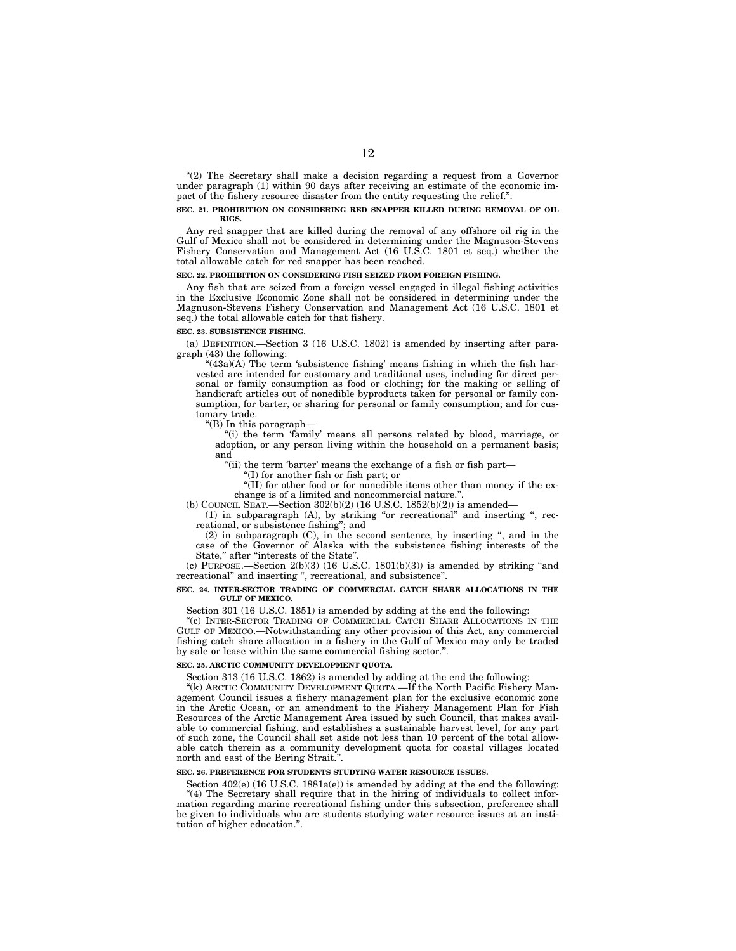"(2) The Secretary shall make a decision regarding a request from a Governor under paragraph (1) within 90 days after receiving an estimate of the economic impact of the fishery resource disaster from the entity requesting the relief.".

### **SEC. 21. PROHIBITION ON CONSIDERING RED SNAPPER KILLED DURING REMOVAL OF OIL RIGS.**

Any red snapper that are killed during the removal of any offshore oil rig in the Gulf of Mexico shall not be considered in determining under the Magnuson-Stevens Fishery Conservation and Management Act (16 U.S.C. 1801 et seq.) whether the total allowable catch for red snapper has been reached.

### **SEC. 22. PROHIBITION ON CONSIDERING FISH SEIZED FROM FOREIGN FISHING.**

Any fish that are seized from a foreign vessel engaged in illegal fishing activities in the Exclusive Economic Zone shall not be considered in determining under the Magnuson-Stevens Fishery Conservation and Management Act (16 U.S.C. 1801 et seq.) the total allowable catch for that fishery.

## **SEC. 23. SUBSISTENCE FISHING.**

(a) DEFINITION.—Section 3 (16 U.S.C. 1802) is amended by inserting after paragraph (43) the following:

"(43a)(A) The term 'subsistence fishing' means fishing in which the fish harvested are intended for customary and traditional uses, including for direct personal or family consumption as food or clothing; for the making or selling of handicraft articles out of nonedible byproducts taken for personal or family consumption, for barter, or sharing for personal or family consumption; and for customary trade.

''(B) In this paragraph—

''(i) the term 'family' means all persons related by blood, marriage, or adoption, or any person living within the household on a permanent basis; and

''(ii) the term 'barter' means the exchange of a fish or fish part—

''(I) for another fish or fish part; or

''(II) for other food or for nonedible items other than money if the exchange is of a limited and noncommercial nature.''.

(b) COUNCIL SEAT.—Section 302(b)(2) (16 U.S.C. 1852(b)(2)) is amended—

 $(1)$  in subparagraph  $(A)$ , by striking "or recreational" and inserting ", recreational, or subsistence fishing''; and

(2) in subparagraph (C), in the second sentence, by inserting '', and in the case of the Governor of Alaska with the subsistence fishing interests of the State," after "interests of the State".

(c) PURPOSE.—Section  $2(b)(3)$  (16 U.S.C. 1801 $(b)(3)$ ) is amended by striking "and recreational'' and inserting '', recreational, and subsistence''.

## **SEC. 24. INTER-SECTOR TRADING OF COMMERCIAL CATCH SHARE ALLOCATIONS IN THE GULF OF MEXICO.**

Section 301 (16 U.S.C. 1851) is amended by adding at the end the following:

''(c) INTER-SECTOR TRADING OF COMMERCIAL CATCH SHARE ALLOCATIONS IN THE GULF OF MEXICO.—Notwithstanding any other provision of this Act, any commercial fishing catch share allocation in a fishery in the Gulf of Mexico may only be traded by sale or lease within the same commercial fishing sector.''.

## **SEC. 25. ARCTIC COMMUNITY DEVELOPMENT QUOTA**

Section 313 (16 U.S.C. 1862) is amended by adding at the end the following:

"(k) ARCTIC COMMUNITY DEVELOPMENT QUOTA.—If the North Pacific Fishery Management Council issues a fishery management plan for the exclusive economic zone in the Arctic Ocean, or an amendment to the Fishery Management Plan for Fish Resources of the Arctic Management Area issued by such Council, that makes available to commercial fishing, and establishes a sustainable harvest level, for any part of such zone, the Council shall set aside not less than 10 percent of the total allowable catch therein as a community development quota for coastal villages located north and east of the Bering Strait.

### **SEC. 26. PREFERENCE FOR STUDENTS STUDYING WATER RESOURCE ISSUES.**

Section 402(e) (16 U.S.C. 1881a(e)) is amended by adding at the end the following:  $(4)$  The Secretary shall require that in the hiring of individuals to collect information regarding marine recreational fishing under this subsection, preference shall be given to individuals who are students studying water resource issues at an institution of higher education.''.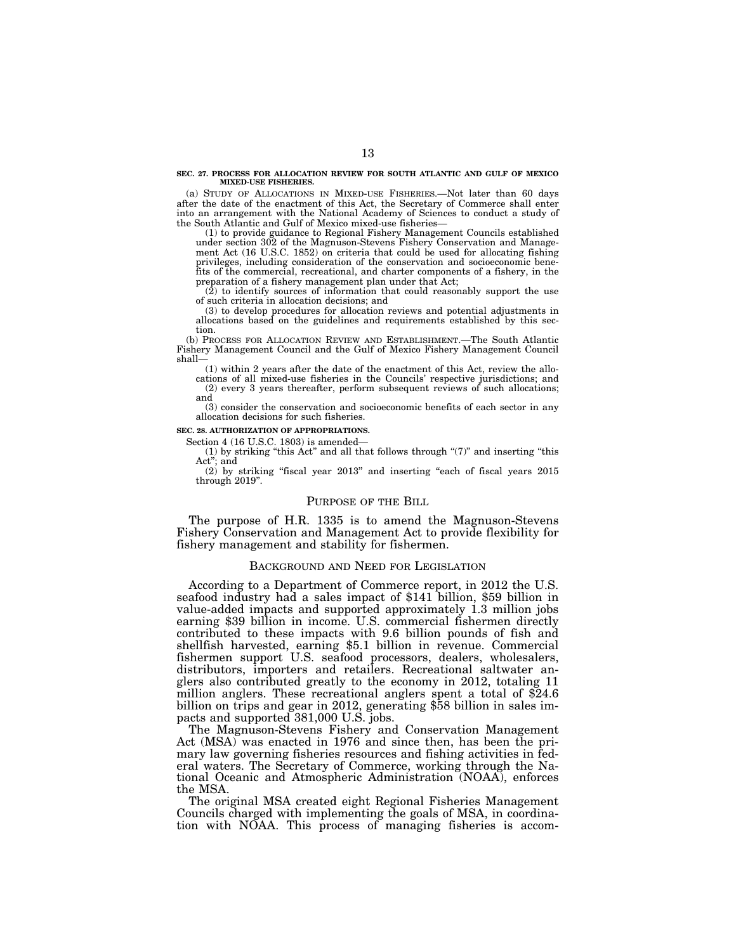### **SEC. 27. PROCESS FOR ALLOCATION REVIEW FOR SOUTH ATLANTIC AND GULF OF MEXICO MIXED-USE FISHERIES.**

(a) STUDY OF ALLOCATIONS IN MIXED-USE FISHERIES.—Not later than 60 days after the date of the enactment of this Act, the Secretary of Commerce shall enter into an arrangement with the National Academy of Sciences to conduct a study of the South Atlantic and Gulf of Mexico mixed-use fisheries—

(1) to provide guidance to Regional Fishery Management Councils established under section 302 of the Magnuson-Stevens Fishery Conservation and Management Act (16 U.S.C. 1852) on criteria that could be used for allocating fishing privileges, including consideration of the conservation and socioeconomic benefits of the commercial, recreational, and charter components of a fishery, in the preparation of a fishery management plan under that Act;

 $(2)$  to identify sources of information that could reasonably support the use of such criteria in allocation decisions; and

(3) to develop procedures for allocation reviews and potential adjustments in allocations based on the guidelines and requirements established by this section.

(b) PROCESS FOR ALLOCATION REVIEW AND ESTABLISHMENT.—The South Atlantic Fishery Management Council and the Gulf of Mexico Fishery Management Council shall—

(1) within 2 years after the date of the enactment of this Act, review the allocations of all mixed-use fisheries in the Councils' respective jurisdictions; and (2) every 3 years thereafter, perform subsequent reviews of such allocations; and

(3) consider the conservation and socioeconomic benefits of each sector in any allocation decisions for such fisheries.

### **SEC. 28. AUTHORIZATION OF APPROPRIATIONS.**

Section 4 (16 U.S.C. 1803) is amended—

(1) by striking ''this Act'' and all that follows through ''(7)'' and inserting ''this Act''; and

(2) by striking ''fiscal year 2013'' and inserting ''each of fiscal years 2015 through 2019''.

## PURPOSE OF THE BILL

The purpose of H.R. 1335 is to amend the Magnuson-Stevens Fishery Conservation and Management Act to provide flexibility for fishery management and stability for fishermen.

## BACKGROUND AND NEED FOR LEGISLATION

According to a Department of Commerce report, in 2012 the U.S. seafood industry had a sales impact of \$141 billion, \$59 billion in value-added impacts and supported approximately 1.3 million jobs earning \$39 billion in income. U.S. commercial fishermen directly contributed to these impacts with 9.6 billion pounds of fish and shellfish harvested, earning \$5.1 billion in revenue. Commercial fishermen support U.S. seafood processors, dealers, wholesalers, distributors, importers and retailers. Recreational saltwater anglers also contributed greatly to the economy in 2012, totaling 11 million anglers. These recreational anglers spent a total of \$24.6 billion on trips and gear in 2012, generating \$58 billion in sales impacts and supported 381,000 U.S. jobs.

The Magnuson-Stevens Fishery and Conservation Management Act (MSA) was enacted in 1976 and since then, has been the primary law governing fisheries resources and fishing activities in federal waters. The Secretary of Commerce, working through the National Oceanic and Atmospheric Administration (NOAA), enforces the MSA.

The original MSA created eight Regional Fisheries Management Councils charged with implementing the goals of MSA, in coordination with NOAA. This process of managing fisheries is accom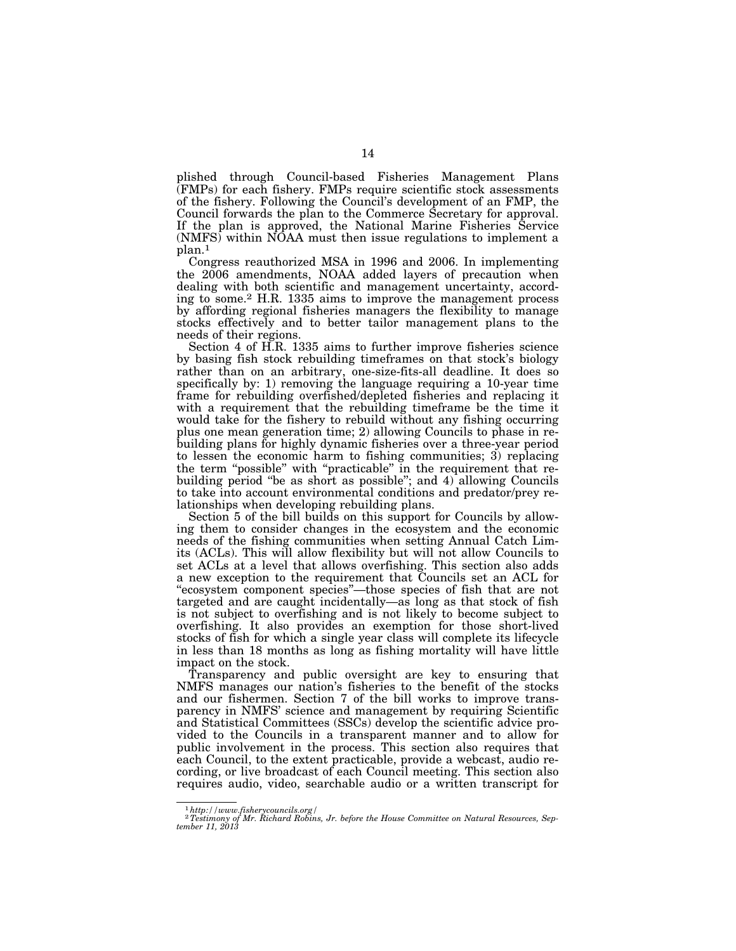plished through Council-based Fisheries Management Plans (FMPs) for each fishery. FMPs require scientific stock assessments of the fishery. Following the Council's development of an FMP, the Council forwards the plan to the Commerce Secretary for approval. If the plan is approved, the National Marine Fisheries Service (NMFS) within NOAA must then issue regulations to implement a plan.1

Congress reauthorized MSA in 1996 and 2006. In implementing the 2006 amendments, NOAA added layers of precaution when dealing with both scientific and management uncertainty, according to some.2 H.R. 1335 aims to improve the management process by affording regional fisheries managers the flexibility to manage stocks effectively and to better tailor management plans to the needs of their regions.

Section 4 of H.R. 1335 aims to further improve fisheries science by basing fish stock rebuilding timeframes on that stock's biology rather than on an arbitrary, one-size-fits-all deadline. It does so specifically by: 1) removing the language requiring a 10-year time frame for rebuilding overfished/depleted fisheries and replacing it with a requirement that the rebuilding timeframe be the time it would take for the fishery to rebuild without any fishing occurring plus one mean generation time; 2) allowing Councils to phase in rebuilding plans for highly dynamic fisheries over a three-year period to lessen the economic harm to fishing communities; 3) replacing the term "possible" with "practicable" in the requirement that rebuilding period ''be as short as possible''; and 4) allowing Councils to take into account environmental conditions and predator/prey relationships when developing rebuilding plans.

Section 5 of the bill builds on this support for Councils by allowing them to consider changes in the ecosystem and the economic needs of the fishing communities when setting Annual Catch Limits (ACLs). This will allow flexibility but will not allow Councils to set ACLs at a level that allows overfishing. This section also adds a new exception to the requirement that Councils set an ACL for ''ecosystem component species''—those species of fish that are not targeted and are caught incidentally—as long as that stock of fish is not subject to overfishing and is not likely to become subject to overfishing. It also provides an exemption for those short-lived stocks of fish for which a single year class will complete its lifecycle in less than 18 months as long as fishing mortality will have little impact on the stock.

Transparency and public oversight are key to ensuring that NMFS manages our nation's fisheries to the benefit of the stocks and our fishermen. Section 7 of the bill works to improve transparency in NMFS' science and management by requiring Scientific and Statistical Committees (SSCs) develop the scientific advice provided to the Councils in a transparent manner and to allow for public involvement in the process. This section also requires that each Council, to the extent practicable, provide a webcast, audio recording, or live broadcast of each Council meeting. This section also requires audio, video, searchable audio or a written transcript for

<sup>1</sup>*http://www.fisherycouncils.org/*  2*Testimony of Mr. Richard Robins, Jr. before the House Committee on Natural Resources, Sep-tember 11, 2013*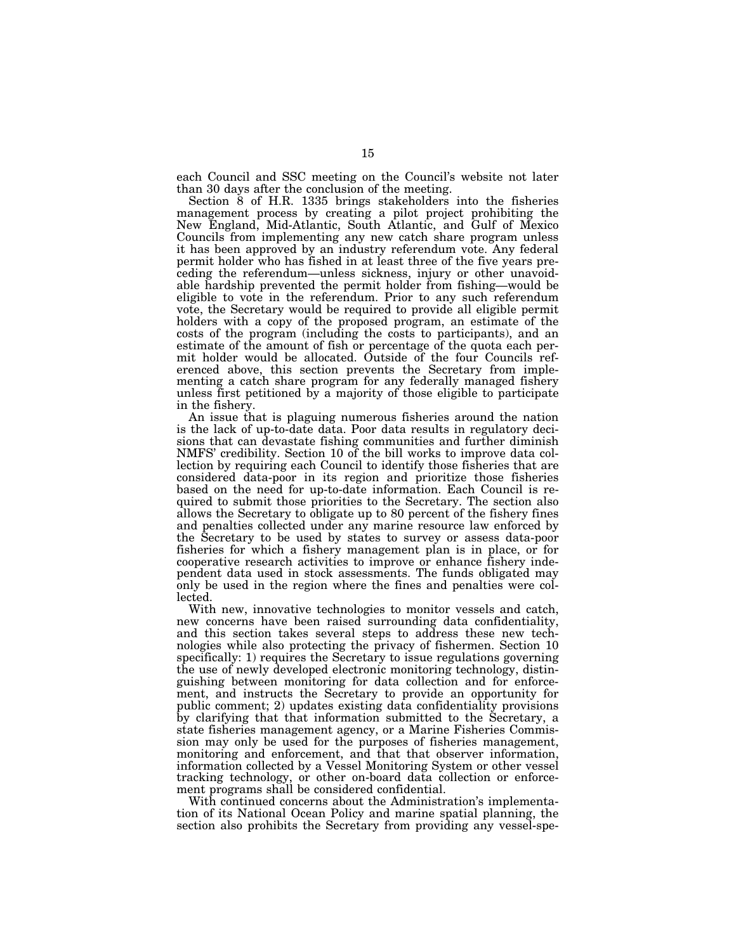each Council and SSC meeting on the Council's website not later than 30 days after the conclusion of the meeting.

Section 8 of H.R. 1335 brings stakeholders into the fisheries management process by creating a pilot project prohibiting the New England, Mid-Atlantic, South Atlantic, and Gulf of Mexico Councils from implementing any new catch share program unless it has been approved by an industry referendum vote. Any federal permit holder who has fished in at least three of the five years preceding the referendum—unless sickness, injury or other unavoidable hardship prevented the permit holder from fishing—would be eligible to vote in the referendum. Prior to any such referendum vote, the Secretary would be required to provide all eligible permit holders with a copy of the proposed program, an estimate of the costs of the program (including the costs to participants), and an estimate of the amount of fish or percentage of the quota each permit holder would be allocated. Outside of the four Councils referenced above, this section prevents the Secretary from implementing a catch share program for any federally managed fishery unless first petitioned by a majority of those eligible to participate in the fishery.

An issue that is plaguing numerous fisheries around the nation is the lack of up-to-date data. Poor data results in regulatory decisions that can devastate fishing communities and further diminish NMFS' credibility. Section 10 of the bill works to improve data collection by requiring each Council to identify those fisheries that are considered data-poor in its region and prioritize those fisheries based on the need for up-to-date information. Each Council is required to submit those priorities to the Secretary. The section also allows the Secretary to obligate up to 80 percent of the fishery fines and penalties collected under any marine resource law enforced by the Secretary to be used by states to survey or assess data-poor fisheries for which a fishery management plan is in place, or for cooperative research activities to improve or enhance fishery independent data used in stock assessments. The funds obligated may only be used in the region where the fines and penalties were collected.

With new, innovative technologies to monitor vessels and catch, new concerns have been raised surrounding data confidentiality, and this section takes several steps to address these new technologies while also protecting the privacy of fishermen. Section 10 specifically: 1) requires the Secretary to issue regulations governing the use of newly developed electronic monitoring technology, distinguishing between monitoring for data collection and for enforcement, and instructs the Secretary to provide an opportunity for public comment; 2) updates existing data confidentiality provisions by clarifying that that information submitted to the Secretary, a state fisheries management agency, or a Marine Fisheries Commission may only be used for the purposes of fisheries management, monitoring and enforcement, and that that observer information, information collected by a Vessel Monitoring System or other vessel tracking technology, or other on-board data collection or enforcement programs shall be considered confidential.

With continued concerns about the Administration's implementation of its National Ocean Policy and marine spatial planning, the section also prohibits the Secretary from providing any vessel-spe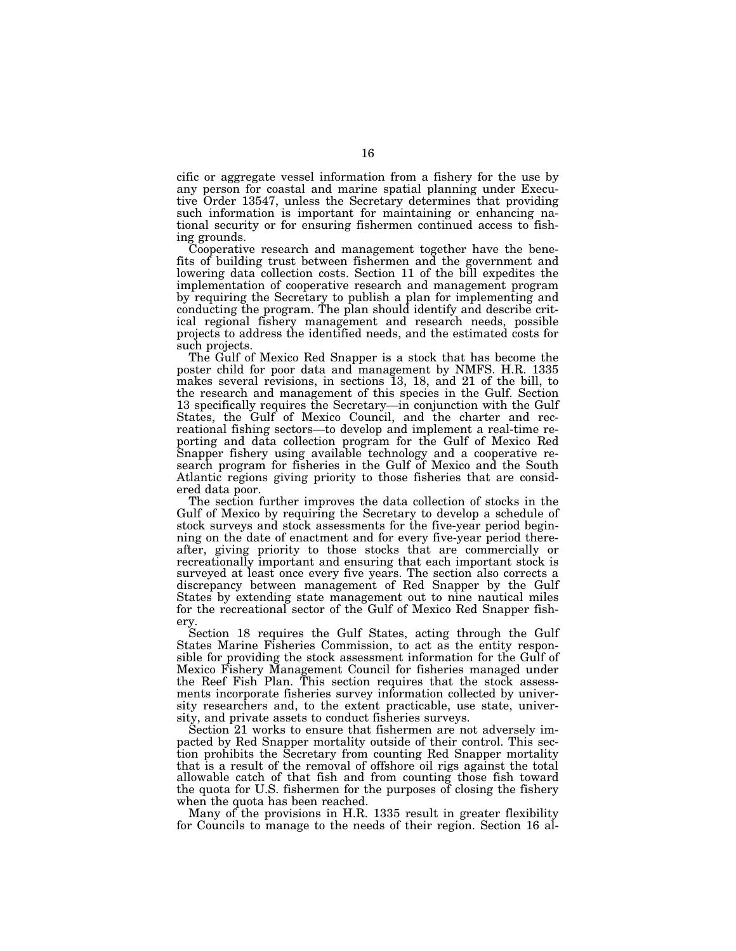cific or aggregate vessel information from a fishery for the use by any person for coastal and marine spatial planning under Executive Order 13547, unless the Secretary determines that providing such information is important for maintaining or enhancing national security or for ensuring fishermen continued access to fishing grounds.

Cooperative research and management together have the benefits of building trust between fishermen and the government and lowering data collection costs. Section 11 of the bill expedites the implementation of cooperative research and management program by requiring the Secretary to publish a plan for implementing and conducting the program. The plan should identify and describe critical regional fishery management and research needs, possible projects to address the identified needs, and the estimated costs for such projects.

The Gulf of Mexico Red Snapper is a stock that has become the poster child for poor data and management by NMFS. H.R. 1335 makes several revisions, in sections 13, 18, and 21 of the bill, to the research and management of this species in the Gulf. Section 13 specifically requires the Secretary—in conjunction with the Gulf States, the Gulf of Mexico Council, and the charter and recreational fishing sectors—to develop and implement a real-time reporting and data collection program for the Gulf of Mexico Red Snapper fishery using available technology and a cooperative research program for fisheries in the Gulf of Mexico and the South Atlantic regions giving priority to those fisheries that are considered data poor.

The section further improves the data collection of stocks in the Gulf of Mexico by requiring the Secretary to develop a schedule of stock surveys and stock assessments for the five-year period beginning on the date of enactment and for every five-year period thereafter, giving priority to those stocks that are commercially or recreationally important and ensuring that each important stock is surveyed at least once every five years. The section also corrects a discrepancy between management of Red Snapper by the Gulf States by extending state management out to nine nautical miles for the recreational sector of the Gulf of Mexico Red Snapper fishery.

Section 18 requires the Gulf States, acting through the Gulf States Marine Fisheries Commission, to act as the entity responsible for providing the stock assessment information for the Gulf of Mexico Fishery Management Council for fisheries managed under the Reef Fish Plan. This section requires that the stock assessments incorporate fisheries survey information collected by university researchers and, to the extent practicable, use state, university, and private assets to conduct fisheries surveys.

Section 21 works to ensure that fishermen are not adversely impacted by Red Snapper mortality outside of their control. This section prohibits the Secretary from counting Red Snapper mortality that is a result of the removal of offshore oil rigs against the total allowable catch of that fish and from counting those fish toward the quota for U.S. fishermen for the purposes of closing the fishery when the quota has been reached.

Many of the provisions in H.R. 1335 result in greater flexibility for Councils to manage to the needs of their region. Section 16 al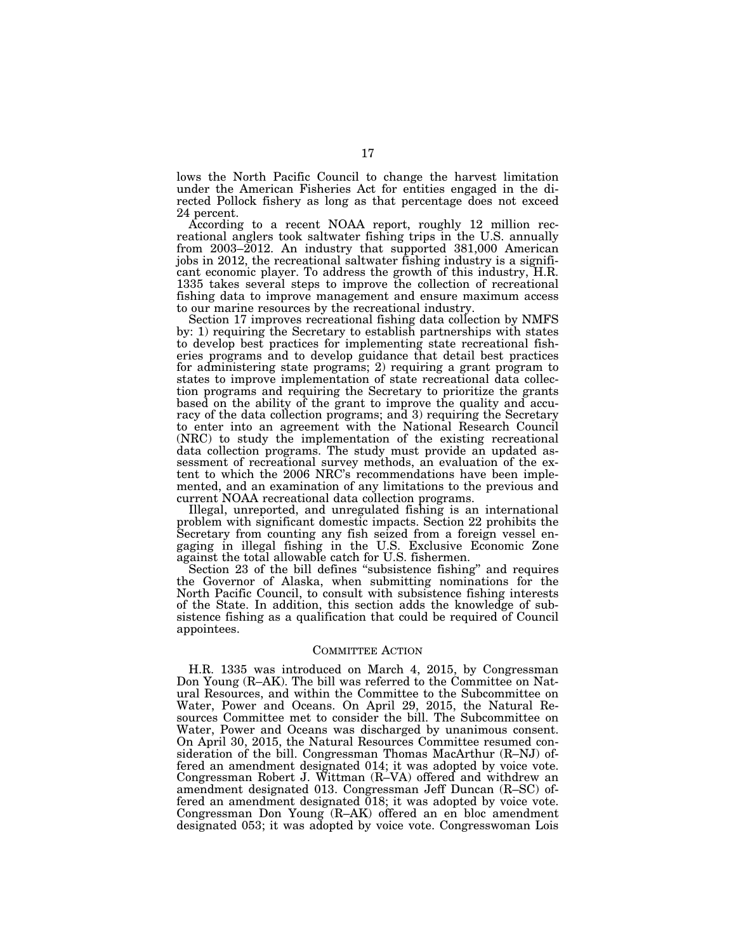lows the North Pacific Council to change the harvest limitation under the American Fisheries Act for entities engaged in the directed Pollock fishery as long as that percentage does not exceed 24 percent.

According to a recent NOAA report, roughly 12 million recreational anglers took saltwater fishing trips in the U.S. annually from 2003–2012. An industry that supported 381,000 American jobs in 2012, the recreational saltwater fishing industry is a significant economic player. To address the growth of this industry, H.R. 1335 takes several steps to improve the collection of recreational fishing data to improve management and ensure maximum access to our marine resources by the recreational industry.

Section 17 improves recreational fishing data collection by NMFS by: 1) requiring the Secretary to establish partnerships with states to develop best practices for implementing state recreational fisheries programs and to develop guidance that detail best practices for administering state programs; 2) requiring a grant program to states to improve implementation of state recreational data collection programs and requiring the Secretary to prioritize the grants based on the ability of the grant to improve the quality and accuracy of the data collection programs; and 3) requiring the Secretary to enter into an agreement with the National Research Council (NRC) to study the implementation of the existing recreational data collection programs. The study must provide an updated assessment of recreational survey methods, an evaluation of the extent to which the 2006 NRC's recommendations have been implemented, and an examination of any limitations to the previous and current NOAA recreational data collection programs.

Illegal, unreported, and unregulated fishing is an international problem with significant domestic impacts. Section 22 prohibits the Secretary from counting any fish seized from a foreign vessel engaging in illegal fishing in the U.S. Exclusive Economic Zone against the total allowable catch for U.S. fishermen.

Section 23 of the bill defines ''subsistence fishing'' and requires the Governor of Alaska, when submitting nominations for the North Pacific Council, to consult with subsistence fishing interests of the State. In addition, this section adds the knowledge of subsistence fishing as a qualification that could be required of Council appointees.

## COMMITTEE ACTION

H.R. 1335 was introduced on March 4, 2015, by Congressman Don Young (R–AK). The bill was referred to the Committee on Natural Resources, and within the Committee to the Subcommittee on Water, Power and Oceans. On April 29, 2015, the Natural Resources Committee met to consider the bill. The Subcommittee on Water, Power and Oceans was discharged by unanimous consent. On April 30, 2015, the Natural Resources Committee resumed consideration of the bill. Congressman Thomas MacArthur (R–NJ) offered an amendment designated 014; it was adopted by voice vote. Congressman Robert J. Wittman (R–VA) offered and withdrew an amendment designated 013. Congressman Jeff Duncan (R–SC) offered an amendment designated  $\overline{0}18$ ; it was adopted by voice vote. Congressman Don Young (R–AK) offered an en bloc amendment designated 053; it was adopted by voice vote. Congresswoman Lois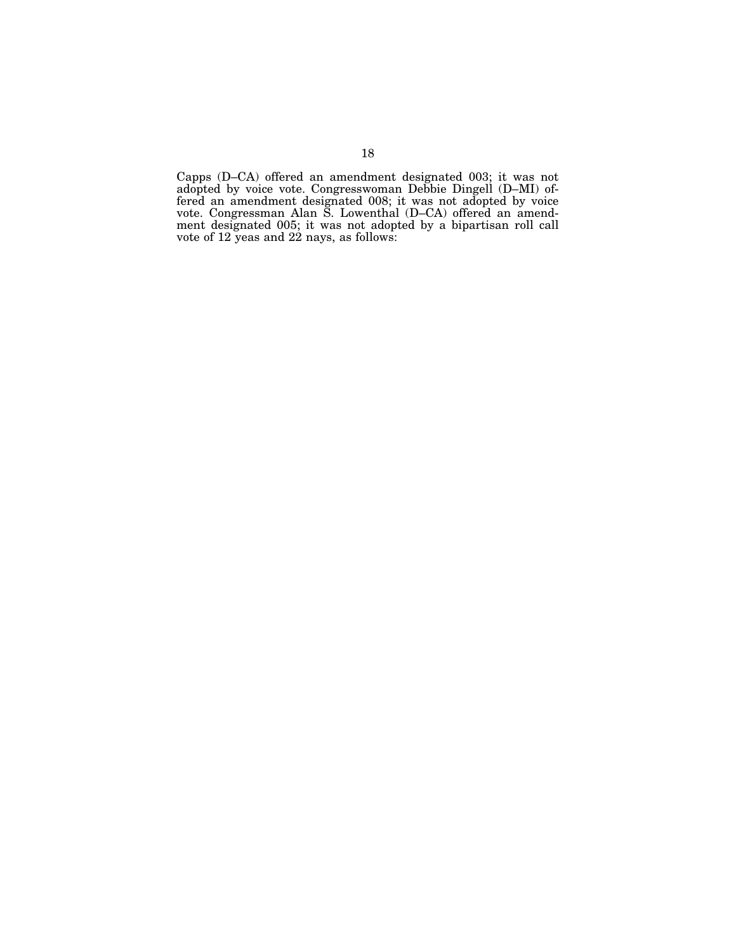Capps (D–CA) offered an amendment designated 003; it was not adopted by voice vote. Congresswoman Debbie Dingell (D–MI) offered an amendment designated 008; it was not adopted by voice vote. Congressman Alan S. Lowenthal (D–CA) offered an amendment designated 005; it was not adopted by a bipartisan roll call vote of 12 yeas and 22 nays, as follows: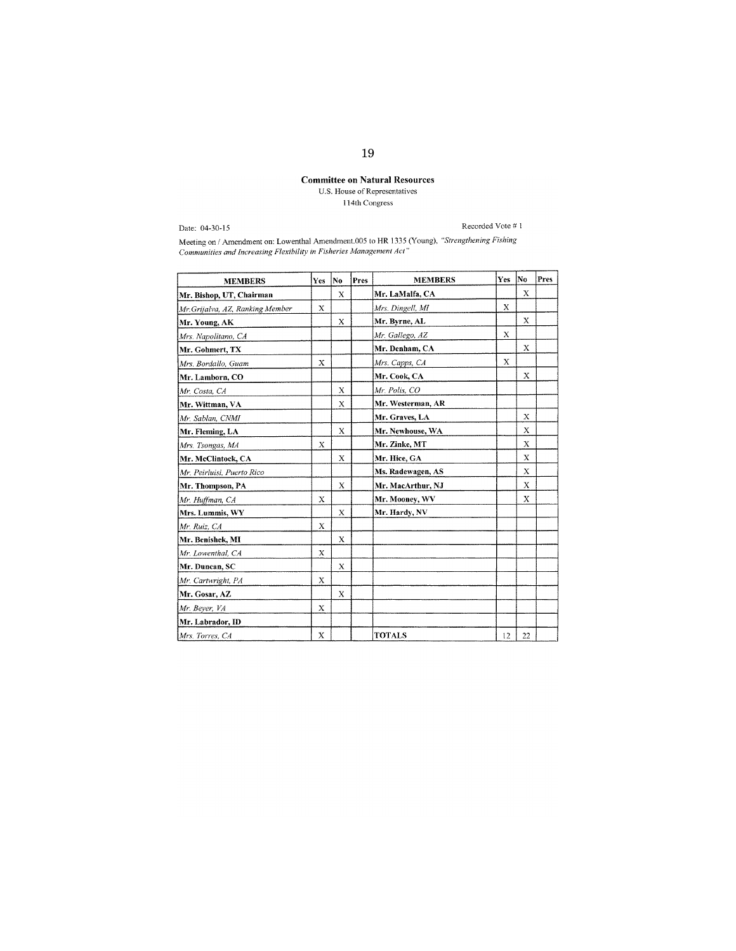# **Committee on Natural Resources**

U.S. House of Representatives 114th Congress

Date: 04-30-15

Recorded Vote #  $1$ 

Meeting on / Amendment on: Lowenthal Amendment.005 to HR 1335 (Young), "Strengthening Fishing<br>Communities and Increasing Flexibility in Fisheries Management Act"

| <b>MEMBERS</b>                   | Yes | No          | Pres | <b>MEMBERS</b>    | Yes | No          | Pres |
|----------------------------------|-----|-------------|------|-------------------|-----|-------------|------|
| Mr. Bishop, UT, Chairman         |     | X           |      | Mr. LaMalfa, CA   |     | $\mathbf x$ |      |
| Mr. Grijalva, AZ, Ranking Member | X   |             |      | Mrs. Dingell, MI  | X   |             |      |
| Mr. Young, AK                    |     | $\mathbf x$ |      | Mr. Byrne, AL     |     | X           |      |
| Mrs. Napolitano, CA              |     |             |      | Mr. Gallego, AZ   | X   |             |      |
| Mr. Gohmert, TX                  |     |             |      | Mr. Denham, CA    |     | X           |      |
| Mrs. Bordallo, Guam              | X   |             |      | Mrs. Capps, CA    | X   |             |      |
| Mr. Lamborn, CO                  |     |             |      | Mr. Cook, CA      |     | X           |      |
| Mr. Costa, CA                    |     | X           |      | Mr. Polis, CO     |     |             |      |
| Mr. Wittman, VA                  |     | X           |      | Mr. Westerman, AR |     |             |      |
| Mr. Sablan, CNMI                 |     |             |      | Mr. Graves, LA    |     | X           |      |
| Mr. Fleming, LA                  |     | X           |      | Mr. Newhouse, WA  |     | X           |      |
| Mrs. Tsongas, MA                 | X   |             |      | Mr. Zinke, MT     |     | X           |      |
| Mr. McClintock, CA               |     | X           |      | Mr. Hice, GA      |     | $\mathbf x$ |      |
| Mr. Peirluisi, Puerto Rico       |     |             |      | Ms. Radewagen, AS |     | X           |      |
| Mr. Thompson, PA                 |     | X           |      | Mr. MacArthur, NJ |     | X           |      |
| Mr. Huffman, CA                  | X   |             |      | Mr. Mooney, WV    |     | X           |      |
| Mrs. Lummis, WY                  |     | $\bf{X}$    |      | Mr. Hardy, NV     |     |             |      |
| Mr. Ruiz, CA                     | X   |             |      |                   |     |             |      |
| Mr. Benishek, MI                 |     | X           |      |                   |     |             |      |
| Mr. Lowenthal, CA                | X   |             |      |                   |     |             |      |
| Mr. Duncan, SC                   |     | $\mathbf x$ |      |                   |     |             |      |
| Mr. Cartwright, PA               | X   |             |      |                   |     |             |      |
| Mr. Gosar, AZ                    |     | X           |      |                   |     |             |      |
| Mr. Bever, VA                    | X   |             |      |                   |     |             |      |
| Mr. Labrador, ID                 |     |             |      |                   |     |             |      |
| Mrs. Torres, CA                  | Х   |             |      | <b>TOTALS</b>     | 12  | 22          |      |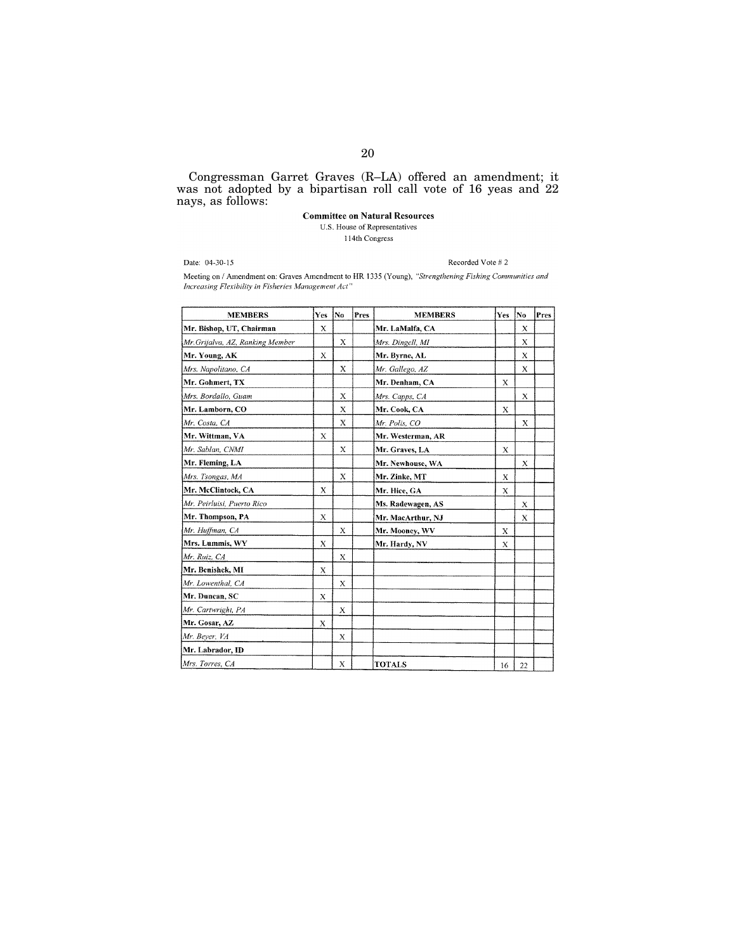Congressman Garret Graves (R–LA) offered an amendment; it was not adopted by a bipartisan roll call vote of 16 yeas and 22 nays, as follows:

**Committee on Natural Resources** 

U.S. House of Representatives

114th Congress

Date: 04-30-15

Recorded Vote # 2

Meeting on / Amendment on: Graves Amendment to HR 1335 (Young), "Strengthening Fishing Communities and Increasing Flexibility in Fisheries Management Act"

| <b>MEMBERS</b>                   | Yes | No                        | Pres | <b>MEMBERS</b>    | Yes         | No | Pres |
|----------------------------------|-----|---------------------------|------|-------------------|-------------|----|------|
| Mr. Bishop, UT, Chairman         | X   |                           |      | Mr. LaMalfa, CA   |             | X  |      |
| Mr. Grijalva, AZ, Ranking Member |     | X                         |      | Mrs. Dingell, MI  |             | X  |      |
| Mr. Young, AK                    | X   |                           |      | Mr. Byrne, AL     |             | X  |      |
| Mrs. Napolitano, CA              |     | X                         |      | Mr. Gallego, AZ   |             | х  |      |
| Mr. Gohmert, TX                  |     |                           |      | Mr. Denham, CA    | X           |    |      |
| Mrs. Bordallo, Guam              |     | X                         |      | Mrs. Capps, CA    |             | X  |      |
| Mr. Lamborn, CO                  |     | X                         |      | Mr. Cook, CA      | X           |    |      |
| Mr. Costa, CA                    |     | X                         |      | Mr. Polis, CO     |             | X  |      |
| Mr. Wittman, VA                  | X   |                           |      | Mr. Westerman, AR |             |    |      |
| Mr. Sablan, CNMI                 |     | X                         |      | Mr. Graves, LA    | $\mathbf x$ |    |      |
| Mr. Fleming, LA                  |     |                           |      | Mr. Newhouse, WA  |             | X  |      |
| Mrs. Tsongas, MA                 |     | X                         |      | Mr. Zinke, MT     | X           |    |      |
| Mr. McClintock, CA               | X   |                           |      | Mr. Hice, GA      | X           |    |      |
| Mr. Peirluisi, Puerto Rico       |     |                           |      | Ms. Radewagen, AS |             | X  |      |
| Mr. Thompson, PA                 | X   |                           |      | Mr. MacArthur, NJ |             | X  |      |
| Mr. Huffman, CA                  |     | X                         |      | Mr. Mooney, WV    | X           |    |      |
| Mrs. Lummis, WY                  | X   |                           |      | Mr. Hardy, NV     | Х           |    |      |
| Mr. Ruiz, CA                     |     | $\boldsymbol{\mathsf{x}}$ |      |                   |             |    |      |
| Mr. Benishek, MI                 | X   |                           |      |                   |             |    |      |
| Mr. Lowenthal, CA                |     | X                         |      |                   |             |    |      |
| Mr. Duncan, SC                   | X   |                           |      |                   |             |    |      |
| Mr. Cartwright, PA               |     | X                         |      |                   |             |    |      |
| Mr. Gosar, AZ                    | X   |                           |      |                   |             |    |      |
| Mr. Bever, VA                    |     | X                         |      |                   |             |    |      |
| Mr. Labrador, ID                 |     |                           |      |                   |             |    |      |
| Mrs. Torres, CA                  |     | X                         |      | TOTALS            | 16          | 22 |      |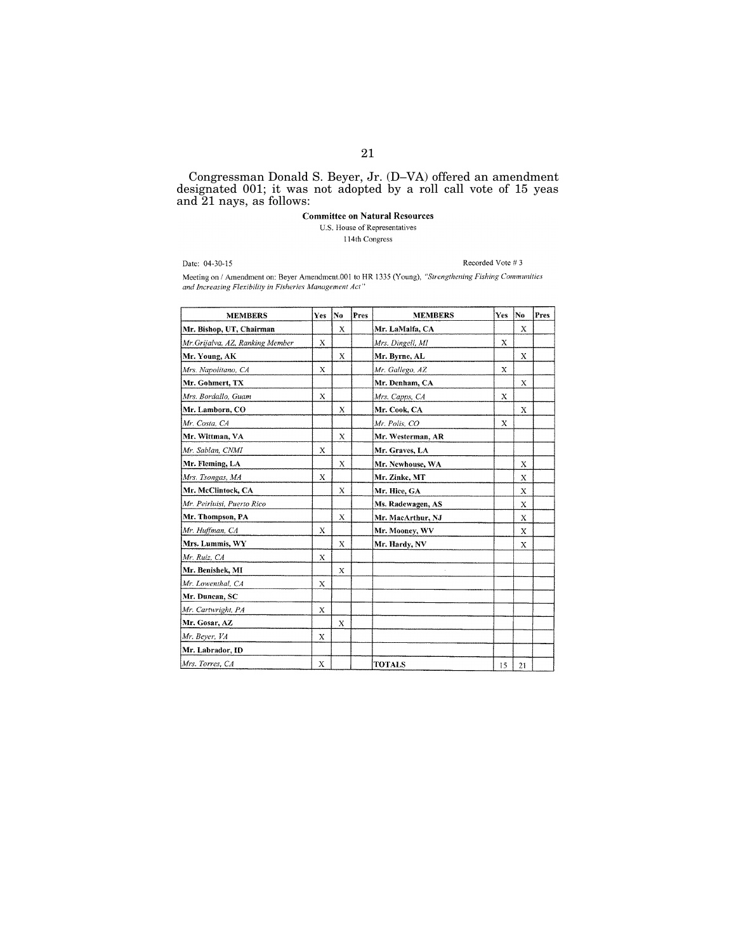Congressman Donald S. Beyer, Jr. (D–VA) offered an amendment designated 001; it was not adopted by a roll call vote of 15 yeas and 21 nays, as follows:

## **Committee on Natural Resources**

U.S. House of Representatives

114th Congress

Date: 04-30-15

Recorded Vote #3

Meeting on / Amendment on: Beyer Amendment.001 to HR 1335 (Young), "Strengthening Fishing Communities and Increasing Flexibility in Fisheries Management Act"

| <b>MEMBERS</b><br>Yes           |              | No | Pres | <b>MEMBERS</b>    | Yes | No          | Pres |
|---------------------------------|--------------|----|------|-------------------|-----|-------------|------|
| Mr. Bishop, UT, Chairman        |              | Х  |      | Mr. LaMalfa, CA   |     | X           |      |
| Mr.Grijalva, AZ, Ranking Member | X            |    |      | Mrs. Dingell, MI  | X   |             |      |
| Mr. Young, AK                   |              | X  |      | Mr. Byrne, AL     |     | X           |      |
| Mrs. Napolitano, CA             | X            |    |      | Mr. Gallego, AZ   | X   |             |      |
| Mr. Gohmert, TX                 |              |    |      | Mr. Denham, CA    |     | X           |      |
| Mrs. Bordallo, Guam             | X            |    |      | Mrs. Capps, CA    | X   |             |      |
| Mr. Lamborn, CO                 |              | X  |      | Mr. Cook, CA      |     | X           |      |
| Mr. Costa. CA                   |              |    |      | Mr. Polis, CO     | X   |             |      |
| Mr. Wittman, VA                 |              | X  |      | Mr. Westerman, AR |     |             |      |
| Mr. Sablan, CNMI                | X            |    |      | Mr. Graves, LA    |     |             |      |
| Mr. Fleming, LA                 |              | X  |      | Mr. Newhouse, WA  |     | Х           |      |
| Mrs. Tsongas, MA                | X            |    |      | Mr. Zinke, MT     |     | X           |      |
| Mr. McClintock, CA              |              | X  |      | Mr. Hice, GA      |     | Х           |      |
| Mr. Peirluisi, Puerto Rico      |              |    |      | Ms. Radewagen, AS |     | $\mathbf x$ |      |
| Mr. Thompson, PA                |              | X  |      | Mr. MacArthur, NJ |     | X           |      |
| Mr. Huffman, CA                 | X            |    |      | Mr. Mooney, WV    |     | X           |      |
| Mrs. Lummis, WY                 |              | X  |      | Mr. Hardy, NV     |     | X           |      |
| Mr. Ruiz, CA                    | $\bf{X}$     |    |      |                   |     |             |      |
| Mr. Benishek, MI                |              | X  |      |                   |     |             |      |
| Mr. Lowenthal. CA               | X            |    |      |                   |     |             |      |
| Mr. Duncan, SC                  |              |    |      |                   |     |             |      |
| Mr. Cartwright, PA              | $\mathbf{x}$ |    |      |                   |     |             |      |
| Mr. Gosar, AZ                   |              | X  |      |                   |     |             |      |
| Mr. Beyer, VA                   | X            |    |      |                   |     |             |      |
| Mr. Labrador, ID                |              |    |      |                   |     |             |      |
| Mrs. Torres, CA                 | X            |    |      | <b>TOTALS</b>     | 15  | 21          |      |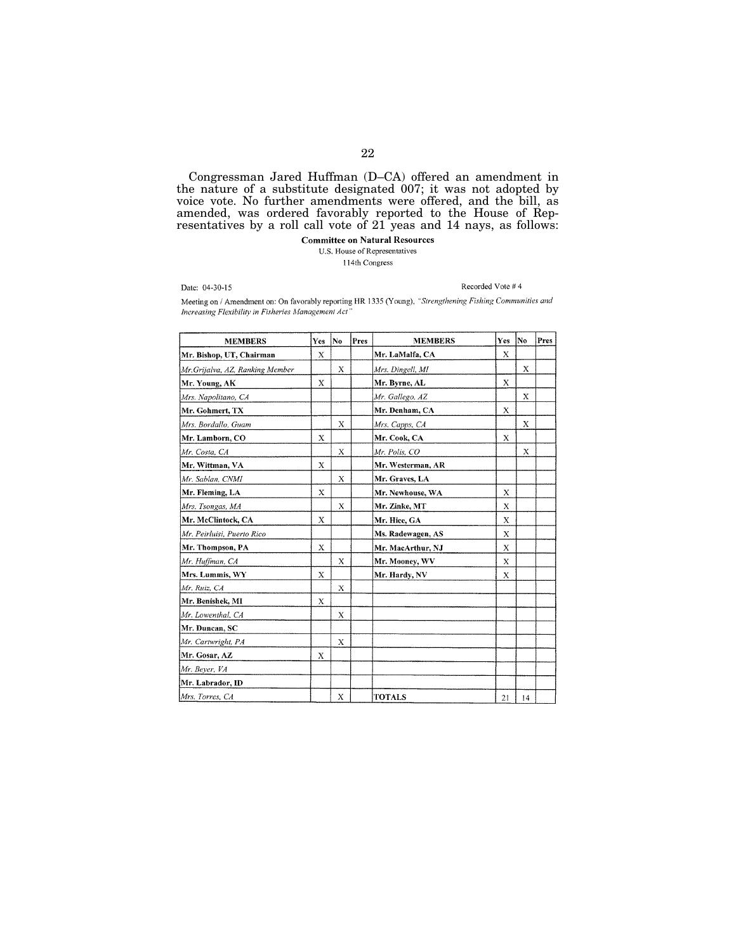Congressman Jared Huffman (D–CA) offered an amendment in the nature of a substitute designated 007; it was not adopted by voice vote. No further amendments were offered, and the bill, as amended, was ordered favorably reported to the House of Representatives by a roll call vote of 21 yeas and 14 nays, as follows:

U.S. House of Representatives

114th Congress

Date: 04-30-15

## Recorded Vote #4

Meeting on / Amendment on: On favorably reporting HR 1335 (Young), "Strengthening Fishing Communities and Increasing Flexibility in Fisheries Management Act"

| <b>MEMBERS</b>                  |             | No          | Pres | <b>MEMBERS</b>    | Yes | No | Pres |
|---------------------------------|-------------|-------------|------|-------------------|-----|----|------|
| Mr. Bishop, UT, Chairman        | X           |             |      | Mr. LaMalfa, CA   | X   |    |      |
| Mr.Grijalva, AZ, Ranking Member |             | X           |      | Mrs. Dingell, MI  |     | Х  |      |
| Mr. Young, AK                   | X           |             |      | Mr. Byrne, AL     | X   |    |      |
| Mrs. Napolitano, CA             |             |             |      | Mr. Gallego, AZ   |     | X  |      |
| Mr. Gohmert, TX                 |             |             |      | Mr. Denham, CA    | X   |    |      |
| Mrs. Bordallo, Guam             |             | $\mathbf x$ |      | Mrs. Capps, CA    |     | X  |      |
| Mr. Lamborn, CO                 | X           |             |      | Mr. Cook, CA      | X   |    |      |
| Mr. Costa, CA                   |             | X           |      | Mr. Polis, CO     |     | Х  |      |
| Mr. Wittman, VA                 | $\mathbf x$ |             |      | Mr. Westerman, AR |     |    |      |
| Mr. Sablan, CNMI                |             | X           |      | Mr. Graves, LA    |     |    |      |
| Mr. Fleming, LA                 | X           |             |      | Mr. Newhouse, WA  | X   |    |      |
| Mrs. Tsongas, MA                |             | X           |      | Mr. Zinke, MT     | X   |    |      |
| Mr. McClintock, CA              | X           |             |      | Mr. Hice, GA      | X   |    |      |
| Mr. Peirluisi, Puerto Rico      |             |             |      | Ms. Radewagen, AS | Х   |    |      |
| Mr. Thompson, PA                | X           |             |      | Mr. MacArthur, NJ | X   |    |      |
| Mr. Huffman, CA                 |             | X           |      | Mr. Mooney, WV    | X   |    |      |
| Mrs. Lummis, WY                 | X           |             |      | Mr. Hardy, NV     | X   |    |      |
| Mr. Ruiz, CA                    |             | $\mathbf x$ |      |                   |     |    |      |
| Mr. Benishek, MI                | X           |             |      |                   |     |    |      |
| Mr. Lowenthal, CA               |             | X           |      |                   |     |    |      |
| Mr. Duncan, SC                  |             |             |      |                   |     |    |      |
| Mr. Cartwright, PA              |             | X           |      |                   |     |    |      |
| Mr. Gosar, AZ                   | X           |             |      |                   |     |    |      |
| Mr. Beyer, VA                   |             |             |      |                   |     |    |      |
| Mr. Labrador, ID                |             |             |      |                   |     |    |      |
| Mrs. Torres, CA                 |             | X           |      | <b>TOTALS</b>     | 21  | 14 |      |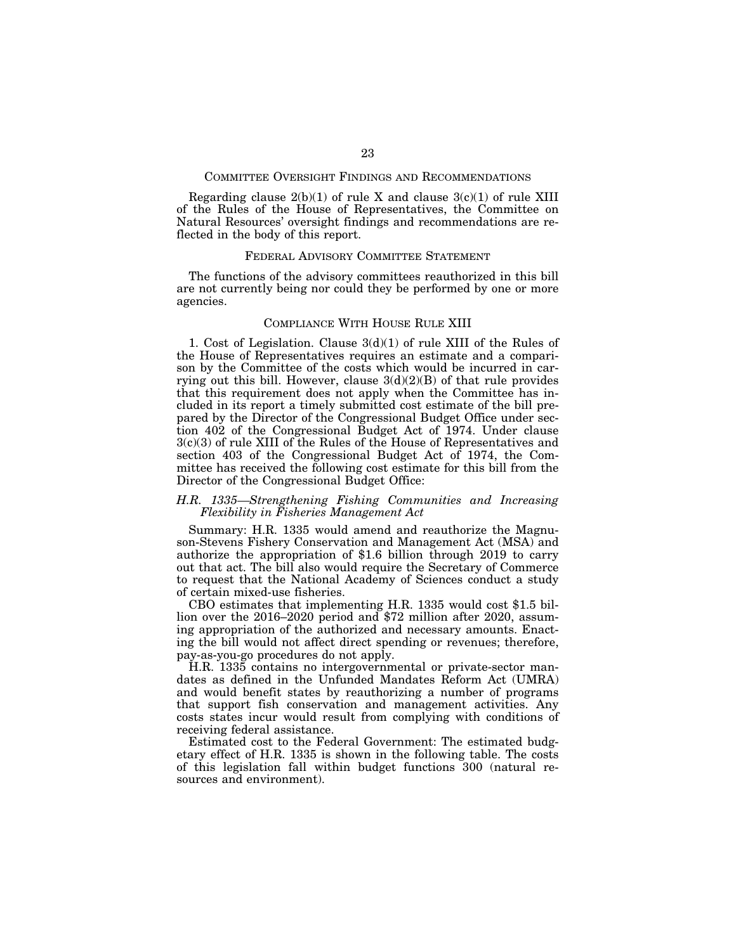## COMMITTEE OVERSIGHT FINDINGS AND RECOMMENDATIONS

Regarding clause  $2(b)(1)$  of rule X and clause  $3(c)(1)$  of rule XIII of the Rules of the House of Representatives, the Committee on Natural Resources' oversight findings and recommendations are reflected in the body of this report.

## FEDERAL ADVISORY COMMITTEE STATEMENT

The functions of the advisory committees reauthorized in this bill are not currently being nor could they be performed by one or more agencies.

## COMPLIANCE WITH HOUSE RULE XIII

1. Cost of Legislation. Clause 3(d)(1) of rule XIII of the Rules of the House of Representatives requires an estimate and a comparison by the Committee of the costs which would be incurred in carrying out this bill. However, clause  $3(d)(2)(B)$  of that rule provides that this requirement does not apply when the Committee has included in its report a timely submitted cost estimate of the bill prepared by the Director of the Congressional Budget Office under section 402 of the Congressional Budget Act of 1974. Under clause 3(c)(3) of rule XIII of the Rules of the House of Representatives and section 403 of the Congressional Budget Act of 1974, the Committee has received the following cost estimate for this bill from the Director of the Congressional Budget Office:

# *H.R. 1335—Strengthening Fishing Communities and Increasing Flexibility in Fisheries Management Act*

Summary: H.R. 1335 would amend and reauthorize the Magnuson-Stevens Fishery Conservation and Management Act (MSA) and authorize the appropriation of \$1.6 billion through 2019 to carry out that act. The bill also would require the Secretary of Commerce to request that the National Academy of Sciences conduct a study of certain mixed-use fisheries.

CBO estimates that implementing H.R. 1335 would cost \$1.5 billion over the 2016–2020 period and \$72 million after 2020, assuming appropriation of the authorized and necessary amounts. Enacting the bill would not affect direct spending or revenues; therefore, pay-as-you-go procedures do not apply.

H.R. 1335 contains no intergovernmental or private-sector mandates as defined in the Unfunded Mandates Reform Act (UMRA) and would benefit states by reauthorizing a number of programs that support fish conservation and management activities. Any costs states incur would result from complying with conditions of receiving federal assistance.

Estimated cost to the Federal Government: The estimated budgetary effect of H.R. 1335 is shown in the following table. The costs of this legislation fall within budget functions 300 (natural resources and environment).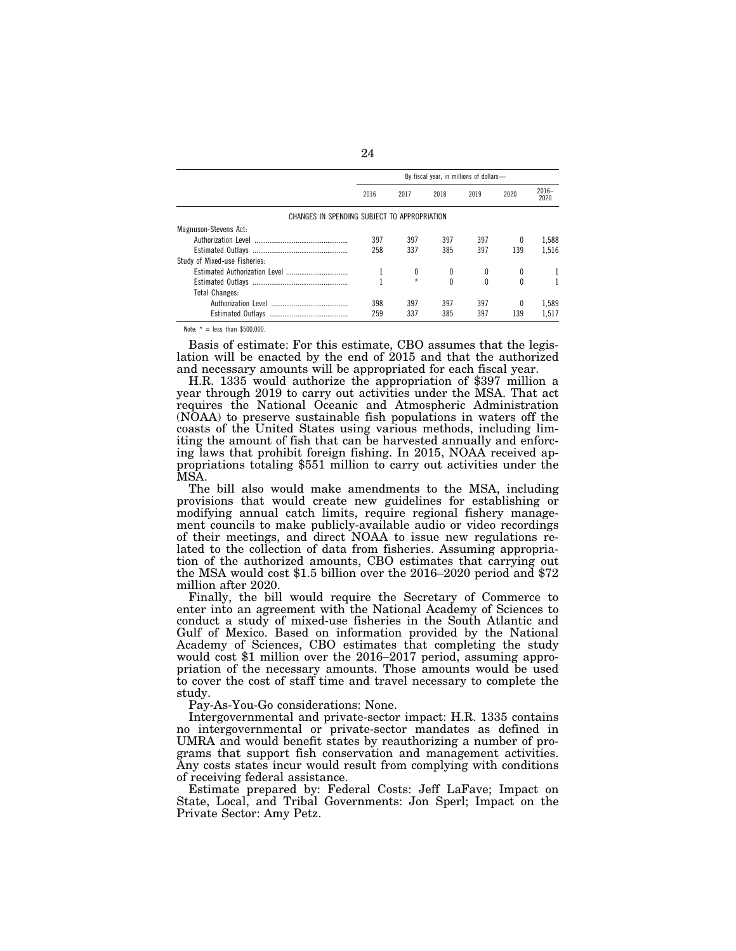|                                              | By fiscal year, in millions of dollars- |         |          |      |              |                  |  |
|----------------------------------------------|-----------------------------------------|---------|----------|------|--------------|------------------|--|
|                                              | 2016                                    | 2017    | 2018     | 2019 | 2020         | $2016 -$<br>2020 |  |
| CHANGES IN SPENDING SUBJECT TO APPROPRIATION |                                         |         |          |      |              |                  |  |
| Magnuson-Stevens Act:                        |                                         |         |          |      |              |                  |  |
|                                              | 397                                     | 397     | 397      | 397  | 0            | 1.588            |  |
|                                              | 258                                     | 337     | 385      | 397  | 139          | 1.516            |  |
| Study of Mixed-use Fisheries:                |                                         |         |          |      |              |                  |  |
|                                              |                                         | 0       | 0        | 0    | $\mathbf{0}$ |                  |  |
|                                              |                                         | $\star$ | $\Omega$ | 0    | $\Omega$     |                  |  |
| <b>Total Changes:</b>                        |                                         |         |          |      |              |                  |  |
|                                              | 398                                     | 397     | 397      | 397  | 0            | 1.589            |  |
|                                              | 259                                     | 337     | 385      | 397  | 139          | 1,517            |  |

Basis of estimate: For this estimate, CBO assumes that the legislation will be enacted by the end of 2015 and that the authorized

and necessary amounts will be appropriated for each fiscal year. H.R. 1335 would authorize the appropriation of \$397 million a year through 2019 to carry out activities under the MSA. That act requires the National Oceanic and Atmospheric Administration (NOAA) to preserve sustainable fish populations in waters off the coasts of the United States using various methods, including limiting the amount of fish that can be harvested annually and enforcing laws that prohibit foreign fishing. In 2015, NOAA received appropriations totaling \$551 million to carry out activities under the MSA.

The bill also would make amendments to the MSA, including provisions that would create new guidelines for establishing or modifying annual catch limits, require regional fishery management councils to make publicly-available audio or video recordings of their meetings, and direct NOAA to issue new regulations related to the collection of data from fisheries. Assuming appropriation of the authorized amounts, CBO estimates that carrying out the MSA would cost \$1.5 billion over the 2016–2020 period and \$72 million after 2020.

Finally, the bill would require the Secretary of Commerce to enter into an agreement with the National Academy of Sciences to conduct a study of mixed-use fisheries in the South Atlantic and Gulf of Mexico. Based on information provided by the National Academy of Sciences, CBO estimates that completing the study would cost \$1 million over the 2016–2017 period, assuming appropriation of the necessary amounts. Those amounts would be used to cover the cost of staff time and travel necessary to complete the study.

Pay-As-You-Go considerations: None.

Intergovernmental and private-sector impact: H.R. 1335 contains no intergovernmental or private-sector mandates as defined in UMRA and would benefit states by reauthorizing a number of programs that support fish conservation and management activities. Any costs states incur would result from complying with conditions of receiving federal assistance.

Estimate prepared by: Federal Costs: Jeff LaFave; Impact on State, Local, and Tribal Governments: Jon Sperl; Impact on the Private Sector: Amy Petz.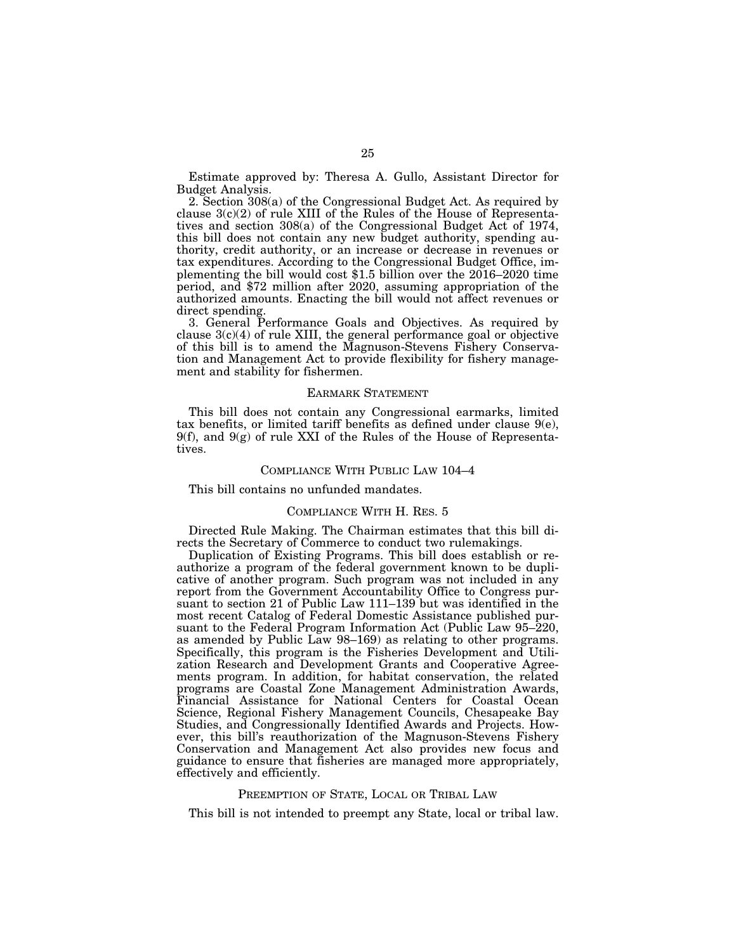Estimate approved by: Theresa A. Gullo, Assistant Director for Budget Analysis.

2. Section 308(a) of the Congressional Budget Act. As required by clause 3(c)(2) of rule XIII of the Rules of the House of Representatives and section 308(a) of the Congressional Budget Act of 1974, this bill does not contain any new budget authority, spending authority, credit authority, or an increase or decrease in revenues or tax expenditures. According to the Congressional Budget Office, implementing the bill would cost \$1.5 billion over the 2016–2020 time period, and \$72 million after 2020, assuming appropriation of the authorized amounts. Enacting the bill would not affect revenues or direct spending.

3. General Performance Goals and Objectives. As required by clause  $3(c)(4)$  of rule XIII, the general performance goal or objective of this bill is to amend the Magnuson-Stevens Fishery Conservation and Management Act to provide flexibility for fishery management and stability for fishermen.

## EARMARK STATEMENT

This bill does not contain any Congressional earmarks, limited tax benefits, or limited tariff benefits as defined under clause 9(e),  $9(f)$ , and  $9(g)$  of rule XXI of the Rules of the House of Representatives.

## COMPLIANCE WITH PUBLIC LAW 104–4

This bill contains no unfunded mandates.

# COMPLIANCE WITH H. RES. 5

Directed Rule Making. The Chairman estimates that this bill directs the Secretary of Commerce to conduct two rulemakings.

Duplication of Existing Programs. This bill does establish or reauthorize a program of the federal government known to be duplicative of another program. Such program was not included in any report from the Government Accountability Office to Congress pursuant to section 21 of Public Law 111–139 but was identified in the most recent Catalog of Federal Domestic Assistance published pursuant to the Federal Program Information Act (Public Law 95–220, as amended by Public Law 98–169) as relating to other programs. Specifically, this program is the Fisheries Development and Utilization Research and Development Grants and Cooperative Agreements program. In addition, for habitat conservation, the related programs are Coastal Zone Management Administration Awards, Financial Assistance for National Centers for Coastal Ocean Science, Regional Fishery Management Councils, Chesapeake Bay Studies, and Congressionally Identified Awards and Projects. However, this bill's reauthorization of the Magnuson-Stevens Fishery Conservation and Management Act also provides new focus and guidance to ensure that fisheries are managed more appropriately, effectively and efficiently.

## PREEMPTION OF STATE, LOCAL OR TRIBAL LAW

This bill is not intended to preempt any State, local or tribal law.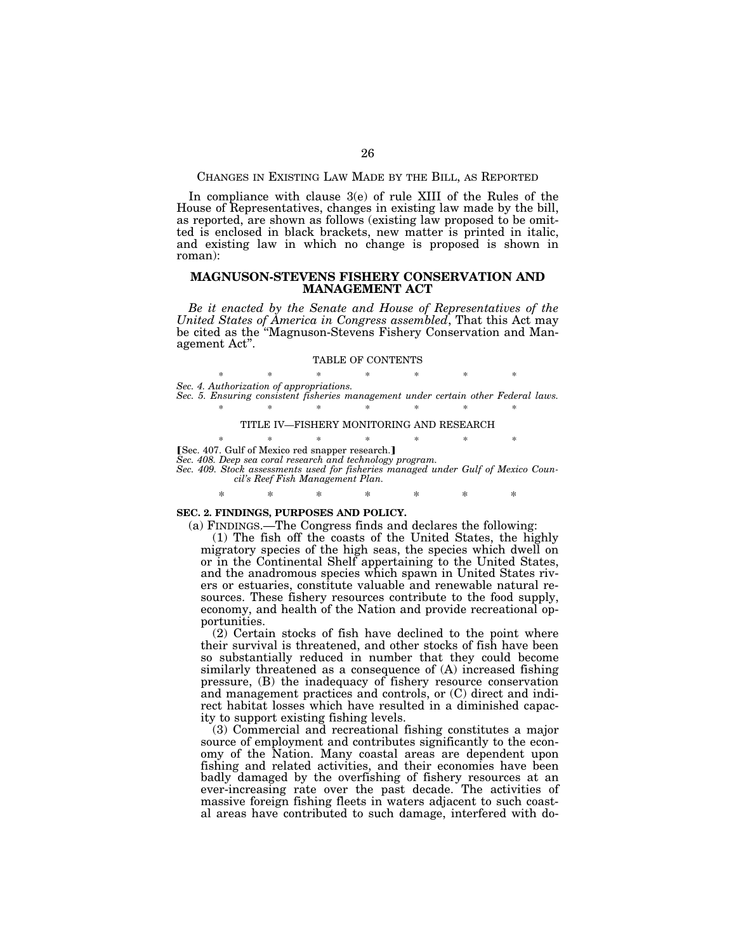## CHANGES IN EXISTING LAW MADE BY THE BILL, AS REPORTED

In compliance with clause 3(e) of rule XIII of the Rules of the House of Representatives, changes in existing law made by the bill, as reported, are shown as follows (existing law proposed to be omitted is enclosed in black brackets, new matter is printed in italic, and existing law in which no change is proposed is shown in roman):

# **MAGNUSON-STEVENS FISHERY CONSERVATION AND MANAGEMENT ACT**

*Be it enacted by the Senate and House of Representatives of the United States of America in Congress assembled*, That this Act may be cited as the ''Magnuson-Stevens Fishery Conservation and Management Act''.

### TABLE OF CONTENTS

\* \* \* \* \* \* \* *Sec. 4. Authorization of appropriations. Sec. 5. Ensuring consistent fisheries management under certain other Federal laws.*  \* \* \* \* \* \* \*

## TITLE IV—FISHERY MONITORING AND RESEARCH

\* \* \* \* \* \* \* øSec. 407. Gulf of Mexico red snapper research.¿

*Sec. 408. Deep sea coral research and technology program.* 

*Sec. 409. Stock assessments used for fisheries managed under Gulf of Mexico Council's Reef Fish Management Plan.* 

# \* \* \* \* \* \* \*

# **SEC. 2. FINDINGS, PURPOSES AND POLICY.**

(a) FINDINGS.—The Congress finds and declares the following:

(1) The fish off the coasts of the United States, the highly migratory species of the high seas, the species which dwell on or in the Continental Shelf appertaining to the United States, and the anadromous species which spawn in United States rivers or estuaries, constitute valuable and renewable natural resources. These fishery resources contribute to the food supply, economy, and health of the Nation and provide recreational opportunities.

(2) Certain stocks of fish have declined to the point where their survival is threatened, and other stocks of fish have been so substantially reduced in number that they could become similarly threatened as a consequence of (A) increased fishing pressure, (B) the inadequacy of fishery resource conservation and management practices and controls, or (C) direct and indirect habitat losses which have resulted in a diminished capacity to support existing fishing levels.

(3) Commercial and recreational fishing constitutes a major source of employment and contributes significantly to the economy of the Nation. Many coastal areas are dependent upon fishing and related activities, and their economies have been badly damaged by the overfishing of fishery resources at an ever-increasing rate over the past decade. The activities of massive foreign fishing fleets in waters adjacent to such coastal areas have contributed to such damage, interfered with do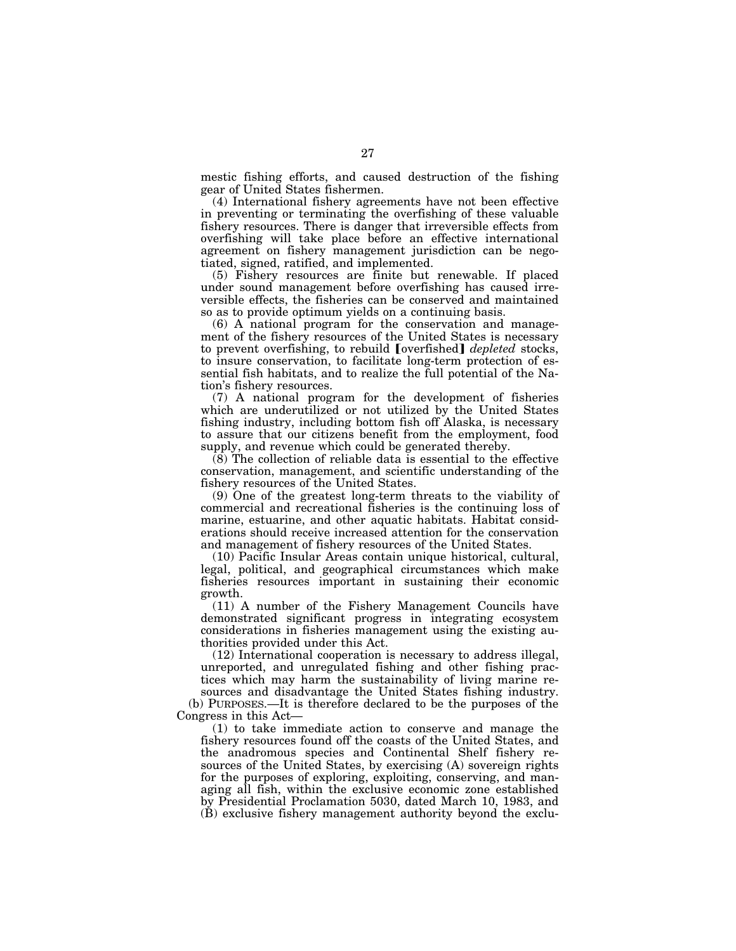mestic fishing efforts, and caused destruction of the fishing gear of United States fishermen.

(4) International fishery agreements have not been effective in preventing or terminating the overfishing of these valuable fishery resources. There is danger that irreversible effects from overfishing will take place before an effective international agreement on fishery management jurisdiction can be negotiated, signed, ratified, and implemented.

(5) Fishery resources are finite but renewable. If placed under sound management before overfishing has caused irreversible effects, the fisheries can be conserved and maintained so as to provide optimum yields on a continuing basis.

(6) A national program for the conservation and management of the fishery resources of the United States is necessary to prevent overfishing, to rebuild [overfished] *depleted* stocks, to insure conservation, to facilitate long-term protection of essential fish habitats, and to realize the full potential of the Nation's fishery resources.

(7) A national program for the development of fisheries which are underutilized or not utilized by the United States fishing industry, including bottom fish off Alaska, is necessary to assure that our citizens benefit from the employment, food supply, and revenue which could be generated thereby.

(8) The collection of reliable data is essential to the effective conservation, management, and scientific understanding of the fishery resources of the United States.

(9) One of the greatest long-term threats to the viability of commercial and recreational fisheries is the continuing loss of marine, estuarine, and other aquatic habitats. Habitat considerations should receive increased attention for the conservation and management of fishery resources of the United States.

(10) Pacific Insular Areas contain unique historical, cultural, legal, political, and geographical circumstances which make fisheries resources important in sustaining their economic growth.

(11) A number of the Fishery Management Councils have demonstrated significant progress in integrating ecosystem considerations in fisheries management using the existing authorities provided under this Act.

(12) International cooperation is necessary to address illegal, unreported, and unregulated fishing and other fishing practices which may harm the sustainability of living marine resources and disadvantage the United States fishing industry.

(b) PURPOSES.—It is therefore declared to be the purposes of the Congress in this Act—

(1) to take immediate action to conserve and manage the fishery resources found off the coasts of the United States, and the anadromous species and Continental Shelf fishery resources of the United States, by exercising (A) sovereign rights for the purposes of exploring, exploiting, conserving, and managing all fish, within the exclusive economic zone established by Presidential Proclamation 5030, dated March 10, 1983, and (B) exclusive fishery management authority beyond the exclu-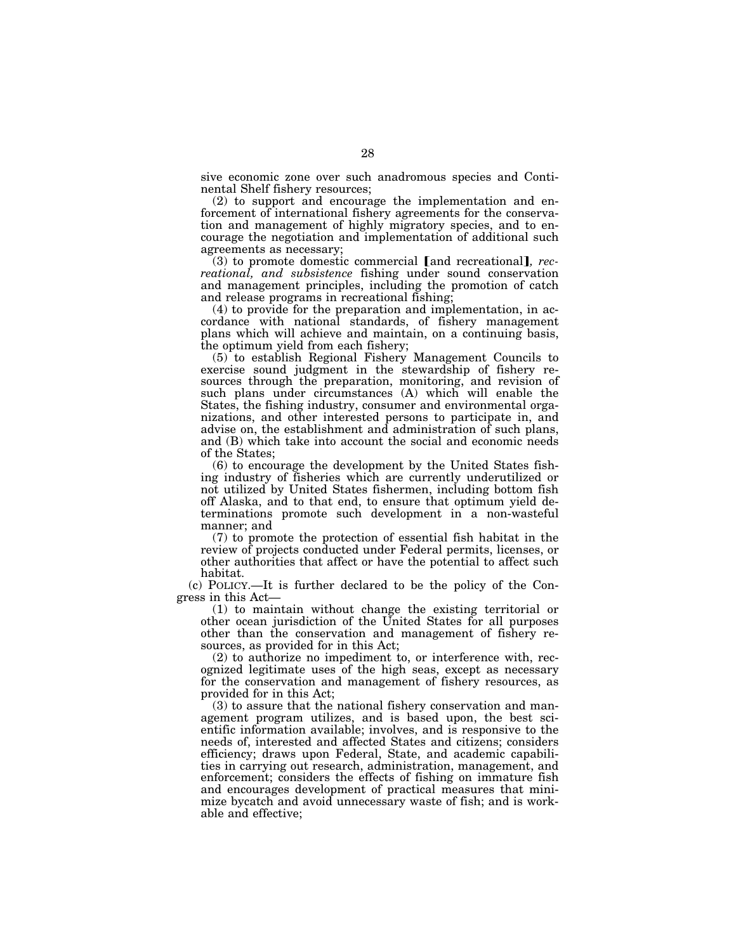sive economic zone over such anadromous species and Continental Shelf fishery resources;

(2) to support and encourage the implementation and enforcement of international fishery agreements for the conservation and management of highly migratory species, and to encourage the negotiation and implementation of additional such agreements as necessary;

(3) to promote domestic commercial [and recreational], *recreational, and subsistence* fishing under sound conservation and management principles, including the promotion of catch and release programs in recreational fishing;

(4) to provide for the preparation and implementation, in accordance with national standards, of fishery management plans which will achieve and maintain, on a continuing basis, the optimum yield from each fishery;

(5) to establish Regional Fishery Management Councils to exercise sound judgment in the stewardship of fishery resources through the preparation, monitoring, and revision of such plans under circumstances (A) which will enable the States, the fishing industry, consumer and environmental organizations, and other interested persons to participate in, and advise on, the establishment and administration of such plans, and (B) which take into account the social and economic needs of the States;

(6) to encourage the development by the United States fishing industry of fisheries which are currently underutilized or not utilized by United States fishermen, including bottom fish off Alaska, and to that end, to ensure that optimum yield determinations promote such development in a non-wasteful manner; and

(7) to promote the protection of essential fish habitat in the review of projects conducted under Federal permits, licenses, or other authorities that affect or have the potential to affect such habitat.

(c) POLICY.—It is further declared to be the policy of the Congress in this Act—

(1) to maintain without change the existing territorial or other ocean jurisdiction of the United States for all purposes other than the conservation and management of fishery resources, as provided for in this Act;

(2) to authorize no impediment to, or interference with, recognized legitimate uses of the high seas, except as necessary for the conservation and management of fishery resources, as provided for in this Act;

(3) to assure that the national fishery conservation and management program utilizes, and is based upon, the best scientific information available; involves, and is responsive to the needs of, interested and affected States and citizens; considers efficiency; draws upon Federal, State, and academic capabilities in carrying out research, administration, management, and enforcement; considers the effects of fishing on immature fish and encourages development of practical measures that minimize bycatch and avoid unnecessary waste of fish; and is workable and effective;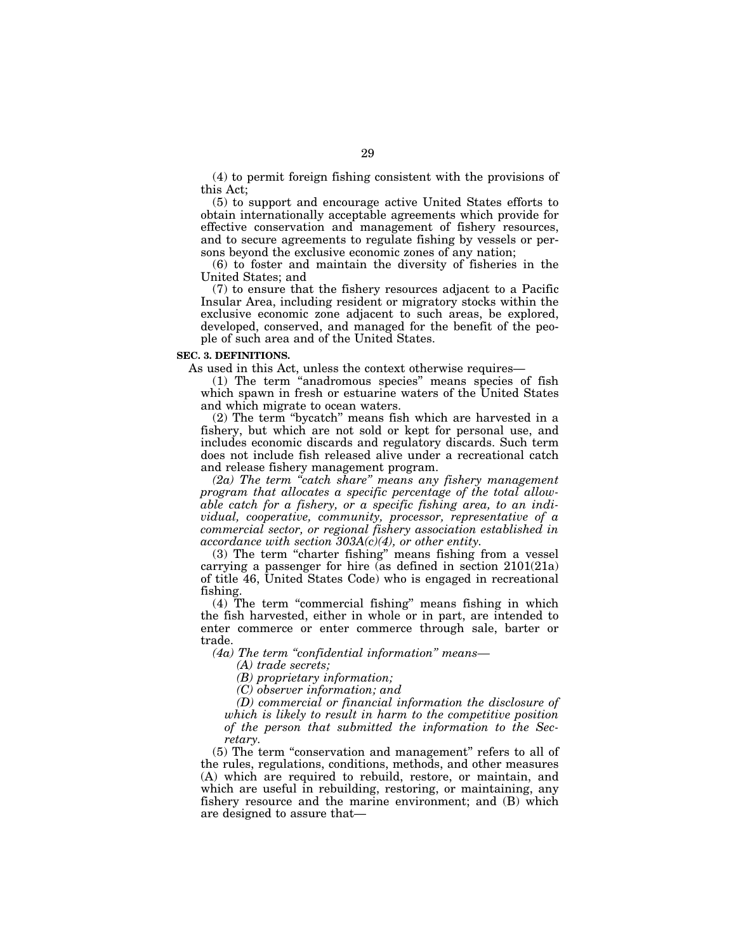(4) to permit foreign fishing consistent with the provisions of this Act;

(5) to support and encourage active United States efforts to obtain internationally acceptable agreements which provide for effective conservation and management of fishery resources, and to secure agreements to regulate fishing by vessels or persons beyond the exclusive economic zones of any nation;

(6) to foster and maintain the diversity of fisheries in the United States; and

(7) to ensure that the fishery resources adjacent to a Pacific Insular Area, including resident or migratory stocks within the exclusive economic zone adjacent to such areas, be explored, developed, conserved, and managed for the benefit of the people of such area and of the United States.

# **SEC. 3. DEFINITIONS.**

As used in this Act, unless the context otherwise requires—

(1) The term ''anadromous species'' means species of fish which spawn in fresh or estuarine waters of the United States and which migrate to ocean waters.

(2) The term ''bycatch'' means fish which are harvested in a fishery, but which are not sold or kept for personal use, and includes economic discards and regulatory discards. Such term does not include fish released alive under a recreational catch and release fishery management program.

*(2a) The term ''catch share'' means any fishery management program that allocates a specific percentage of the total allowable catch for a fishery, or a specific fishing area, to an individual, cooperative, community, processor, representative of a commercial sector, or regional fishery association established in accordance with section 303A(c)(4), or other entity.* 

(3) The term ''charter fishing'' means fishing from a vessel carrying a passenger for hire (as defined in section 2101(21a) of title 46, United States Code) who is engaged in recreational fishing.

(4) The term ''commercial fishing'' means fishing in which the fish harvested, either in whole or in part, are intended to enter commerce or enter commerce through sale, barter or trade.

*(4a) The term ''confidential information'' means—* 

*(A) trade secrets;* 

*(B) proprietary information;* 

*(C) observer information; and* 

*(D) commercial or financial information the disclosure of which is likely to result in harm to the competitive position of the person that submitted the information to the Secretary.* 

(5) The term ''conservation and management'' refers to all of the rules, regulations, conditions, methods, and other measures (A) which are required to rebuild, restore, or maintain, and which are useful in rebuilding, restoring, or maintaining, any fishery resource and the marine environment; and (B) which are designed to assure that—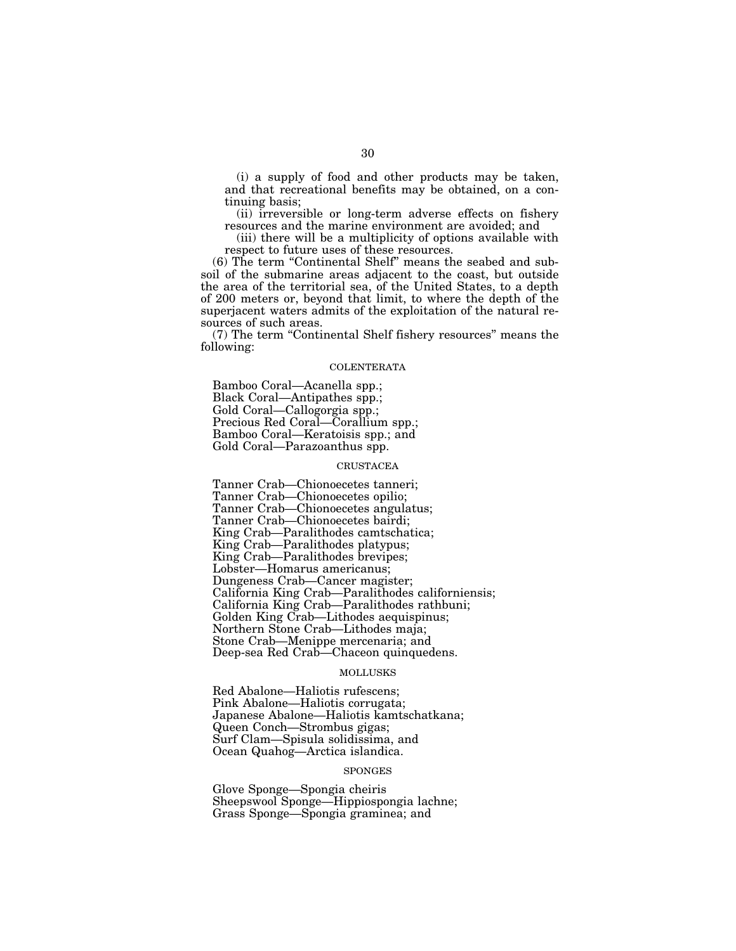(i) a supply of food and other products may be taken, and that recreational benefits may be obtained, on a continuing basis;

(ii) irreversible or long-term adverse effects on fishery resources and the marine environment are avoided; and

(iii) there will be a multiplicity of options available with respect to future uses of these resources.

(6) The term ''Continental Shelf'' means the seabed and subsoil of the submarine areas adjacent to the coast, but outside the area of the territorial sea, of the United States, to a depth of 200 meters or, beyond that limit, to where the depth of the superjacent waters admits of the exploitation of the natural resources of such areas.

(7) The term ''Continental Shelf fishery resources'' means the following:

### COLENTERATA

Bamboo Coral—Acanella spp.; Black Coral—Antipathes spp.; Gold Coral—Callogorgia spp.; Precious Red Coral—Corallium spp.; Bamboo Coral—Keratoisis spp.; and Gold Coral—Parazoanthus spp.

## CRUSTACEA

Tanner Crab—Chionoecetes tanneri; Tanner Crab—Chionoecetes opilio; Tanner Crab—Chionoecetes angulatus; Tanner Crab—Chionoecetes bairdi; King Crab—Paralithodes camtschatica; King Crab—Paralithodes platypus; King Crab—Paralithodes brevipes; Lobster—Homarus americanus; Dungeness Crab—Cancer magister; California King Crab—Paralithodes californiensis; California King Crab—Paralithodes rathbuni; Golden King Crab—Lithodes aequispinus; Northern Stone Crab—Lithodes maja; Stone Crab—Menippe mercenaria; and Deep-sea Red Crab—Chaceon quinquedens.

### MOLLUSKS

Red Abalone—Haliotis rufescens; Pink Abalone—Haliotis corrugata; Japanese Abalone—Haliotis kamtschatkana; Queen Conch—Strombus gigas; Surf Clam—Spisula solidissima, and Ocean Quahog—Arctica islandica.

# SPONGES

Glove Sponge—Spongia cheiris Sheepswool Sponge—Hippiospongia lachne; Grass Sponge—Spongia graminea; and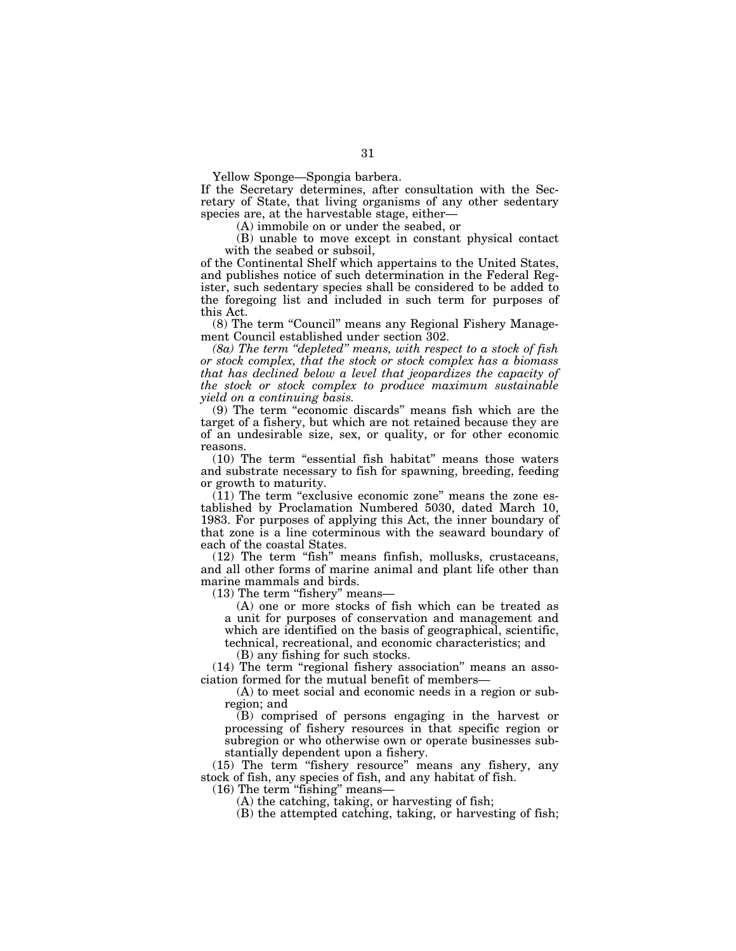Yellow Sponge—Spongia barbera.

If the Secretary determines, after consultation with the Secretary of State, that living organisms of any other sedentary species are, at the harvestable stage, either—

(A) immobile on or under the seabed, or

(B) unable to move except in constant physical contact with the seabed or subsoil,

of the Continental Shelf which appertains to the United States, and publishes notice of such determination in the Federal Register, such sedentary species shall be considered to be added to the foregoing list and included in such term for purposes of this Act.

(8) The term ''Council'' means any Regional Fishery Management Council established under section 302.

*(8a) The term ''depleted'' means, with respect to a stock of fish or stock complex, that the stock or stock complex has a biomass that has declined below a level that jeopardizes the capacity of the stock or stock complex to produce maximum sustainable yield on a continuing basis.* 

(9) The term ''economic discards'' means fish which are the target of a fishery, but which are not retained because they are of an undesirable size, sex, or quality, or for other economic reasons.

(10) The term ''essential fish habitat'' means those waters and substrate necessary to fish for spawning, breeding, feeding or growth to maturity.

 $(11)$  The term "exclusive economic zone" means the zone established by Proclamation Numbered 5030, dated March 10, 1983. For purposes of applying this Act, the inner boundary of that zone is a line coterminous with the seaward boundary of each of the coastal States.

(12) The term ''fish'' means finfish, mollusks, crustaceans, and all other forms of marine animal and plant life other than marine mammals and birds.

 $(13)$  The term "fishery" means-

(A) one or more stocks of fish which can be treated as a unit for purposes of conservation and management and which are identified on the basis of geographical, scientific, technical, recreational, and economic characteristics; and (B) any fishing for such stocks.

(14) The term ''regional fishery association'' means an asso-

ciation formed for the mutual benefit of members—

(A) to meet social and economic needs in a region or subregion; and

(B) comprised of persons engaging in the harvest or processing of fishery resources in that specific region or subregion or who otherwise own or operate businesses substantially dependent upon a fishery.

(15) The term ''fishery resource'' means any fishery, any stock of fish, any species of fish, and any habitat of fish.

(16) The term ''fishing'' means—

(A) the catching, taking, or harvesting of fish;

(B) the attempted catching, taking, or harvesting of fish;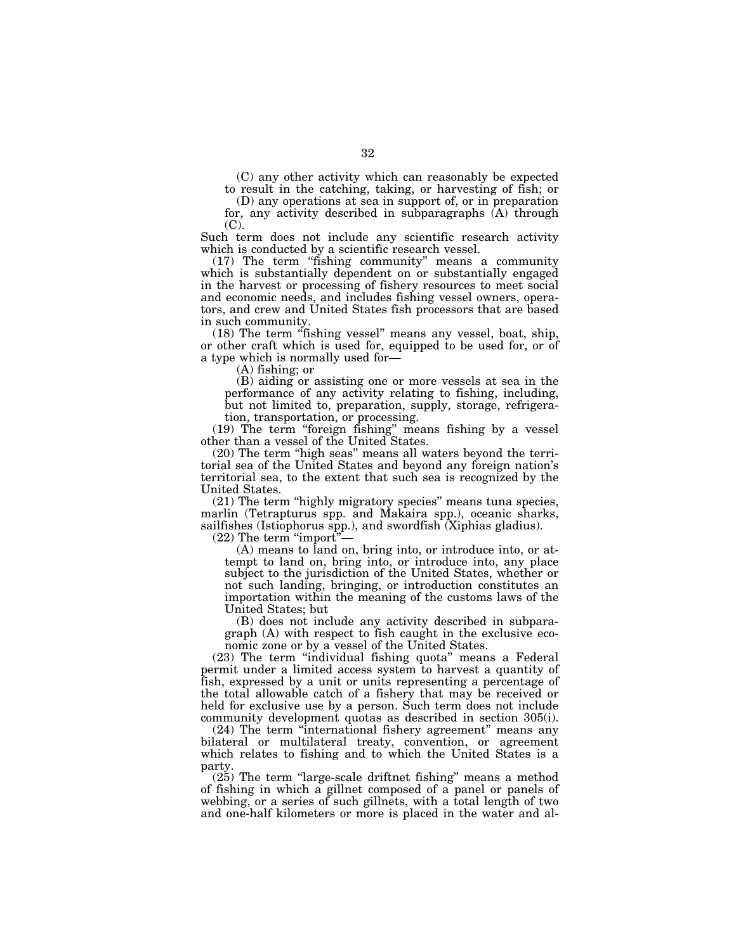(C) any other activity which can reasonably be expected to result in the catching, taking, or harvesting of fish; or

(D) any operations at sea in support of, or in preparation for, any activity described in subparagraphs (A) through  $(C)$ .

Such term does not include any scientific research activity which is conducted by a scientific research vessel.

(17) The term ''fishing community'' means a community which is substantially dependent on or substantially engaged in the harvest or processing of fishery resources to meet social and economic needs, and includes fishing vessel owners, operators, and crew and United States fish processors that are based in such community.

(18) The term ''fishing vessel'' means any vessel, boat, ship, or other craft which is used for, equipped to be used for, or of a type which is normally used for—

(A) fishing; or

(B) aiding or assisting one or more vessels at sea in the performance of any activity relating to fishing, including, but not limited to, preparation, supply, storage, refrigeration, transportation, or processing.

(19) The term ''foreign fishing'' means fishing by a vessel other than a vessel of the United States.

(20) The term ''high seas'' means all waters beyond the territorial sea of the United States and beyond any foreign nation's territorial sea, to the extent that such sea is recognized by the United States.

(21) The term ''highly migratory species'' means tuna species, marlin (Tetrapturus spp. and Makaira spp.), oceanic sharks, sailfishes (Istiophorus spp.), and swordfish (Xiphias gladius).

 $(22)$  The term "import"-

(A) means to land on, bring into, or introduce into, or attempt to land on, bring into, or introduce into, any place subject to the jurisdiction of the United States, whether or not such landing, bringing, or introduction constitutes an importation within the meaning of the customs laws of the United States; but

(B) does not include any activity described in subparagraph (A) with respect to fish caught in the exclusive economic zone or by a vessel of the United States.

(23) The term ''individual fishing quota'' means a Federal permit under a limited access system to harvest a quantity of fish, expressed by a unit or units representing a percentage of the total allowable catch of a fishery that may be received or held for exclusive use by a person. Such term does not include community development quotas as described in section 305(i).

(24) The term ''international fishery agreement'' means any bilateral or multilateral treaty, convention, or agreement which relates to fishing and to which the United States is a party.

 $(25)$  The term "large-scale driftnet fishing" means a method of fishing in which a gillnet composed of a panel or panels of webbing, or a series of such gillnets, with a total length of two and one-half kilometers or more is placed in the water and al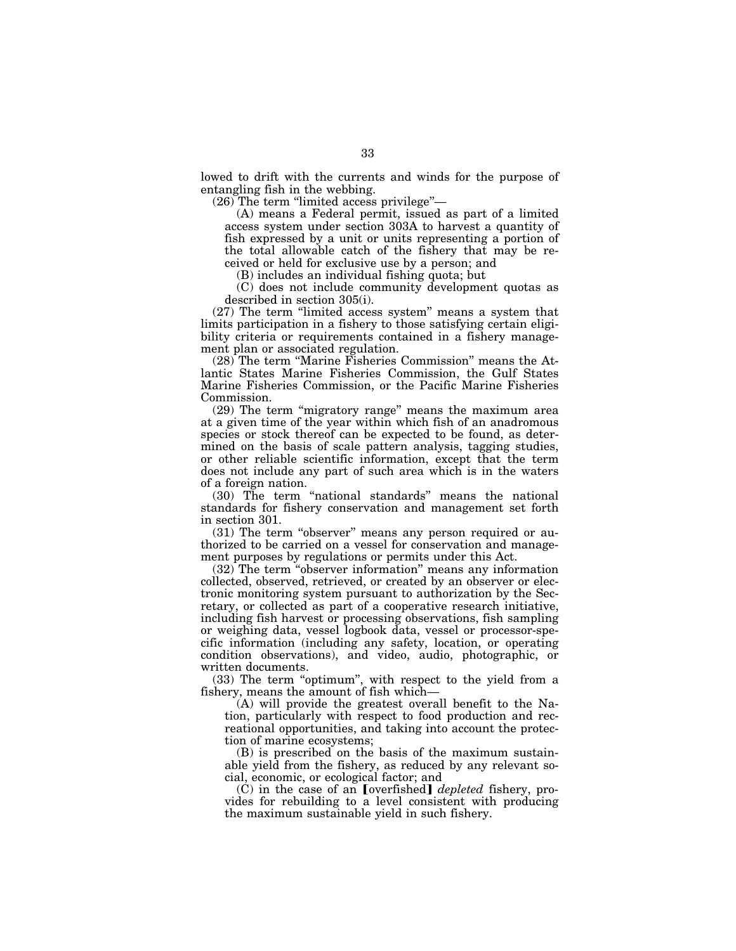lowed to drift with the currents and winds for the purpose of entangling fish in the webbing.

(26) The term ''limited access privilege''—

(A) means a Federal permit, issued as part of a limited access system under section 303A to harvest a quantity of fish expressed by a unit or units representing a portion of the total allowable catch of the fishery that may be received or held for exclusive use by a person; and

(B) includes an individual fishing quota; but

(C) does not include community development quotas as described in section 305(i).

(27) The term ''limited access system'' means a system that limits participation in a fishery to those satisfying certain eligibility criteria or requirements contained in a fishery management plan or associated regulation.

(28) The term ''Marine Fisheries Commission'' means the Atlantic States Marine Fisheries Commission, the Gulf States Marine Fisheries Commission, or the Pacific Marine Fisheries Commission.

(29) The term ''migratory range'' means the maximum area at a given time of the year within which fish of an anadromous species or stock thereof can be expected to be found, as determined on the basis of scale pattern analysis, tagging studies, or other reliable scientific information, except that the term does not include any part of such area which is in the waters of a foreign nation.

(30) The term ''national standards'' means the national standards for fishery conservation and management set forth in section 301.

(31) The term "observer" means any person required or authorized to be carried on a vessel for conservation and management purposes by regulations or permits under this Act.

(32) The term ''observer information'' means any information collected, observed, retrieved, or created by an observer or electronic monitoring system pursuant to authorization by the Secretary, or collected as part of a cooperative research initiative, including fish harvest or processing observations, fish sampling or weighing data, vessel logbook data, vessel or processor-specific information (including any safety, location, or operating condition observations), and video, audio, photographic, or written documents.

(33) The term "optimum", with respect to the yield from a fishery, means the amount of fish which—

(A) will provide the greatest overall benefit to the Nation, particularly with respect to food production and recreational opportunities, and taking into account the protection of marine ecosystems;

(B) is prescribed on the basis of the maximum sustainable yield from the fishery, as reduced by any relevant social, economic, or ecological factor; and

(C) in the case of an [overfished] *depleted* fishery, provides for rebuilding to a level consistent with producing the maximum sustainable yield in such fishery.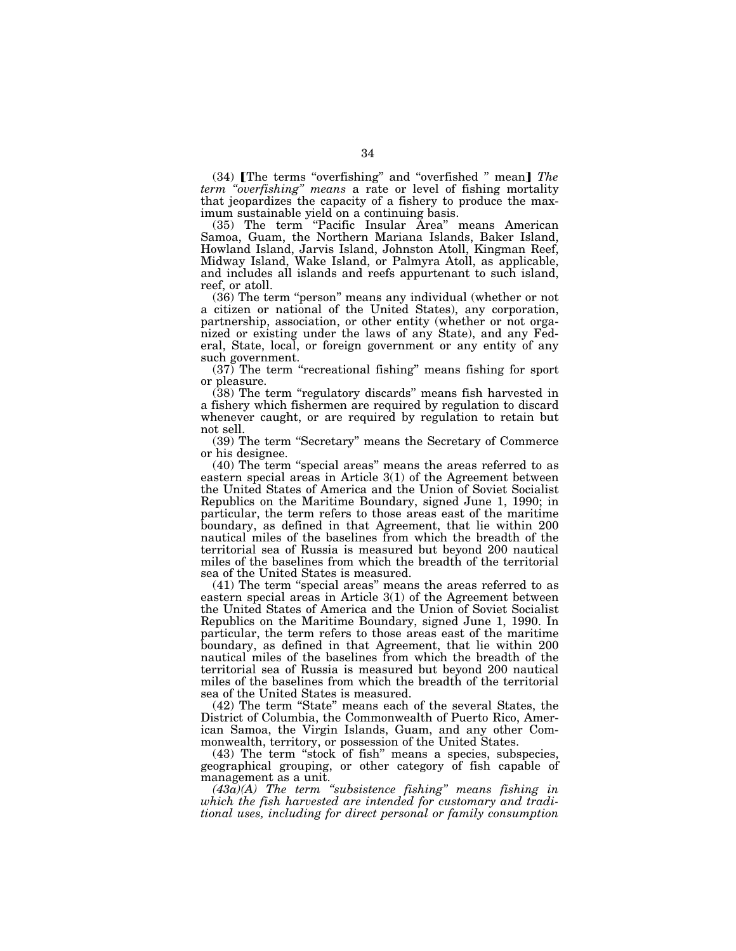(34) **[The terms "overfishing" and "overfished " mean]** The *term ''overfishing'' means* a rate or level of fishing mortality that jeopardizes the capacity of a fishery to produce the maximum sustainable yield on a continuing basis.

(35) The term ''Pacific Insular Area'' means American Samoa, Guam, the Northern Mariana Islands, Baker Island, Howland Island, Jarvis Island, Johnston Atoll, Kingman Reef, Midway Island, Wake Island, or Palmyra Atoll, as applicable, and includes all islands and reefs appurtenant to such island, reef, or atoll.

(36) The term "person" means any individual (whether or not a citizen or national of the United States), any corporation, partnership, association, or other entity (whether or not organized or existing under the laws of any State), and any Federal, State, local, or foreign government or any entity of any such government.

 $(37)$  The term "recreational fishing" means fishing for sport or pleasure.

(38) The term ''regulatory discards'' means fish harvested in a fishery which fishermen are required by regulation to discard whenever caught, or are required by regulation to retain but not sell.

(39) The term ''Secretary'' means the Secretary of Commerce or his designee.

(40) The term ''special areas'' means the areas referred to as eastern special areas in Article 3(1) of the Agreement between the United States of America and the Union of Soviet Socialist Republics on the Maritime Boundary, signed June 1, 1990; in particular, the term refers to those areas east of the maritime boundary, as defined in that Agreement, that lie within 200 nautical miles of the baselines from which the breadth of the territorial sea of Russia is measured but beyond 200 nautical miles of the baselines from which the breadth of the territorial sea of the United States is measured.

(41) The term ''special areas'' means the areas referred to as eastern special areas in Article 3(1) of the Agreement between the United States of America and the Union of Soviet Socialist Republics on the Maritime Boundary, signed June 1, 1990. In particular, the term refers to those areas east of the maritime boundary, as defined in that Agreement, that lie within 200 nautical miles of the baselines from which the breadth of the territorial sea of Russia is measured but beyond 200 nautical miles of the baselines from which the breadth of the territorial sea of the United States is measured.

(42) The term ''State'' means each of the several States, the District of Columbia, the Commonwealth of Puerto Rico, American Samoa, the Virgin Islands, Guam, and any other Commonwealth, territory, or possession of the United States.

(43) The term ''stock of fish'' means a species, subspecies, geographical grouping, or other category of fish capable of management as a unit.

*(43a)(A) The term ''subsistence fishing'' means fishing in which the fish harvested are intended for customary and traditional uses, including for direct personal or family consumption*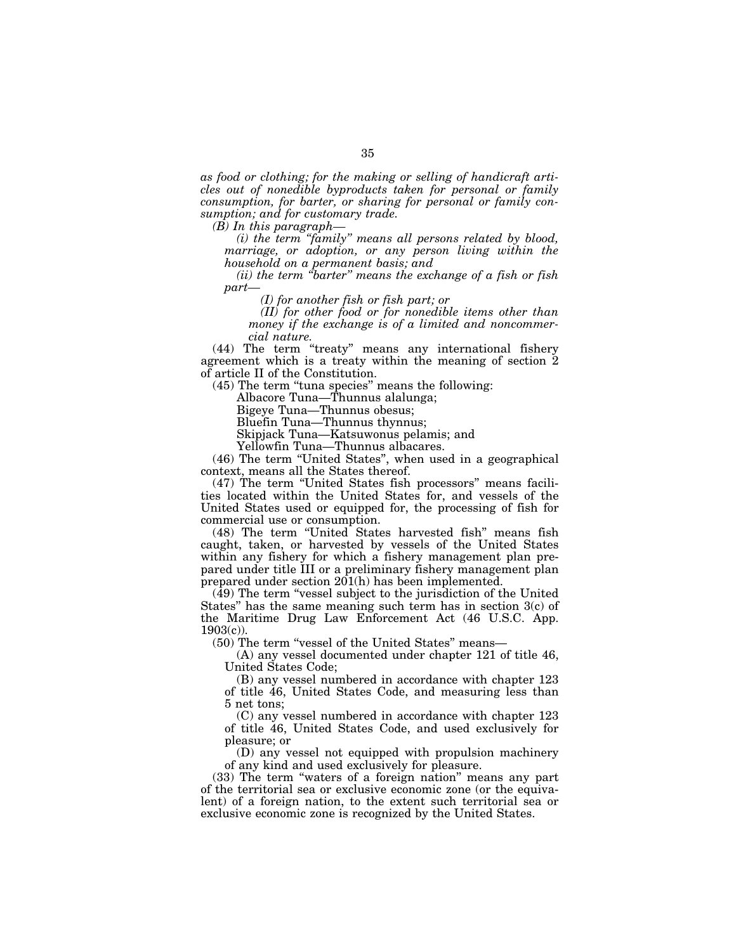*as food or clothing; for the making or selling of handicraft articles out of nonedible byproducts taken for personal or family consumption, for barter, or sharing for personal or family consumption; and for customary trade.* 

*(B) In this paragraph—* 

*(i) the term ''family'' means all persons related by blood, marriage, or adoption, or any person living within the household on a permanent basis; and* 

*(ii) the term ''barter'' means the exchange of a fish or fish part—* 

*(I) for another fish or fish part; or* 

*(II) for other food or for nonedible items other than money if the exchange is of a limited and noncommercial nature.* 

(44) The term "treaty" means any international fishery agreement which is a treaty within the meaning of section 2 of article II of the Constitution.

(45) The term ''tuna species'' means the following:

Albacore Tuna—Thunnus alalunga;

Bigeye Tuna—Thunnus obesus;

Bluefin Tuna—Thunnus thynnus;

Skipjack Tuna—Katsuwonus pelamis; and

Yellowfin Tuna—Thunnus albacares.

(46) The term ''United States'', when used in a geographical context, means all the States thereof.

(47) The term ''United States fish processors'' means facilities located within the United States for, and vessels of the United States used or equipped for, the processing of fish for commercial use or consumption.

(48) The term ''United States harvested fish'' means fish caught, taken, or harvested by vessels of the United States within any fishery for which a fishery management plan prepared under title III or a preliminary fishery management plan prepared under section 201(h) has been implemented.

 $(49)$  The term "vessel subject to the jurisdiction of the United States" has the same meaning such term has in section  $3(c)$  of the Maritime Drug Law Enforcement Act (46 U.S.C. App.  $1903(c)$ ).

(50) The term ''vessel of the United States'' means—

(A) any vessel documented under chapter 121 of title 46, United States Code;

(B) any vessel numbered in accordance with chapter 123 of title 46, United States Code, and measuring less than 5 net tons;

(C) any vessel numbered in accordance with chapter 123 of title 46, United States Code, and used exclusively for pleasure; or

(D) any vessel not equipped with propulsion machinery of any kind and used exclusively for pleasure.

(33) The term ''waters of a foreign nation'' means any part of the territorial sea or exclusive economic zone (or the equivalent) of a foreign nation, to the extent such territorial sea or exclusive economic zone is recognized by the United States.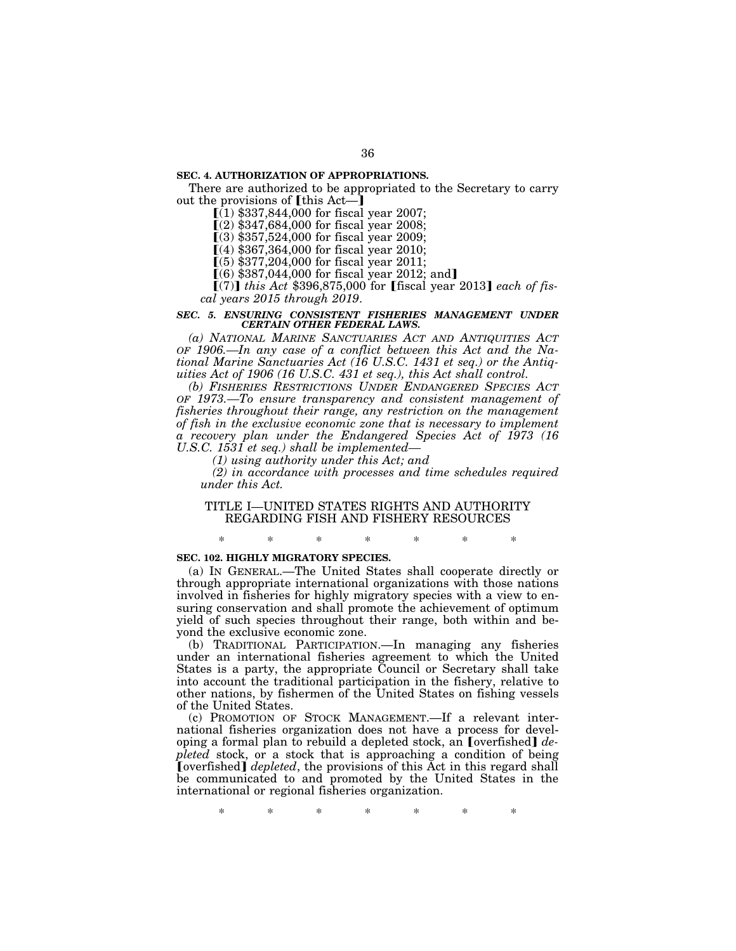# **SEC. 4. AUTHORIZATION OF APPROPRIATIONS.**

There are authorized to be appropriated to the Secretary to carry out the provisions of  $[$ this Act— $]$ 

 $(1)$  \$337,844,000 for fiscal year 2007;

 $(2)$  \$347,684,000 for fiscal year 2008;

 $(3)$  \$357,524,000 for fiscal year 2009;

 $(4)$  \$367,364,000 for fiscal year 2010;

 $(5)$  \$377,204,000 for fiscal year 2011;

 $(6)$  \$387,044,000 for fiscal year 2012; and]

 $[(7)]$  *this Act* \$396,875,000 for [fiscal year 2013] *each of fiscal years 2015 through 2019*.

## *SEC. 5. ENSURING CONSISTENT FISHERIES MANAGEMENT UNDER CERTAIN OTHER FEDERAL LAWS.*

*(a) NATIONAL MARINE SANCTUARIES ACT AND ANTIQUITIES ACT OF 1906.—In any case of a conflict between this Act and the National Marine Sanctuaries Act (16 U.S.C. 1431 et seq.) or the Antiquities Act of 1906 (16 U.S.C. 431 et seq.), this Act shall control.* 

*(b) FISHERIES RESTRICTIONS UNDER ENDANGERED SPECIES ACT OF 1973.—To ensure transparency and consistent management of fisheries throughout their range, any restriction on the management of fish in the exclusive economic zone that is necessary to implement a recovery plan under the Endangered Species Act of 1973 (16 U.S.C. 1531 et seq.) shall be implemented—* 

*(1) using authority under this Act; and* 

*(2) in accordance with processes and time schedules required under this Act.* 

# TITLE I—UNITED STATES RIGHTS AND AUTHORITY REGARDING FISH AND FISHERY RESOURCES

\* \* \* \* \* \* \*

## **SEC. 102. HIGHLY MIGRATORY SPECIES.**

(a) IN GENERAL.—The United States shall cooperate directly or through appropriate international organizations with those nations involved in fisheries for highly migratory species with a view to ensuring conservation and shall promote the achievement of optimum yield of such species throughout their range, both within and beyond the exclusive economic zone.

(b) TRADITIONAL PARTICIPATION.—In managing any fisheries under an international fisheries agreement to which the United States is a party, the appropriate Council or Secretary shall take into account the traditional participation in the fishery, relative to other nations, by fishermen of the United States on fishing vessels of the United States.

(c) PROMOTION OF STOCK MANAGEMENT.—If a relevant international fisheries organization does not have a process for developing a formal plan to rebuild a depleted stock, an [overfished] *depleted* stock, or a stock that is approaching a condition of being [overfished] *depleted*, the provisions of this Act in this regard shall be communicated to and promoted by the United States in the international or regional fisheries organization.

\* \* \* \* \* \* \*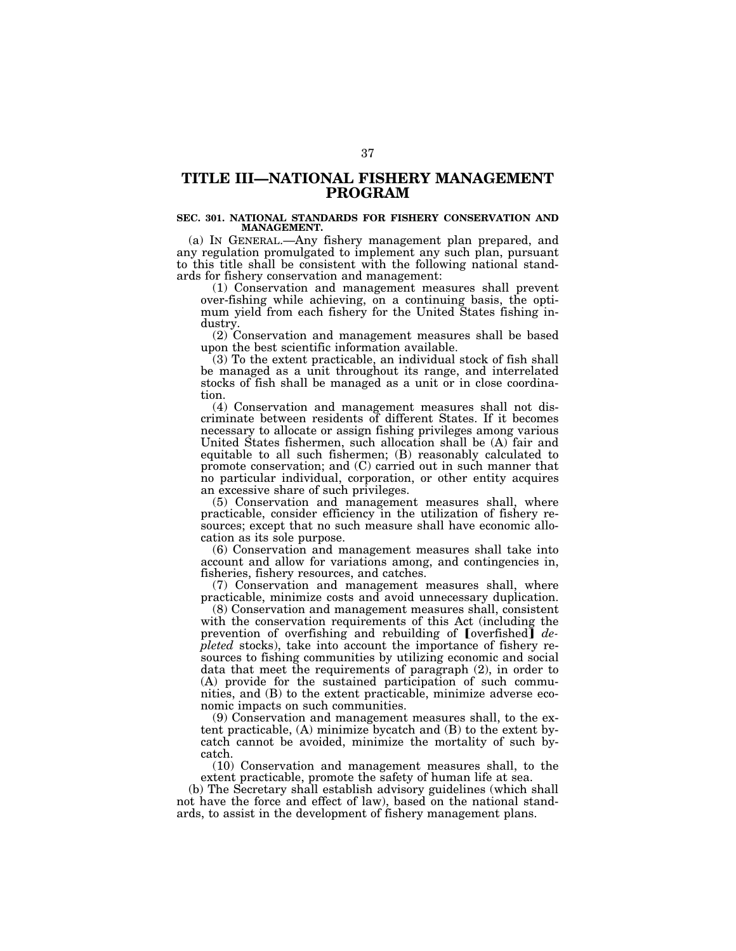# **TITLE III—NATIONAL FISHERY MANAGEMENT PROGRAM**

### **SEC. 301. NATIONAL STANDARDS FOR FISHERY CONSERVATION AND MANAGEMENT.**

(a) IN GENERAL.—Any fishery management plan prepared, and any regulation promulgated to implement any such plan, pursuant to this title shall be consistent with the following national standards for fishery conservation and management:

(1) Conservation and management measures shall prevent over-fishing while achieving, on a continuing basis, the optimum yield from each fishery for the United States fishing industry.

(2) Conservation and management measures shall be based upon the best scientific information available.

(3) To the extent practicable, an individual stock of fish shall be managed as a unit throughout its range, and interrelated stocks of fish shall be managed as a unit or in close coordination.

(4) Conservation and management measures shall not discriminate between residents of different States. If it becomes necessary to allocate or assign fishing privileges among various United States fishermen, such allocation shall be (A) fair and equitable to all such fishermen; (B) reasonably calculated to promote conservation; and (C) carried out in such manner that no particular individual, corporation, or other entity acquires an excessive share of such privileges.

(5) Conservation and management measures shall, where practicable, consider efficiency in the utilization of fishery resources; except that no such measure shall have economic allocation as its sole purpose.

(6) Conservation and management measures shall take into account and allow for variations among, and contingencies in, fisheries, fishery resources, and catches.

(7) Conservation and management measures shall, where practicable, minimize costs and avoid unnecessary duplication.

(8) Conservation and management measures shall, consistent with the conservation requirements of this Act (including the prevention of overfishing and rebuilding of [overfished] *depleted* stocks), take into account the importance of fishery resources to fishing communities by utilizing economic and social data that meet the requirements of paragraph (2), in order to (A) provide for the sustained participation of such communities, and (B) to the extent practicable, minimize adverse economic impacts on such communities.

(9) Conservation and management measures shall, to the extent practicable, (A) minimize bycatch and (B) to the extent bycatch cannot be avoided, minimize the mortality of such bycatch.

(10) Conservation and management measures shall, to the extent practicable, promote the safety of human life at sea.

(b) The Secretary shall establish advisory guidelines (which shall not have the force and effect of law), based on the national standards, to assist in the development of fishery management plans.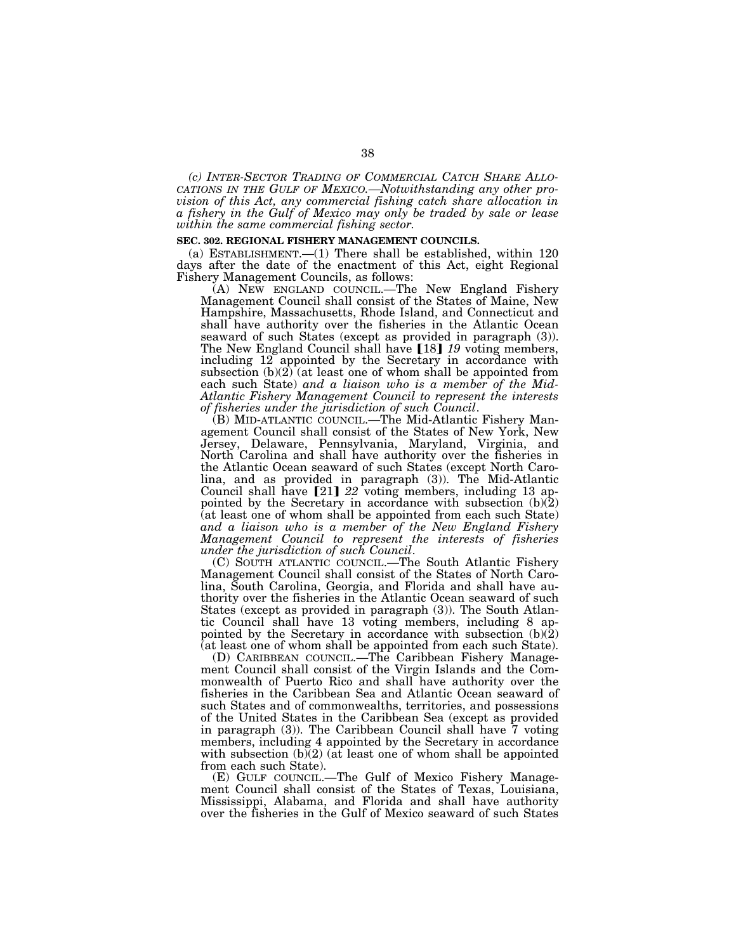*(c) INTER-SECTOR TRADING OF COMMERCIAL CATCH SHARE ALLO- CATIONS IN THE GULF OF MEXICO.—Notwithstanding any other provision of this Act, any commercial fishing catch share allocation in a fishery in the Gulf of Mexico may only be traded by sale or lease within the same commercial fishing sector.* 

#### **SEC. 302. REGIONAL FISHERY MANAGEMENT COUNCILS.**

(a) ESTABLISHMENT.—(1) There shall be established, within 120 days after the date of the enactment of this Act, eight Regional Fishery Management Councils, as follows:

(A) NEW ENGLAND COUNCIL.—The New England Fishery Management Council shall consist of the States of Maine, New Hampshire, Massachusetts, Rhode Island, and Connecticut and shall have authority over the fisheries in the Atlantic Ocean seaward of such States (except as provided in paragraph (3)). The New England Council shall have [18] 19 voting members, including 12 appointed by the Secretary in accordance with subsection  $(b)(2)$  (at least one of whom shall be appointed from each such State) *and a liaison who is a member of the Mid-Atlantic Fishery Management Council to represent the interests* 

*of fisheries under the jurisdiction of such Council*. (B) MID-ATLANTIC COUNCIL.—The Mid-Atlantic Fishery Management Council shall consist of the States of New York, New Jersey, Delaware, Pennsylvania, Maryland, Virginia, and North Carolina and shall have authority over the fisheries in the Atlantic Ocean seaward of such States (except North Carolina, and as provided in paragraph (3)). The Mid-Atlantic Council shall have  $\lceil 21 \rceil$   $22$  voting members, including 13 appointed by the Secretary in accordance with subsection  $(b)(2)$ (at least one of whom shall be appointed from each such State) *and a liaison who is a member of the New England Fishery Management Council to represent the interests of fisheries* 

*under the jurisdiction of such Council*. (C) SOUTH ATLANTIC COUNCIL.—The South Atlantic Fishery Management Council shall consist of the States of North Carolina, South Carolina, Georgia, and Florida and shall have authority over the fisheries in the Atlantic Ocean seaward of such States (except as provided in paragraph (3)). The South Atlantic Council shall have 13 voting members, including 8 appointed by the Secretary in accordance with subsection  $(b)(2)$ (at least one of whom shall be appointed from each such State).

(D) CARIBBEAN COUNCIL.—The Caribbean Fishery Management Council shall consist of the Virgin Islands and the Commonwealth of Puerto Rico and shall have authority over the fisheries in the Caribbean Sea and Atlantic Ocean seaward of such States and of commonwealths, territories, and possessions of the United States in the Caribbean Sea (except as provided in paragraph (3)). The Caribbean Council shall have 7 voting members, including 4 appointed by the Secretary in accordance with subsection  $(b)$ (2) (at least one of whom shall be appointed from each such State).

(E) GULF COUNCIL.—The Gulf of Mexico Fishery Management Council shall consist of the States of Texas, Louisiana, Mississippi, Alabama, and Florida and shall have authority over the fisheries in the Gulf of Mexico seaward of such States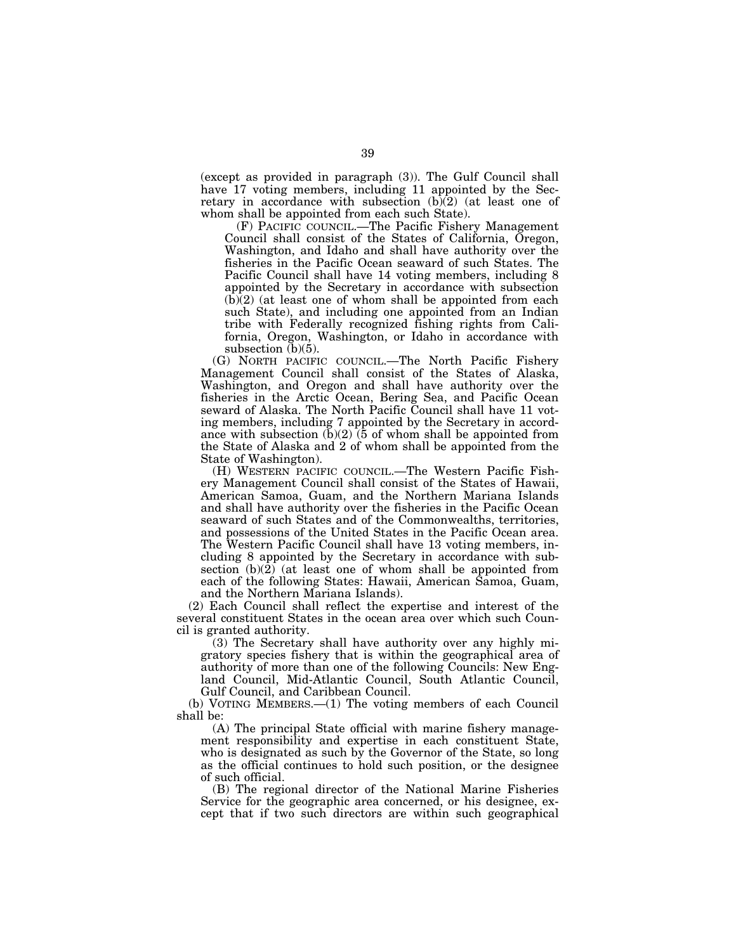(except as provided in paragraph (3)). The Gulf Council shall have 17 voting members, including 11 appointed by the Secretary in accordance with subsection (b)(2) (at least one of whom shall be appointed from each such State).

(F) PACIFIC COUNCIL.—The Pacific Fishery Management Council shall consist of the States of California, Oregon, Washington, and Idaho and shall have authority over the fisheries in the Pacific Ocean seaward of such States. The Pacific Council shall have 14 voting members, including 8 appointed by the Secretary in accordance with subsection  $(b)(2)$  (at least one of whom shall be appointed from each such State), and including one appointed from an Indian tribe with Federally recognized fishing rights from California, Oregon, Washington, or Idaho in accordance with subsection (b)(5).

(G) NORTH PACIFIC COUNCIL.—The North Pacific Fishery Management Council shall consist of the States of Alaska, Washington, and Oregon and shall have authority over the fisheries in the Arctic Ocean, Bering Sea, and Pacific Ocean seward of Alaska. The North Pacific Council shall have 11 voting members, including 7 appointed by the Secretary in accordance with subsection  $(b)(2)$  (5 of whom shall be appointed from the State of Alaska and 2 of whom shall be appointed from the State of Washington).

(H) WESTERN PACIFIC COUNCIL.—The Western Pacific Fishery Management Council shall consist of the States of Hawaii, American Samoa, Guam, and the Northern Mariana Islands and shall have authority over the fisheries in the Pacific Ocean seaward of such States and of the Commonwealths, territories, and possessions of the United States in the Pacific Ocean area. The Western Pacific Council shall have 13 voting members, including 8 appointed by the Secretary in accordance with subsection (b)(2) (at least one of whom shall be appointed from each of the following States: Hawaii, American Samoa, Guam, and the Northern Mariana Islands).

(2) Each Council shall reflect the expertise and interest of the several constituent States in the ocean area over which such Council is granted authority.

(3) The Secretary shall have authority over any highly migratory species fishery that is within the geographical area of authority of more than one of the following Councils: New England Council, Mid-Atlantic Council, South Atlantic Council, Gulf Council, and Caribbean Council.

(b) VOTING MEMBERS.—(1) The voting members of each Council shall be:

(A) The principal State official with marine fishery management responsibility and expertise in each constituent State, who is designated as such by the Governor of the State, so long as the official continues to hold such position, or the designee of such official.

(B) The regional director of the National Marine Fisheries Service for the geographic area concerned, or his designee, except that if two such directors are within such geographical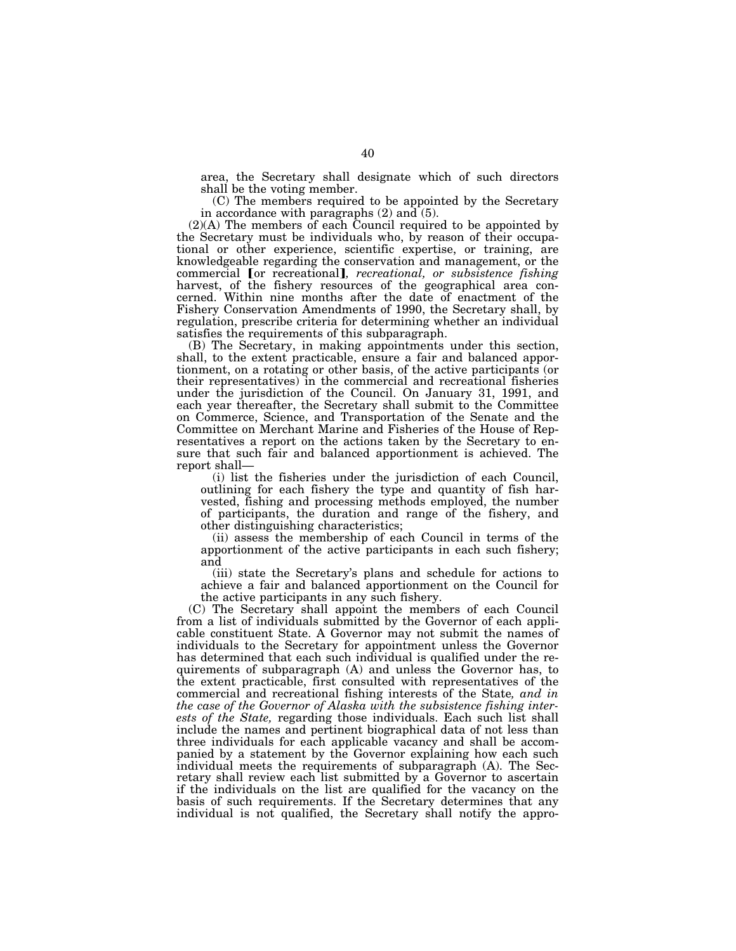area, the Secretary shall designate which of such directors shall be the voting member.

(C) The members required to be appointed by the Secretary in accordance with paragraphs  $(2)$  and  $(5)$ .

(2)(A) The members of each Council required to be appointed by the Secretary must be individuals who, by reason of their occupational or other experience, scientific expertise, or training, are knowledgeable regarding the conservation and management, or the commercial [or recreational], *recreational*, or subsistence fishing harvest, of the fishery resources of the geographical area concerned. Within nine months after the date of enactment of the Fishery Conservation Amendments of 1990, the Secretary shall, by regulation, prescribe criteria for determining whether an individual satisfies the requirements of this subparagraph.

(B) The Secretary, in making appointments under this section, shall, to the extent practicable, ensure a fair and balanced apportionment, on a rotating or other basis, of the active participants (or their representatives) in the commercial and recreational fisheries under the jurisdiction of the Council. On January 31, 1991, and each year thereafter, the Secretary shall submit to the Committee on Commerce, Science, and Transportation of the Senate and the Committee on Merchant Marine and Fisheries of the House of Representatives a report on the actions taken by the Secretary to ensure that such fair and balanced apportionment is achieved. The report shall—

(i) list the fisheries under the jurisdiction of each Council, outlining for each fishery the type and quantity of fish harvested, fishing and processing methods employed, the number of participants, the duration and range of the fishery, and other distinguishing characteristics;

(ii) assess the membership of each Council in terms of the apportionment of the active participants in each such fishery; and

(iii) state the Secretary's plans and schedule for actions to achieve a fair and balanced apportionment on the Council for the active participants in any such fishery.

(C) The Secretary shall appoint the members of each Council from a list of individuals submitted by the Governor of each applicable constituent State. A Governor may not submit the names of individuals to the Secretary for appointment unless the Governor has determined that each such individual is qualified under the requirements of subparagraph (A) and unless the Governor has, to the extent practicable, first consulted with representatives of the commercial and recreational fishing interests of the State*, and in the case of the Governor of Alaska with the subsistence fishing interests of the State,* regarding those individuals. Each such list shall include the names and pertinent biographical data of not less than three individuals for each applicable vacancy and shall be accompanied by a statement by the Governor explaining how each such individual meets the requirements of subparagraph (A). The Secretary shall review each list submitted by a Governor to ascertain if the individuals on the list are qualified for the vacancy on the basis of such requirements. If the Secretary determines that any individual is not qualified, the Secretary shall notify the appro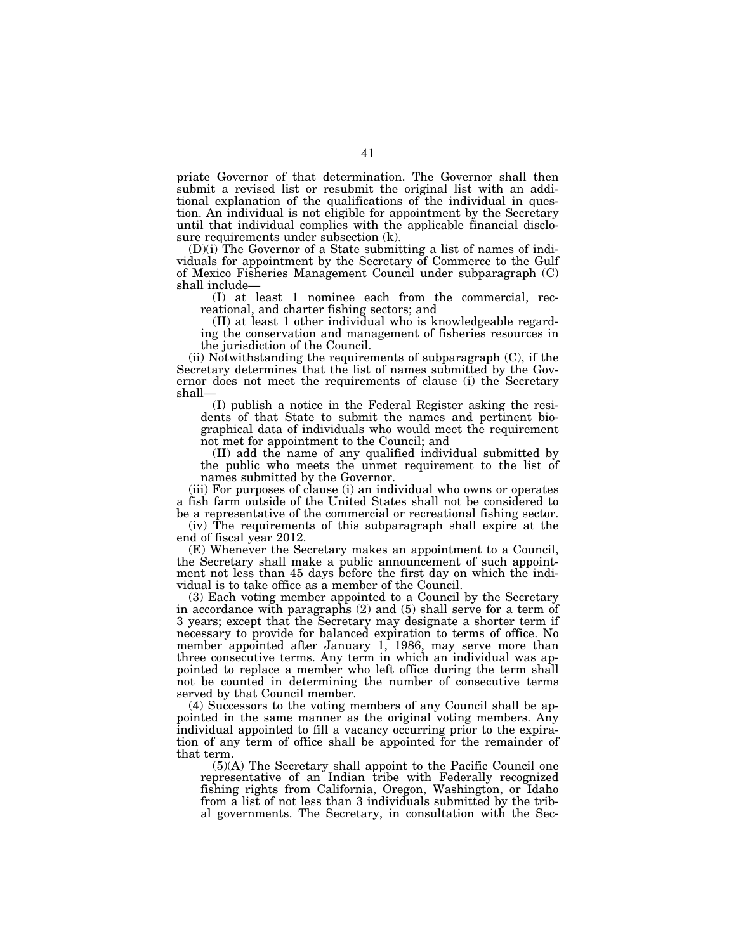priate Governor of that determination. The Governor shall then submit a revised list or resubmit the original list with an additional explanation of the qualifications of the individual in question. An individual is not eligible for appointment by the Secretary until that individual complies with the applicable financial disclosure requirements under subsection (k).

(D)(i) The Governor of a State submitting a list of names of individuals for appointment by the Secretary of Commerce to the Gulf of Mexico Fisheries Management Council under subparagraph (C) shall include—

(I) at least 1 nominee each from the commercial, recreational, and charter fishing sectors; and

(II) at least 1 other individual who is knowledgeable regarding the conservation and management of fisheries resources in the jurisdiction of the Council.

(ii) Notwithstanding the requirements of subparagraph (C), if the Secretary determines that the list of names submitted by the Governor does not meet the requirements of clause (i) the Secretary shall—

(I) publish a notice in the Federal Register asking the residents of that State to submit the names and pertinent biographical data of individuals who would meet the requirement not met for appointment to the Council; and

(II) add the name of any qualified individual submitted by the public who meets the unmet requirement to the list of names submitted by the Governor.

(iii) For purposes of clause (i) an individual who owns or operates a fish farm outside of the United States shall not be considered to be a representative of the commercial or recreational fishing sector.

(iv) The requirements of this subparagraph shall expire at the end of fiscal year 2012.

(E) Whenever the Secretary makes an appointment to a Council, the Secretary shall make a public announcement of such appointment not less than 45 days before the first day on which the individual is to take office as a member of the Council.

(3) Each voting member appointed to a Council by the Secretary in accordance with paragraphs (2) and (5) shall serve for a term of 3 years; except that the Secretary may designate a shorter term if necessary to provide for balanced expiration to terms of office. No member appointed after January 1, 1986, may serve more than three consecutive terms. Any term in which an individual was appointed to replace a member who left office during the term shall not be counted in determining the number of consecutive terms served by that Council member.

(4) Successors to the voting members of any Council shall be appointed in the same manner as the original voting members. Any individual appointed to fill a vacancy occurring prior to the expiration of any term of office shall be appointed for the remainder of that term.

(5)(A) The Secretary shall appoint to the Pacific Council one representative of an Indian tribe with Federally recognized fishing rights from California, Oregon, Washington, or Idaho from a list of not less than 3 individuals submitted by the tribal governments. The Secretary, in consultation with the Sec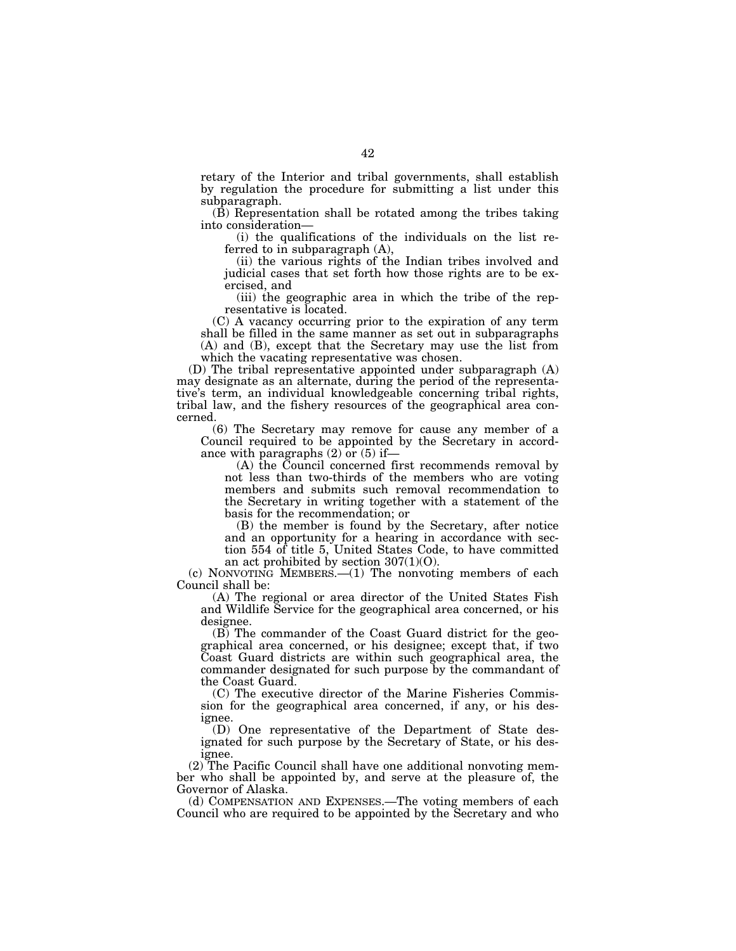retary of the Interior and tribal governments, shall establish by regulation the procedure for submitting a list under this subparagraph.

(B) Representation shall be rotated among the tribes taking into consideration—

(i) the qualifications of the individuals on the list referred to in subparagraph (A),

(ii) the various rights of the Indian tribes involved and judicial cases that set forth how those rights are to be exercised, and

(iii) the geographic area in which the tribe of the representative is located.

(C) A vacancy occurring prior to the expiration of any term shall be filled in the same manner as set out in subparagraphs (A) and (B), except that the Secretary may use the list from which the vacating representative was chosen.

(D) The tribal representative appointed under subparagraph (A) may designate as an alternate, during the period of the representative's term, an individual knowledgeable concerning tribal rights, tribal law, and the fishery resources of the geographical area concerned.

(6) The Secretary may remove for cause any member of a Council required to be appointed by the Secretary in accordance with paragraphs  $(2)$  or  $(5)$  if-

(A) the Council concerned first recommends removal by not less than two-thirds of the members who are voting members and submits such removal recommendation to the Secretary in writing together with a statement of the basis for the recommendation; or

(B) the member is found by the Secretary, after notice and an opportunity for a hearing in accordance with section 554 of title 5, United States Code, to have committed an act prohibited by section 307(1)(O).

(c) NONVOTING MEMBERS.—(1) The nonvoting members of each Council shall be:

(A) The regional or area director of the United States Fish and Wildlife Service for the geographical area concerned, or his designee.

(B) The commander of the Coast Guard district for the geographical area concerned, or his designee; except that, if two Coast Guard districts are within such geographical area, the commander designated for such purpose by the commandant of the Coast Guard.

(C) The executive director of the Marine Fisheries Commission for the geographical area concerned, if any, or his designee.

(D) One representative of the Department of State designated for such purpose by the Secretary of State, or his designee.

(2) The Pacific Council shall have one additional nonvoting member who shall be appointed by, and serve at the pleasure of, the Governor of Alaska.

(d) COMPENSATION AND EXPENSES.—The voting members of each Council who are required to be appointed by the Secretary and who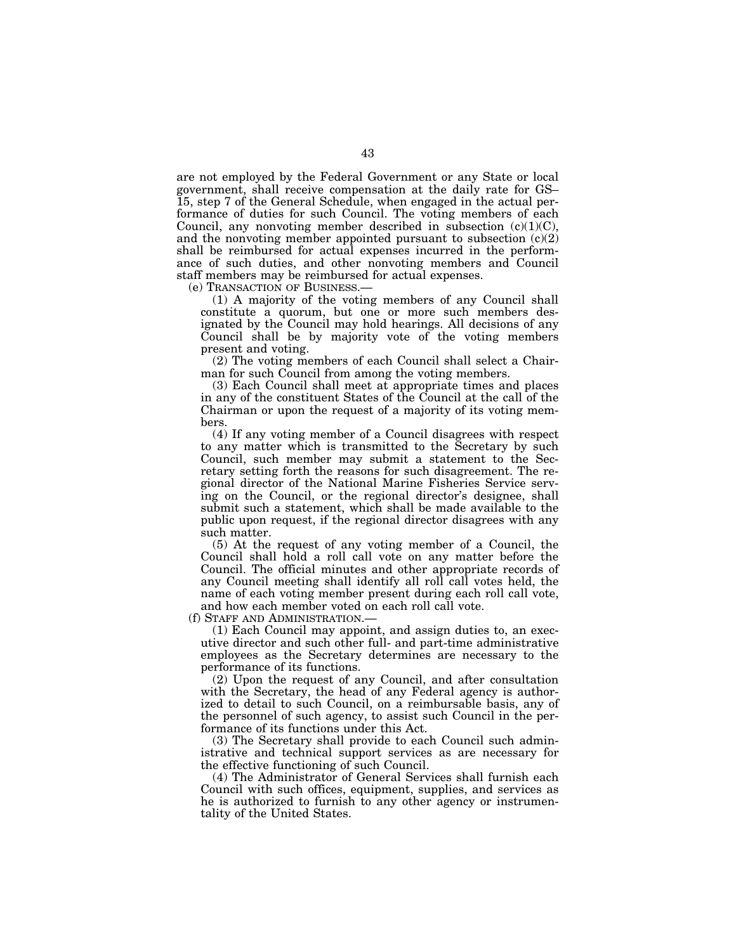are not employed by the Federal Government or any State or local government, shall receive compensation at the daily rate for GS– 15, step 7 of the General Schedule, when engaged in the actual performance of duties for such Council. The voting members of each Council, any nonvoting member described in subsection  $(c)(1)(C)$ , and the nonvoting member appointed pursuant to subsection  $(c)(2)$ shall be reimbursed for actual expenses incurred in the performance of such duties, and other nonvoting members and Council staff members may be reimbursed for actual expenses.

(e) TRANSACTION OF BUSINESS.—

(1) A majority of the voting members of any Council shall constitute a quorum, but one or more such members designated by the Council may hold hearings. All decisions of any Council shall be by majority vote of the voting members present and voting.

(2) The voting members of each Council shall select a Chairman for such Council from among the voting members.

(3) Each Council shall meet at appropriate times and places in any of the constituent States of the Council at the call of the Chairman or upon the request of a majority of its voting members.

(4) If any voting member of a Council disagrees with respect to any matter which is transmitted to the Secretary by such Council, such member may submit a statement to the Secretary setting forth the reasons for such disagreement. The regional director of the National Marine Fisheries Service serving on the Council, or the regional director's designee, shall submit such a statement, which shall be made available to the public upon request, if the regional director disagrees with any such matter.

(5) At the request of any voting member of a Council, the Council shall hold a roll call vote on any matter before the Council. The official minutes and other appropriate records of any Council meeting shall identify all roll call votes held, the name of each voting member present during each roll call vote, and how each member voted on each roll call vote.

(f) STAFF AND ADMINISTRATION.—

(1) Each Council may appoint, and assign duties to, an executive director and such other full- and part-time administrative employees as the Secretary determines are necessary to the performance of its functions.

(2) Upon the request of any Council, and after consultation with the Secretary, the head of any Federal agency is authorized to detail to such Council, on a reimbursable basis, any of the personnel of such agency, to assist such Council in the performance of its functions under this Act.

(3) The Secretary shall provide to each Council such administrative and technical support services as are necessary for the effective functioning of such Council.

(4) The Administrator of General Services shall furnish each Council with such offices, equipment, supplies, and services as he is authorized to furnish to any other agency or instrumentality of the United States.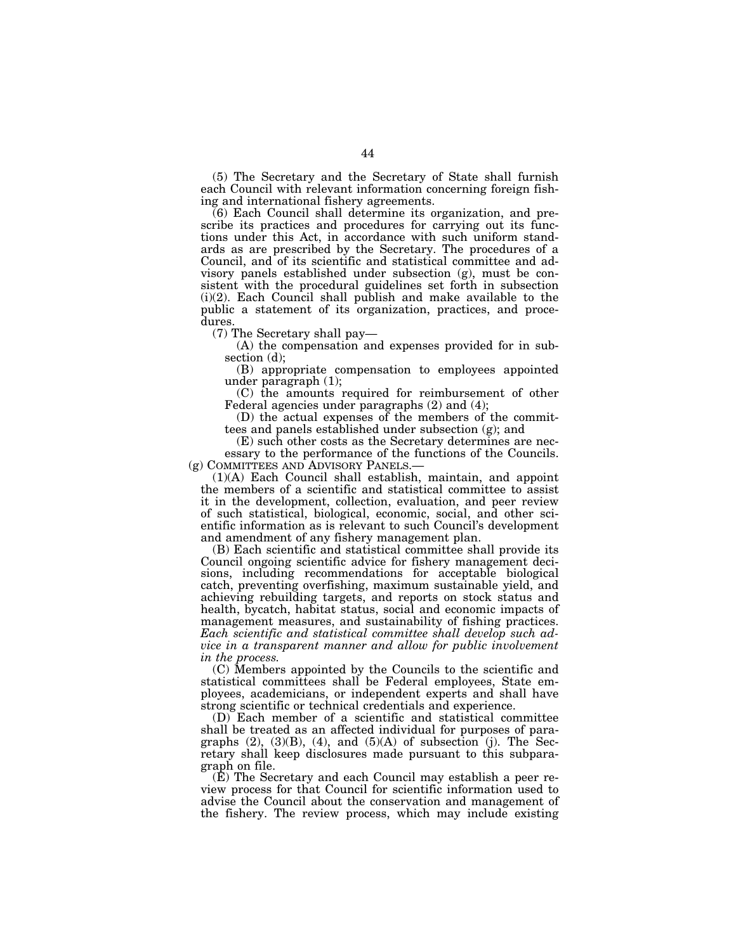(5) The Secretary and the Secretary of State shall furnish each Council with relevant information concerning foreign fishing and international fishery agreements.

(6) Each Council shall determine its organization, and prescribe its practices and procedures for carrying out its functions under this Act, in accordance with such uniform standards as are prescribed by the Secretary. The procedures of a Council, and of its scientific and statistical committee and advisory panels established under subsection (g), must be consistent with the procedural guidelines set forth in subsection (i)(2). Each Council shall publish and make available to the public a statement of its organization, practices, and procedures.

(7) The Secretary shall pay—

(A) the compensation and expenses provided for in subsection (d);

(B) appropriate compensation to employees appointed under paragraph (1);

(C) the amounts required for reimbursement of other Federal agencies under paragraphs (2) and (4);

(D) the actual expenses of the members of the committees and panels established under subsection (g); and

(E) such other costs as the Secretary determines are nec-

essary to the performance of the functions of the Councils. (g) COMMITTEES AND ADVISORY PANELS.—<br>(1)(A) Each Council shall establish, maintain, and appoint

the members of a scientific and statistical committee to assist it in the development, collection, evaluation, and peer review of such statistical, biological, economic, social, and other scientific information as is relevant to such Council's development and amendment of any fishery management plan.

(B) Each scientific and statistical committee shall provide its Council ongoing scientific advice for fishery management decisions, including recommendations for acceptable biological catch, preventing overfishing, maximum sustainable yield, and achieving rebuilding targets, and reports on stock status and health, bycatch, habitat status, social and economic impacts of management measures, and sustainability of fishing practices. *Each scientific and statistical committee shall develop such advice in a transparent manner and allow for public involvement in the process.* 

(C) Members appointed by the Councils to the scientific and statistical committees shall be Federal employees, State employees, academicians, or independent experts and shall have strong scientific or technical credentials and experience.

(D) Each member of a scientific and statistical committee shall be treated as an affected individual for purposes of paragraphs  $(2)$ ,  $(3)(B)$ ,  $(4)$ , and  $(5)(A)$  of subsection  $(j)$ . The Secretary shall keep disclosures made pursuant to this subparagraph on file.

(E) The Secretary and each Council may establish a peer review process for that Council for scientific information used to advise the Council about the conservation and management of the fishery. The review process, which may include existing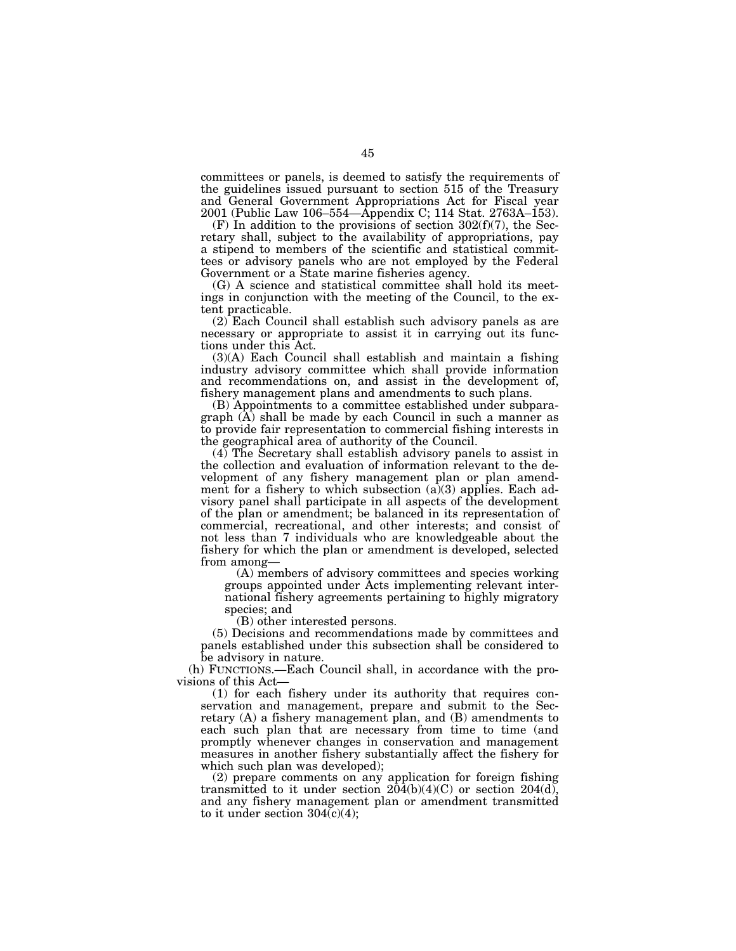committees or panels, is deemed to satisfy the requirements of the guidelines issued pursuant to section 515 of the Treasury and General Government Appropriations Act for Fiscal year 2001 (Public Law 106–554—Appendix C; 114 Stat. 2763A–153).

 $(F)$  In addition to the provisions of section 302(f)(7), the Secretary shall, subject to the availability of appropriations, pay a stipend to members of the scientific and statistical committees or advisory panels who are not employed by the Federal Government or a State marine fisheries agency.

(G) A science and statistical committee shall hold its meetings in conjunction with the meeting of the Council, to the extent practicable.

(2) Each Council shall establish such advisory panels as are necessary or appropriate to assist it in carrying out its functions under this Act.

(3)(A) Each Council shall establish and maintain a fishing industry advisory committee which shall provide information and recommendations on, and assist in the development of, fishery management plans and amendments to such plans.

(B) Appointments to a committee established under subparagraph (A) shall be made by each Council in such a manner as to provide fair representation to commercial fishing interests in the geographical area of authority of the Council.

(4) The Secretary shall establish advisory panels to assist in the collection and evaluation of information relevant to the development of any fishery management plan or plan amendment for a fishery to which subsection  $(a)(3)$  applies. Each advisory panel shall participate in all aspects of the development of the plan or amendment; be balanced in its representation of commercial, recreational, and other interests; and consist of not less than 7 individuals who are knowledgeable about the fishery for which the plan or amendment is developed, selected from among—

(A) members of advisory committees and species working groups appointed under Acts implementing relevant international fishery agreements pertaining to highly migratory species; and

(B) other interested persons.

(5) Decisions and recommendations made by committees and panels established under this subsection shall be considered to be advisory in nature.

(h) FUNCTIONS.—Each Council shall, in accordance with the provisions of this Act—

(1) for each fishery under its authority that requires conservation and management, prepare and submit to the Secretary (A) a fishery management plan, and (B) amendments to each such plan that are necessary from time to time (and promptly whenever changes in conservation and management measures in another fishery substantially affect the fishery for which such plan was developed);

(2) prepare comments on any application for foreign fishing transmitted to it under section  $20\overline{4(b)(4)(C)}$  or section  $204(d)$ , and any fishery management plan or amendment transmitted to it under section  $304(c)(4)$ ;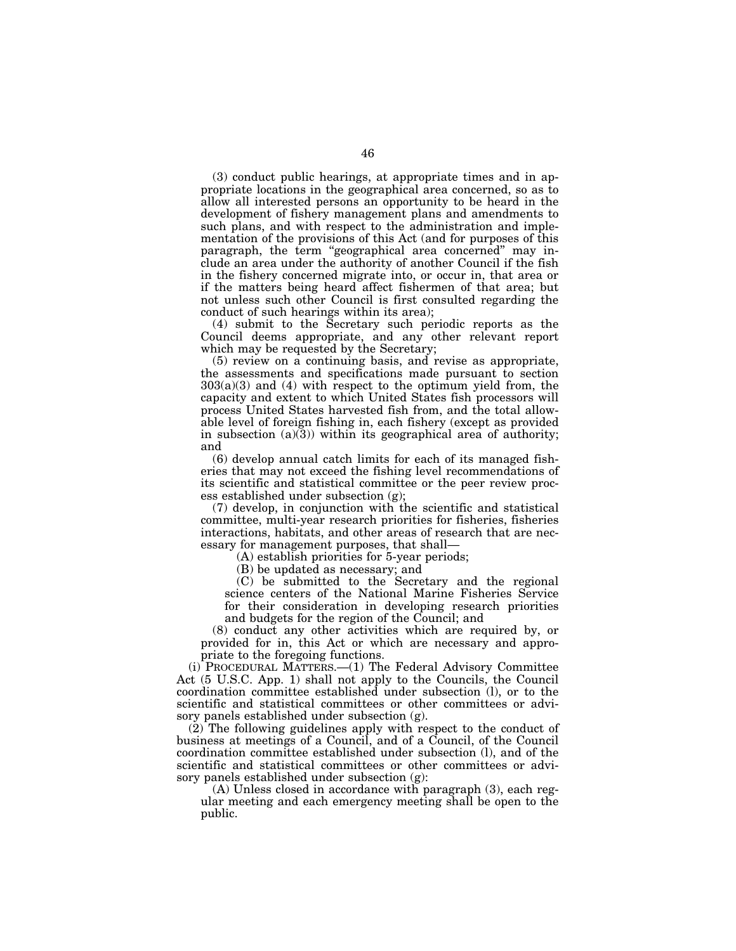(3) conduct public hearings, at appropriate times and in appropriate locations in the geographical area concerned, so as to allow all interested persons an opportunity to be heard in the development of fishery management plans and amendments to such plans, and with respect to the administration and implementation of the provisions of this Act (and for purposes of this paragraph, the term "geographical area concerned" may include an area under the authority of another Council if the fish in the fishery concerned migrate into, or occur in, that area or if the matters being heard affect fishermen of that area; but not unless such other Council is first consulted regarding the conduct of such hearings within its area);

(4) submit to the Secretary such periodic reports as the Council deems appropriate, and any other relevant report which may be requested by the Secretary;

(5) review on a continuing basis, and revise as appropriate, the assessments and specifications made pursuant to section  $303(a)(3)$  and (4) with respect to the optimum yield from, the capacity and extent to which United States fish processors will process United States harvested fish from, and the total allowable level of foreign fishing in, each fishery (except as provided in subsection  $(a)(3)$ ) within its geographical area of authority; and

(6) develop annual catch limits for each of its managed fisheries that may not exceed the fishing level recommendations of its scientific and statistical committee or the peer review process established under subsection (g);

(7) develop, in conjunction with the scientific and statistical committee, multi-year research priorities for fisheries, fisheries interactions, habitats, and other areas of research that are necessary for management purposes, that shall—

(A) establish priorities for 5-year periods;

(B) be updated as necessary; and

 $(C)$  be submitted to the Secretary and the regional science centers of the National Marine Fisheries Service for their consideration in developing research priorities and budgets for the region of the Council; and

(8) conduct any other activities which are required by, or provided for in, this Act or which are necessary and appropriate to the foregoing functions.

(i) PROCEDURAL MATTERS.—(1) The Federal Advisory Committee Act (5 U.S.C. App. 1) shall not apply to the Councils, the Council coordination committee established under subsection (l), or to the scientific and statistical committees or other committees or advisory panels established under subsection (g).

(2) The following guidelines apply with respect to the conduct of business at meetings of a Council, and of a Council, of the Council coordination committee established under subsection (l), and of the scientific and statistical committees or other committees or advisory panels established under subsection (g):

(A) Unless closed in accordance with paragraph (3), each regular meeting and each emergency meeting shall be open to the public.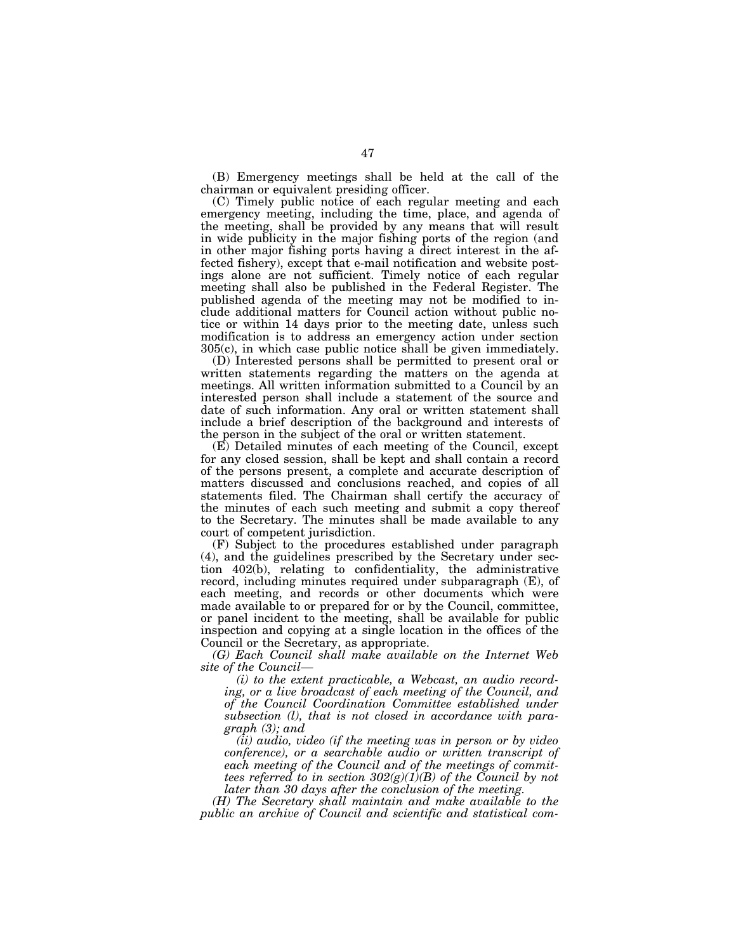(B) Emergency meetings shall be held at the call of the chairman or equivalent presiding officer.

(C) Timely public notice of each regular meeting and each emergency meeting, including the time, place, and agenda of the meeting, shall be provided by any means that will result in wide publicity in the major fishing ports of the region (and in other major fishing ports having a direct interest in the affected fishery), except that e-mail notification and website postings alone are not sufficient. Timely notice of each regular meeting shall also be published in the Federal Register. The published agenda of the meeting may not be modified to include additional matters for Council action without public notice or within 14 days prior to the meeting date, unless such modification is to address an emergency action under section 305(c), in which case public notice shall be given immediately.

(D) Interested persons shall be permitted to present oral or written statements regarding the matters on the agenda at meetings. All written information submitted to a Council by an interested person shall include a statement of the source and date of such information. Any oral or written statement shall include a brief description of the background and interests of the person in the subject of the oral or written statement.

(E) Detailed minutes of each meeting of the Council, except for any closed session, shall be kept and shall contain a record of the persons present, a complete and accurate description of matters discussed and conclusions reached, and copies of all statements filed. The Chairman shall certify the accuracy of the minutes of each such meeting and submit a copy thereof to the Secretary. The minutes shall be made available to any court of competent jurisdiction.

(F) Subject to the procedures established under paragraph (4), and the guidelines prescribed by the Secretary under section 402(b), relating to confidentiality, the administrative record, including minutes required under subparagraph (E), of each meeting, and records or other documents which were made available to or prepared for or by the Council, committee, or panel incident to the meeting, shall be available for public inspection and copying at a single location in the offices of the Council or the Secretary, as appropriate.

*(G) Each Council shall make available on the Internet Web site of the Council—* 

*(i) to the extent practicable, a Webcast, an audio recording, or a live broadcast of each meeting of the Council, and of the Council Coordination Committee established under subsection (l), that is not closed in accordance with paragraph (3); and* 

*(ii) audio, video (if the meeting was in person or by video conference), or a searchable audio or written transcript of each meeting of the Council and of the meetings of committees referred to in section 302(g)(1)(B) of the Council by not later than 30 days after the conclusion of the meeting.* 

*(H) The Secretary shall maintain and make available to the public an archive of Council and scientific and statistical com-*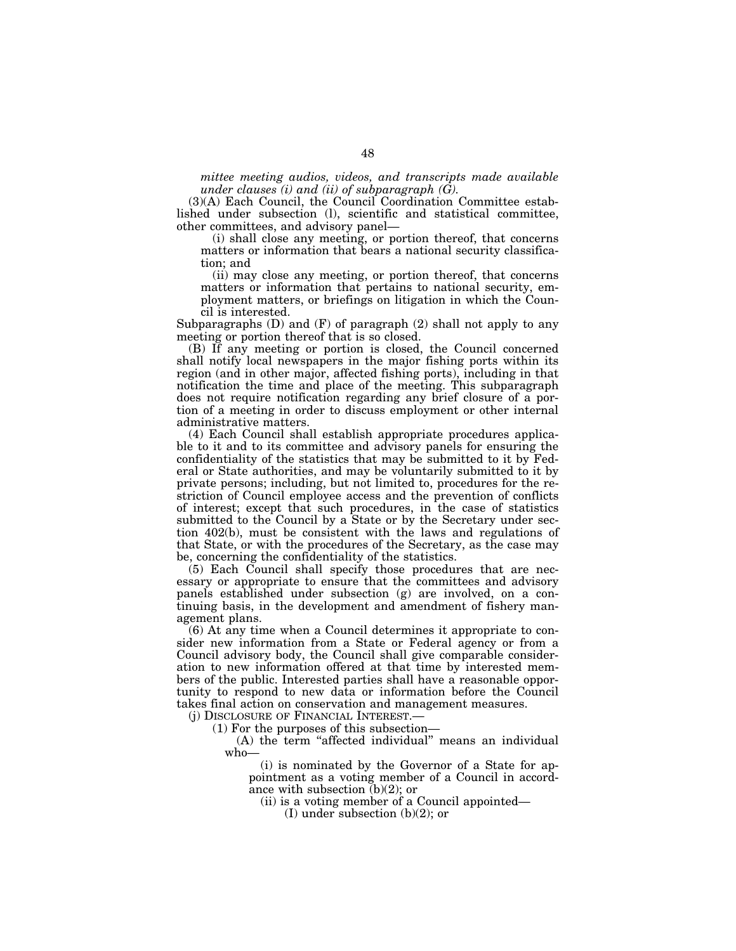*mittee meeting audios, videos, and transcripts made available under clauses (i) and (ii) of subparagraph (G).* 

(3)(A) Each Council, the Council Coordination Committee established under subsection (l), scientific and statistical committee, other committees, and advisory panel—

(i) shall close any meeting, or portion thereof, that concerns matters or information that bears a national security classification; and

(ii) may close any meeting, or portion thereof, that concerns matters or information that pertains to national security, employment matters, or briefings on litigation in which the Council is interested.

Subparagraphs (D) and (F) of paragraph (2) shall not apply to any meeting or portion thereof that is so closed.

(B) If any meeting or portion is closed, the Council concerned shall notify local newspapers in the major fishing ports within its region (and in other major, affected fishing ports), including in that notification the time and place of the meeting. This subparagraph does not require notification regarding any brief closure of a portion of a meeting in order to discuss employment or other internal administrative matters.

(4) Each Council shall establish appropriate procedures applicable to it and to its committee and advisory panels for ensuring the confidentiality of the statistics that may be submitted to it by Federal or State authorities, and may be voluntarily submitted to it by private persons; including, but not limited to, procedures for the restriction of Council employee access and the prevention of conflicts of interest; except that such procedures, in the case of statistics submitted to the Council by a State or by the Secretary under section 402(b), must be consistent with the laws and regulations of that State, or with the procedures of the Secretary, as the case may be, concerning the confidentiality of the statistics.

(5) Each Council shall specify those procedures that are necessary or appropriate to ensure that the committees and advisory panels established under subsection (g) are involved, on a continuing basis, in the development and amendment of fishery management plans.

(6) At any time when a Council determines it appropriate to consider new information from a State or Federal agency or from a Council advisory body, the Council shall give comparable consideration to new information offered at that time by interested members of the public. Interested parties shall have a reasonable opportunity to respond to new data or information before the Council takes final action on conservation and management measures.

(j) DISCLOSURE OF FINANCIAL INTEREST.—

(1) For the purposes of this subsection—

(A) the term "affected individual" means an individual who—

(i) is nominated by the Governor of a State for appointment as a voting member of a Council in accordance with subsection  $(b)(2)$ ; or

(ii) is a voting member of a Council appointed—

(I) under subsection (b)(2); or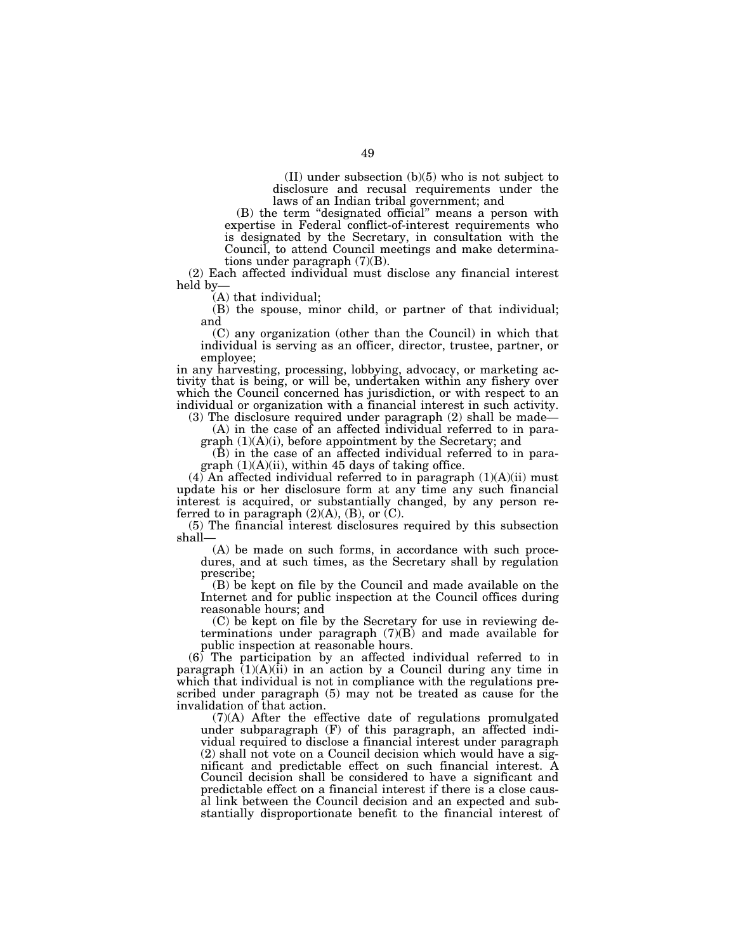(II) under subsection (b)(5) who is not subject to disclosure and recusal requirements under the laws of an Indian tribal government; and

(B) the term ''designated official'' means a person with expertise in Federal conflict-of-interest requirements who is designated by the Secretary, in consultation with the Council, to attend Council meetings and make determinations under paragraph (7)(B).

(2) Each affected individual must disclose any financial interest held by—

(A) that individual;

(B) the spouse, minor child, or partner of that individual; and

(C) any organization (other than the Council) in which that individual is serving as an officer, director, trustee, partner, or employee;

in any harvesting, processing, lobbying, advocacy, or marketing activity that is being, or will be, undertaken within any fishery over which the Council concerned has jurisdiction, or with respect to an individual or organization with a financial interest in such activity.

(3) The disclosure required under paragraph (2) shall be made— (A) in the case of an affected individual referred to in para-

graph (1)(A)(i), before appointment by the Secretary; and

(B) in the case of an affected individual referred to in paragraph  $(1)(A)(ii)$ , within 45 days of taking office.

 $(4)$  An affected individual referred to in paragraph  $(1)(A)(ii)$  must update his or her disclosure form at any time any such financial interest is acquired, or substantially changed, by any person referred to in paragraph  $(2)(A)$ ,  $(B)$ , or  $(C)$ .

(5) The financial interest disclosures required by this subsection shall—

(A) be made on such forms, in accordance with such procedures, and at such times, as the Secretary shall by regulation prescribe;

(B) be kept on file by the Council and made available on the Internet and for public inspection at the Council offices during reasonable hours; and

(C) be kept on file by the Secretary for use in reviewing determinations under paragraph (7)(B) and made available for public inspection at reasonable hours.

(6) The participation by an affected individual referred to in paragraph  $(1)(A)(ii)$  in an action by a Council during any time in which that individual is not in compliance with the regulations prescribed under paragraph (5) may not be treated as cause for the invalidation of that action.

(7)(A) After the effective date of regulations promulgated under subparagraph (F) of this paragraph, an affected individual required to disclose a financial interest under paragraph (2) shall not vote on a Council decision which would have a significant and predictable effect on such financial interest. A Council decision shall be considered to have a significant and predictable effect on a financial interest if there is a close causal link between the Council decision and an expected and substantially disproportionate benefit to the financial interest of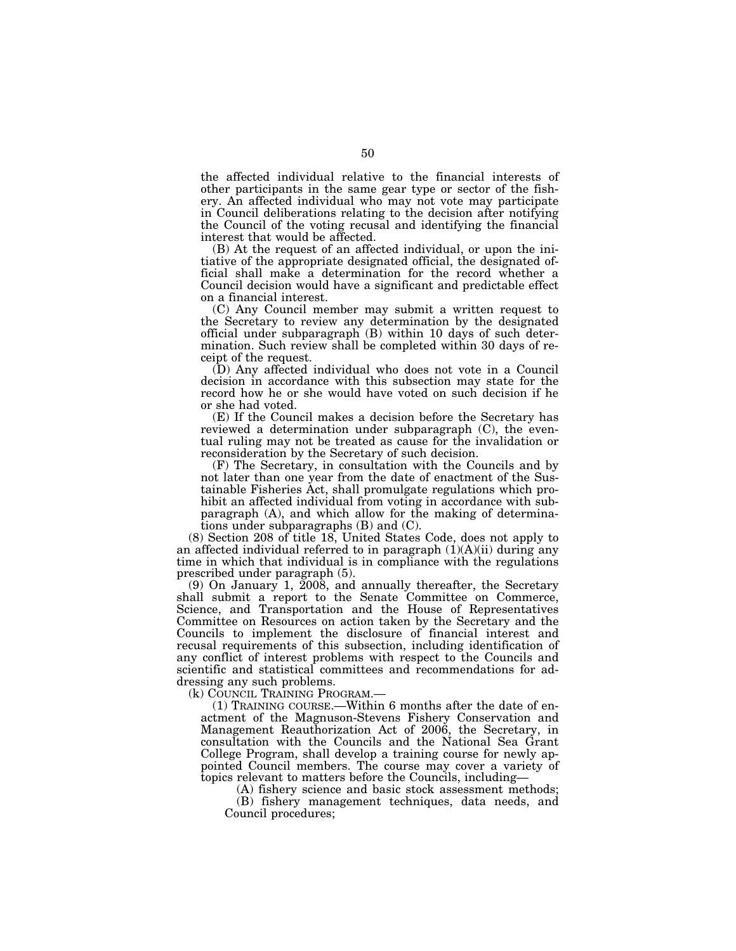the affected individual relative to the financial interests of other participants in the same gear type or sector of the fishery. An affected individual who may not vote may participate in Council deliberations relating to the decision after notifying the Council of the voting recusal and identifying the financial interest that would be affected.

(B) At the request of an affected individual, or upon the initiative of the appropriate designated official, the designated official shall make a determination for the record whether a Council decision would have a significant and predictable effect on a financial interest.

(C) Any Council member may submit a written request to the Secretary to review any determination by the designated official under subparagraph (B) within 10 days of such determination. Such review shall be completed within 30 days of receipt of the request.

(D) Any affected individual who does not vote in a Council decision in accordance with this subsection may state for the record how he or she would have voted on such decision if he or she had voted.

(E) If the Council makes a decision before the Secretary has reviewed a determination under subparagraph (C), the eventual ruling may not be treated as cause for the invalidation or reconsideration by the Secretary of such decision.

(F) The Secretary, in consultation with the Councils and by not later than one year from the date of enactment of the Sustainable Fisheries Act, shall promulgate regulations which prohibit an affected individual from voting in accordance with subparagraph (A), and which allow for the making of determinations under subparagraphs (B) and (C).

(8) Section 208 of title 18, United States Code, does not apply to an affected individual referred to in paragraph  $(1)(A)(ii)$  during any time in which that individual is in compliance with the regulations prescribed under paragraph (5).

(9) On January 1, 2008, and annually thereafter, the Secretary shall submit a report to the Senate Committee on Commerce, Science, and Transportation and the House of Representatives Committee on Resources on action taken by the Secretary and the Councils to implement the disclosure of financial interest and recusal requirements of this subsection, including identification of any conflict of interest problems with respect to the Councils and scientific and statistical committees and recommendations for addressing any such problems.

(k) COUNCIL TRAINING PROGRAM.—

(1) TRAINING COURSE.—Within 6 months after the date of enactment of the Magnuson-Stevens Fishery Conservation and Management Reauthorization Act of 2006, the Secretary, in consultation with the Councils and the National Sea Grant College Program, shall develop a training course for newly appointed Council members. The course may cover a variety of topics relevant to matters before the Councils, including—

(A) fishery science and basic stock assessment methods;

(B) fishery management techniques, data needs, and Council procedures;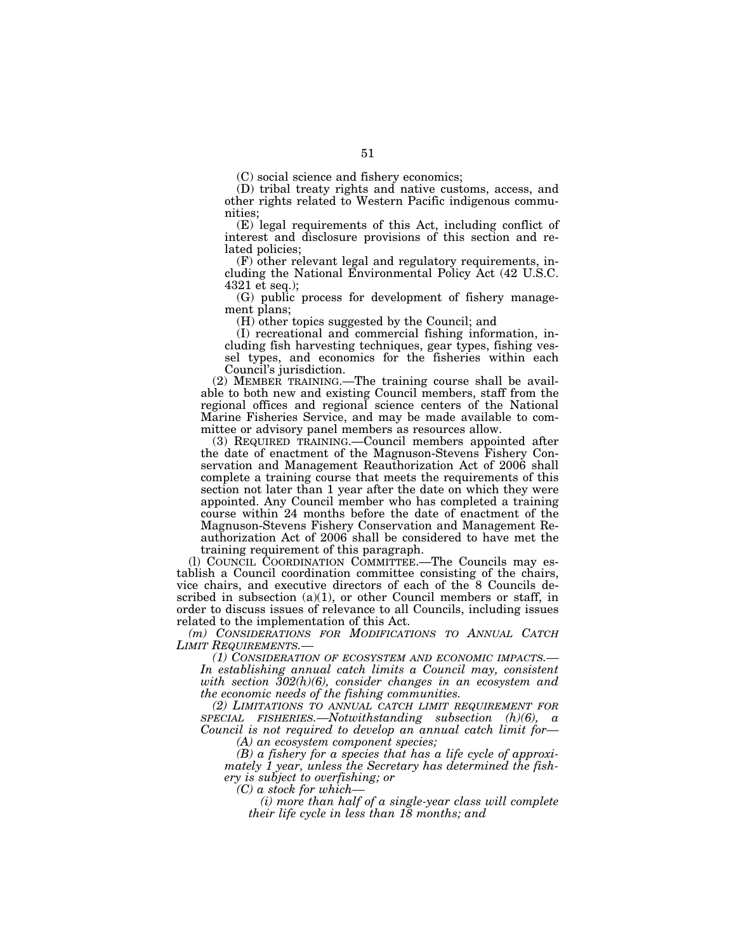(C) social science and fishery economics;

(D) tribal treaty rights and native customs, access, and other rights related to Western Pacific indigenous communities;

(E) legal requirements of this Act, including conflict of interest and disclosure provisions of this section and related policies;

(F) other relevant legal and regulatory requirements, including the National Environmental Policy Act (42 U.S.C. 4321 et seq.);

(G) public process for development of fishery management plans;

(H) other topics suggested by the Council; and

(I) recreational and commercial fishing information, including fish harvesting techniques, gear types, fishing vessel types, and economics for the fisheries within each Council's jurisdiction.

(2) MEMBER TRAINING.—The training course shall be available to both new and existing Council members, staff from the regional offices and regional science centers of the National Marine Fisheries Service, and may be made available to committee or advisory panel members as resources allow.

(3) REQUIRED TRAINING.—Council members appointed after the date of enactment of the Magnuson-Stevens Fishery Conservation and Management Reauthorization Act of 2006 shall complete a training course that meets the requirements of this section not later than 1 year after the date on which they were appointed. Any Council member who has completed a training course within 24 months before the date of enactment of the Magnuson-Stevens Fishery Conservation and Management Reauthorization Act of 2006 shall be considered to have met the training requirement of this paragraph.

(l) COUNCIL COORDINATION COMMITTEE.—The Councils may establish a Council coordination committee consisting of the chairs, vice chairs, and executive directors of each of the 8 Councils described in subsection  $(a)(1)$ , or other Council members or staff, in order to discuss issues of relevance to all Councils, including issues related to the implementation of this Act.

*(m) CONSIDERATIONS FOR MODIFICATIONS TO ANNUAL CATCH LIMIT REQUIREMENTS.—* 

*(1) CONSIDERATION OF ECOSYSTEM AND ECONOMIC IMPACTS.— In establishing annual catch limits a Council may, consistent with section 302(h)(6), consider changes in an ecosystem and the economic needs of the fishing communities.* 

*(2) LIMITATIONS TO ANNUAL CATCH LIMIT REQUIREMENT FOR SPECIAL FISHERIES.—Notwithstanding subsection (h)(6), a Council is not required to develop an annual catch limit for— (A) an ecosystem component species;* 

*(B) a fishery for a species that has a life cycle of approximately 1 year, unless the Secretary has determined the fishery is subject to overfishing; or* 

*(C) a stock for which—* 

*(i) more than half of a single-year class will complete their life cycle in less than 18 months; and*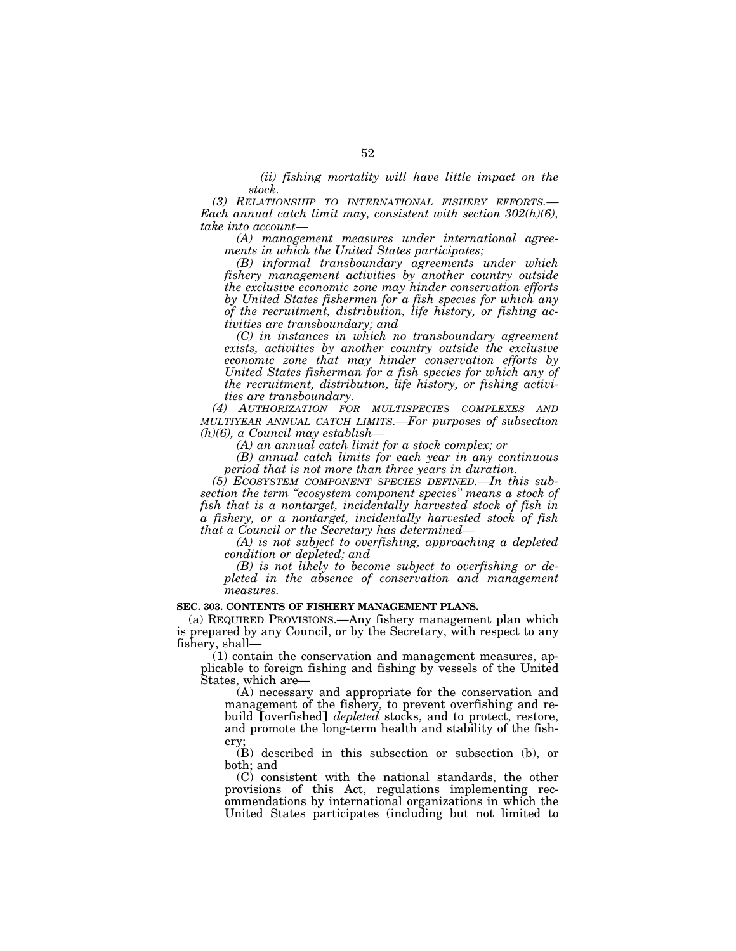*(ii) fishing mortality will have little impact on the stock.* 

*(3) RELATIONSHIP TO INTERNATIONAL FISHERY EFFORTS.— Each annual catch limit may, consistent with section 302(h)(6), take into account—* 

*(A) management measures under international agreements in which the United States participates;* 

*(B) informal transboundary agreements under which fishery management activities by another country outside the exclusive economic zone may hinder conservation efforts by United States fishermen for a fish species for which any of the recruitment, distribution, life history, or fishing activities are transboundary; and* 

*(C) in instances in which no transboundary agreement exists, activities by another country outside the exclusive economic zone that may hinder conservation efforts by United States fisherman for a fish species for which any of the recruitment, distribution, life history, or fishing activities are transboundary.* 

*(4) AUTHORIZATION FOR MULTISPECIES COMPLEXES AND MULTIYEAR ANNUAL CATCH LIMITS.—For purposes of subsection (h)(6), a Council may establish—* 

*(A) an annual catch limit for a stock complex; or* 

*(B) annual catch limits for each year in any continuous period that is not more than three years in duration.* 

*(5) ECOSYSTEM COMPONENT SPECIES DEFINED.—In this subsection the term ''ecosystem component species'' means a stock of fish that is a nontarget, incidentally harvested stock of fish in a fishery, or a nontarget, incidentally harvested stock of fish that a Council or the Secretary has determined—* 

*(A) is not subject to overfishing, approaching a depleted condition or depleted; and* 

*(B) is not likely to become subject to overfishing or depleted in the absence of conservation and management measures.* 

## **SEC. 303. CONTENTS OF FISHERY MANAGEMENT PLANS.**

(a) REQUIRED PROVISIONS.—Any fishery management plan which is prepared by any Council, or by the Secretary, with respect to any fishery, shall—

(1) contain the conservation and management measures, applicable to foreign fishing and fishing by vessels of the United States, which are—

(A) necessary and appropriate for the conservation and management of the fishery, to prevent overfishing and re-<br>build [overfished] *depleted* stocks, and to protect, restore, and promote the long-term health and stability of the fishery;

(B) described in this subsection or subsection (b), or both; and

(C) consistent with the national standards, the other provisions of this Act, regulations implementing recommendations by international organizations in which the United States participates (including but not limited to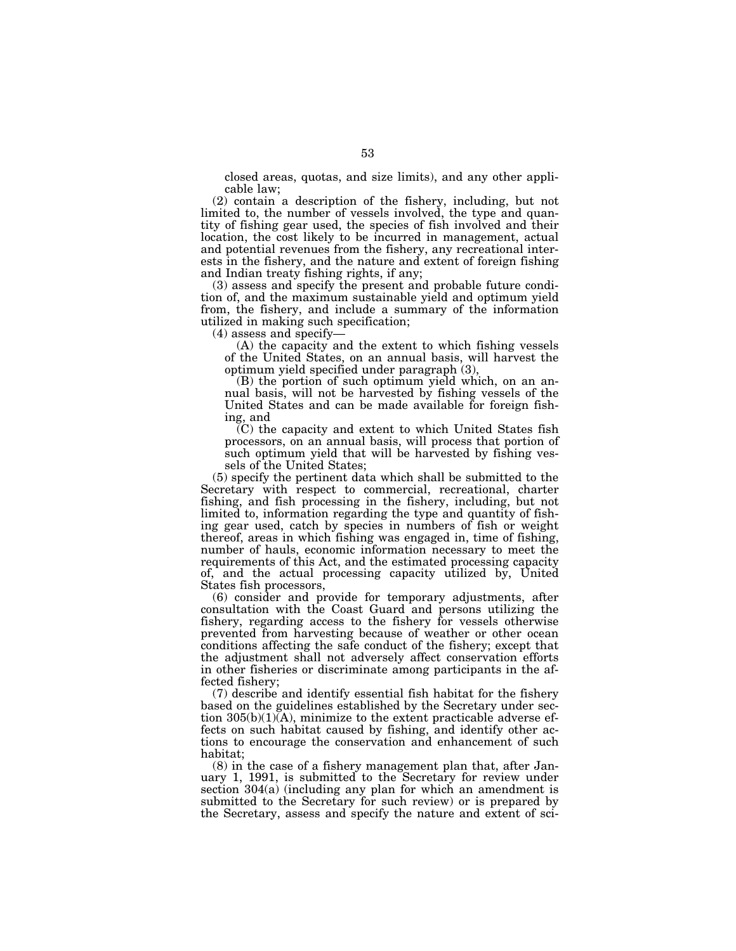closed areas, quotas, and size limits), and any other applicable law;

(2) contain a description of the fishery, including, but not limited to, the number of vessels involved, the type and quantity of fishing gear used, the species of fish involved and their location, the cost likely to be incurred in management, actual and potential revenues from the fishery, any recreational interests in the fishery, and the nature and extent of foreign fishing and Indian treaty fishing rights, if any;

(3) assess and specify the present and probable future condition of, and the maximum sustainable yield and optimum yield from, the fishery, and include a summary of the information utilized in making such specification;

(4) assess and specify—

(A) the capacity and the extent to which fishing vessels of the United States, on an annual basis, will harvest the optimum yield specified under paragraph (3),

(B) the portion of such optimum yield which, on an annual basis, will not be harvested by fishing vessels of the United States and can be made available for foreign fishing, and

(C) the capacity and extent to which United States fish processors, on an annual basis, will process that portion of such optimum yield that will be harvested by fishing vessels of the United States;

(5) specify the pertinent data which shall be submitted to the Secretary with respect to commercial, recreational, charter fishing, and fish processing in the fishery, including, but not limited to, information regarding the type and quantity of fishing gear used, catch by species in numbers of fish or weight thereof, areas in which fishing was engaged in, time of fishing, number of hauls, economic information necessary to meet the requirements of this Act, and the estimated processing capacity of, and the actual processing capacity utilized by, United States fish processors,

(6) consider and provide for temporary adjustments, after consultation with the Coast Guard and persons utilizing the fishery, regarding access to the fishery for vessels otherwise prevented from harvesting because of weather or other ocean conditions affecting the safe conduct of the fishery; except that the adjustment shall not adversely affect conservation efforts in other fisheries or discriminate among participants in the affected fishery;

(7) describe and identify essential fish habitat for the fishery based on the guidelines established by the Secretary under section 305(b)(1)(A), minimize to the extent practicable adverse effects on such habitat caused by fishing, and identify other actions to encourage the conservation and enhancement of such habitat;

(8) in the case of a fishery management plan that, after January 1, 1991, is submitted to the Secretary for review under section 304(a) (including any plan for which an amendment is submitted to the Secretary for such review) or is prepared by the Secretary, assess and specify the nature and extent of sci-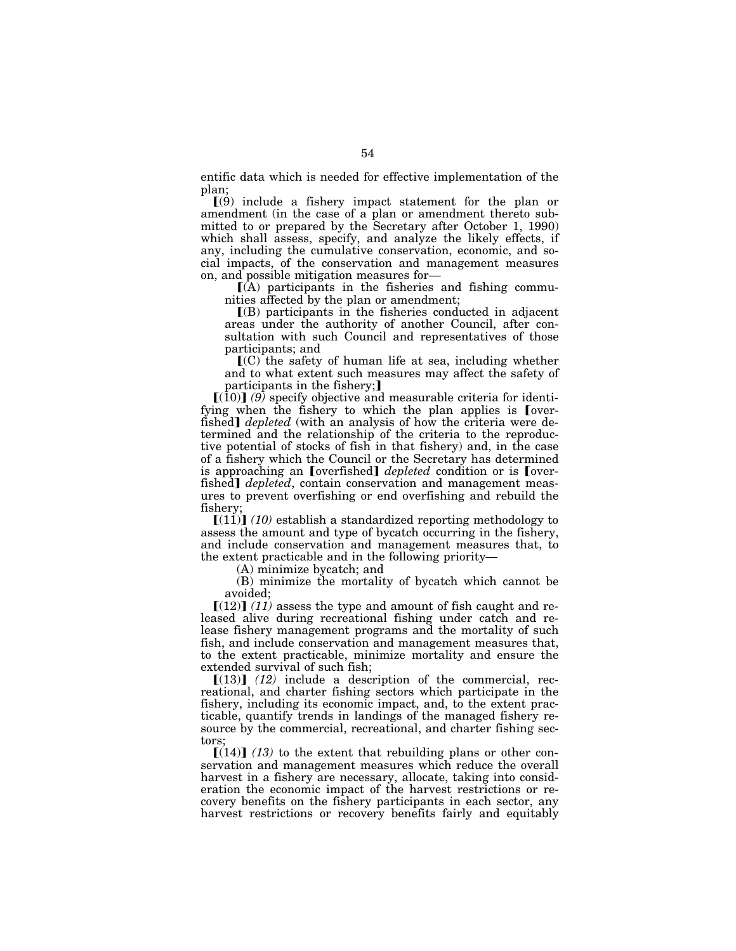entific data which is needed for effective implementation of the plan;

 $(9)$  include a fishery impact statement for the plan or amendment (in the case of a plan or amendment thereto submitted to or prepared by the Secretary after October 1, 1990) which shall assess, specify, and analyze the likely effects, if any, including the cumulative conservation, economic, and social impacts, of the conservation and management measures on, and possible mitigation measures for—

 $(A)$  participants in the fisheries and fishing communities affected by the plan or amendment;

 $\Gamma(B)$  participants in the fisheries conducted in adjacent areas under the authority of another Council, after consultation with such Council and representatives of those participants; and

 $\mathbf{C}(C)$  the safety of human life at sea, including whether and to what extent such measures may affect the safety of participants in the fishery;¿

 $[(10)]$  (9) specify objective and measurable criteria for identifying when the fishery to which the plan applies is [overfished] *depleted* (with an analysis of how the criteria were determined and the relationship of the criteria to the reproductive potential of stocks of fish in that fishery) and, in the case of a fishery which the Council or the Secretary has determined is approaching an [overfished] *depleted* condition or is [overfished] *depleted*, contain conservation and management measures to prevent overfishing or end overfishing and rebuild the fishery;

 $[(11)]$  (10) establish a standardized reporting methodology to assess the amount and type of bycatch occurring in the fishery, and include conservation and management measures that, to the extent practicable and in the following priority—

(A) minimize bycatch; and

(B) minimize the mortality of bycatch which cannot be avoided;

 $(12)$  *(11)* assess the type and amount of fish caught and released alive during recreational fishing under catch and release fishery management programs and the mortality of such fish, and include conservation and management measures that, to the extent practicable, minimize mortality and ensure the extended survival of such fish;

 $[(13)]$   $(12)$  include a description of the commercial, recreational, and charter fishing sectors which participate in the fishery, including its economic impact, and, to the extent practicable, quantify trends in landings of the managed fishery resource by the commercial, recreational, and charter fishing sectors;

 $[(14)]$   $(13)$  to the extent that rebuilding plans or other conservation and management measures which reduce the overall harvest in a fishery are necessary, allocate, taking into consideration the economic impact of the harvest restrictions or recovery benefits on the fishery participants in each sector, any harvest restrictions or recovery benefits fairly and equitably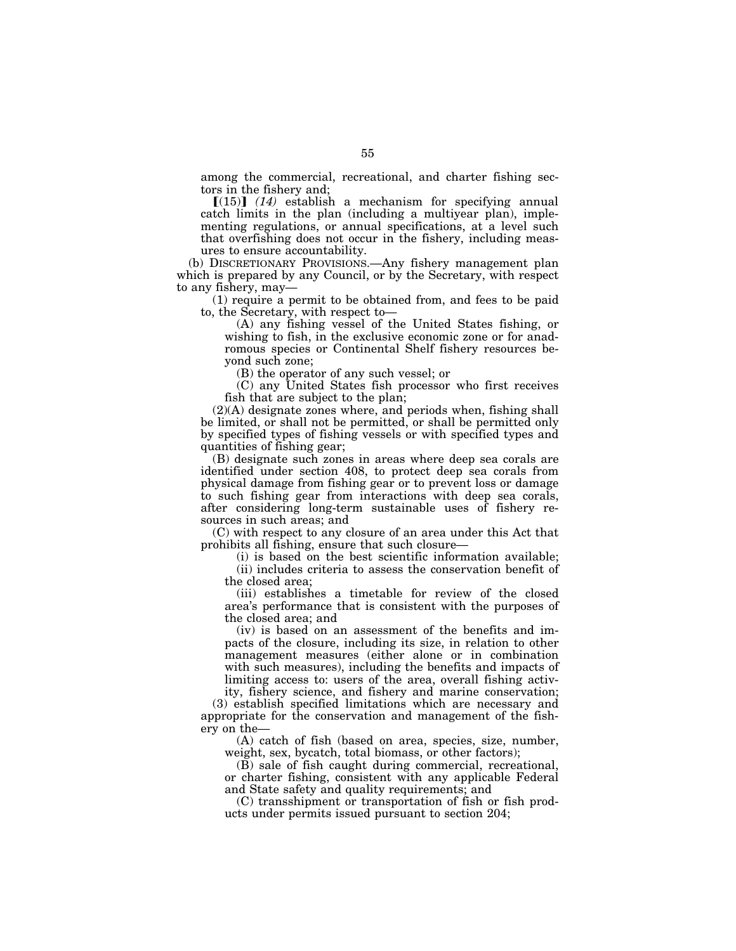among the commercial, recreational, and charter fishing sectors in the fishery and;

 $[(15)]$   $(14)$  establish a mechanism for specifying annual catch limits in the plan (including a multiyear plan), implementing regulations, or annual specifications, at a level such that overfishing does not occur in the fishery, including measures to ensure accountability.

(b) DISCRETIONARY PROVISIONS.—Any fishery management plan which is prepared by any Council, or by the Secretary, with respect to any fishery, may—

(1) require a permit to be obtained from, and fees to be paid to, the Secretary, with respect to—

(A) any fishing vessel of the United States fishing, or wishing to fish, in the exclusive economic zone or for anadromous species or Continental Shelf fishery resources beyond such zone;

(B) the operator of any such vessel; or

(C) any United States fish processor who first receives fish that are subject to the plan;

(2)(A) designate zones where, and periods when, fishing shall be limited, or shall not be permitted, or shall be permitted only by specified types of fishing vessels or with specified types and quantities of fishing gear;

(B) designate such zones in areas where deep sea corals are identified under section 408, to protect deep sea corals from physical damage from fishing gear or to prevent loss or damage to such fishing gear from interactions with deep sea corals, after considering long-term sustainable uses of fishery resources in such areas; and

(C) with respect to any closure of an area under this Act that prohibits all fishing, ensure that such closure—

(i) is based on the best scientific information available;

(ii) includes criteria to assess the conservation benefit of the closed area;

(iii) establishes a timetable for review of the closed area's performance that is consistent with the purposes of the closed area; and

(iv) is based on an assessment of the benefits and impacts of the closure, including its size, in relation to other management measures (either alone or in combination with such measures), including the benefits and impacts of limiting access to: users of the area, overall fishing activ-

ity, fishery science, and fishery and marine conservation; (3) establish specified limitations which are necessary and appropriate for the conservation and management of the fishery on the—

(A) catch of fish (based on area, species, size, number, weight, sex, bycatch, total biomass, or other factors);

(B) sale of fish caught during commercial, recreational, or charter fishing, consistent with any applicable Federal and State safety and quality requirements; and

(C) transshipment or transportation of fish or fish products under permits issued pursuant to section 204;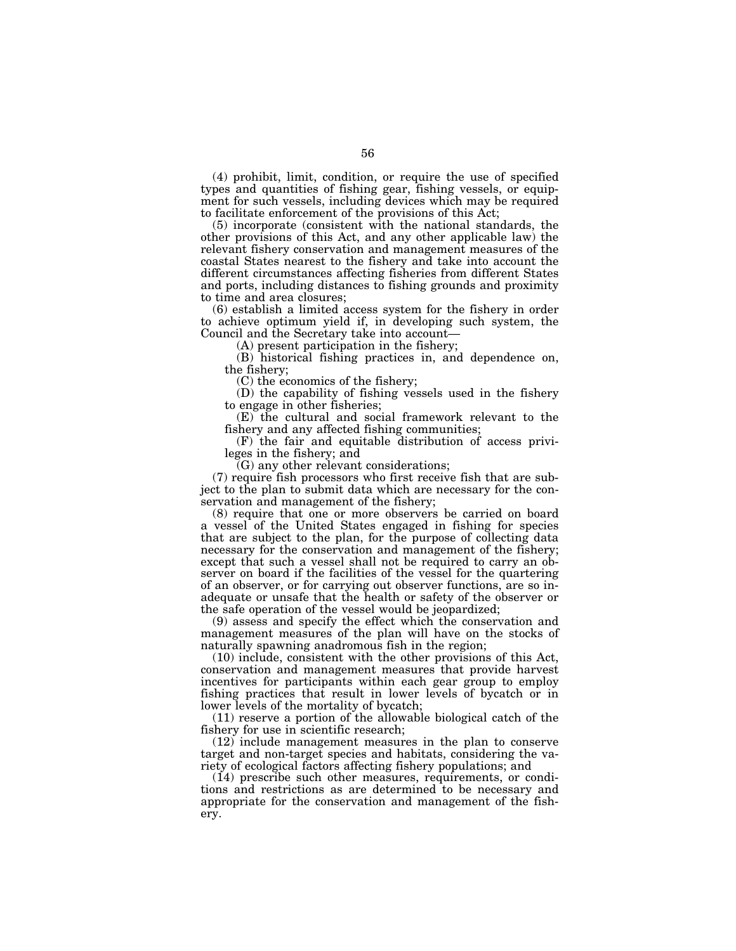(4) prohibit, limit, condition, or require the use of specified types and quantities of fishing gear, fishing vessels, or equipment for such vessels, including devices which may be required to facilitate enforcement of the provisions of this Act;

(5) incorporate (consistent with the national standards, the other provisions of this Act, and any other applicable law) the relevant fishery conservation and management measures of the coastal States nearest to the fishery and take into account the different circumstances affecting fisheries from different States and ports, including distances to fishing grounds and proximity to time and area closures;

(6) establish a limited access system for the fishery in order to achieve optimum yield if, in developing such system, the Council and the Secretary take into account—

(A) present participation in the fishery;

(B) historical fishing practices in, and dependence on, the fishery;

(C) the economics of the fishery;

(D) the capability of fishing vessels used in the fishery to engage in other fisheries;

(E) the cultural and social framework relevant to the fishery and any affected fishing communities;

(F) the fair and equitable distribution of access privileges in the fishery; and

(G) any other relevant considerations;

(7) require fish processors who first receive fish that are subject to the plan to submit data which are necessary for the conservation and management of the fishery;

(8) require that one or more observers be carried on board a vessel of the United States engaged in fishing for species that are subject to the plan, for the purpose of collecting data necessary for the conservation and management of the fishery; except that such a vessel shall not be required to carry an observer on board if the facilities of the vessel for the quartering of an observer, or for carrying out observer functions, are so inadequate or unsafe that the health or safety of the observer or the safe operation of the vessel would be jeopardized;

(9) assess and specify the effect which the conservation and management measures of the plan will have on the stocks of naturally spawning anadromous fish in the region;

(10) include, consistent with the other provisions of this Act, conservation and management measures that provide harvest incentives for participants within each gear group to employ fishing practices that result in lower levels of bycatch or in lower levels of the mortality of bycatch;

(11) reserve a portion of the allowable biological catch of the fishery for use in scientific research;

(12) include management measures in the plan to conserve target and non-target species and habitats, considering the variety of ecological factors affecting fishery populations; and

(14) prescribe such other measures, requirements, or conditions and restrictions as are determined to be necessary and appropriate for the conservation and management of the fishery.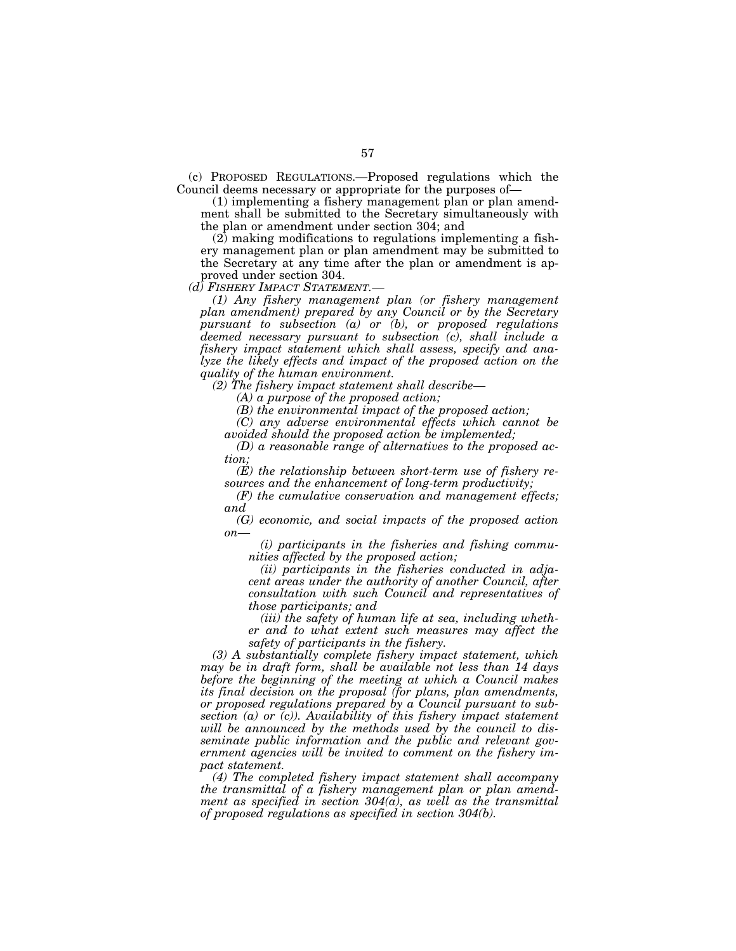(c) PROPOSED REGULATIONS.—Proposed regulations which the Council deems necessary or appropriate for the purposes of—

(1) implementing a fishery management plan or plan amendment shall be submitted to the Secretary simultaneously with the plan or amendment under section 304; and

 $(2)$  making modifications to regulations implementing a fishery management plan or plan amendment may be submitted to the Secretary at any time after the plan or amendment is approved under section 304.

*(d) FISHERY IMPACT STATEMENT.—* 

*(1) Any fishery management plan (or fishery management plan amendment) prepared by any Council or by the Secretary pursuant to subsection (a) or (b), or proposed regulations deemed necessary pursuant to subsection (c), shall include a fishery impact statement which shall assess, specify and analyze the likely effects and impact of the proposed action on the quality of the human environment.* 

*(2) The fishery impact statement shall describe—* 

*(A) a purpose of the proposed action;* 

*(B) the environmental impact of the proposed action;* 

*(C) any adverse environmental effects which cannot be avoided should the proposed action be implemented;* 

*(D) a reasonable range of alternatives to the proposed action;* 

*(E) the relationship between short-term use of fishery resources and the enhancement of long-term productivity;* 

*(F) the cumulative conservation and management effects; and* 

*(G) economic, and social impacts of the proposed action on—* 

*(i) participants in the fisheries and fishing communities affected by the proposed action;* 

*(ii) participants in the fisheries conducted in adjacent areas under the authority of another Council, after consultation with such Council and representatives of those participants; and* 

*(iii) the safety of human life at sea, including whether and to what extent such measures may affect the safety of participants in the fishery.* 

*(3) A substantially complete fishery impact statement, which may be in draft form, shall be available not less than 14 days before the beginning of the meeting at which a Council makes its final decision on the proposal (for plans, plan amendments, or proposed regulations prepared by a Council pursuant to subsection (a) or (c)). Availability of this fishery impact statement will be announced by the methods used by the council to disseminate public information and the public and relevant government agencies will be invited to comment on the fishery impact statement.* 

*(4) The completed fishery impact statement shall accompany the transmittal of a fishery management plan or plan amendment as specified in section 304(a), as well as the transmittal of proposed regulations as specified in section 304(b).*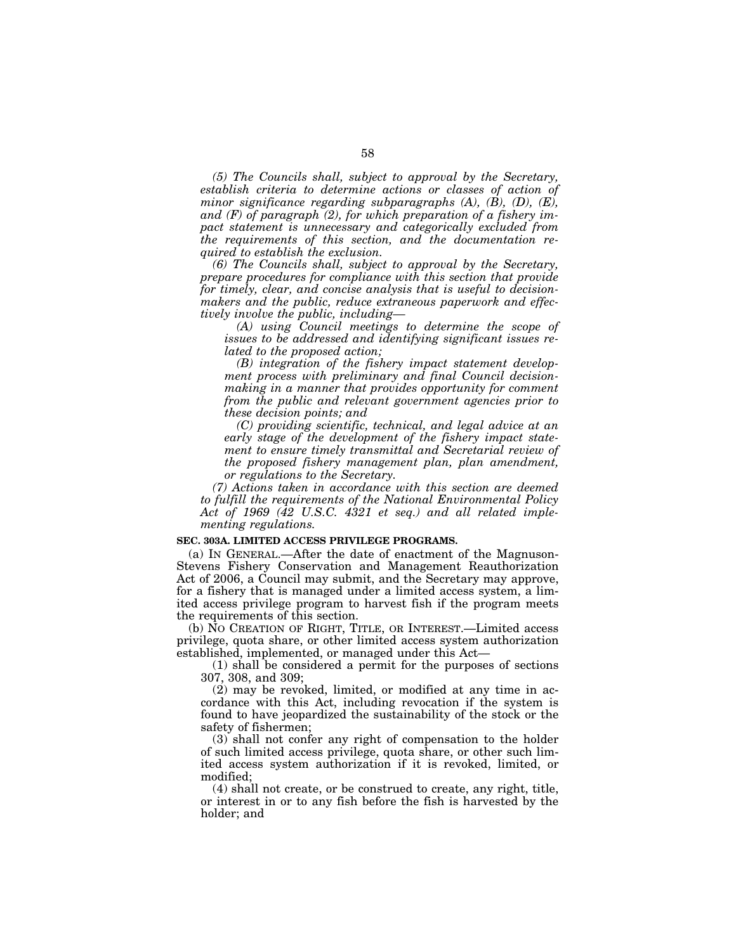*(5) The Councils shall, subject to approval by the Secretary, establish criteria to determine actions or classes of action of minor significance regarding subparagraphs (A), (B), (D), (E), and (F) of paragraph (2), for which preparation of a fishery impact statement is unnecessary and categorically excluded from the requirements of this section, and the documentation required to establish the exclusion.* 

*(6) The Councils shall, subject to approval by the Secretary, prepare procedures for compliance with this section that provide for timely, clear, and concise analysis that is useful to decisionmakers and the public, reduce extraneous paperwork and effectively involve the public, including—* 

*(A) using Council meetings to determine the scope of issues to be addressed and identifying significant issues related to the proposed action;* 

*(B) integration of the fishery impact statement development process with preliminary and final Council decisionmaking in a manner that provides opportunity for comment from the public and relevant government agencies prior to these decision points; and* 

*(C) providing scientific, technical, and legal advice at an early stage of the development of the fishery impact statement to ensure timely transmittal and Secretarial review of the proposed fishery management plan, plan amendment, or regulations to the Secretary.* 

*(7) Actions taken in accordance with this section are deemed to fulfill the requirements of the National Environmental Policy Act of 1969 (42 U.S.C. 4321 et seq.) and all related implementing regulations.* 

#### **SEC. 303A. LIMITED ACCESS PRIVILEGE PROGRAMS.**

(a) IN GENERAL.—After the date of enactment of the Magnuson-Stevens Fishery Conservation and Management Reauthorization Act of 2006, a Council may submit, and the Secretary may approve, for a fishery that is managed under a limited access system, a limited access privilege program to harvest fish if the program meets the requirements of this section.

(b) NO CREATION OF RIGHT, TITLE, OR INTEREST.—Limited access privilege, quota share, or other limited access system authorization established, implemented, or managed under this Act—

(1) shall be considered a permit for the purposes of sections 307, 308, and 309;

(2) may be revoked, limited, or modified at any time in accordance with this Act, including revocation if the system is found to have jeopardized the sustainability of the stock or the safety of fishermen;

(3) shall not confer any right of compensation to the holder of such limited access privilege, quota share, or other such limited access system authorization if it is revoked, limited, or modified;

(4) shall not create, or be construed to create, any right, title, or interest in or to any fish before the fish is harvested by the holder; and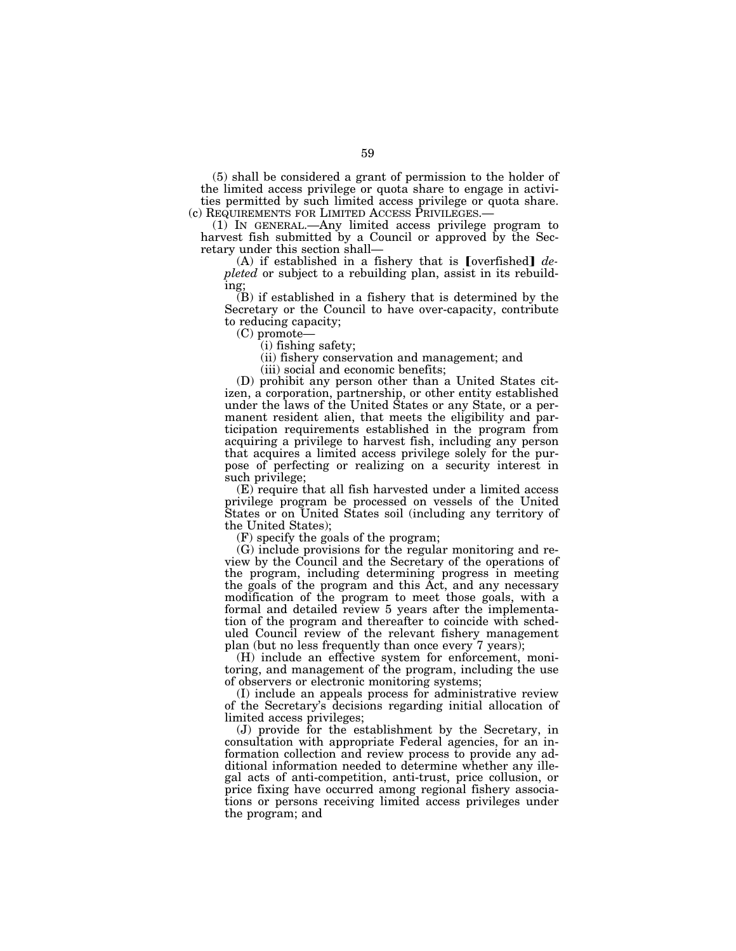(5) shall be considered a grant of permission to the holder of the limited access privilege or quota share to engage in activities permitted by such limited access privilege or quota share.<br>(c) REQUIREMENTS FOR LIMITED ACCESS PRIVILEGES.—

(1) IN GENERAL.—Any limited access privilege program to harvest fish submitted by a Council or approved by the Secretary under this section shall—

 $(A)$  if established in a fishery that is  $[overfished]$  *depleted* or subject to a rebuilding plan, assist in its rebuilding;

(B) if established in a fishery that is determined by the Secretary or the Council to have over-capacity, contribute to reducing capacity;

(C) promote—

(i) fishing safety;

(ii) fishery conservation and management; and

(iii) social and economic benefits;

(D) prohibit any person other than a United States citizen, a corporation, partnership, or other entity established under the laws of the United States or any State, or a permanent resident alien, that meets the eligibility and participation requirements established in the program from acquiring a privilege to harvest fish, including any person that acquires a limited access privilege solely for the purpose of perfecting or realizing on a security interest in such privilege;

(E) require that all fish harvested under a limited access privilege program be processed on vessels of the United States or on United States soil (including any territory of the United States);

(F) specify the goals of the program;

(G) include provisions for the regular monitoring and review by the Council and the Secretary of the operations of the program, including determining progress in meeting the goals of the program and this Act, and any necessary modification of the program to meet those goals, with a formal and detailed review 5 years after the implementation of the program and thereafter to coincide with scheduled Council review of the relevant fishery management plan (but no less frequently than once every 7 years);

(H) include an effective system for enforcement, monitoring, and management of the program, including the use of observers or electronic monitoring systems;

(I) include an appeals process for administrative review of the Secretary's decisions regarding initial allocation of limited access privileges;

(J) provide for the establishment by the Secretary, in consultation with appropriate Federal agencies, for an information collection and review process to provide any additional information needed to determine whether any illegal acts of anti-competition, anti-trust, price collusion, or price fixing have occurred among regional fishery associations or persons receiving limited access privileges under the program; and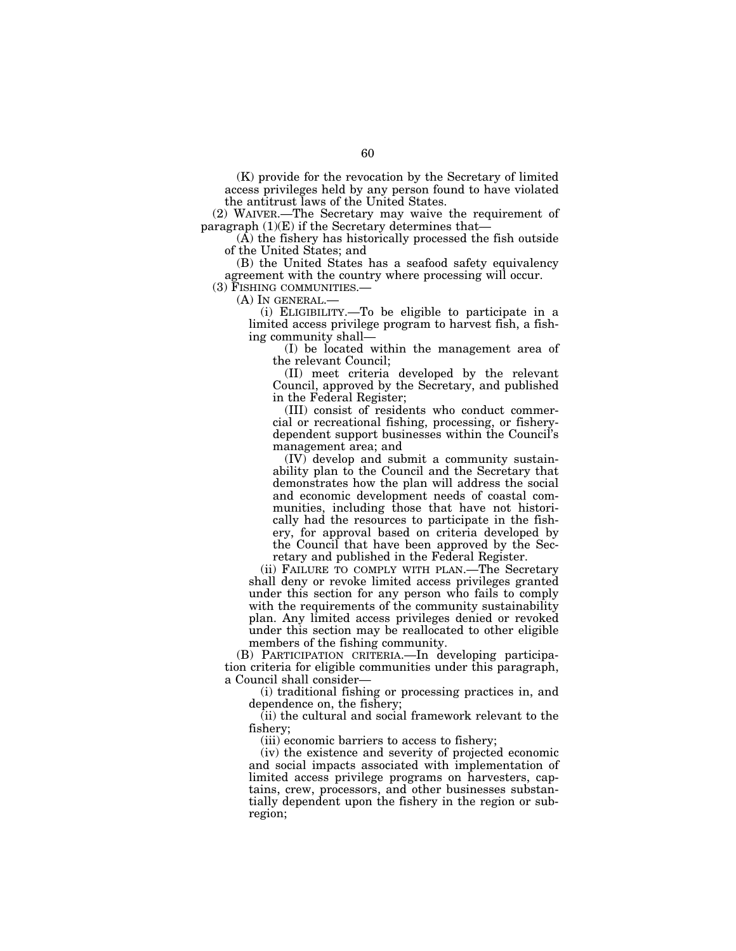(K) provide for the revocation by the Secretary of limited access privileges held by any person found to have violated the antitrust laws of the United States.

(2) WAIVER.—The Secretary may waive the requirement of paragraph  $(1)(E)$  if the Secretary determines that-

 $(\overline{A})$  the fishery has historically processed the fish outside of the United States; and

(B) the United States has a seafood safety equivalency agreement with the country where processing will occur.

(3) FISHING COMMUNITIES.—

(A) IN GENERAL.—

(i) ELIGIBILITY.—To be eligible to participate in a limited access privilege program to harvest fish, a fishing community shall—

(I) be located within the management area of the relevant Council;

(II) meet criteria developed by the relevant Council, approved by the Secretary, and published in the Federal Register;

(III) consist of residents who conduct commercial or recreational fishing, processing, or fisherydependent support businesses within the Council's management area; and

(IV) develop and submit a community sustainability plan to the Council and the Secretary that demonstrates how the plan will address the social and economic development needs of coastal communities, including those that have not historically had the resources to participate in the fishery, for approval based on criteria developed by the Council that have been approved by the Secretary and published in the Federal Register.

(ii) FAILURE TO COMPLY WITH PLAN.—The Secretary shall deny or revoke limited access privileges granted under this section for any person who fails to comply with the requirements of the community sustainability plan. Any limited access privileges denied or revoked under this section may be reallocated to other eligible members of the fishing community.

(B) PARTICIPATION CRITERIA.—In developing participation criteria for eligible communities under this paragraph, a Council shall consider—

(i) traditional fishing or processing practices in, and dependence on, the fishery;

(ii) the cultural and social framework relevant to the fishery;

(iii) economic barriers to access to fishery;

(iv) the existence and severity of projected economic and social impacts associated with implementation of limited access privilege programs on harvesters, captains, crew, processors, and other businesses substantially dependent upon the fishery in the region or subregion;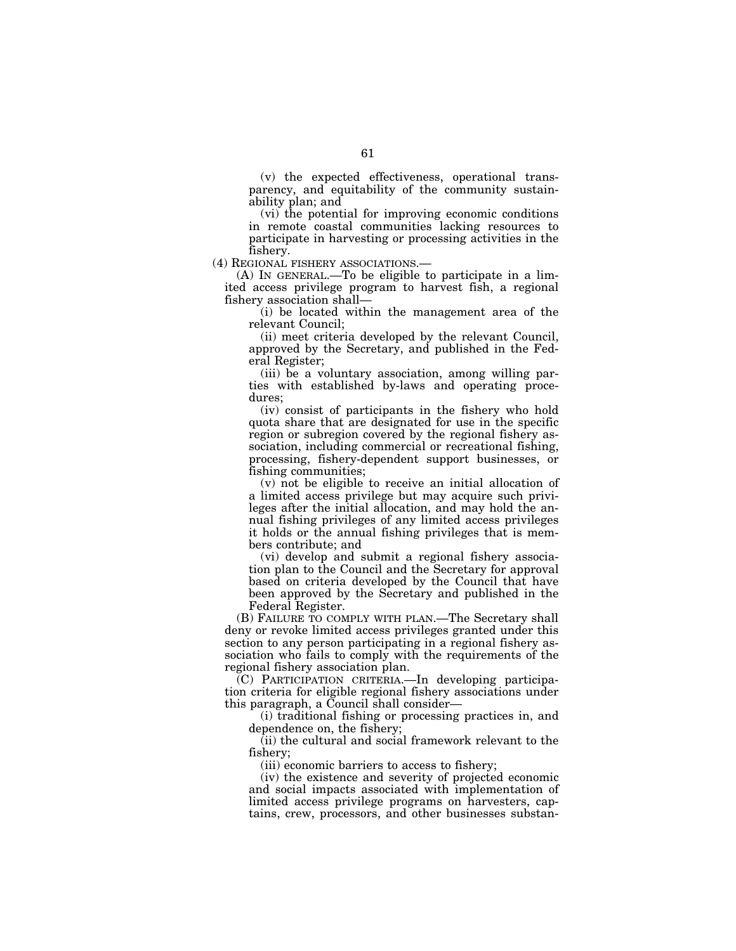(v) the expected effectiveness, operational transparency, and equitability of the community sustainability plan; and

(vi) the potential for improving economic conditions in remote coastal communities lacking resources to participate in harvesting or processing activities in the fishery.

(4) REGIONAL FISHERY ASSOCIATIONS.—

(A) IN GENERAL.—To be eligible to participate in a limited access privilege program to harvest fish, a regional fishery association shall—

(i) be located within the management area of the relevant Council;

(ii) meet criteria developed by the relevant Council, approved by the Secretary, and published in the Federal Register;

(iii) be a voluntary association, among willing parties with established by-laws and operating procedures;

(iv) consist of participants in the fishery who hold quota share that are designated for use in the specific region or subregion covered by the regional fishery association, including commercial or recreational fishing, processing, fishery-dependent support businesses, or fishing communities;

(v) not be eligible to receive an initial allocation of a limited access privilege but may acquire such privileges after the initial allocation, and may hold the annual fishing privileges of any limited access privileges it holds or the annual fishing privileges that is members contribute; and

(vi) develop and submit a regional fishery association plan to the Council and the Secretary for approval based on criteria developed by the Council that have been approved by the Secretary and published in the Federal Register.

(B) FAILURE TO COMPLY WITH PLAN.—The Secretary shall deny or revoke limited access privileges granted under this section to any person participating in a regional fishery association who fails to comply with the requirements of the regional fishery association plan.

(C) PARTICIPATION CRITERIA.—In developing participation criteria for eligible regional fishery associations under this paragraph, a Council shall consider—

(i) traditional fishing or processing practices in, and dependence on, the fishery;

(ii) the cultural and social framework relevant to the fishery;

(iii) economic barriers to access to fishery;

(iv) the existence and severity of projected economic and social impacts associated with implementation of limited access privilege programs on harvesters, captains, crew, processors, and other businesses substan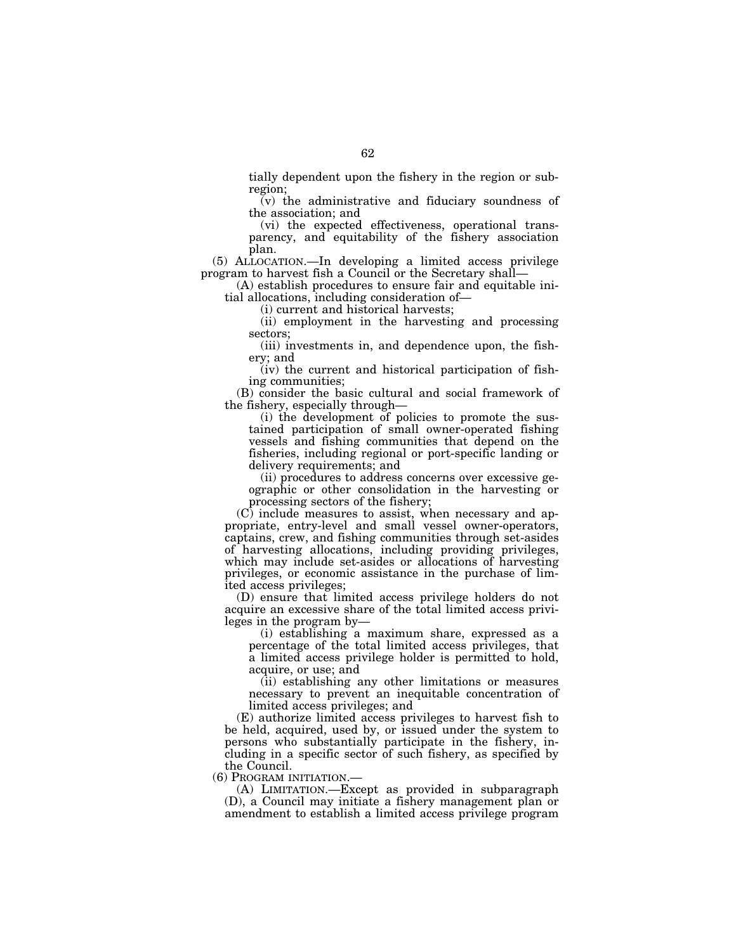tially dependent upon the fishery in the region or subregion;

(v) the administrative and fiduciary soundness of the association; and

(vi) the expected effectiveness, operational transparency, and equitability of the fishery association plan.

(5) ALLOCATION.—In developing a limited access privilege program to harvest fish a Council or the Secretary shall—

(A) establish procedures to ensure fair and equitable initial allocations, including consideration of—

(i) current and historical harvests;

(ii) employment in the harvesting and processing sectors;

(iii) investments in, and dependence upon, the fishery; and

(iv) the current and historical participation of fishing communities;

(B) consider the basic cultural and social framework of the fishery, especially through—

(i) the development of policies to promote the sustained participation of small owner-operated fishing vessels and fishing communities that depend on the fisheries, including regional or port-specific landing or delivery requirements; and

(ii) procedures to address concerns over excessive geographic or other consolidation in the harvesting or processing sectors of the fishery;

(C) include measures to assist, when necessary and appropriate, entry-level and small vessel owner-operators, captains, crew, and fishing communities through set-asides of harvesting allocations, including providing privileges, which may include set-asides or allocations of harvesting privileges, or economic assistance in the purchase of limited access privileges;

(D) ensure that limited access privilege holders do not acquire an excessive share of the total limited access privileges in the program by—

(i) establishing a maximum share, expressed as a percentage of the total limited access privileges, that a limited access privilege holder is permitted to hold, acquire, or use; and

(ii) establishing any other limitations or measures necessary to prevent an inequitable concentration of limited access privileges; and

(E) authorize limited access privileges to harvest fish to be held, acquired, used by, or issued under the system to persons who substantially participate in the fishery, including in a specific sector of such fishery, as specified by the Council.<br>(6) Program Initiation.—

 $(A)$  LIMITATION.—Except as provided in subparagraph (D), a Council may initiate a fishery management plan or amendment to establish a limited access privilege program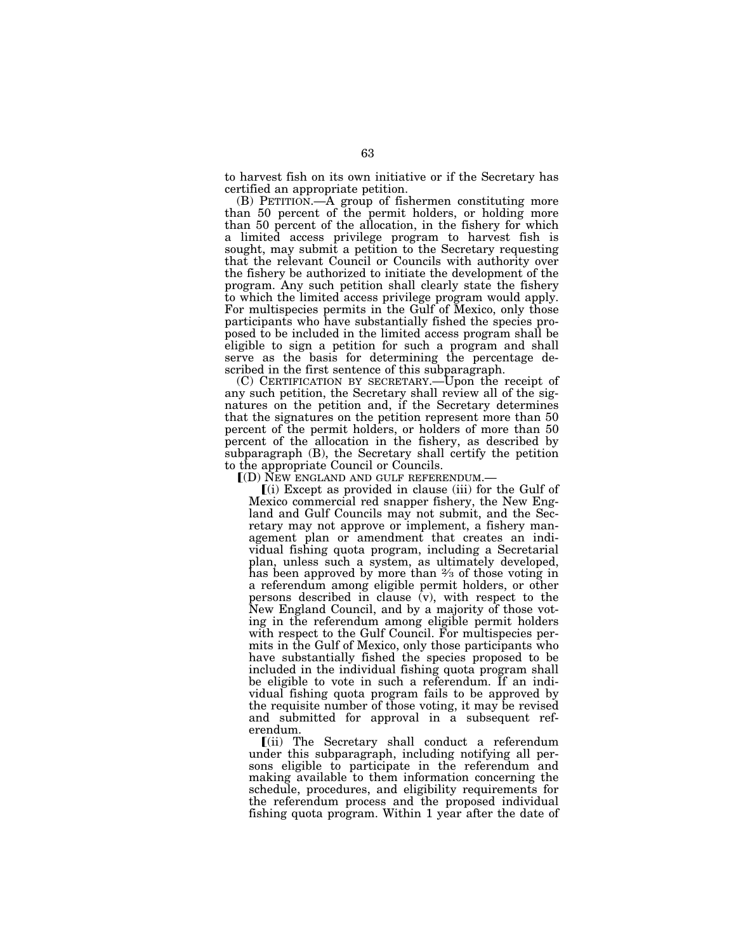to harvest fish on its own initiative or if the Secretary has certified an appropriate petition.

(B) PETITION.—A group of fishermen constituting more than 50 percent of the permit holders, or holding more than 50 percent of the allocation, in the fishery for which a limited access privilege program to harvest fish is sought, may submit a petition to the Secretary requesting that the relevant Council or Councils with authority over the fishery be authorized to initiate the development of the program. Any such petition shall clearly state the fishery to which the limited access privilege program would apply. For multispecies permits in the Gulf of Mexico, only those participants who have substantially fished the species proposed to be included in the limited access program shall be eligible to sign a petition for such a program and shall serve as the basis for determining the percentage described in the first sentence of this subparagraph.

(C) CERTIFICATION BY SECRETARY.—Upon the receipt of any such petition, the Secretary shall review all of the signatures on the petition and, if the Secretary determines that the signatures on the petition represent more than 50 percent of the permit holders, or holders of more than 50 percent of the allocation in the fishery, as described by subparagraph (B), the Secretary shall certify the petition to the appropriate Council or Councils.

 $\lbrack$  (D) NEW ENGLAND AND GULF REFERENDUM.—<br> $\lbrack$  (i) Except as provided in clause (iii) for the Gulf of Mexico commercial red snapper fishery, the New England and Gulf Councils may not submit, and the Secretary may not approve or implement, a fishery management plan or amendment that creates an individual fishing quota program, including a Secretarial plan, unless such a system, as ultimately developed, has been approved by more than  $\frac{2}{3}$  of those voting in a referendum among eligible permit holders, or other persons described in clause (v), with respect to the New England Council, and by a majority of those voting in the referendum among eligible permit holders with respect to the Gulf Council. For multispecies permits in the Gulf of Mexico, only those participants who have substantially fished the species proposed to be included in the individual fishing quota program shall be eligible to vote in such a referendum. If an individual fishing quota program fails to be approved by the requisite number of those voting, it may be revised and submitted for approval in a subsequent referendum.

 $\lceil$ (ii) The Secretary shall conduct a referendum under this subparagraph, including notifying all persons eligible to participate in the referendum and making available to them information concerning the schedule, procedures, and eligibility requirements for the referendum process and the proposed individual fishing quota program. Within 1 year after the date of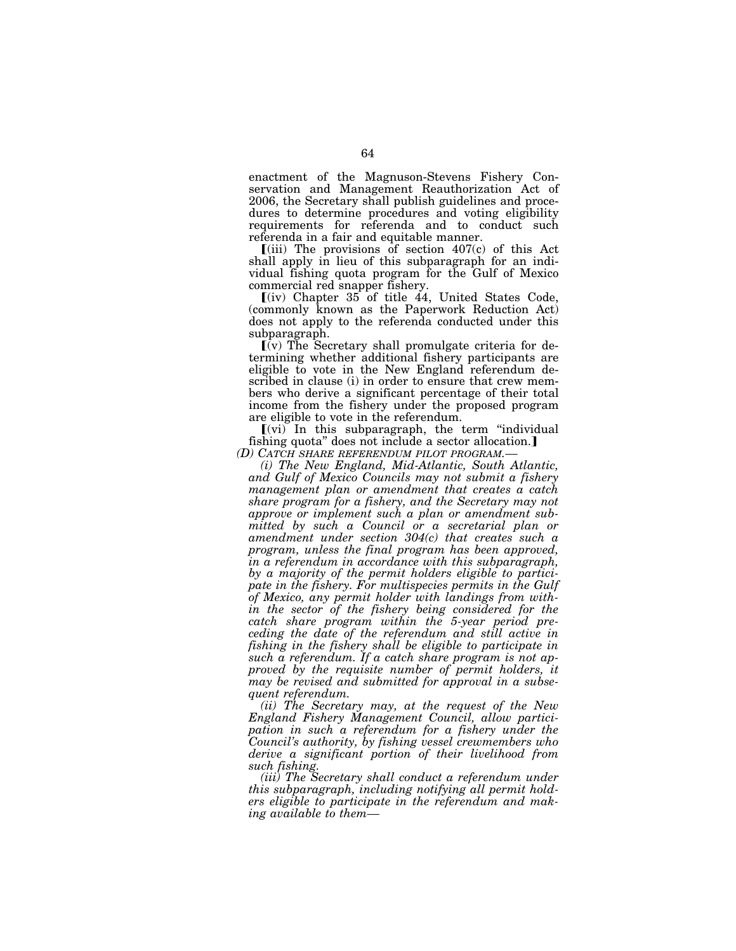enactment of the Magnuson-Stevens Fishery Conservation and Management Reauthorization Act of 2006, the Secretary shall publish guidelines and procedures to determine procedures and voting eligibility requirements for referenda and to conduct such referenda in a fair and equitable manner.

 $\lim_{\epsilon \to 0}$  The provisions of section 407(c) of this Act shall apply in lieu of this subparagraph for an individual fishing quota program for the Gulf of Mexico commercial red snapper fishery.

 $(iv)$  Chapter 35 of title 44, United States Code, (commonly known as the Paperwork Reduction Act) does not apply to the referenda conducted under this subparagraph.

 $\overline{[\}(\overline{v})\]$  The Secretary shall promulgate criteria for determining whether additional fishery participants are eligible to vote in the New England referendum described in clause (i) in order to ensure that crew members who derive a significant percentage of their total income from the fishery under the proposed program are eligible to vote in the referendum.

 $(v_i)$  In this subparagraph, the term "individual fishing quota" does not include a sector allocation.]<br>(D) CATCH SHARE REFERENDUM PILOT PROGRAM.—

*(i) The New England, Mid-Atlantic, South Atlantic, and Gulf of Mexico Councils may not submit a fishery management plan or amendment that creates a catch share program for a fishery, and the Secretary may not approve or implement such a plan or amendment submitted by such a Council or a secretarial plan or amendment under section 304(c) that creates such a program, unless the final program has been approved, in a referendum in accordance with this subparagraph, by a majority of the permit holders eligible to participate in the fishery. For multispecies permits in the Gulf of Mexico, any permit holder with landings from within the sector of the fishery being considered for the catch share program within the 5-year period preceding the date of the referendum and still active in fishing in the fishery shall be eligible to participate in such a referendum. If a catch share program is not approved by the requisite number of permit holders, it may be revised and submitted for approval in a subsequent referendum.* 

*(ii) The Secretary may, at the request of the New England Fishery Management Council, allow participation in such a referendum for a fishery under the Council's authority, by fishing vessel crewmembers who derive a significant portion of their livelihood from such fishing.* 

*(iii) The Secretary shall conduct a referendum under this subparagraph, including notifying all permit holders eligible to participate in the referendum and making available to them—*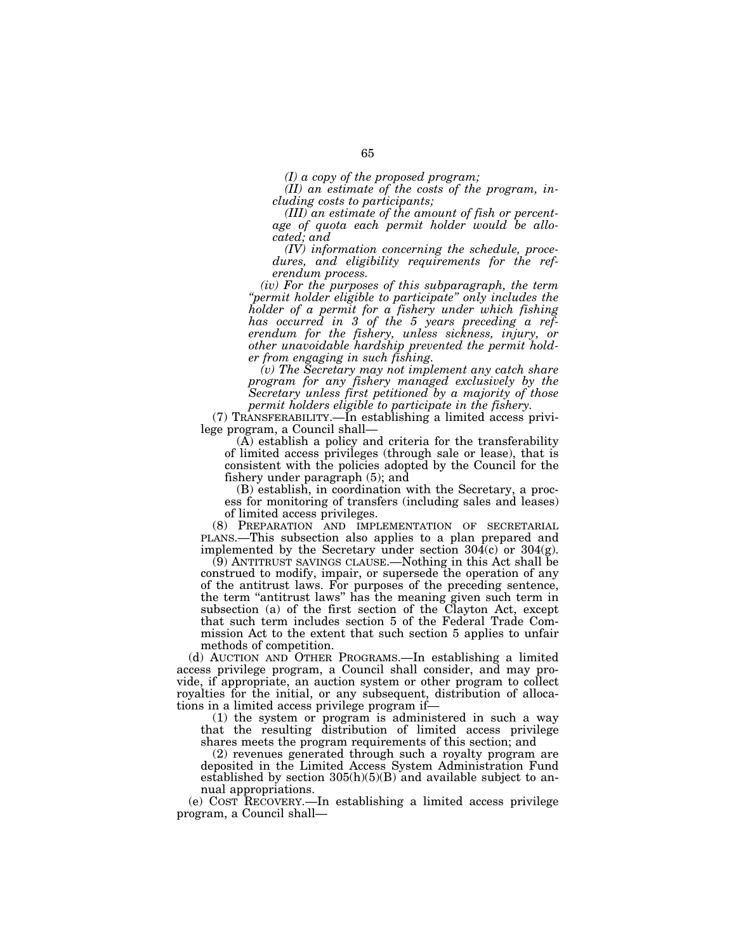*(I) a copy of the proposed program;* 

*(II) an estimate of the costs of the program, including costs to participants;* 

*(III) an estimate of the amount of fish or percentage of quota each permit holder would be allocated; and* 

*(IV) information concerning the schedule, procedures, and eligibility requirements for the referendum process.* 

*(iv) For the purposes of this subparagraph, the term ''permit holder eligible to participate'' only includes the holder of a permit for a fishery under which fishing has occurred in 3 of the 5 years preceding a referendum for the fishery, unless sickness, injury, or other unavoidable hardship prevented the permit holder from engaging in such fishing.* 

*(v) The Secretary may not implement any catch share program for any fishery managed exclusively by the Secretary unless first petitioned by a majority of those permit holders eligible to participate in the fishery.* 

(7) TRANSFERABILITY.—In establishing a limited access privilege program, a Council shall—

(A) establish a policy and criteria for the transferability of limited access privileges (through sale or lease), that is consistent with the policies adopted by the Council for the fishery under paragraph (5); and

(B) establish, in coordination with the Secretary, a process for monitoring of transfers (including sales and leases) of limited access privileges.

(8) PREPARATION AND IMPLEMENTATION OF SECRETARIAL PLANS.—This subsection also applies to a plan prepared and implemented by the Secretary under section  $304(c)$  or  $304(g)$ .

(9) ANTITRUST SAVINGS CLAUSE.—Nothing in this Act shall be construed to modify, impair, or supersede the operation of any of the antitrust laws. For purposes of the preceding sentence, the term ''antitrust laws'' has the meaning given such term in subsection (a) of the first section of the Clayton Act, except that such term includes section 5 of the Federal Trade Commission Act to the extent that such section 5 applies to unfair methods of competition.

(d) AUCTION AND OTHER PROGRAMS.—In establishing a limited access privilege program, a Council shall consider, and may provide, if appropriate, an auction system or other program to collect royalties for the initial, or any subsequent, distribution of allocations in a limited access privilege program if—

(1) the system or program is administered in such a way that the resulting distribution of limited access privilege shares meets the program requirements of this section; and

(2) revenues generated through such a royalty program are deposited in the Limited Access System Administration Fund established by section  $305(h)(5)(B)$  and available subject to annual appropriations.

(e) COST RECOVERY.—In establishing a limited access privilege program, a Council shall—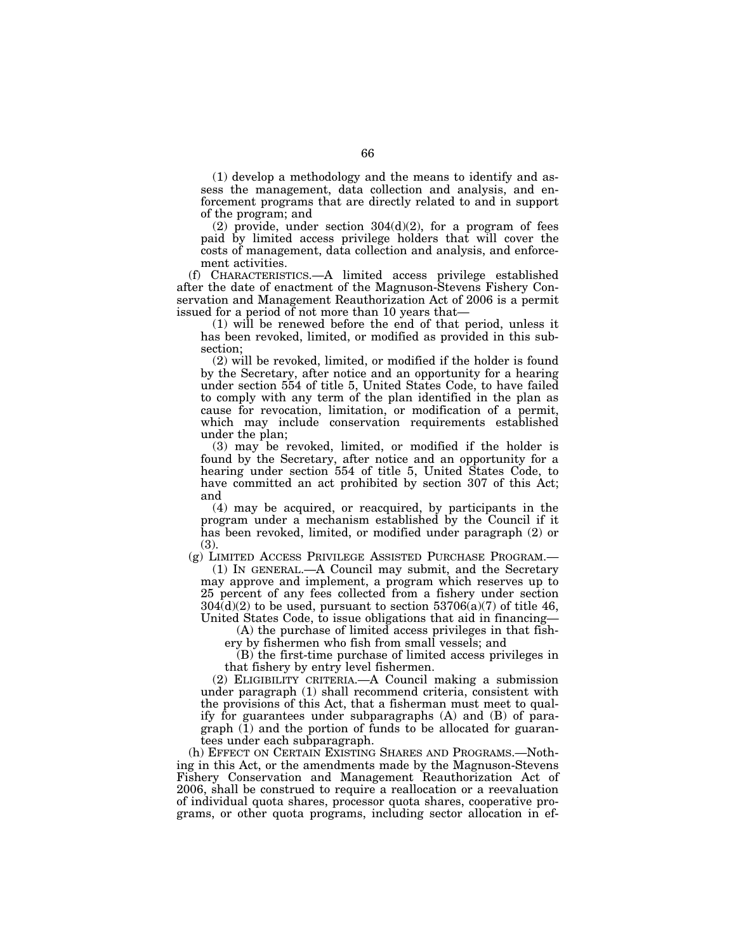(1) develop a methodology and the means to identify and assess the management, data collection and analysis, and enforcement programs that are directly related to and in support of the program; and

(2) provide, under section  $304(d)(2)$ , for a program of fees paid by limited access privilege holders that will cover the costs of management, data collection and analysis, and enforcement activities.

(f) CHARACTERISTICS.—A limited access privilege established after the date of enactment of the Magnuson-Stevens Fishery Conservation and Management Reauthorization Act of 2006 is a permit issued for a period of not more than 10 years that—

(1) will be renewed before the end of that period, unless it has been revoked, limited, or modified as provided in this subsection;

(2) will be revoked, limited, or modified if the holder is found by the Secretary, after notice and an opportunity for a hearing under section 554 of title 5, United States Code, to have failed to comply with any term of the plan identified in the plan as cause for revocation, limitation, or modification of a permit, which may include conservation requirements established under the plan;

(3) may be revoked, limited, or modified if the holder is found by the Secretary, after notice and an opportunity for a hearing under section 554 of title 5, United States Code, to have committed an act prohibited by section 307 of this Act; and

(4) may be acquired, or reacquired, by participants in the program under a mechanism established by the Council if it has been revoked, limited, or modified under paragraph (2) or (3).

(g) LIMITED ACCESS PRIVILEGE ASSISTED PURCHASE PROGRAM.— (1) IN GENERAL.—A Council may submit, and the Secretary may approve and implement, a program which reserves up to 25 percent of any fees collected from a fishery under section  $304(d)(2)$  to be used, pursuant to section  $53706(a)(7)$  of title 46, United States Code, to issue obligations that aid in financing—

(A) the purchase of limited access privileges in that fishery by fishermen who fish from small vessels; and

(B) the first-time purchase of limited access privileges in that fishery by entry level fishermen.

(2) ELIGIBILITY CRITERIA.—A Council making a submission under paragraph (1) shall recommend criteria, consistent with the provisions of this Act, that a fisherman must meet to qualify for guarantees under subparagraphs (A) and (B) of paragraph (1) and the portion of funds to be allocated for guarantees under each subparagraph.

(h) EFFECT ON CERTAIN EXISTING SHARES AND PROGRAMS.—Nothing in this Act, or the amendments made by the Magnuson-Stevens Fishery Conservation and Management Reauthorization Act of 2006, shall be construed to require a reallocation or a reevaluation of individual quota shares, processor quota shares, cooperative programs, or other quota programs, including sector allocation in ef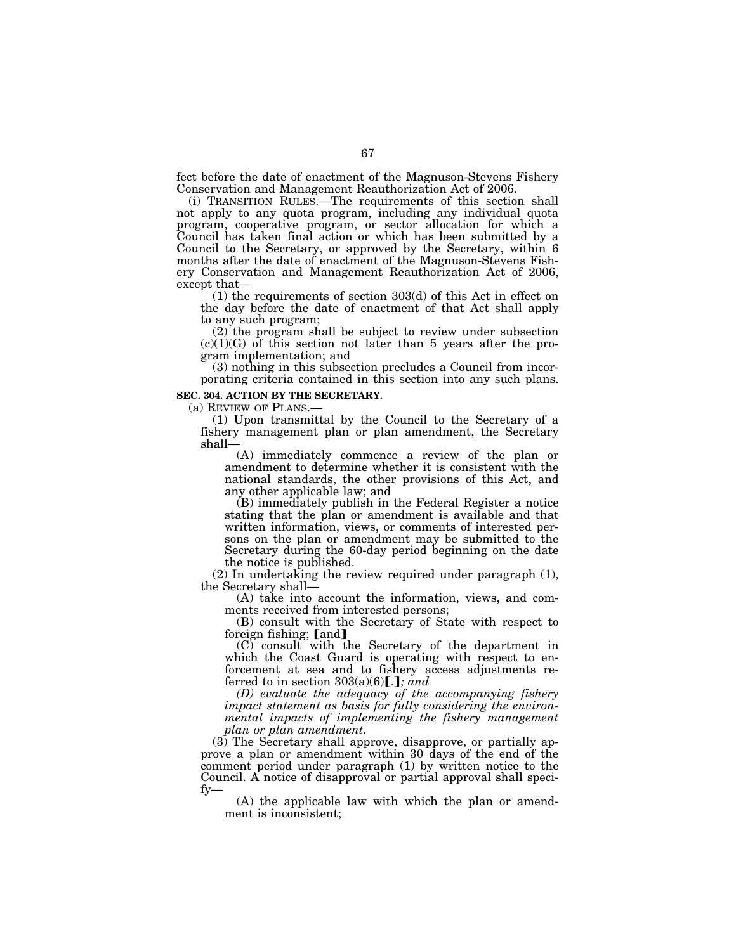fect before the date of enactment of the Magnuson-Stevens Fishery Conservation and Management Reauthorization Act of 2006.

(i) TRANSITION RULES.—The requirements of this section shall not apply to any quota program, including any individual quota program, cooperative program, or sector allocation for which a Council has taken final action or which has been submitted by a Council to the Secretary, or approved by the Secretary, within 6 months after the date of enactment of the Magnuson-Stevens Fishery Conservation and Management Reauthorization Act of 2006, except that—

(1) the requirements of section 303(d) of this Act in effect on the day before the date of enactment of that Act shall apply to any such program;

(2) the program shall be subject to review under subsection  $(c)(1)(G)$  of this section not later than 5 years after the program implementation; and

(3) nothing in this subsection precludes a Council from incorporating criteria contained in this section into any such plans.

**SEC. 304. ACTION BY THE SECRETARY.** 

(a) REVIEW OF PLANS.— (1) Upon transmittal by the Council to the Secretary of a fishery management plan or plan amendment, the Secretary shall—

(A) immediately commence a review of the plan or amendment to determine whether it is consistent with the national standards, the other provisions of this Act, and any other applicable law; and

(B) immediately publish in the Federal Register a notice stating that the plan or amendment is available and that written information, views, or comments of interested persons on the plan or amendment may be submitted to the Secretary during the 60-day period beginning on the date the notice is published.

(2) In undertaking the review required under paragraph (1), the Secretary shall—

(A) take into account the information, views, and comments received from interested persons;

(B) consult with the Secretary of State with respect to foreign fishing; [and]

(C) consult with the Secretary of the department in which the Coast Guard is operating with respect to enforcement at sea and to fishery access adjustments referred to in section  $303(a)(6)$ . *j, and* 

*(D) evaluate the adequacy of the accompanying fishery impact statement as basis for fully considering the environmental impacts of implementing the fishery management plan or plan amendment.* 

 $(3)$  The Secretary shall approve, disapprove, or partially approve a plan or amendment within 30 days of the end of the comment period under paragraph (1) by written notice to the Council. A notice of disapproval or partial approval shall specify—

(A) the applicable law with which the plan or amendment is inconsistent;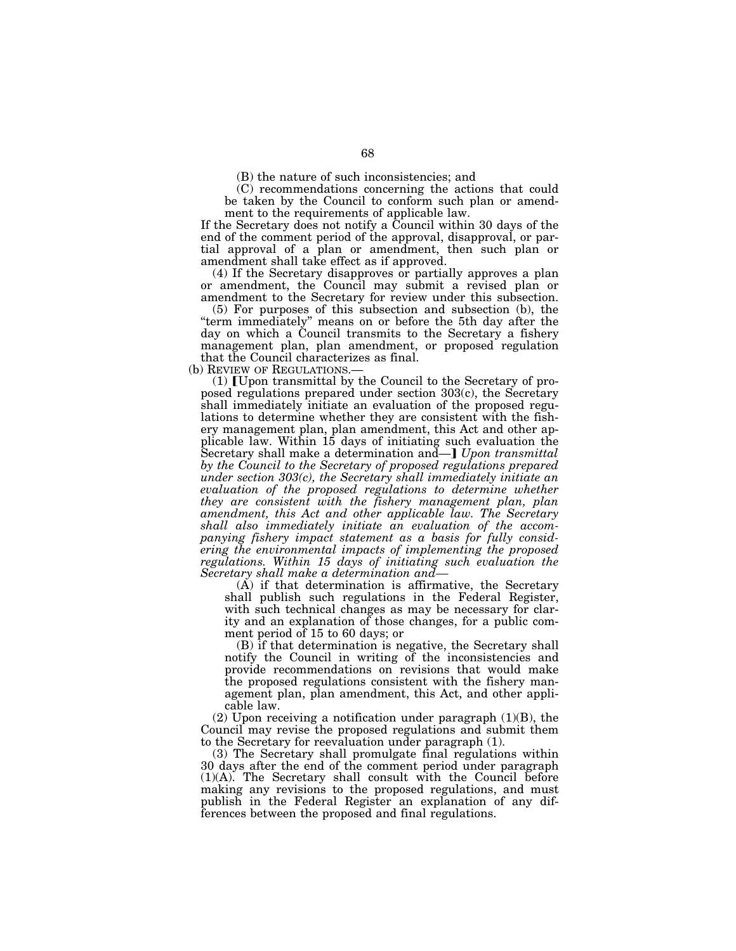(B) the nature of such inconsistencies; and

(C) recommendations concerning the actions that could be taken by the Council to conform such plan or amendment to the requirements of applicable law.

If the Secretary does not notify a Council within 30 days of the end of the comment period of the approval, disapproval, or partial approval of a plan or amendment, then such plan or amendment shall take effect as if approved.

(4) If the Secretary disapproves or partially approves a plan or amendment, the Council may submit a revised plan or amendment to the Secretary for review under this subsection.

(5) For purposes of this subsection and subsection (b), the ''term immediately'' means on or before the 5th day after the day on which a Council transmits to the Secretary a fishery management plan, plan amendment, or proposed regulation that the Council characterizes as final.

(b) REVIEW OF REGULATIONS.—

 $(1)$  [Upon transmittal by the Council to the Secretary of proposed regulations prepared under section 303(c), the Secretary shall immediately initiate an evaluation of the proposed regulations to determine whether they are consistent with the fishery management plan, plan amendment, this Act and other applicable law. Within 15 days of initiating such evaluation the Secretary shall make a determination and—*] Upon transmittal by the Council to the Secretary of proposed regulations prepared under section 303(c), the Secretary shall immediately initiate an evaluation of the proposed regulations to determine whether they are consistent with the fishery management plan, plan amendment, this Act and other applicable law. The Secretary shall also immediately initiate an evaluation of the accompanying fishery impact statement as a basis for fully considering the environmental impacts of implementing the proposed regulations. Within 15 days of initiating such evaluation the Secretary shall make a determination and—* 

(A) if that determination is affirmative, the Secretary shall publish such regulations in the Federal Register, with such technical changes as may be necessary for clarity and an explanation of those changes, for a public comment period of 15 to 60 days; or

(B) if that determination is negative, the Secretary shall notify the Council in writing of the inconsistencies and provide recommendations on revisions that would make the proposed regulations consistent with the fishery management plan, plan amendment, this Act, and other applicable law.

(2) Upon receiving a notification under paragraph  $(1)(B)$ , the Council may revise the proposed regulations and submit them to the Secretary for reevaluation under paragraph (1).

(3) The Secretary shall promulgate final regulations within 30 days after the end of the comment period under paragraph (1)(A). The Secretary shall consult with the Council before making any revisions to the proposed regulations, and must publish in the Federal Register an explanation of any differences between the proposed and final regulations.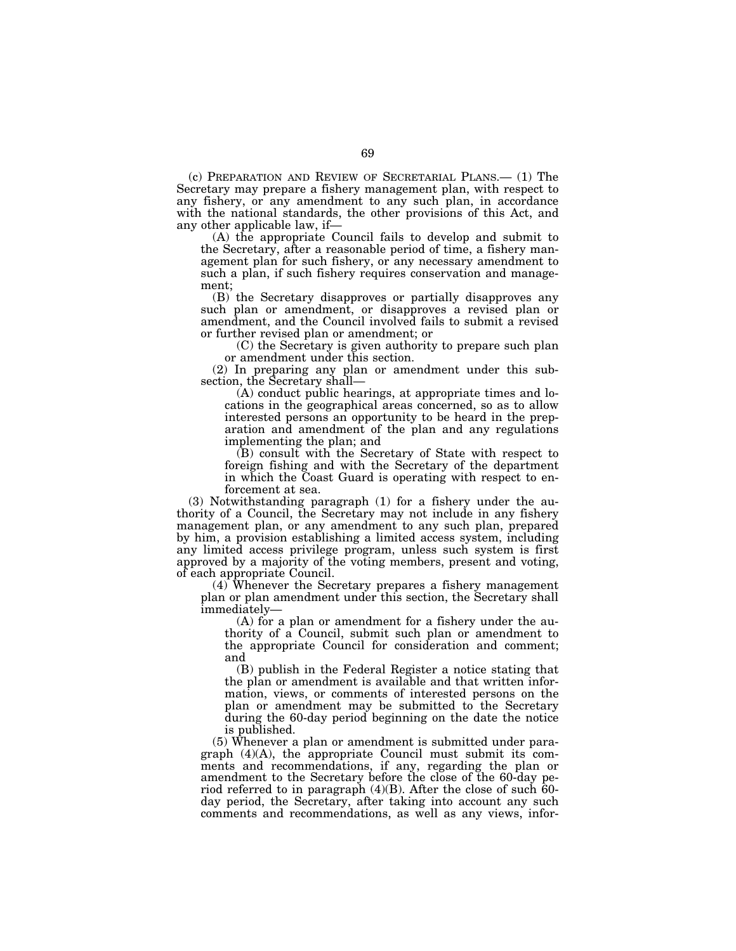(c) PREPARATION AND REVIEW OF SECRETARIAL PLANS.— (1) The Secretary may prepare a fishery management plan, with respect to any fishery, or any amendment to any such plan, in accordance with the national standards, the other provisions of this Act, and any other applicable law, if—

(A) the appropriate Council fails to develop and submit to the Secretary, after a reasonable period of time, a fishery management plan for such fishery, or any necessary amendment to such a plan, if such fishery requires conservation and management;

(B) the Secretary disapproves or partially disapproves any such plan or amendment, or disapproves a revised plan or amendment, and the Council involved fails to submit a revised or further revised plan or amendment; or

(C) the Secretary is given authority to prepare such plan or amendment under this section.

(2) In preparing any plan or amendment under this subsection, the Secretary shall—

(A) conduct public hearings, at appropriate times and locations in the geographical areas concerned, so as to allow interested persons an opportunity to be heard in the preparation and amendment of the plan and any regulations implementing the plan; and

(B) consult with the Secretary of State with respect to foreign fishing and with the Secretary of the department in which the Coast Guard is operating with respect to enforcement at sea.

(3) Notwithstanding paragraph (1) for a fishery under the authority of a Council, the Secretary may not include in any fishery management plan, or any amendment to any such plan, prepared by him, a provision establishing a limited access system, including any limited access privilege program, unless such system is first approved by a majority of the voting members, present and voting, of each appropriate Council.

(4) Whenever the Secretary prepares a fishery management plan or plan amendment under this section, the Secretary shall immediately—

(A) for a plan or amendment for a fishery under the authority of a Council, submit such plan or amendment to the appropriate Council for consideration and comment; and

(B) publish in the Federal Register a notice stating that the plan or amendment is available and that written information, views, or comments of interested persons on the plan or amendment may be submitted to the Secretary during the 60-day period beginning on the date the notice is published.

(5) Whenever a plan or amendment is submitted under paragraph  $(4)(A)$ , the appropriate Council must submit its comments and recommendations, if any, regarding the plan or amendment to the Secretary before the close of the 60-day period referred to in paragraph  $(4)(B)$ . After the close of such  $60$ day period, the Secretary, after taking into account any such comments and recommendations, as well as any views, infor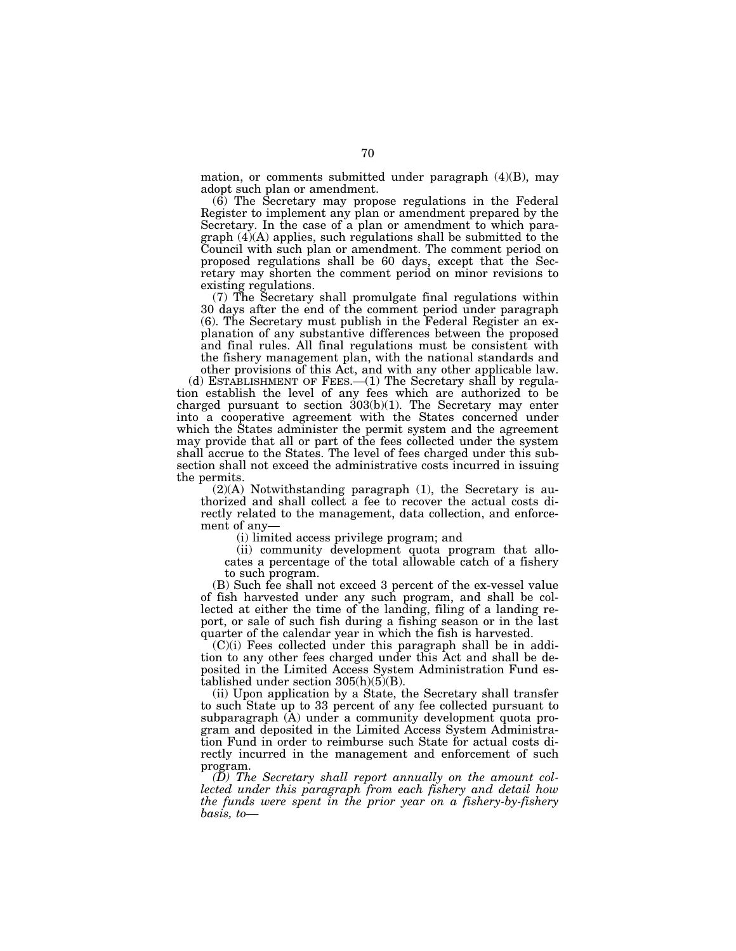mation, or comments submitted under paragraph (4)(B), may adopt such plan or amendment.

(6) The Secretary may propose regulations in the Federal Register to implement any plan or amendment prepared by the Secretary. In the case of a plan or amendment to which paragraph (4)(A) applies, such regulations shall be submitted to the Council with such plan or amendment. The comment period on proposed regulations shall be 60 days, except that the Secretary may shorten the comment period on minor revisions to existing regulations.

(7) The Secretary shall promulgate final regulations within 30 days after the end of the comment period under paragraph (6). The Secretary must publish in the Federal Register an explanation of any substantive differences between the proposed and final rules. All final regulations must be consistent with the fishery management plan, with the national standards and other provisions of this Act, and with any other applicable law.

(d) ESTABLISHMENT OF FEES.—(1) The Secretary shall by regulation establish the level of any fees which are authorized to be charged pursuant to section 303(b)(1). The Secretary may enter into a cooperative agreement with the States concerned under which the States administer the permit system and the agreement may provide that all or part of the fees collected under the system shall accrue to the States. The level of fees charged under this subsection shall not exceed the administrative costs incurred in issuing the permits.

(2)(A) Notwithstanding paragraph (1), the Secretary is authorized and shall collect a fee to recover the actual costs directly related to the management, data collection, and enforcement of any—

(i) limited access privilege program; and

(ii) community development quota program that allocates a percentage of the total allowable catch of a fishery to such program.

(B) Such fee shall not exceed 3 percent of the ex-vessel value of fish harvested under any such program, and shall be collected at either the time of the landing, filing of a landing report, or sale of such fish during a fishing season or in the last quarter of the calendar year in which the fish is harvested.

 $(C)(i)$  Fees collected under this paragraph shall be in addition to any other fees charged under this Act and shall be deposited in the Limited Access System Administration Fund established under section  $305(h)(5)(B)$ .

(ii) Upon application by a State, the Secretary shall transfer to such State up to 33 percent of any fee collected pursuant to subparagraph (A) under a community development quota program and deposited in the Limited Access System Administration Fund in order to reimburse such State for actual costs directly incurred in the management and enforcement of such program.

*(D) The Secretary shall report annually on the amount collected under this paragraph from each fishery and detail how the funds were spent in the prior year on a fishery-by-fishery basis, to—*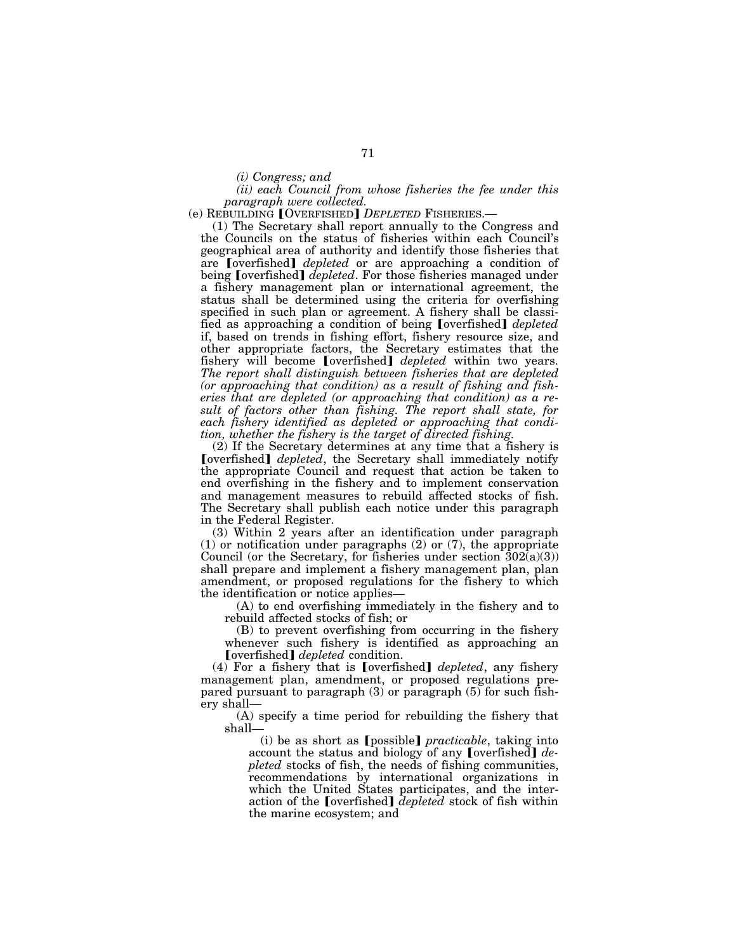*(i) Congress; and* 

*(ii) each Council from whose fisheries the fee under this paragraph were collected.* 

(e) REBUILDING **[OVERFISHED**] *DEPLETED* FISHERIES.—

(1) The Secretary shall report annually to the Congress and the Councils on the status of fisheries within each Council's geographical area of authority and identify those fisheries that are [overfished] *depleted* or are approaching a condition of being **[**overfished] *depleted*. For those fisheries managed under a fishery management plan or international agreement, the status shall be determined using the criteria for overfishing specified in such plan or agreement. A fishery shall be classified as approaching a condition of being [overfished] *depleted* if, based on trends in fishing effort, fishery resource size, and other appropriate factors, the Secretary estimates that the fishery will become [overfished] *depleted* within two years. *The report shall distinguish between fisheries that are depleted (or approaching that condition) as a result of fishing and fisheries that are depleted (or approaching that condition) as a result of factors other than fishing. The report shall state, for each fishery identified as depleted or approaching that condition, whether the fishery is the target of directed fishing.* 

(2) If the Secretary determines at any time that a fishery is **[overfished]** *depleted*, the Secretary shall immediately notify the appropriate Council and request that action be taken to end overfishing in the fishery and to implement conservation and management measures to rebuild affected stocks of fish. The Secretary shall publish each notice under this paragraph in the Federal Register.

(3) Within 2 years after an identification under paragraph (1) or notification under paragraphs (2) or (7), the appropriate Council (or the Secretary, for fisheries under section  $302(a)(3)$ ) shall prepare and implement a fishery management plan, plan amendment, or proposed regulations for the fishery to which the identification or notice applies—

(A) to end overfishing immediately in the fishery and to rebuild affected stocks of fish; or

(B) to prevent overfishing from occurring in the fishery whenever such fishery is identified as approaching an **[**overfished**]** *depleted* condition.

(4) For a fishery that is [overfished] *depleted*, any fishery management plan, amendment, or proposed regulations prepared pursuant to paragraph (3) or paragraph (5) for such fishery shall—

(A) specify a time period for rebuilding the fishery that shall—

(i) be as short as  $[possible]$  *practicable*, taking into account the status and biology of any [overfished] *depleted* stocks of fish, the needs of fishing communities, recommendations by international organizations in which the United States participates, and the interaction of the **[**overfished**]** *depleted* stock of fish within the marine ecosystem; and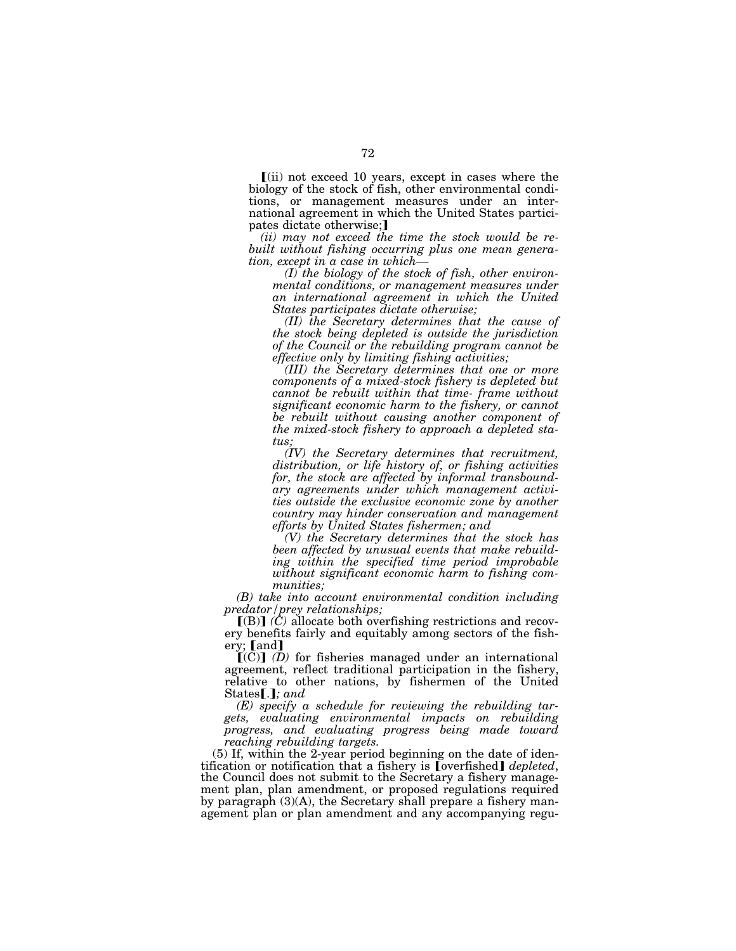$\lceil$ (ii) not exceed 10 years, except in cases where the biology of the stock of fish, other environmental conditions, or management measures under an international agreement in which the United States participates dictate otherwise;]

*(ii) may not exceed the time the stock would be rebuilt without fishing occurring plus one mean generation, except in a case in which—* 

*(I) the biology of the stock of fish, other environmental conditions, or management measures under an international agreement in which the United States participates dictate otherwise;* 

*(II) the Secretary determines that the cause of the stock being depleted is outside the jurisdiction of the Council or the rebuilding program cannot be effective only by limiting fishing activities;* 

*(III) the Secretary determines that one or more components of a mixed-stock fishery is depleted but cannot be rebuilt within that time- frame without significant economic harm to the fishery, or cannot be rebuilt without causing another component of the mixed-stock fishery to approach a depleted status;* 

*(IV) the Secretary determines that recruitment, distribution, or life history of, or fishing activities for, the stock are affected by informal transboundary agreements under which management activities outside the exclusive economic zone by another country may hinder conservation and management efforts by United States fishermen; and* 

*(V) the Secretary determines that the stock has been affected by unusual events that make rebuilding within the specified time period improbable without significant economic harm to fishing communities;* 

*(B) take into account environmental condition including predator/prey relationships;* 

 $[(B)]$   $(C)$  allocate both overfishing restrictions and recovery benefits fairly and equitably among sectors of the fishery; [and]

 $\left[\text{(C)}\right]$  *(D)* for fisheries managed under an international agreement, reflect traditional participation in the fishery, relative to other nations, by fishermen of the United States $[]$ *; and* 

*(E) specify a schedule for reviewing the rebuilding targets, evaluating environmental impacts on rebuilding progress, and evaluating progress being made toward reaching rebuilding targets.* 

(5) If, within the 2-year period beginning on the date of identification or notification that a fishery is [overfished] *depleted*, the Council does not submit to the Secretary a fishery management plan, plan amendment, or proposed regulations required by paragraph (3)(A), the Secretary shall prepare a fishery management plan or plan amendment and any accompanying regu-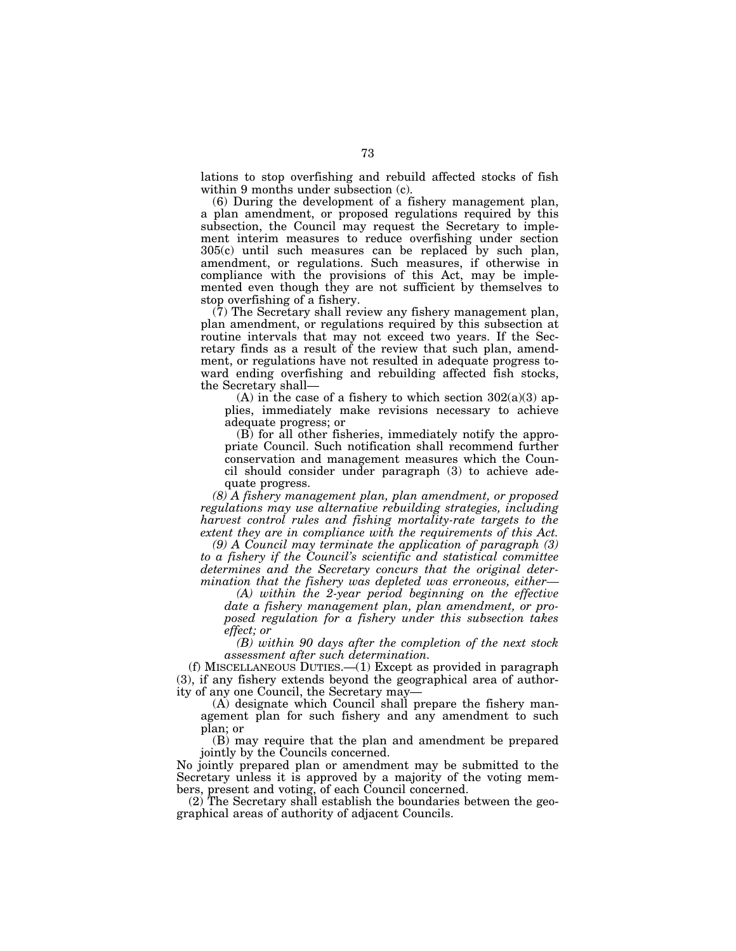lations to stop overfishing and rebuild affected stocks of fish within 9 months under subsection (c).

(6) During the development of a fishery management plan, a plan amendment, or proposed regulations required by this subsection, the Council may request the Secretary to implement interim measures to reduce overfishing under section 305(c) until such measures can be replaced by such plan, amendment, or regulations. Such measures, if otherwise in compliance with the provisions of this Act, may be implemented even though they are not sufficient by themselves to stop overfishing of a fishery.

(7) The Secretary shall review any fishery management plan, plan amendment, or regulations required by this subsection at routine intervals that may not exceed two years. If the Secretary finds as a result of the review that such plan, amendment, or regulations have not resulted in adequate progress toward ending overfishing and rebuilding affected fish stocks, the Secretary shall—

(A) in the case of a fishery to which section  $302(a)(3)$  applies, immediately make revisions necessary to achieve adequate progress; or

(B) for all other fisheries, immediately notify the appropriate Council. Such notification shall recommend further conservation and management measures which the Council should consider under paragraph (3) to achieve adequate progress.

*(8) A fishery management plan, plan amendment, or proposed regulations may use alternative rebuilding strategies, including harvest control rules and fishing mortality-rate targets to the extent they are in compliance with the requirements of this Act.* 

*(9) A Council may terminate the application of paragraph (3) to a fishery if the Council's scientific and statistical committee determines and the Secretary concurs that the original determination that the fishery was depleted was erroneous, either—* 

*(A) within the 2-year period beginning on the effective date a fishery management plan, plan amendment, or proposed regulation for a fishery under this subsection takes effect; or* 

*(B) within 90 days after the completion of the next stock assessment after such determination.* 

(f) MISCELLANEOUS DUTIES.—(1) Except as provided in paragraph (3), if any fishery extends beyond the geographical area of authority of any one Council, the Secretary may—

(A) designate which Council shall prepare the fishery management plan for such fishery and any amendment to such plan; or

(B) may require that the plan and amendment be prepared jointly by the Councils concerned.

No jointly prepared plan or amendment may be submitted to the Secretary unless it is approved by a majority of the voting members, present and voting, of each Council concerned.

(2) The Secretary shall establish the boundaries between the geographical areas of authority of adjacent Councils.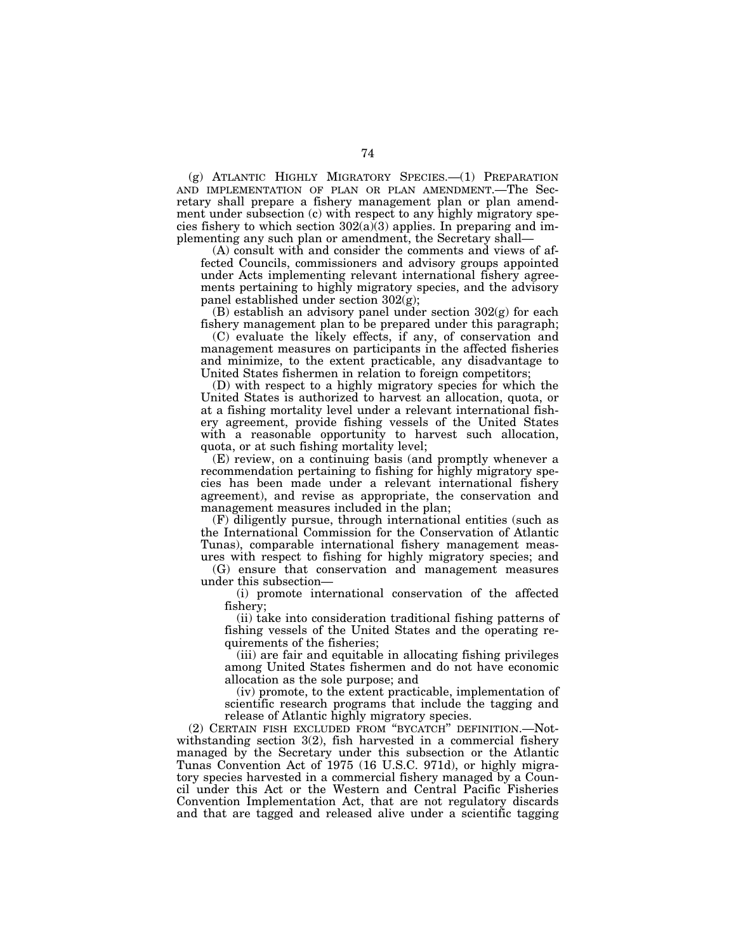(g) ATLANTIC HIGHLY MIGRATORY SPECIES.—(1) PREPARATION AND IMPLEMENTATION OF PLAN OR PLAN AMENDMENT.—The Secretary shall prepare a fishery management plan or plan amendment under subsection (c) with respect to any highly migratory species fishery to which section  $302(a)(3)$  applies. In preparing and implementing any such plan or amendment, the Secretary shall—

(A) consult with and consider the comments and views of affected Councils, commissioners and advisory groups appointed under Acts implementing relevant international fishery agreements pertaining to highly migratory species, and the advisory panel established under section 302(g);

(B) establish an advisory panel under section 302(g) for each fishery management plan to be prepared under this paragraph;

(C) evaluate the likely effects, if any, of conservation and management measures on participants in the affected fisheries and minimize, to the extent practicable, any disadvantage to United States fishermen in relation to foreign competitors;

(D) with respect to a highly migratory species for which the United States is authorized to harvest an allocation, quota, or at a fishing mortality level under a relevant international fishery agreement, provide fishing vessels of the United States with a reasonable opportunity to harvest such allocation, quota, or at such fishing mortality level;

(E) review, on a continuing basis (and promptly whenever a recommendation pertaining to fishing for highly migratory species has been made under a relevant international fishery agreement), and revise as appropriate, the conservation and management measures included in the plan;

(F) diligently pursue, through international entities (such as the International Commission for the Conservation of Atlantic Tunas), comparable international fishery management measures with respect to fishing for highly migratory species; and

(G) ensure that conservation and management measures under this subsection—

(i) promote international conservation of the affected fishery;

(ii) take into consideration traditional fishing patterns of fishing vessels of the United States and the operating requirements of the fisheries;

(iii) are fair and equitable in allocating fishing privileges among United States fishermen and do not have economic allocation as the sole purpose; and

(iv) promote, to the extent practicable, implementation of scientific research programs that include the tagging and release of Atlantic highly migratory species.

(2) CERTAIN FISH EXCLUDED FROM ''BYCATCH'' DEFINITION.—Notwithstanding section  $3(2)$ , fish harvested in a commercial fishery managed by the Secretary under this subsection or the Atlantic Tunas Convention Act of 1975 (16 U.S.C. 971d), or highly migratory species harvested in a commercial fishery managed by a Council under this Act or the Western and Central Pacific Fisheries Convention Implementation Act, that are not regulatory discards and that are tagged and released alive under a scientific tagging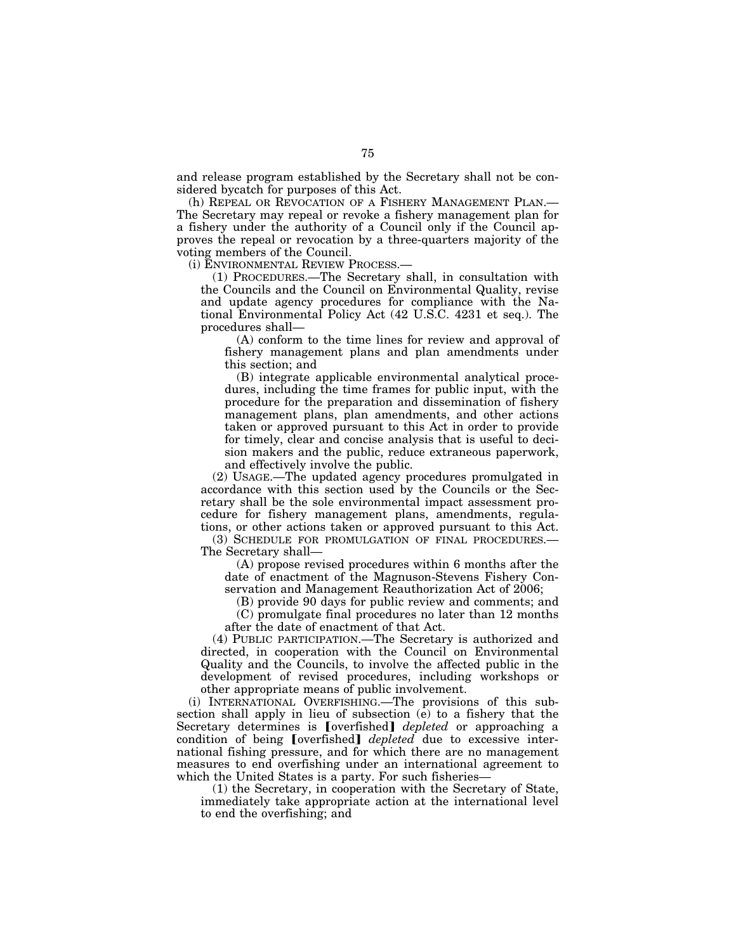and release program established by the Secretary shall not be considered bycatch for purposes of this Act.

(h) REPEAL OR REVOCATION OF A FISHERY MANAGEMENT PLAN.— The Secretary may repeal or revoke a fishery management plan for a fishery under the authority of a Council only if the Council approves the repeal or revocation by a three-quarters majority of the voting members of the Council.

(i) ENVIRONMENTAL REVIEW PROCESS.—

(1) PROCEDURES.—The Secretary shall, in consultation with the Councils and the Council on Environmental Quality, revise and update agency procedures for compliance with the National Environmental Policy Act (42 U.S.C. 4231 et seq.). The procedures shall—

(A) conform to the time lines for review and approval of fishery management plans and plan amendments under this section; and

(B) integrate applicable environmental analytical procedures, including the time frames for public input, with the procedure for the preparation and dissemination of fishery management plans, plan amendments, and other actions taken or approved pursuant to this Act in order to provide for timely, clear and concise analysis that is useful to decision makers and the public, reduce extraneous paperwork, and effectively involve the public.

(2) USAGE.—The updated agency procedures promulgated in accordance with this section used by the Councils or the Secretary shall be the sole environmental impact assessment procedure for fishery management plans, amendments, regulations, or other actions taken or approved pursuant to this Act.

(3) SCHEDULE FOR PROMULGATION OF FINAL PROCEDURES.— The Secretary shall—

(A) propose revised procedures within 6 months after the date of enactment of the Magnuson-Stevens Fishery Conservation and Management Reauthorization Act of 2006;

(B) provide 90 days for public review and comments; and (C) promulgate final procedures no later than 12 months after the date of enactment of that Act.

(4) PUBLIC PARTICIPATION.—The Secretary is authorized and directed, in cooperation with the Council on Environmental Quality and the Councils, to involve the affected public in the development of revised procedures, including workshops or other appropriate means of public involvement.

(i) INTERNATIONAL OVERFISHING.—The provisions of this subsection shall apply in lieu of subsection (e) to a fishery that the Secretary determines is [overfished] *depleted* or approaching a condition of being [overfished] *depleted* due to excessive international fishing pressure, and for which there are no management measures to end overfishing under an international agreement to which the United States is a party. For such fisheries—

(1) the Secretary, in cooperation with the Secretary of State, immediately take appropriate action at the international level to end the overfishing; and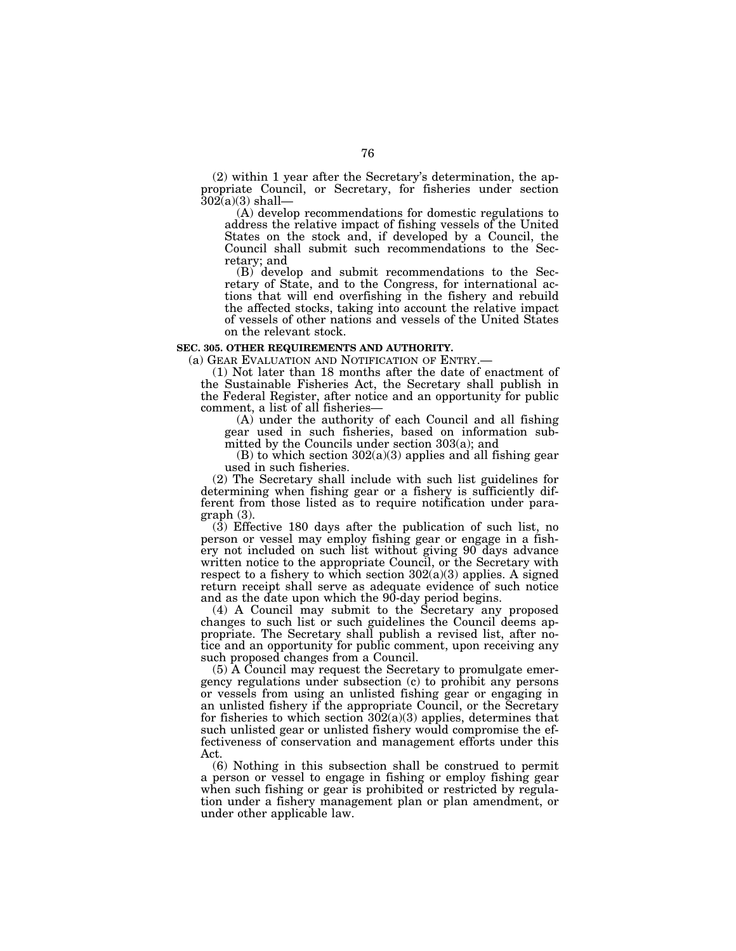(2) within 1 year after the Secretary's determination, the appropriate Council, or Secretary, for fisheries under section 302(a)(3) shall—

(A) develop recommendations for domestic regulations to address the relative impact of fishing vessels of the United States on the stock and, if developed by a Council, the Council shall submit such recommendations to the Secretary; and

(B) develop and submit recommendations to the Secretary of State, and to the Congress, for international actions that will end overfishing in the fishery and rebuild the affected stocks, taking into account the relative impact of vessels of other nations and vessels of the United States on the relevant stock.

### **SEC. 305. OTHER REQUIREMENTS AND AUTHORITY.**

(a) GEAR EVALUATION AND NOTIFICATION OF ENTRY.— (1) Not later than 18 months after the date of enactment of the Sustainable Fisheries Act, the Secretary shall publish in the Federal Register, after notice and an opportunity for public comment, a list of all fisheries—

(A) under the authority of each Council and all fishing gear used in such fisheries, based on information submitted by the Councils under section 303(a); and

(B) to which section  $302(a)(3)$  applies and all fishing gear used in such fisheries.

(2) The Secretary shall include with such list guidelines for determining when fishing gear or a fishery is sufficiently different from those listed as to require notification under paragraph (3).

 $(3)$  Effective 180 days after the publication of such list, no person or vessel may employ fishing gear or engage in a fishery not included on such list without giving 90 days advance written notice to the appropriate Council, or the Secretary with respect to a fishery to which section  $302(a)(3)$  applies. A signed return receipt shall serve as adequate evidence of such notice and as the date upon which the 90-day period begins.

(4) A Council may submit to the Secretary any proposed changes to such list or such guidelines the Council deems appropriate. The Secretary shall publish a revised list, after notice and an opportunity for public comment, upon receiving any such proposed changes from a Council.

(5) A Council may request the Secretary to promulgate emergency regulations under subsection (c) to prohibit any persons or vessels from using an unlisted fishing gear or engaging in an unlisted fishery if the appropriate Council, or the Secretary for fisheries to which section  $302(a)(3)$  applies, determines that such unlisted gear or unlisted fishery would compromise the effectiveness of conservation and management efforts under this Act.

(6) Nothing in this subsection shall be construed to permit a person or vessel to engage in fishing or employ fishing gear when such fishing or gear is prohibited or restricted by regulation under a fishery management plan or plan amendment, or under other applicable law.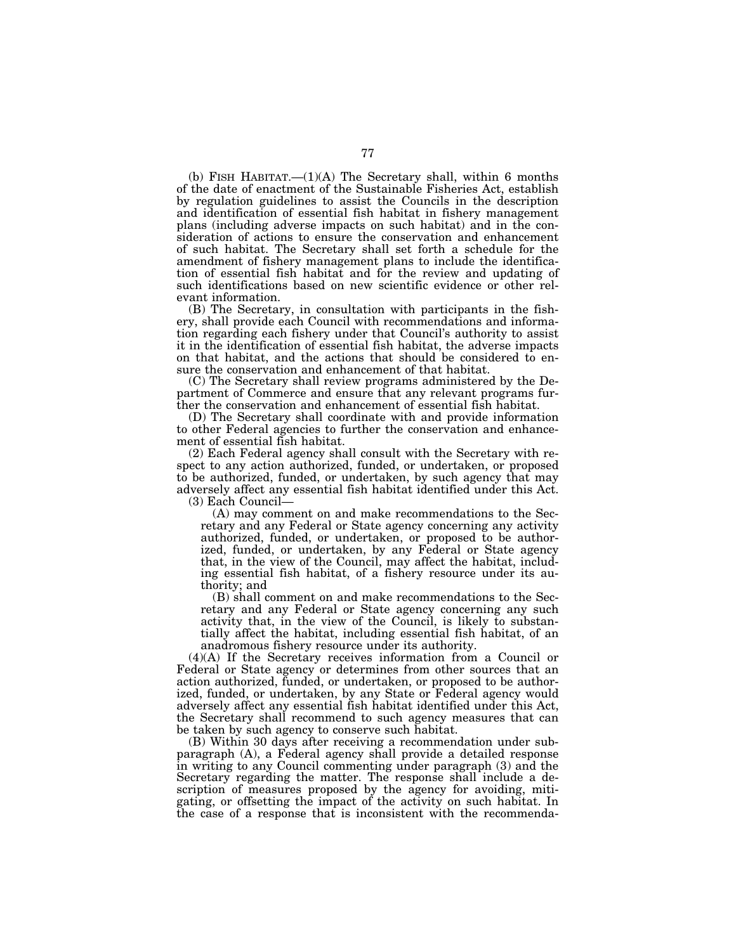(b) FISH HABITAT. $-(1)(A)$  The Secretary shall, within 6 months of the date of enactment of the Sustainable Fisheries Act, establish by regulation guidelines to assist the Councils in the description and identification of essential fish habitat in fishery management plans (including adverse impacts on such habitat) and in the consideration of actions to ensure the conservation and enhancement of such habitat. The Secretary shall set forth a schedule for the amendment of fishery management plans to include the identification of essential fish habitat and for the review and updating of such identifications based on new scientific evidence or other relevant information.

(B) The Secretary, in consultation with participants in the fishery, shall provide each Council with recommendations and information regarding each fishery under that Council's authority to assist it in the identification of essential fish habitat, the adverse impacts on that habitat, and the actions that should be considered to ensure the conservation and enhancement of that habitat.

(C) The Secretary shall review programs administered by the Department of Commerce and ensure that any relevant programs further the conservation and enhancement of essential fish habitat.

(D) The Secretary shall coordinate with and provide information to other Federal agencies to further the conservation and enhancement of essential fish habitat.

(2) Each Federal agency shall consult with the Secretary with respect to any action authorized, funded, or undertaken, or proposed to be authorized, funded, or undertaken, by such agency that may adversely affect any essential fish habitat identified under this Act. (3) Each Council—

(A) may comment on and make recommendations to the Secretary and any Federal or State agency concerning any activity authorized, funded, or undertaken, or proposed to be authorized, funded, or undertaken, by any Federal or State agency that, in the view of the Council, may affect the habitat, including essential fish habitat, of a fishery resource under its authority; and

(B) shall comment on and make recommendations to the Secretary and any Federal or State agency concerning any such activity that, in the view of the Council, is likely to substantially affect the habitat, including essential fish habitat, of an anadromous fishery resource under its authority.

(4)(A) If the Secretary receives information from a Council or Federal or State agency or determines from other sources that an action authorized, funded, or undertaken, or proposed to be authorized, funded, or undertaken, by any State or Federal agency would adversely affect any essential fish habitat identified under this Act, the Secretary shall recommend to such agency measures that can be taken by such agency to conserve such habitat.

(B) Within 30 days after receiving a recommendation under subparagraph (A), a Federal agency shall provide a detailed response in writing to any Council commenting under paragraph (3) and the Secretary regarding the matter. The response shall include a description of measures proposed by the agency for avoiding, mitigating, or offsetting the impact of the activity on such habitat. In the case of a response that is inconsistent with the recommenda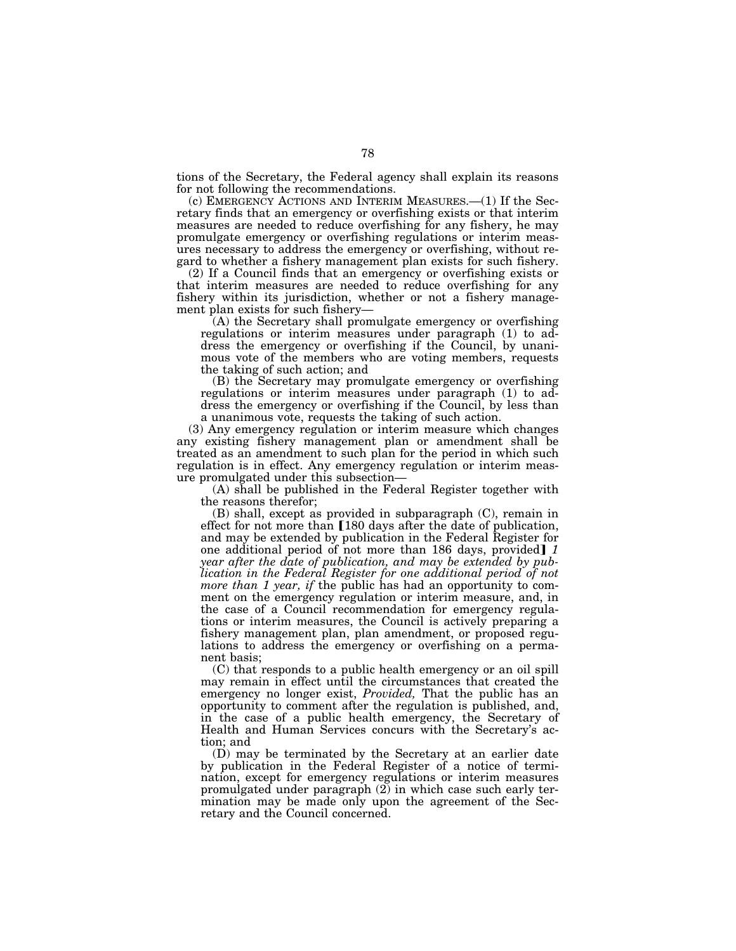tions of the Secretary, the Federal agency shall explain its reasons for not following the recommendations.

(c) EMERGENCY ACTIONS AND INTERIM MEASURES.—(1) If the Secretary finds that an emergency or overfishing exists or that interim measures are needed to reduce overfishing for any fishery, he may promulgate emergency or overfishing regulations or interim measures necessary to address the emergency or overfishing, without regard to whether a fishery management plan exists for such fishery.

(2) If a Council finds that an emergency or overfishing exists or that interim measures are needed to reduce overfishing for any fishery within its jurisdiction, whether or not a fishery management plan exists for such fishery—

(A) the Secretary shall promulgate emergency or overfishing regulations or interim measures under paragraph (1) to address the emergency or overfishing if the Council, by unanimous vote of the members who are voting members, requests the taking of such action; and

(B) the Secretary may promulgate emergency or overfishing regulations or interim measures under paragraph (1) to address the emergency or overfishing if the Council, by less than a unanimous vote, requests the taking of such action.

(3) Any emergency regulation or interim measure which changes any existing fishery management plan or amendment shall be treated as an amendment to such plan for the period in which such regulation is in effect. Any emergency regulation or interim measure promulgated under this subsection—

(A) shall be published in the Federal Register together with the reasons therefor;

(B) shall, except as provided in subparagraph (C), remain in effect for not more than [180 days after the date of publication, and may be extended by publication in the Federal Register for one additional period of not more than 186 days, provided] 1 *year after the date of publication, and may be extended by publication in the Federal Register for one additional period of not more than 1 year, if the public has had an opportunity to com*ment on the emergency regulation or interim measure, and, in the case of a Council recommendation for emergency regulations or interim measures, the Council is actively preparing a fishery management plan, plan amendment, or proposed regulations to address the emergency or overfishing on a permanent basis;

(C) that responds to a public health emergency or an oil spill may remain in effect until the circumstances that created the emergency no longer exist, *Provided,* That the public has an opportunity to comment after the regulation is published, and, in the case of a public health emergency, the Secretary of Health and Human Services concurs with the Secretary's action; and

(D) may be terminated by the Secretary at an earlier date by publication in the Federal Register of a notice of termination, except for emergency regulations or interim measures promulgated under paragraph  $(2)$  in which case such early termination may be made only upon the agreement of the Secretary and the Council concerned.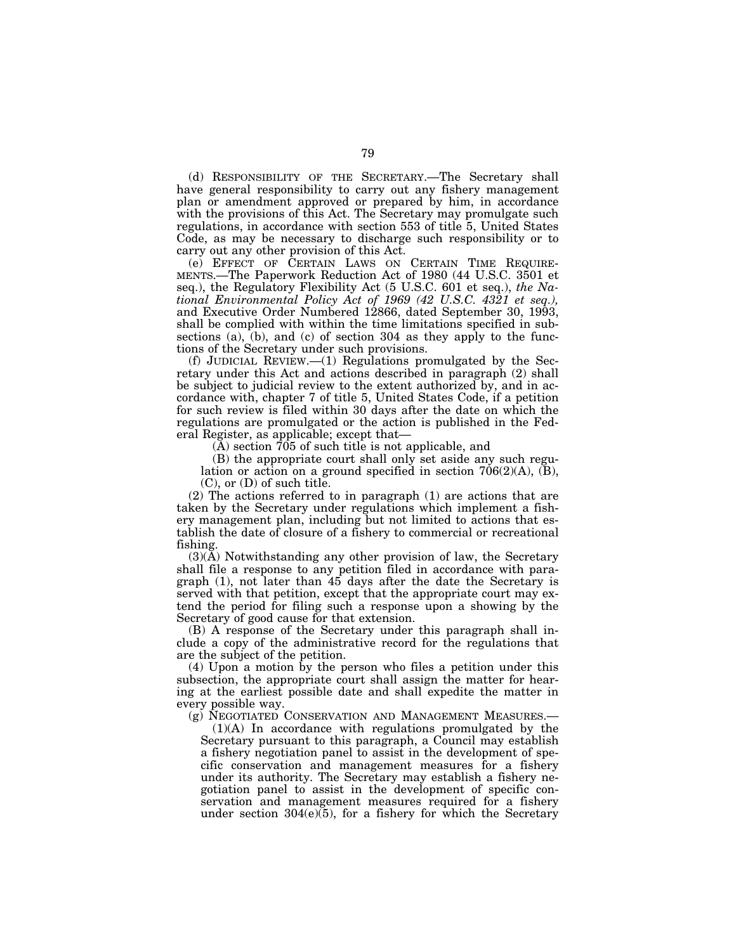(d) RESPONSIBILITY OF THE SECRETARY.—The Secretary shall have general responsibility to carry out any fishery management plan or amendment approved or prepared by him, in accordance with the provisions of this Act. The Secretary may promulgate such regulations, in accordance with section 553 of title 5, United States Code, as may be necessary to discharge such responsibility or to carry out any other provision of this Act.

(e) EFFECT OF CERTAIN LAWS ON CERTAIN TIME REQUIRE-MENTS.—The Paperwork Reduction Act of 1980 (44 U.S.C. 3501 et seq.), the Regulatory Flexibility Act (5 U.S.C. 601 et seq.), *the National Environmental Policy Act of 1969 (42 U.S.C. 4321 et seq.),*  and Executive Order Numbered 12866, dated September 30, 1993, shall be complied with within the time limitations specified in subsections (a), (b), and (c) of section 304 as they apply to the functions of the Secretary under such provisions.

(f) JUDICIAL REVIEW.—(1) Regulations promulgated by the Secretary under this Act and actions described in paragraph (2) shall be subject to judicial review to the extent authorized by, and in accordance with, chapter 7 of title 5, United States Code, if a petition for such review is filed within 30 days after the date on which the regulations are promulgated or the action is published in the Federal Register, as applicable; except that—

(A) section 705 of such title is not applicable, and

(B) the appropriate court shall only set aside any such regulation or action on a ground specified in section  $706(2)(A)$ , (B),

(C), or (D) of such title.

(2) The actions referred to in paragraph (1) are actions that are taken by the Secretary under regulations which implement a fishery management plan, including but not limited to actions that establish the date of closure of a fishery to commercial or recreational fishing.

(3)(A) Notwithstanding any other provision of law, the Secretary shall file a response to any petition filed in accordance with paragraph (1), not later than 45 days after the date the Secretary is served with that petition, except that the appropriate court may extend the period for filing such a response upon a showing by the Secretary of good cause for that extension.

(B) A response of the Secretary under this paragraph shall include a copy of the administrative record for the regulations that are the subject of the petition.

(4) Upon a motion by the person who files a petition under this subsection, the appropriate court shall assign the matter for hearing at the earliest possible date and shall expedite the matter in every possible way.

(g) NEGOTIATED CONSERVATION AND MANAGEMENT MEASURES.—

(1)(A) In accordance with regulations promulgated by the Secretary pursuant to this paragraph, a Council may establish a fishery negotiation panel to assist in the development of specific conservation and management measures for a fishery under its authority. The Secretary may establish a fishery negotiation panel to assist in the development of specific conservation and management measures required for a fishery under section  $304(e)(5)$ , for a fishery for which the Secretary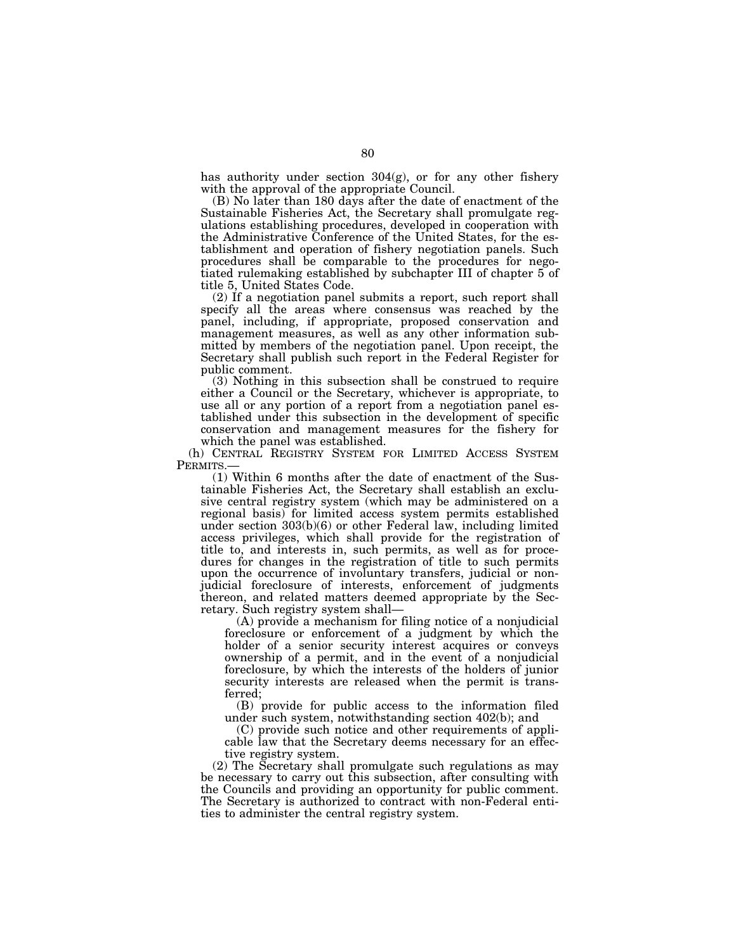has authority under section 304(g), or for any other fishery with the approval of the appropriate Council.

(B) No later than 180 days after the date of enactment of the Sustainable Fisheries Act, the Secretary shall promulgate regulations establishing procedures, developed in cooperation with the Administrative Conference of the United States, for the establishment and operation of fishery negotiation panels. Such procedures shall be comparable to the procedures for negotiated rulemaking established by subchapter III of chapter 5 of title 5, United States Code.

(2) If a negotiation panel submits a report, such report shall specify all the areas where consensus was reached by the panel, including, if appropriate, proposed conservation and management measures, as well as any other information submitted by members of the negotiation panel. Upon receipt, the Secretary shall publish such report in the Federal Register for public comment.

(3) Nothing in this subsection shall be construed to require either a Council or the Secretary, whichever is appropriate, to use all or any portion of a report from a negotiation panel established under this subsection in the development of specific conservation and management measures for the fishery for which the panel was established.

(h) CENTRAL REGISTRY SYSTEM FOR LIMITED ACCESS SYSTEM PERMITS.

(1) Within 6 months after the date of enactment of the Sustainable Fisheries Act, the Secretary shall establish an exclusive central registry system (which may be administered on a regional basis) for limited access system permits established under section 303(b)(6) or other Federal law, including limited access privileges, which shall provide for the registration of title to, and interests in, such permits, as well as for procedures for changes in the registration of title to such permits upon the occurrence of involuntary transfers, judicial or nonjudicial foreclosure of interests, enforcement of judgments thereon, and related matters deemed appropriate by the Secretary. Such registry system shall—

(A) provide a mechanism for filing notice of a nonjudicial foreclosure or enforcement of a judgment by which the holder of a senior security interest acquires or conveys ownership of a permit, and in the event of a nonjudicial foreclosure, by which the interests of the holders of junior security interests are released when the permit is transferred;

(B) provide for public access to the information filed under such system, notwithstanding section 402(b); and

(C) provide such notice and other requirements of applicable law that the Secretary deems necessary for an effective registry system.

(2) The Secretary shall promulgate such regulations as may be necessary to carry out this subsection, after consulting with the Councils and providing an opportunity for public comment. The Secretary is authorized to contract with non-Federal entities to administer the central registry system.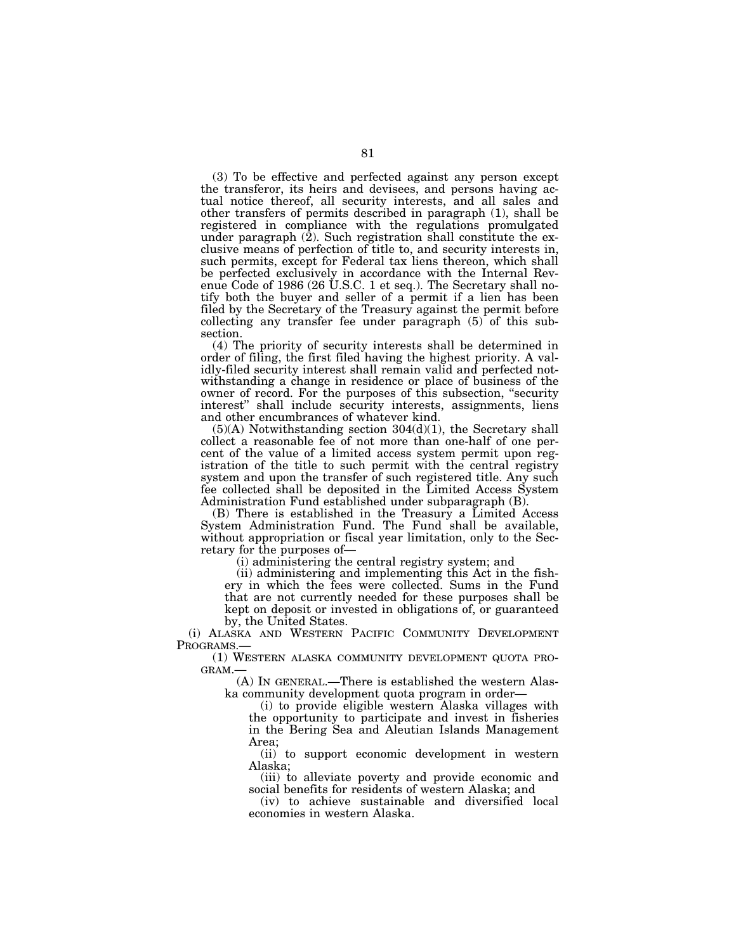(3) To be effective and perfected against any person except the transferor, its heirs and devisees, and persons having actual notice thereof, all security interests, and all sales and other transfers of permits described in paragraph (1), shall be registered in compliance with the regulations promulgated under paragraph  $(2)$ . Such registration shall constitute the exclusive means of perfection of title to, and security interests in, such permits, except for Federal tax liens thereon, which shall be perfected exclusively in accordance with the Internal Revenue Code of 1986 (26 U.S.C. 1 et seq.). The Secretary shall notify both the buyer and seller of a permit if a lien has been filed by the Secretary of the Treasury against the permit before collecting any transfer fee under paragraph (5) of this subsection.

(4) The priority of security interests shall be determined in order of filing, the first filed having the highest priority. A validly-filed security interest shall remain valid and perfected notwithstanding a change in residence or place of business of the owner of record. For the purposes of this subsection, ''security interest'' shall include security interests, assignments, liens and other encumbrances of whatever kind.

 $(5)(A)$  Notwithstanding section  $304(d)(1)$ , the Secretary shall collect a reasonable fee of not more than one-half of one percent of the value of a limited access system permit upon registration of the title to such permit with the central registry system and upon the transfer of such registered title. Any such fee collected shall be deposited in the Limited Access System Administration Fund established under subparagraph (B).

(B) There is established in the Treasury a Limited Access System Administration Fund. The Fund shall be available, without appropriation or fiscal year limitation, only to the Secretary for the purposes of—

(i) administering the central registry system; and

(ii) administering and implementing this Act in the fishery in which the fees were collected. Sums in the Fund that are not currently needed for these purposes shall be kept on deposit or invested in obligations of, or guaranteed by, the United States.

(i) ALASKA AND WESTERN PACIFIC COMMUNITY DEVELOPMENT PROGRAMS.—

(1) WESTERN ALASKA COMMUNITY DEVELOPMENT QUOTA PRO-GRAM.—

(A) IN GENERAL.—There is established the western Alaska community development quota program in order—

(i) to provide eligible western Alaska villages with the opportunity to participate and invest in fisheries in the Bering Sea and Aleutian Islands Management Area;

(ii) to support economic development in western Alaska;

(iii) to alleviate poverty and provide economic and social benefits for residents of western Alaska; and

(iv) to achieve sustainable and diversified local economies in western Alaska.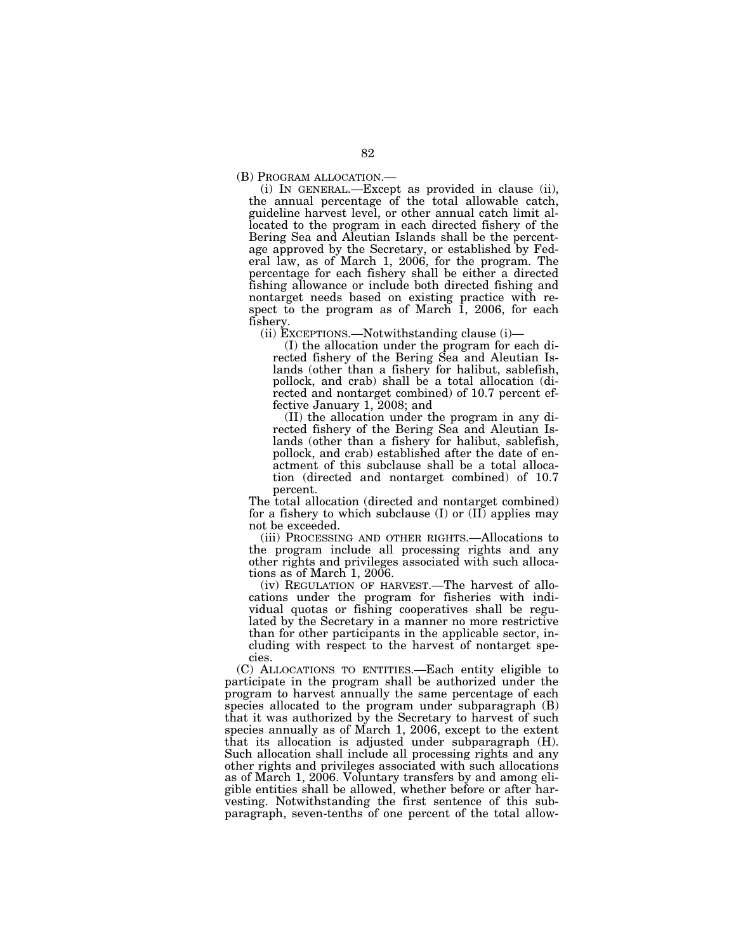(B) PROGRAM ALLOCATION.— (i) IN GENERAL.—Except as provided in clause (ii), the annual percentage of the total allowable catch, guideline harvest level, or other annual catch limit allocated to the program in each directed fishery of the Bering Sea and Aleutian Islands shall be the percentage approved by the Secretary, or established by Federal law, as of March 1, 2006, for the program. The percentage for each fishery shall be either a directed fishing allowance or include both directed fishing and nontarget needs based on existing practice with respect to the program as of March 1, 2006, for each fishery.

(ii) EXCEPTIONS.—Notwithstanding clause (i)—

(I) the allocation under the program for each directed fishery of the Bering Sea and Aleutian Islands (other than a fishery for halibut, sablefish, pollock, and crab) shall be a total allocation (directed and nontarget combined) of 10.7 percent effective January 1, 2008; and

(II) the allocation under the program in any directed fishery of the Bering Sea and Aleutian Islands (other than a fishery for halibut, sablefish, pollock, and crab) established after the date of enactment of this subclause shall be a total allocation (directed and nontarget combined) of 10.7 percent.

The total allocation (directed and nontarget combined) for a fishery to which subclause (I) or (II) applies may not be exceeded.

(iii) PROCESSING AND OTHER RIGHTS.—Allocations to the program include all processing rights and any other rights and privileges associated with such allocations as of March 1, 2006.

(iv) REGULATION OF HARVEST.—The harvest of allocations under the program for fisheries with individual quotas or fishing cooperatives shall be regulated by the Secretary in a manner no more restrictive than for other participants in the applicable sector, including with respect to the harvest of nontarget species.

(C) ALLOCATIONS TO ENTITIES.—Each entity eligible to participate in the program shall be authorized under the program to harvest annually the same percentage of each species allocated to the program under subparagraph (B) that it was authorized by the Secretary to harvest of such species annually as of March 1, 2006, except to the extent that its allocation is adjusted under subparagraph (H). Such allocation shall include all processing rights and any other rights and privileges associated with such allocations as of March 1, 2006. Voluntary transfers by and among eligible entities shall be allowed, whether before or after harvesting. Notwithstanding the first sentence of this subparagraph, seven-tenths of one percent of the total allow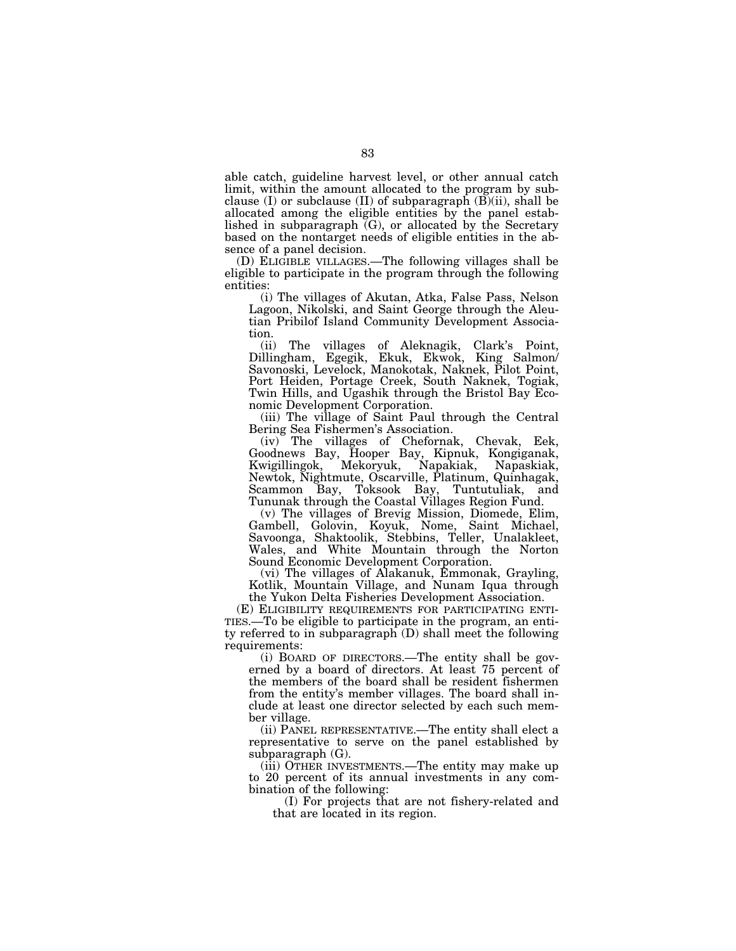able catch, guideline harvest level, or other annual catch limit, within the amount allocated to the program by subclause (I) or subclause (II) of subparagraph  $(B)(ii)$ , shall be allocated among the eligible entities by the panel established in subparagraph  $(G)$ , or allocated by the Secretary based on the nontarget needs of eligible entities in the absence of a panel decision.

(D) ELIGIBLE VILLAGES.—The following villages shall be eligible to participate in the program through the following entities:

(i) The villages of Akutan, Atka, False Pass, Nelson Lagoon, Nikolski, and Saint George through the Aleutian Pribilof Island Community Development Association.

(ii) The villages of Aleknagik, Clark's Point, Dillingham, Egegik, Ekuk, Ekwok, King Salmon/ Savonoski, Levelock, Manokotak, Naknek, Pilot Point, Port Heiden, Portage Creek, South Naknek, Togiak, Twin Hills, and Ugashik through the Bristol Bay Economic Development Corporation.

(iii) The village of Saint Paul through the Central Bering Sea Fishermen's Association.

(iv) The villages of Chefornak, Chevak, Eek, Goodnews Bay, Hooper Bay, Kipnuk, Kongiganak, Kwigillingok, Mekoryuk, Napakiak, Napaskiak, Newtok, Nightmute, Oscarville, Platinum, Quinhagak, Scammon Bay, Toksook Bay, Tuntutuliak, and Tununak through the Coastal Villages Region Fund.

(v) The villages of Brevig Mission, Diomede, Elim, Gambell, Golovin, Koyuk, Nome, Saint Michael, Savoonga, Shaktoolik, Stebbins, Teller, Unalakleet, Wales, and White Mountain through the Norton Sound Economic Development Corporation.

(vi) The villages of Alakanuk, Emmonak, Grayling, Kotlik, Mountain Village, and Nunam Iqua through

the Yukon Delta Fisheries Development Association.<br>(E) ELIGIBILITY REQUIREMENTS FOR PARTICIPATING ENTI-TIES.—To be eligible to participate in the program, an entity referred to in subparagraph (D) shall meet the following requirements:

(i) BOARD OF DIRECTORS.—The entity shall be governed by a board of directors. At least 75 percent of the members of the board shall be resident fishermen from the entity's member villages. The board shall include at least one director selected by each such member village.

(ii) PANEL REPRESENTATIVE.—The entity shall elect a representative to serve on the panel established by subparagraph (G).

(iii) OTHER INVESTMENTS.—The entity may make up to 20 percent of its annual investments in any combination of the following:

(I) For projects that are not fishery-related and that are located in its region.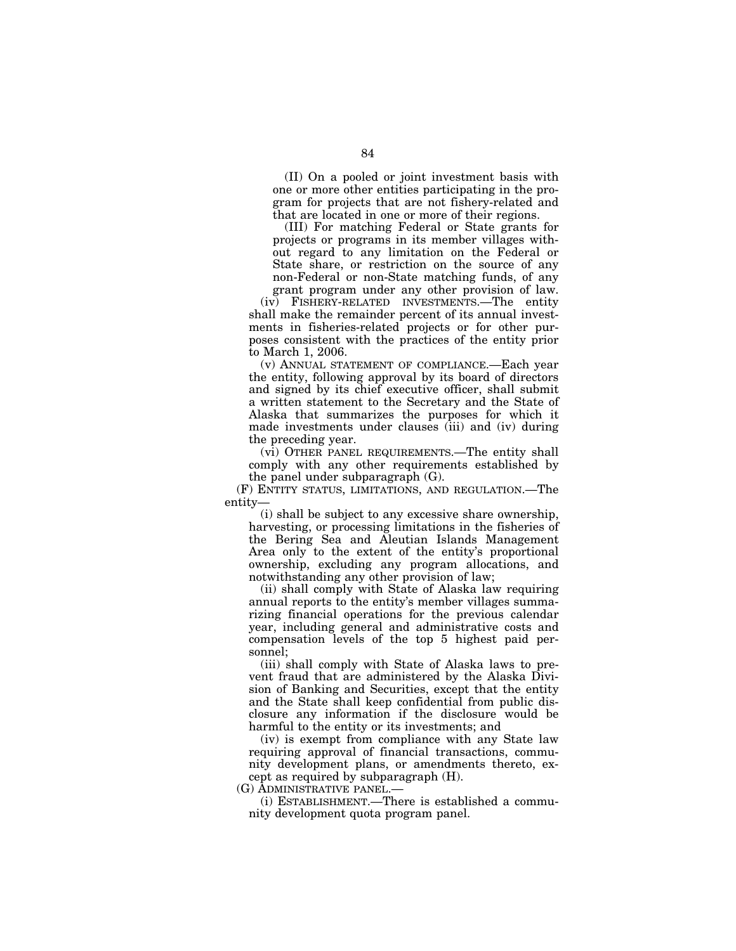(II) On a pooled or joint investment basis with one or more other entities participating in the program for projects that are not fishery-related and that are located in one or more of their regions.

(III) For matching Federal or State grants for projects or programs in its member villages without regard to any limitation on the Federal or State share, or restriction on the source of any non-Federal or non-State matching funds, of any grant program under any other provision of law.

(iv) FISHERY-RELATED INVESTMENTS.—The entity shall make the remainder percent of its annual investments in fisheries-related projects or for other purposes consistent with the practices of the entity prior to March 1, 2006.

(v) ANNUAL STATEMENT OF COMPLIANCE.—Each year the entity, following approval by its board of directors and signed by its chief executive officer, shall submit a written statement to the Secretary and the State of Alaska that summarizes the purposes for which it made investments under clauses (iii) and (iv) during the preceding year.

(vi) OTHER PANEL REQUIREMENTS.—The entity shall comply with any other requirements established by the panel under subparagraph (G).

(F) ENTITY STATUS, LIMITATIONS, AND REGULATION.—The entity—

(i) shall be subject to any excessive share ownership, harvesting, or processing limitations in the fisheries of the Bering Sea and Aleutian Islands Management Area only to the extent of the entity's proportional ownership, excluding any program allocations, and notwithstanding any other provision of law;

(ii) shall comply with State of Alaska law requiring annual reports to the entity's member villages summarizing financial operations for the previous calendar year, including general and administrative costs and compensation levels of the top 5 highest paid personnel;

(iii) shall comply with State of Alaska laws to prevent fraud that are administered by the Alaska Division of Banking and Securities, except that the entity and the State shall keep confidential from public disclosure any information if the disclosure would be harmful to the entity or its investments; and

(iv) is exempt from compliance with any State law requiring approval of financial transactions, community development plans, or amendments thereto, except as required by subparagraph (H).

(G) ADMINISTRATIVE PANEL.—

(i) ESTABLISHMENT.—There is established a community development quota program panel.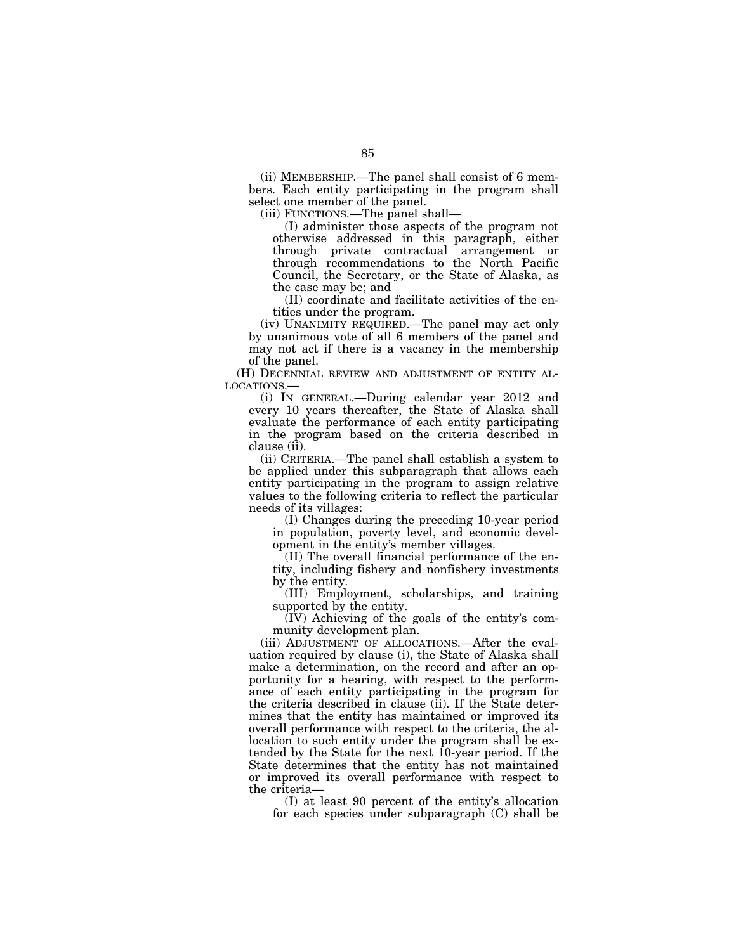(ii) MEMBERSHIP.—The panel shall consist of 6 members. Each entity participating in the program shall select one member of the panel.

(iii) FUNCTIONS.—The panel shall—

(I) administer those aspects of the program not otherwise addressed in this paragraph, either through private contractual arrangement or through recommendations to the North Pacific Council, the Secretary, or the State of Alaska, as the case may be; and

(II) coordinate and facilitate activities of the entities under the program.

(iv) UNANIMITY REQUIRED.—The panel may act only by unanimous vote of all 6 members of the panel and may not act if there is a vacancy in the membership of the panel.

(H) DECENNIAL REVIEW AND ADJUSTMENT OF ENTITY AL-LOCATIONS.—

(i) IN GENERAL.—During calendar year 2012 and every 10 years thereafter, the State of Alaska shall evaluate the performance of each entity participating in the program based on the criteria described in clause (ii).

(ii) CRITERIA.—The panel shall establish a system to be applied under this subparagraph that allows each entity participating in the program to assign relative values to the following criteria to reflect the particular needs of its villages:

(I) Changes during the preceding 10-year period in population, poverty level, and economic development in the entity's member villages.

(II) The overall financial performance of the entity, including fishery and nonfishery investments by the entity.

(III) Employment, scholarships, and training supported by the entity.

 $\overline{(\text{IV})}$  Achieving of the goals of the entity's community development plan.

(iii) ADJUSTMENT OF ALLOCATIONS.—After the evaluation required by clause (i), the State of Alaska shall make a determination, on the record and after an opportunity for a hearing, with respect to the performance of each entity participating in the program for the criteria described in clause (ii). If the State determines that the entity has maintained or improved its overall performance with respect to the criteria, the allocation to such entity under the program shall be extended by the State for the next 10-year period. If the State determines that the entity has not maintained or improved its overall performance with respect to the criteria—

(I) at least 90 percent of the entity's allocation for each species under subparagraph (C) shall be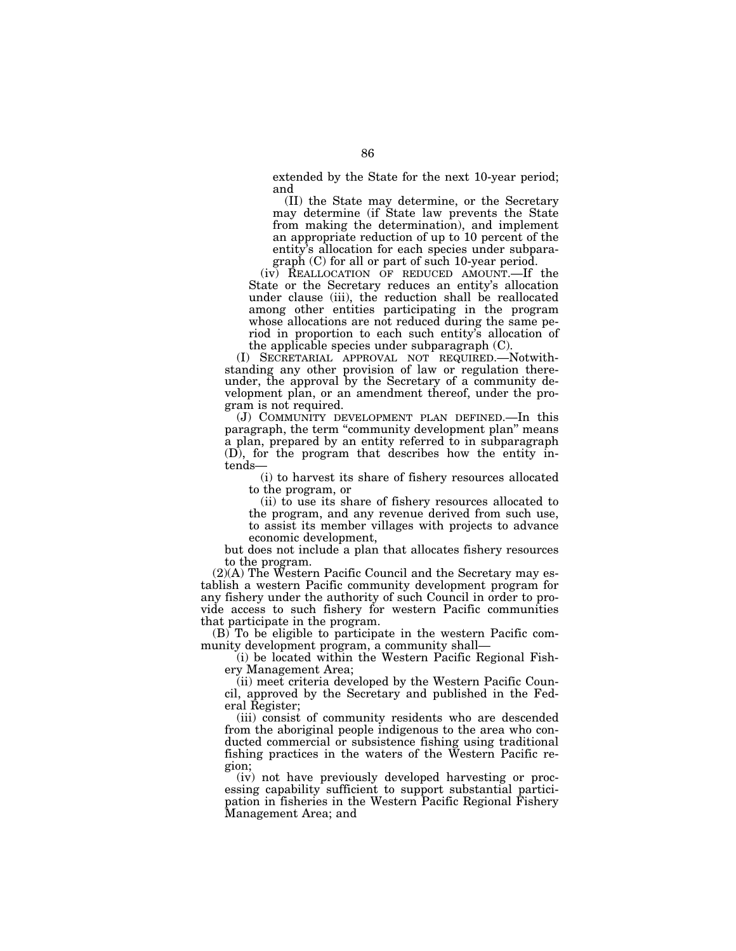extended by the State for the next 10-year period; and

(II) the State may determine, or the Secretary may determine (if State law prevents the State from making the determination), and implement an appropriate reduction of up to 10 percent of the entity's allocation for each species under subparagraph (C) for all or part of such 10-year period.

(iv) REALLOCATION OF REDUCED AMOUNT.—If the State or the Secretary reduces an entity's allocation under clause (iii), the reduction shall be reallocated among other entities participating in the program whose allocations are not reduced during the same period in proportion to each such entity's allocation of the applicable species under subparagraph (C).

(I) SECRETARIAL APPROVAL NOT REQUIRED.—Notwithstanding any other provision of law or regulation thereunder, the approval by the Secretary of a community development plan, or an amendment thereof, under the program is not required.

(J) COMMUNITY DEVELOPMENT PLAN DEFINED.—In this paragraph, the term "community development plan" means a plan, prepared by an entity referred to in subparagraph (D), for the program that describes how the entity intends—

(i) to harvest its share of fishery resources allocated to the program, or

(ii) to use its share of fishery resources allocated to the program, and any revenue derived from such use, to assist its member villages with projects to advance economic development,

but does not include a plan that allocates fishery resources to the program.

(2)(A) The Western Pacific Council and the Secretary may establish a western Pacific community development program for any fishery under the authority of such Council in order to provide access to such fishery for western Pacific communities that participate in the program.

(B) To be eligible to participate in the western Pacific community development program, a community shall—

(i) be located within the Western Pacific Regional Fishery Management Area;

(ii) meet criteria developed by the Western Pacific Council, approved by the Secretary and published in the Federal Register;

(iii) consist of community residents who are descended from the aboriginal people indigenous to the area who conducted commercial or subsistence fishing using traditional fishing practices in the waters of the Western Pacific region;

(iv) not have previously developed harvesting or processing capability sufficient to support substantial participation in fisheries in the Western Pacific Regional Fishery Management Area; and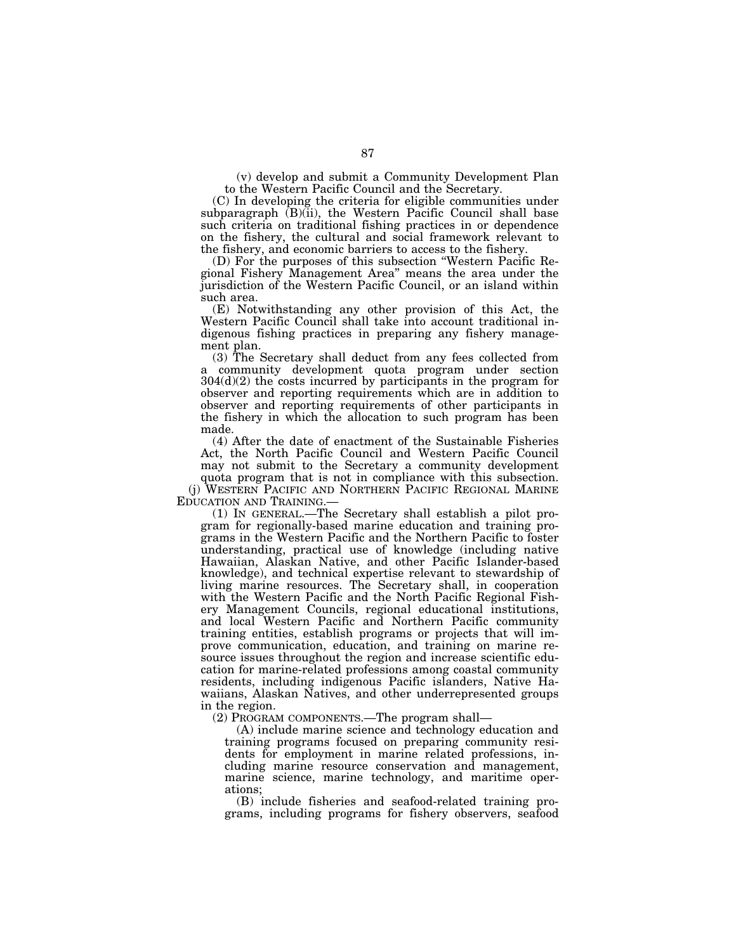(v) develop and submit a Community Development Plan to the Western Pacific Council and the Secretary.

(C) In developing the criteria for eligible communities under subparagraph  $(B)(ii)$ , the Western Pacific Council shall base such criteria on traditional fishing practices in or dependence on the fishery, the cultural and social framework relevant to the fishery, and economic barriers to access to the fishery.

(D) For the purposes of this subsection ''Western Pacific Regional Fishery Management Area'' means the area under the jurisdiction of the Western Pacific Council, or an island within such area.

(E) Notwithstanding any other provision of this Act, the Western Pacific Council shall take into account traditional indigenous fishing practices in preparing any fishery management plan.

(3) The Secretary shall deduct from any fees collected from a community development quota program under section 304(d)(2) the costs incurred by participants in the program for observer and reporting requirements which are in addition to observer and reporting requirements of other participants in the fishery in which the allocation to such program has been made.

(4) After the date of enactment of the Sustainable Fisheries Act, the North Pacific Council and Western Pacific Council may not submit to the Secretary a community development quota program that is not in compliance with this subsection.

(j) WESTERN PACIFIC AND NORTHERN PACIFIC REGIONAL MARINE EDUCATION AND TRAINING.— EDUCATION AND TRAINING.— (1) IN GENERAL.—The Secretary shall establish a pilot pro-

gram for regionally-based marine education and training programs in the Western Pacific and the Northern Pacific to foster understanding, practical use of knowledge (including native Hawaiian, Alaskan Native, and other Pacific Islander-based knowledge), and technical expertise relevant to stewardship of living marine resources. The Secretary shall, in cooperation with the Western Pacific and the North Pacific Regional Fishery Management Councils, regional educational institutions, and local Western Pacific and Northern Pacific community training entities, establish programs or projects that will improve communication, education, and training on marine resource issues throughout the region and increase scientific education for marine-related professions among coastal community residents, including indigenous Pacific islanders, Native Hawaiians, Alaskan Natives, and other underrepresented groups in the region.

(2) PROGRAM COMPONENTS.—The program shall—

(A) include marine science and technology education and training programs focused on preparing community residents for employment in marine related professions, including marine resource conservation and management, marine science, marine technology, and maritime operations;

(B) include fisheries and seafood-related training programs, including programs for fishery observers, seafood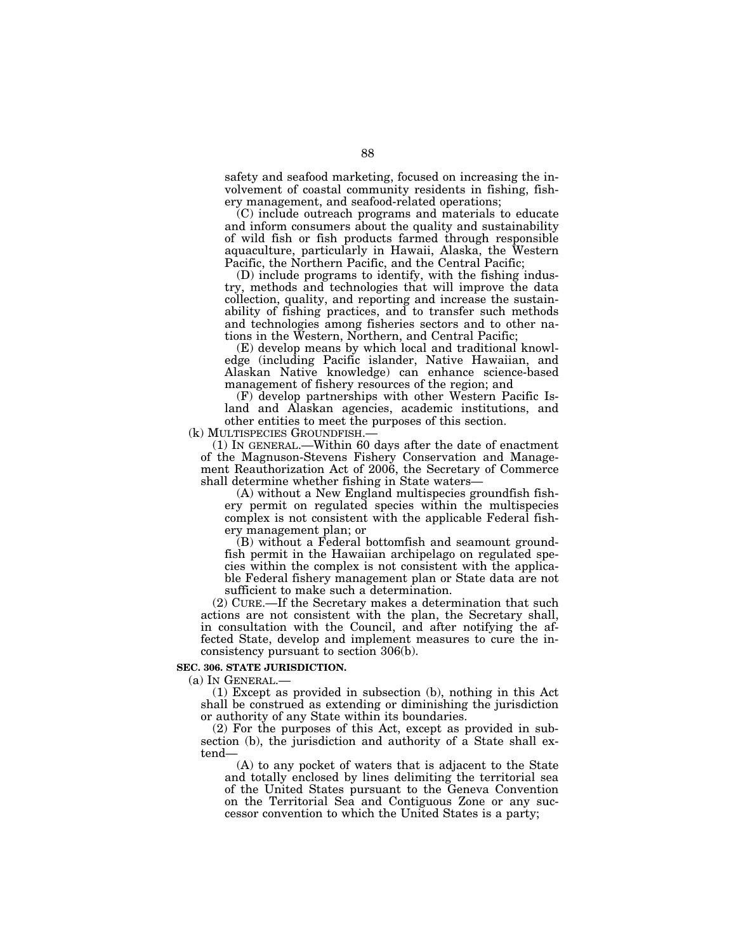safety and seafood marketing, focused on increasing the involvement of coastal community residents in fishing, fishery management, and seafood-related operations;

(C) include outreach programs and materials to educate and inform consumers about the quality and sustainability of wild fish or fish products farmed through responsible aquaculture, particularly in Hawaii, Alaska, the Western Pacific, the Northern Pacific, and the Central Pacific;

(D) include programs to identify, with the fishing industry, methods and technologies that will improve the data collection, quality, and reporting and increase the sustainability of fishing practices, and to transfer such methods and technologies among fisheries sectors and to other nations in the Western, Northern, and Central Pacific;

(E) develop means by which local and traditional knowledge (including Pacific islander, Native Hawaiian, and Alaskan Native knowledge) can enhance science-based management of fishery resources of the region; and

(F) develop partnerships with other Western Pacific Island and Alaskan agencies, academic institutions, and other entities to meet the purposes of this section.

(k) MULTISPECIES GROUNDFISH.—

(1) IN GENERAL.—Within 60 days after the date of enactment of the Magnuson-Stevens Fishery Conservation and Management Reauthorization Act of 2006, the Secretary of Commerce shall determine whether fishing in State waters—

(A) without a New England multispecies groundfish fishery permit on regulated species within the multispecies complex is not consistent with the applicable Federal fishery management plan; or

(B) without a Federal bottomfish and seamount groundfish permit in the Hawaiian archipelago on regulated species within the complex is not consistent with the applicable Federal fishery management plan or State data are not sufficient to make such a determination.

(2) CURE.—If the Secretary makes a determination that such actions are not consistent with the plan, the Secretary shall, in consultation with the Council, and after notifying the affected State, develop and implement measures to cure the inconsistency pursuant to section 306(b).

### **SEC. 306. STATE JURISDICTION.**

(a) IN GENERAL.—

(1) Except as provided in subsection (b), nothing in this Act shall be construed as extending or diminishing the jurisdiction or authority of any State within its boundaries.

(2) For the purposes of this Act, except as provided in subsection (b), the jurisdiction and authority of a State shall extend—

(A) to any pocket of waters that is adjacent to the State and totally enclosed by lines delimiting the territorial sea of the United States pursuant to the Geneva Convention on the Territorial Sea and Contiguous Zone or any successor convention to which the United States is a party;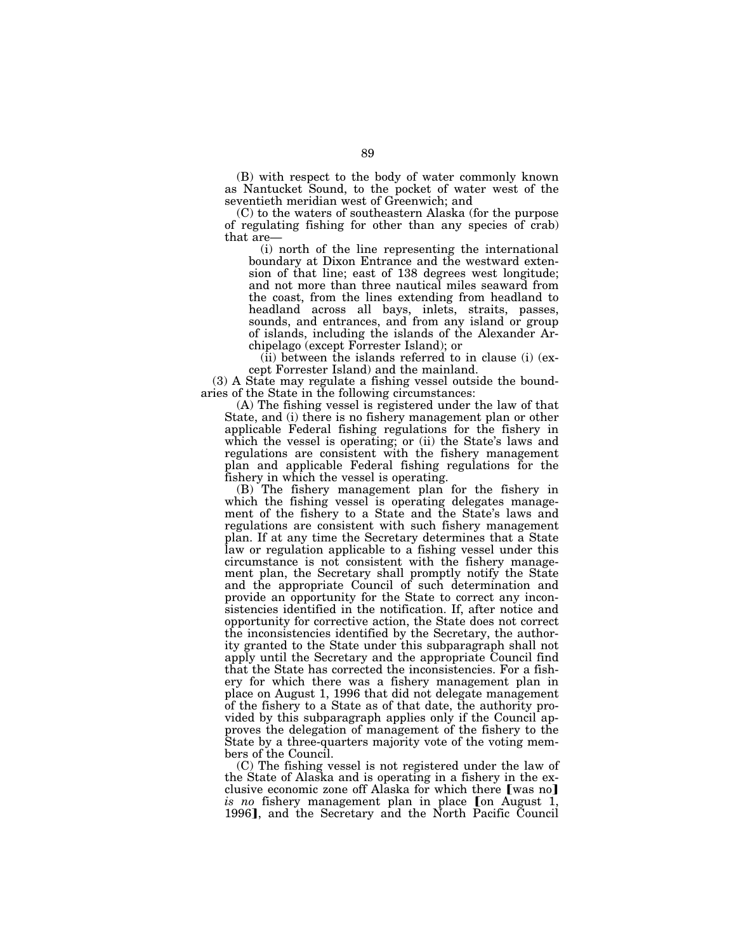(B) with respect to the body of water commonly known as Nantucket Sound, to the pocket of water west of the seventieth meridian west of Greenwich; and

(C) to the waters of southeastern Alaska (for the purpose of regulating fishing for other than any species of crab) that are—

(i) north of the line representing the international boundary at Dixon Entrance and the westward extension of that line; east of 138 degrees west longitude; and not more than three nautical miles seaward from the coast, from the lines extending from headland to headland across all bays, inlets, straits, passes, sounds, and entrances, and from any island or group of islands, including the islands of the Alexander Archipelago (except Forrester Island); or

(ii) between the islands referred to in clause (i) (except Forrester Island) and the mainland.

(3) A State may regulate a fishing vessel outside the boundaries of the State in the following circumstances:

(A) The fishing vessel is registered under the law of that State, and (i) there is no fishery management plan or other applicable Federal fishing regulations for the fishery in which the vessel is operating; or (ii) the State's laws and regulations are consistent with the fishery management plan and applicable Federal fishing regulations for the fishery in which the vessel is operating.

(B) The fishery management plan for the fishery in which the fishing vessel is operating delegates management of the fishery to a State and the State's laws and regulations are consistent with such fishery management plan. If at any time the Secretary determines that a State law or regulation applicable to a fishing vessel under this circumstance is not consistent with the fishery management plan, the Secretary shall promptly notify the State and the appropriate Council of such determination and provide an opportunity for the State to correct any inconsistencies identified in the notification. If, after notice and opportunity for corrective action, the State does not correct the inconsistencies identified by the Secretary, the authority granted to the State under this subparagraph shall not apply until the Secretary and the appropriate Council find that the State has corrected the inconsistencies. For a fishery for which there was a fishery management plan in place on August 1, 1996 that did not delegate management of the fishery to a State as of that date, the authority provided by this subparagraph applies only if the Council approves the delegation of management of the fishery to the State by a three-quarters majority vote of the voting members of the Council.

(C) The fishing vessel is not registered under the law of the State of Alaska and is operating in a fishery in the exclusive economic zone off Alaska for which there [was no] *is no* fishery management plan in place [on August 1, 1996], and the Secretary and the North Pacific Council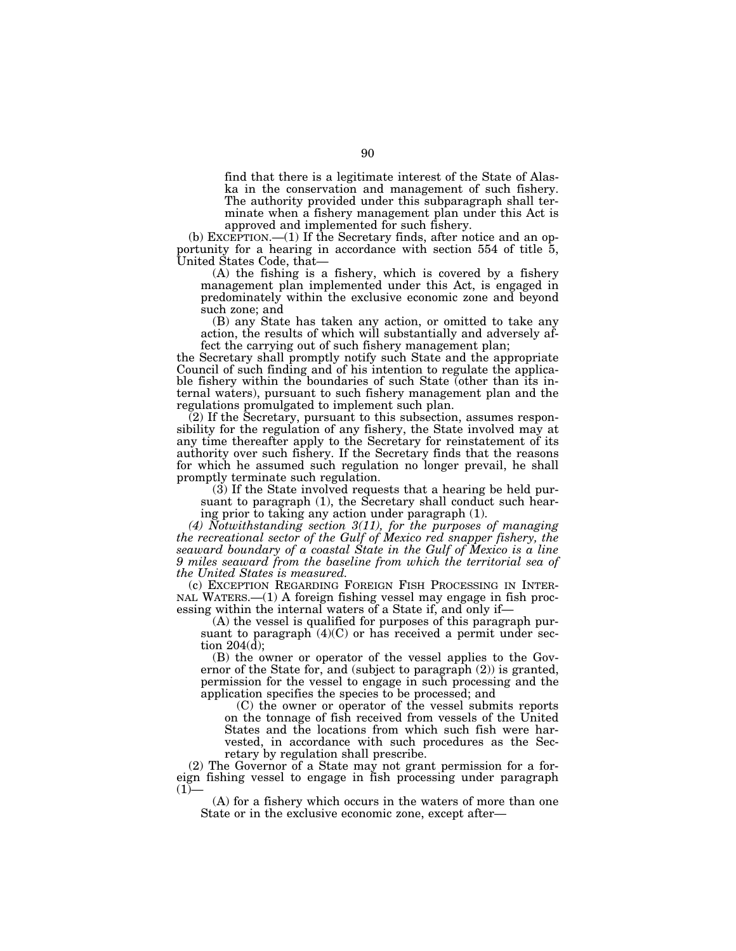find that there is a legitimate interest of the State of Alaska in the conservation and management of such fishery. The authority provided under this subparagraph shall terminate when a fishery management plan under this Act is approved and implemented for such fishery.

(b) EXCEPTION.—(1) If the Secretary finds, after notice and an opportunity for a hearing in accordance with section 554 of title 5, United States Code, that—

(A) the fishing is a fishery, which is covered by a fishery management plan implemented under this Act, is engaged in predominately within the exclusive economic zone and beyond such zone; and

(B) any State has taken any action, or omitted to take any action, the results of which will substantially and adversely affect the carrying out of such fishery management plan;

the Secretary shall promptly notify such State and the appropriate Council of such finding and of his intention to regulate the applicable fishery within the boundaries of such State (other than its internal waters), pursuant to such fishery management plan and the regulations promulgated to implement such plan.

(2) If the Secretary, pursuant to this subsection, assumes responsibility for the regulation of any fishery, the State involved may at any time thereafter apply to the Secretary for reinstatement of its authority over such fishery. If the Secretary finds that the reasons for which he assumed such regulation no longer prevail, he shall promptly terminate such regulation.

(3) If the State involved requests that a hearing be held pursuant to paragraph (1), the Secretary shall conduct such hearing prior to taking any action under paragraph (1).

*(4) Notwithstanding section 3(11), for the purposes of managing the recreational sector of the Gulf of Mexico red snapper fishery, the seaward boundary of a coastal State in the Gulf of Mexico is a line 9 miles seaward from the baseline from which the territorial sea of the United States is measured.* 

(c) EXCEPTION REGARDING FOREIGN FISH PROCESSING IN INTER- NAL WATERS.—(1) A foreign fishing vessel may engage in fish processing within the internal waters of a State if, and only if—

(A) the vessel is qualified for purposes of this paragraph pursuant to paragraph (4)(C) or has received a permit under section 204(d);

(B) the owner or operator of the vessel applies to the Governor of the State for, and (subject to paragraph (2)) is granted, permission for the vessel to engage in such processing and the application specifies the species to be processed; and

(C) the owner or operator of the vessel submits reports on the tonnage of fish received from vessels of the United States and the locations from which such fish were harvested, in accordance with such procedures as the Secretary by regulation shall prescribe.

(2) The Governor of a State may not grant permission for a foreign fishing vessel to engage in fish processing under paragraph  $(1)$ —

(A) for a fishery which occurs in the waters of more than one State or in the exclusive economic zone, except after—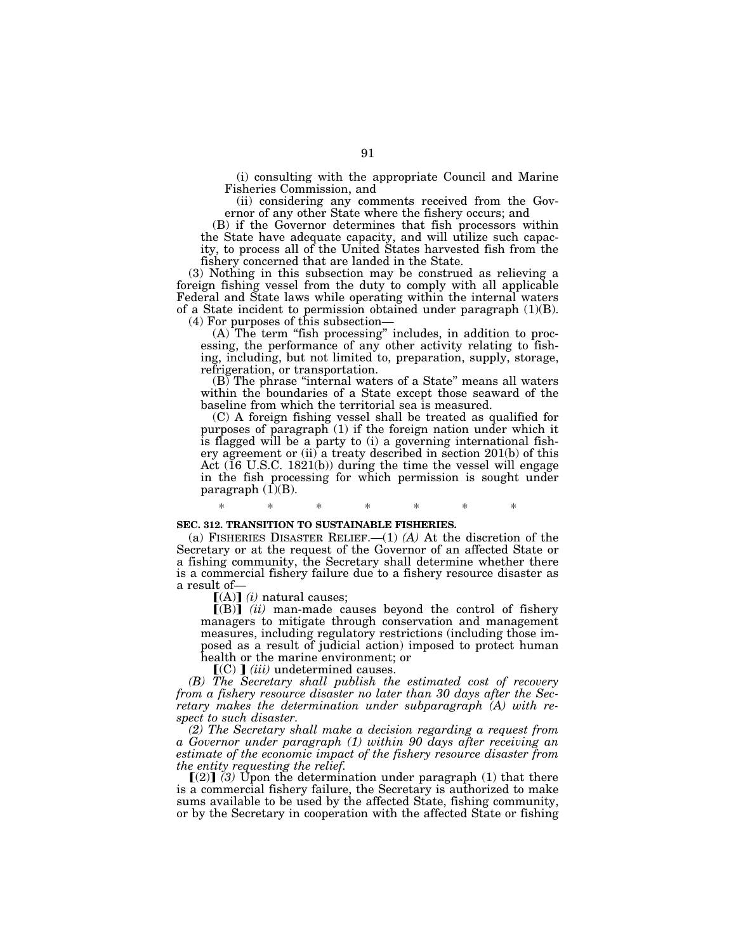(i) consulting with the appropriate Council and Marine Fisheries Commission, and

(ii) considering any comments received from the Governor of any other State where the fishery occurs; and

(B) if the Governor determines that fish processors within the State have adequate capacity, and will utilize such capacity, to process all of the United States harvested fish from the fishery concerned that are landed in the State.

(3) Nothing in this subsection may be construed as relieving a foreign fishing vessel from the duty to comply with all applicable Federal and State laws while operating within the internal waters of a State incident to permission obtained under paragraph (1)(B).

(4) For purposes of this subsection—

(A) The term "fish processing" includes, in addition to processing, the performance of any other activity relating to fishing, including, but not limited to, preparation, supply, storage, refrigeration, or transportation.

(B) The phrase ''internal waters of a State'' means all waters within the boundaries of a State except those seaward of the baseline from which the territorial sea is measured.

(C) A foreign fishing vessel shall be treated as qualified for purposes of paragraph (1) if the foreign nation under which it is flagged will be a party to (i) a governing international fishery agreement or (ii) a treaty described in section 201(b) of this Act (16 U.S.C. 1821(b)) during the time the vessel will engage in the fish processing for which permission is sought under paragraph  $(1)(B)$ .

\* \* \* \* \* \* \*

### **SEC. 312. TRANSITION TO SUSTAINABLE FISHERIES.**

(a) FISHERIES DISASTER RELIEF.—(1) *(A)* At the discretion of the Secretary or at the request of the Governor of an affected State or a fishing community, the Secretary shall determine whether there is a commercial fishery failure due to a fishery resource disaster as a result of—

 $(A)$  $(i)$  natural causes;

 $[(B)]$   $(ii)$  man-made causes beyond the control of fishery managers to mitigate through conservation and management measures, including regulatory restrictions (including those imposed as a result of judicial action) imposed to protect human health or the marine environment; or

 $(C)$   $\int$  *(iii)* undetermined causes.

*(B) The Secretary shall publish the estimated cost of recovery from a fishery resource disaster no later than 30 days after the Secretary makes the determination under subparagraph (A) with respect to such disaster.* 

*(2) The Secretary shall make a decision regarding a request from a Governor under paragraph (1) within 90 days after receiving an estimate of the economic impact of the fishery resource disaster from the entity requesting the relief.* 

 $(2)$  *(3)* Upon the determination under paragraph (1) that there is a commercial fishery failure, the Secretary is authorized to make sums available to be used by the affected State, fishing community, or by the Secretary in cooperation with the affected State or fishing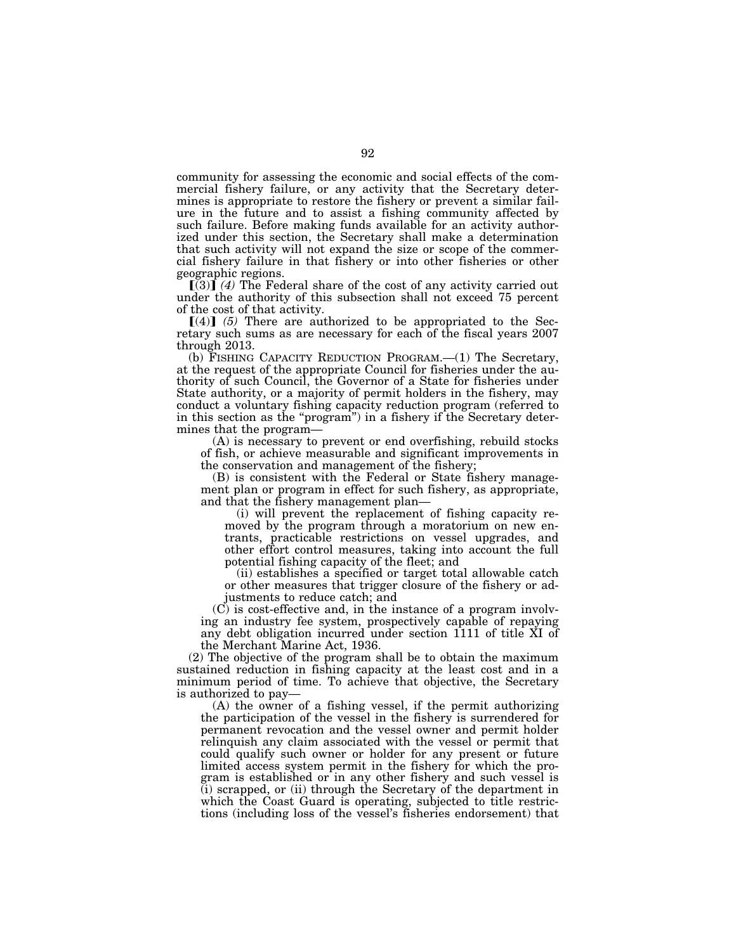community for assessing the economic and social effects of the commercial fishery failure, or any activity that the Secretary determines is appropriate to restore the fishery or prevent a similar failure in the future and to assist a fishing community affected by such failure. Before making funds available for an activity authorized under this section, the Secretary shall make a determination that such activity will not expand the size or scope of the commercial fishery failure in that fishery or into other fisheries or other geographic regions.

 $\left[\left(3\right)\right]$  (4) The Federal share of the cost of any activity carried out under the authority of this subsection shall not exceed 75 percent of the cost of that activity.

 $[(4)]$  (5) There are authorized to be appropriated to the Secretary such sums as are necessary for each of the fiscal years 2007 through 2013.

(b) FISHING CAPACITY REDUCTION PROGRAM.—(1) The Secretary, at the request of the appropriate Council for fisheries under the authority of such Council, the Governor of a State for fisheries under State authority, or a majority of permit holders in the fishery, may conduct a voluntary fishing capacity reduction program (referred to in this section as the ''program'') in a fishery if the Secretary determines that the program—

(A) is necessary to prevent or end overfishing, rebuild stocks of fish, or achieve measurable and significant improvements in the conservation and management of the fishery;

(B) is consistent with the Federal or State fishery management plan or program in effect for such fishery, as appropriate, and that the fishery management plan—

(i) will prevent the replacement of fishing capacity removed by the program through a moratorium on new entrants, practicable restrictions on vessel upgrades, and other effort control measures, taking into account the full potential fishing capacity of the fleet; and

(ii) establishes a specified or target total allowable catch or other measures that trigger closure of the fishery or adjustments to reduce catch; and

 $(C)$  is cost-effective and, in the instance of a program involving an industry fee system, prospectively capable of repaying any debt obligation incurred under section 1111 of title XI of the Merchant Marine Act, 1936.

(2) The objective of the program shall be to obtain the maximum sustained reduction in fishing capacity at the least cost and in a minimum period of time. To achieve that objective, the Secretary is authorized to pay—

(A) the owner of a fishing vessel, if the permit authorizing the participation of the vessel in the fishery is surrendered for permanent revocation and the vessel owner and permit holder relinquish any claim associated with the vessel or permit that could qualify such owner or holder for any present or future limited access system permit in the fishery for which the program is established or in any other fishery and such vessel is  $(i)$  scrapped, or  $(ii)$  through the Secretary of the department in which the Coast Guard is operating, subjected to title restrictions (including loss of the vessel's fisheries endorsement) that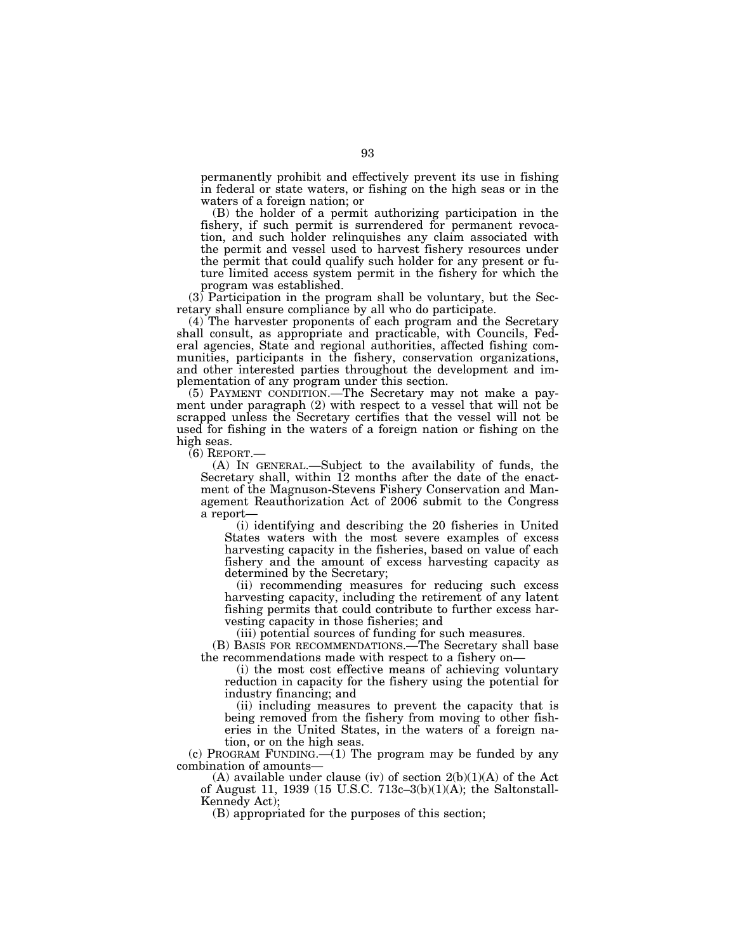permanently prohibit and effectively prevent its use in fishing in federal or state waters, or fishing on the high seas or in the waters of a foreign nation; or

(B) the holder of a permit authorizing participation in the fishery, if such permit is surrendered for permanent revocation, and such holder relinquishes any claim associated with the permit and vessel used to harvest fishery resources under the permit that could qualify such holder for any present or future limited access system permit in the fishery for which the program was established.

(3) Participation in the program shall be voluntary, but the Secretary shall ensure compliance by all who do participate.

(4) The harvester proponents of each program and the Secretary shall consult, as appropriate and practicable, with Councils, Federal agencies, State and regional authorities, affected fishing communities, participants in the fishery, conservation organizations, and other interested parties throughout the development and implementation of any program under this section.

(5) PAYMENT CONDITION.—The Secretary may not make a payment under paragraph (2) with respect to a vessel that will not be scrapped unless the Secretary certifies that the vessel will not be used for fishing in the waters of a foreign nation or fishing on the high seas.<br>
(6) REPORT.—

 $(A)$  In GENERAL.—Subject to the availability of funds, the Secretary shall, within 12 months after the date of the enactment of the Magnuson-Stevens Fishery Conservation and Management Reauthorization Act of 2006 submit to the Congress a report—

(i) identifying and describing the 20 fisheries in United States waters with the most severe examples of excess harvesting capacity in the fisheries, based on value of each fishery and the amount of excess harvesting capacity as determined by the Secretary;

(ii) recommending measures for reducing such excess harvesting capacity, including the retirement of any latent fishing permits that could contribute to further excess harvesting capacity in those fisheries; and

(iii) potential sources of funding for such measures.

(B) BASIS FOR RECOMMENDATIONS.—The Secretary shall base the recommendations made with respect to a fishery on—

(i) the most cost effective means of achieving voluntary reduction in capacity for the fishery using the potential for industry financing; and

(ii) including measures to prevent the capacity that is being removed from the fishery from moving to other fisheries in the United States, in the waters of a foreign nation, or on the high seas.

(c) PROGRAM FUNDING.—(1) The program may be funded by any combination of amounts—

(A) available under clause (iv) of section  $2(b)(1)(A)$  of the Act of August 11, 1939 (15 U.S.C. 713c–3(b)(1)(A); the Saltonstall-Kennedy Act);

(B) appropriated for the purposes of this section;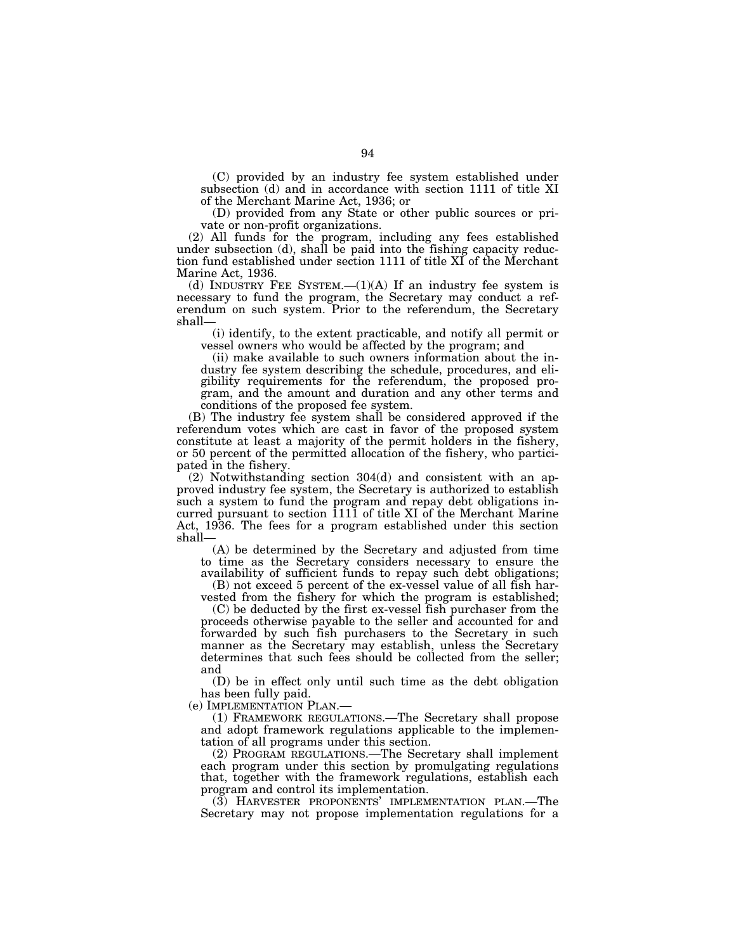(C) provided by an industry fee system established under subsection (d) and in accordance with section 1111 of title XI of the Merchant Marine Act, 1936; or

(D) provided from any State or other public sources or private or non-profit organizations.

(2) All funds for the program, including any fees established under subsection (d), shall be paid into the fishing capacity reduction fund established under section 1111 of title XI of the Merchant Marine Act, 1936.

(d) INDUSTRY FEE SYSTEM. $-(1)(A)$  If an industry fee system is necessary to fund the program, the Secretary may conduct a referendum on such system. Prior to the referendum, the Secretary shall—

(i) identify, to the extent practicable, and notify all permit or vessel owners who would be affected by the program; and

(ii) make available to such owners information about the industry fee system describing the schedule, procedures, and eligibility requirements for the referendum, the proposed program, and the amount and duration and any other terms and conditions of the proposed fee system.

(B) The industry fee system shall be considered approved if the referendum votes which are cast in favor of the proposed system constitute at least a majority of the permit holders in the fishery, or 50 percent of the permitted allocation of the fishery, who participated in the fishery.

(2) Notwithstanding section 304(d) and consistent with an approved industry fee system, the Secretary is authorized to establish such a system to fund the program and repay debt obligations incurred pursuant to section 1111 of title XI of the Merchant Marine Act, 1936. The fees for a program established under this section shall—

(A) be determined by the Secretary and adjusted from time to time as the Secretary considers necessary to ensure the availability of sufficient funds to repay such debt obligations;

(B) not exceed 5 percent of the ex-vessel value of all fish harvested from the fishery for which the program is established;

(C) be deducted by the first ex-vessel fish purchaser from the proceeds otherwise payable to the seller and accounted for and forwarded by such fish purchasers to the Secretary in such manner as the Secretary may establish, unless the Secretary determines that such fees should be collected from the seller; and

(D) be in effect only until such time as the debt obligation has been fully paid.

(e) IMPLEMENTATION PLAN.—

(1) FRAMEWORK REGULATIONS.—The Secretary shall propose and adopt framework regulations applicable to the implementation of all programs under this section.

(2) PROGRAM REGULATIONS.—The Secretary shall implement each program under this section by promulgating regulations that, together with the framework regulations, establish each program and control its implementation.

(3) HARVESTER PROPONENTS' IMPLEMENTATION PLAN.—The Secretary may not propose implementation regulations for a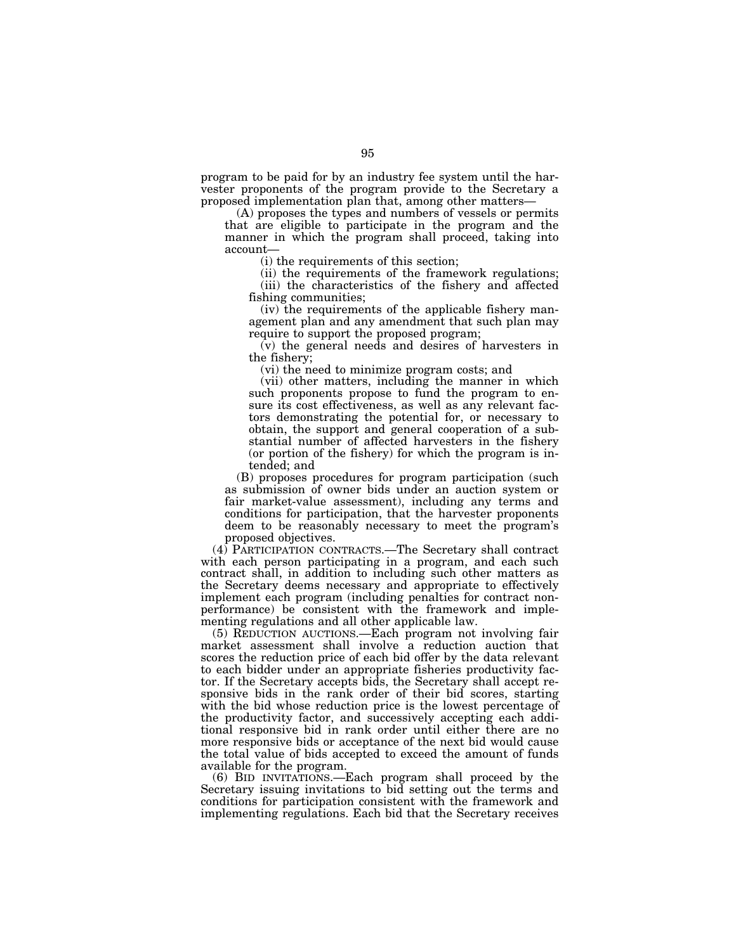program to be paid for by an industry fee system until the harvester proponents of the program provide to the Secretary a proposed implementation plan that, among other matters—

(A) proposes the types and numbers of vessels or permits that are eligible to participate in the program and the manner in which the program shall proceed, taking into account—

(i) the requirements of this section;

(ii) the requirements of the framework regulations; (iii) the characteristics of the fishery and affected fishing communities;

(iv) the requirements of the applicable fishery management plan and any amendment that such plan may require to support the proposed program;

(v) the general needs and desires of harvesters in the fishery;

(vi) the need to minimize program costs; and

(vii) other matters, including the manner in which such proponents propose to fund the program to ensure its cost effectiveness, as well as any relevant factors demonstrating the potential for, or necessary to obtain, the support and general cooperation of a substantial number of affected harvesters in the fishery (or portion of the fishery) for which the program is intended; and

(B) proposes procedures for program participation (such as submission of owner bids under an auction system or fair market-value assessment), including any terms and conditions for participation, that the harvester proponents deem to be reasonably necessary to meet the program's proposed objectives.

(4) PARTICIPATION CONTRACTS.—The Secretary shall contract with each person participating in a program, and each such contract shall, in addition to including such other matters as the Secretary deems necessary and appropriate to effectively implement each program (including penalties for contract nonperformance) be consistent with the framework and implementing regulations and all other applicable law.

(5) REDUCTION AUCTIONS.—Each program not involving fair market assessment shall involve a reduction auction that scores the reduction price of each bid offer by the data relevant to each bidder under an appropriate fisheries productivity factor. If the Secretary accepts bids, the Secretary shall accept responsive bids in the rank order of their bid scores, starting with the bid whose reduction price is the lowest percentage of the productivity factor, and successively accepting each additional responsive bid in rank order until either there are no more responsive bids or acceptance of the next bid would cause the total value of bids accepted to exceed the amount of funds available for the program.

(6) BID INVITATIONS.—Each program shall proceed by the Secretary issuing invitations to bid setting out the terms and conditions for participation consistent with the framework and implementing regulations. Each bid that the Secretary receives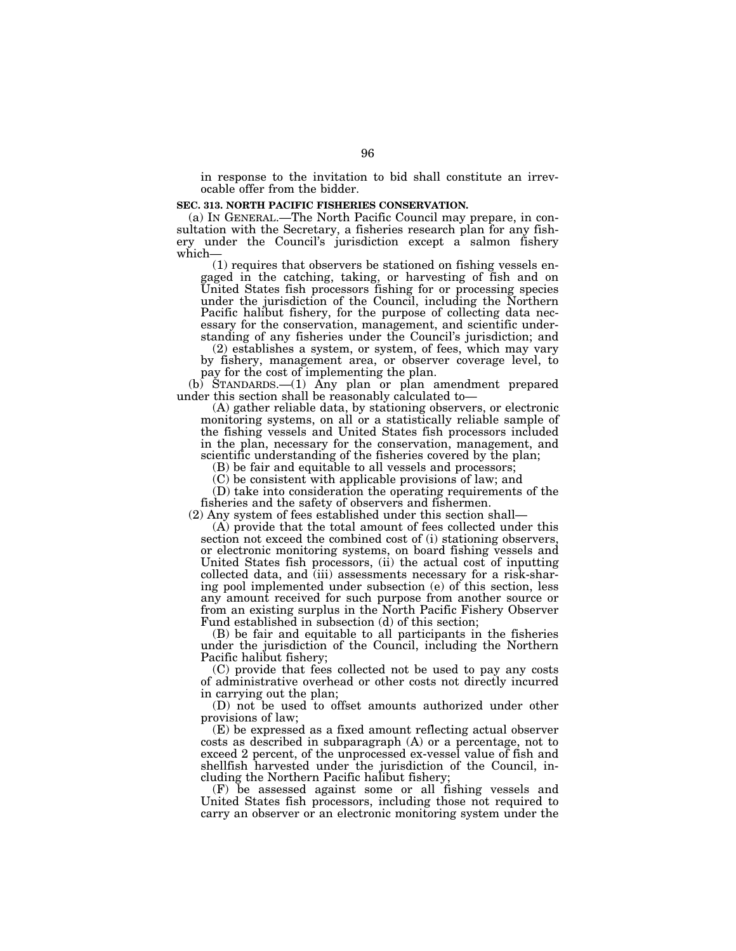in response to the invitation to bid shall constitute an irrevocable offer from the bidder.

#### **SEC. 313. NORTH PACIFIC FISHERIES CONSERVATION.**

(a) IN GENERAL.—The North Pacific Council may prepare, in consultation with the Secretary, a fisheries research plan for any fishery under the Council's jurisdiction except a salmon fishery which—

(1) requires that observers be stationed on fishing vessels engaged in the catching, taking, or harvesting of fish and on United States fish processors fishing for or processing species under the jurisdiction of the Council, including the Northern Pacific halibut fishery, for the purpose of collecting data necessary for the conservation, management, and scientific understanding of any fisheries under the Council's jurisdiction; and

(2) establishes a system, or system, of fees, which may vary by fishery, management area, or observer coverage level, to pay for the cost of implementing the plan.

(b)  $\text{ŠTANDARDS}$ , (1) Any plan or plan amendment prepared under this section shall be reasonably calculated to—

(A) gather reliable data, by stationing observers, or electronic monitoring systems, on all or a statistically reliable sample of the fishing vessels and United States fish processors included in the plan, necessary for the conservation, management, and scientific understanding of the fisheries covered by the plan;

(B) be fair and equitable to all vessels and processors;

(C) be consistent with applicable provisions of law; and

(D) take into consideration the operating requirements of the fisheries and the safety of observers and fishermen.

(2) Any system of fees established under this section shall—

(A) provide that the total amount of fees collected under this section not exceed the combined cost of (i) stationing observers, or electronic monitoring systems, on board fishing vessels and United States fish processors, (ii) the actual cost of inputting collected data, and (iii) assessments necessary for a risk-sharing pool implemented under subsection (e) of this section, less any amount received for such purpose from another source or from an existing surplus in the North Pacific Fishery Observer Fund established in subsection (d) of this section;

(B) be fair and equitable to all participants in the fisheries under the jurisdiction of the Council, including the Northern Pacific halibut fishery;

(C) provide that fees collected not be used to pay any costs of administrative overhead or other costs not directly incurred in carrying out the plan;

(D) not be used to offset amounts authorized under other provisions of law;

(E) be expressed as a fixed amount reflecting actual observer costs as described in subparagraph (A) or a percentage, not to exceed 2 percent, of the unprocessed ex-vessel value of fish and shellfish harvested under the jurisdiction of the Council, including the Northern Pacific halibut fishery;

(F) be assessed against some or all fishing vessels and United States fish processors, including those not required to carry an observer or an electronic monitoring system under the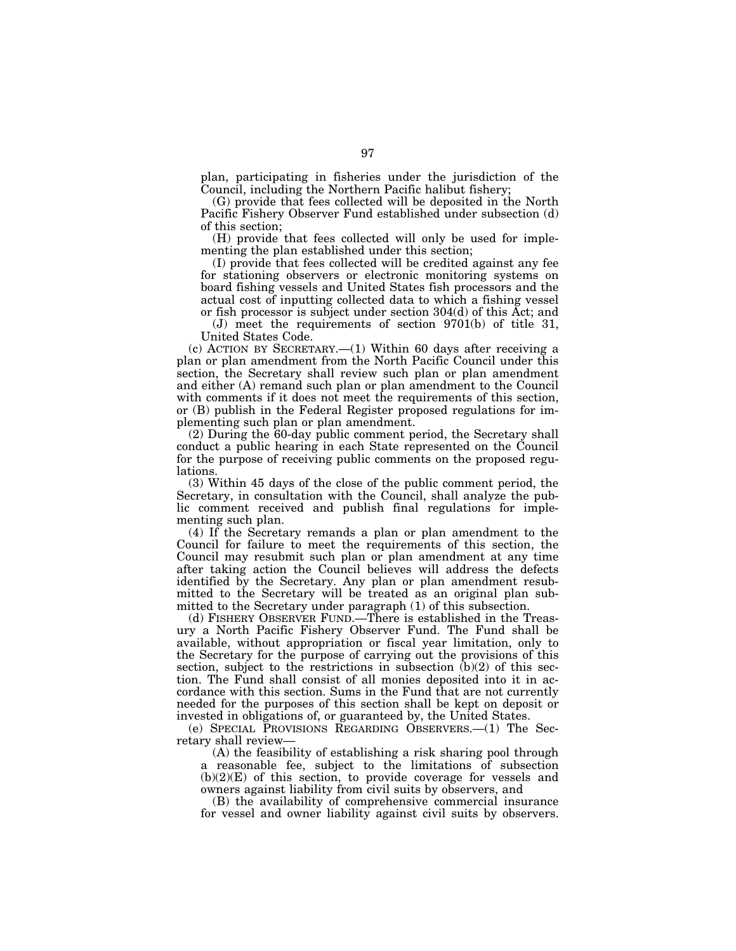plan, participating in fisheries under the jurisdiction of the Council, including the Northern Pacific halibut fishery;

(G) provide that fees collected will be deposited in the North Pacific Fishery Observer Fund established under subsection (d) of this section;

(H) provide that fees collected will only be used for implementing the plan established under this section;

(I) provide that fees collected will be credited against any fee for stationing observers or electronic monitoring systems on board fishing vessels and United States fish processors and the actual cost of inputting collected data to which a fishing vessel or fish processor is subject under section 304(d) of this Act; and

(J) meet the requirements of section 9701(b) of title 31, United States Code.

(c) ACTION BY SECRETARY.—(1) Within 60 days after receiving a plan or plan amendment from the North Pacific Council under this section, the Secretary shall review such plan or plan amendment and either (A) remand such plan or plan amendment to the Council with comments if it does not meet the requirements of this section, or (B) publish in the Federal Register proposed regulations for implementing such plan or plan amendment.

(2) During the 60-day public comment period, the Secretary shall conduct a public hearing in each State represented on the Council for the purpose of receiving public comments on the proposed regulations.

(3) Within 45 days of the close of the public comment period, the Secretary, in consultation with the Council, shall analyze the public comment received and publish final regulations for implementing such plan.

(4) If the Secretary remands a plan or plan amendment to the Council for failure to meet the requirements of this section, the Council may resubmit such plan or plan amendment at any time after taking action the Council believes will address the defects identified by the Secretary. Any plan or plan amendment resubmitted to the Secretary will be treated as an original plan submitted to the Secretary under paragraph (1) of this subsection.

(d) FISHERY OBSERVER FUND.—There is established in the Treasury a North Pacific Fishery Observer Fund. The Fund shall be available, without appropriation or fiscal year limitation, only to the Secretary for the purpose of carrying out the provisions of this section, subject to the restrictions in subsection  $(b)(2)$  of this section. The Fund shall consist of all monies deposited into it in accordance with this section. Sums in the Fund that are not currently needed for the purposes of this section shall be kept on deposit or invested in obligations of, or guaranteed by, the United States.

(e) SPECIAL PROVISIONS REGARDING OBSERVERS.—(1) The Secretary shall review—

(A) the feasibility of establishing a risk sharing pool through a reasonable fee, subject to the limitations of subsection  $(b)(2)(E)$  of this section, to provide coverage for vessels and owners against liability from civil suits by observers, and

(B) the availability of comprehensive commercial insurance for vessel and owner liability against civil suits by observers.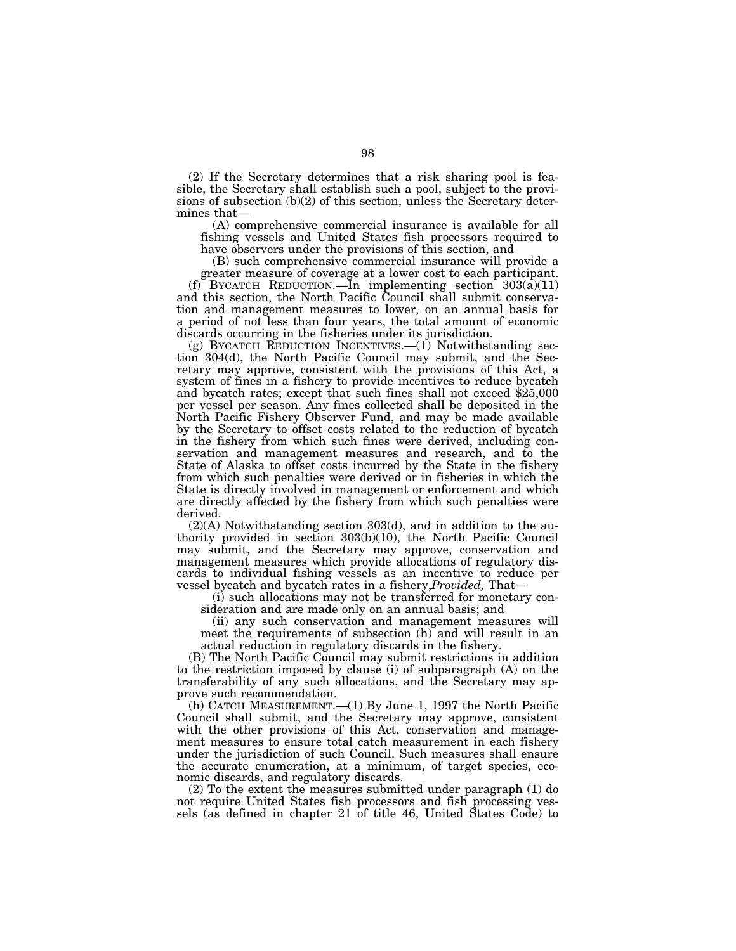(2) If the Secretary determines that a risk sharing pool is feasible, the Secretary shall establish such a pool, subject to the provisions of subsection (b)(2) of this section, unless the Secretary determines that—

(A) comprehensive commercial insurance is available for all fishing vessels and United States fish processors required to have observers under the provisions of this section, and

(B) such comprehensive commercial insurance will provide a greater measure of coverage at a lower cost to each participant.

(f) BYCATCH REDUCTION.—In implementing section  $303(a)(11)$ and this section, the North Pacific Council shall submit conservation and management measures to lower, on an annual basis for a period of not less than four years, the total amount of economic discards occurring in the fisheries under its jurisdiction.

 $(g)$  BYCATCH REDUCTION INCENTIVES.— $(1)$  Notwithstanding section 304(d), the North Pacific Council may submit, and the Secretary may approve, consistent with the provisions of this Act, a system of fines in a fishery to provide incentives to reduce bycatch and bycatch rates; except that such fines shall not exceed \$25,000 per vessel per season. Any fines collected shall be deposited in the North Pacific Fishery Observer Fund, and may be made available by the Secretary to offset costs related to the reduction of bycatch in the fishery from which such fines were derived, including conservation and management measures and research, and to the State of Alaska to offset costs incurred by the State in the fishery from which such penalties were derived or in fisheries in which the State is directly involved in management or enforcement and which are directly affected by the fishery from which such penalties were derived.

(2)(A) Notwithstanding section 303(d), and in addition to the authority provided in section 303(b)(10), the North Pacific Council may submit, and the Secretary may approve, conservation and management measures which provide allocations of regulatory discards to individual fishing vessels as an incentive to reduce per vessel bycatch and bycatch rates in a fishery,*Provided,* That—

(i) such allocations may not be transferred for monetary consideration and are made only on an annual basis; and

(ii) any such conservation and management measures will meet the requirements of subsection (h) and will result in an actual reduction in regulatory discards in the fishery.

(B) The North Pacific Council may submit restrictions in addition to the restriction imposed by clause (i) of subparagraph (A) on the transferability of any such allocations, and the Secretary may approve such recommendation.

(h) CATCH MEASUREMENT.—(1) By June 1, 1997 the North Pacific Council shall submit, and the Secretary may approve, consistent with the other provisions of this Act, conservation and management measures to ensure total catch measurement in each fishery under the jurisdiction of such Council. Such measures shall ensure the accurate enumeration, at a minimum, of target species, economic discards, and regulatory discards.

(2) To the extent the measures submitted under paragraph (1) do not require United States fish processors and fish processing vessels (as defined in chapter 21 of title 46, United States Code) to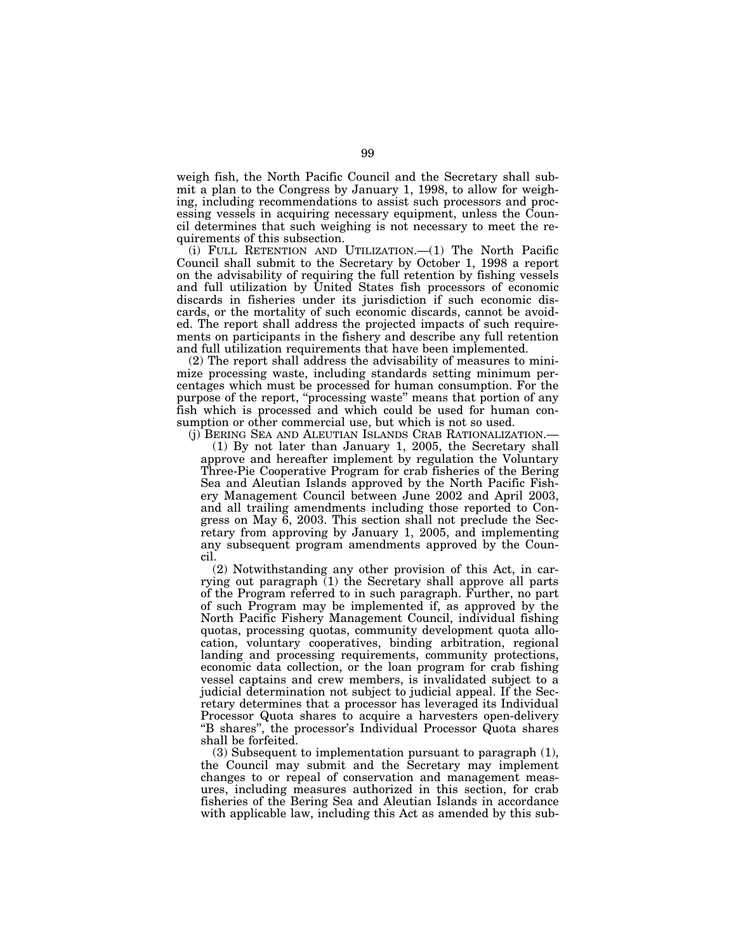weigh fish, the North Pacific Council and the Secretary shall submit a plan to the Congress by January 1, 1998, to allow for weighing, including recommendations to assist such processors and processing vessels in acquiring necessary equipment, unless the Council determines that such weighing is not necessary to meet the requirements of this subsection.

(i) FULL RETENTION AND UTILIZATION.—(1) The North Pacific Council shall submit to the Secretary by October 1, 1998 a report on the advisability of requiring the full retention by fishing vessels and full utilization by United States fish processors of economic discards in fisheries under its jurisdiction if such economic discards, or the mortality of such economic discards, cannot be avoided. The report shall address the projected impacts of such requirements on participants in the fishery and describe any full retention and full utilization requirements that have been implemented.

(2) The report shall address the advisability of measures to minimize processing waste, including standards setting minimum percentages which must be processed for human consumption. For the purpose of the report, "processing waste" means that portion of any fish which is processed and which could be used for human consumption or other commercial use, but which is not so used.

(j) BERING SEA AND ALEUTIAN ISLANDS CRAB RATIONALIZATION.—

(1) By not later than January 1, 2005, the Secretary shall approve and hereafter implement by regulation the Voluntary Three-Pie Cooperative Program for crab fisheries of the Bering Sea and Aleutian Islands approved by the North Pacific Fishery Management Council between June 2002 and April 2003, and all trailing amendments including those reported to Congress on May  $6$ , 2003. This section shall not preclude the Secretary from approving by January 1, 2005, and implementing any subsequent program amendments approved by the Council.

(2) Notwithstanding any other provision of this Act, in carrying out paragraph (1) the Secretary shall approve all parts of the Program referred to in such paragraph. Further, no part of such Program may be implemented if, as approved by the North Pacific Fishery Management Council, individual fishing quotas, processing quotas, community development quota allocation, voluntary cooperatives, binding arbitration, regional landing and processing requirements, community protections, economic data collection, or the loan program for crab fishing vessel captains and crew members, is invalidated subject to a judicial determination not subject to judicial appeal. If the Secretary determines that a processor has leveraged its Individual Processor Quota shares to acquire a harvesters open-delivery ''B shares'', the processor's Individual Processor Quota shares shall be forfeited.

(3) Subsequent to implementation pursuant to paragraph (1), the Council may submit and the Secretary may implement changes to or repeal of conservation and management measures, including measures authorized in this section, for crab fisheries of the Bering Sea and Aleutian Islands in accordance with applicable law, including this Act as amended by this sub-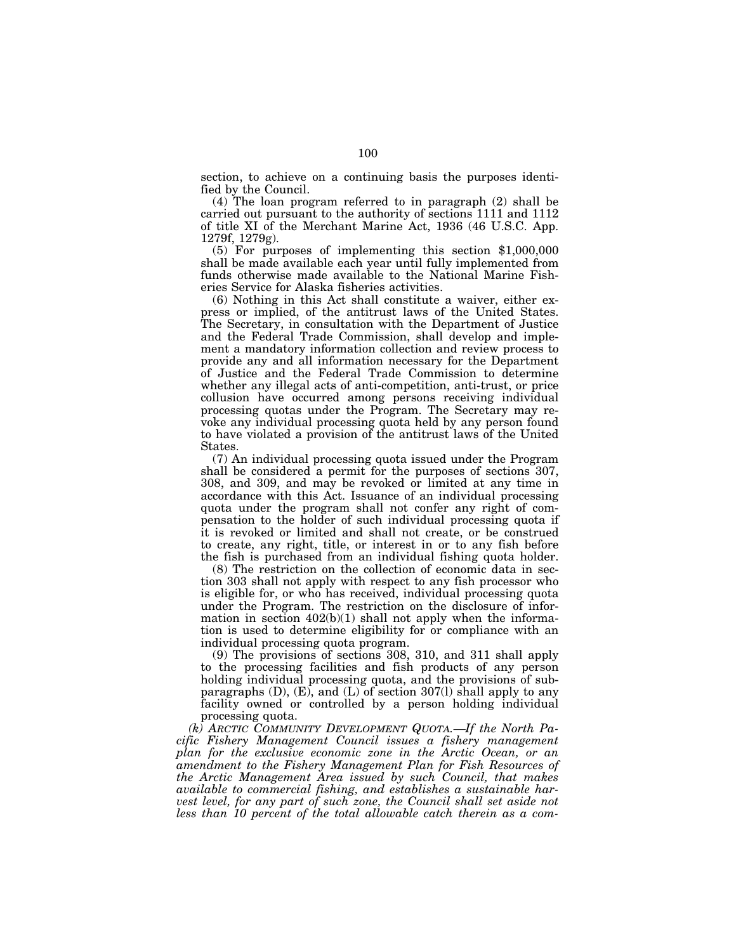section, to achieve on a continuing basis the purposes identified by the Council.

(4) The loan program referred to in paragraph (2) shall be carried out pursuant to the authority of sections 1111 and 1112 of title XI of the Merchant Marine Act, 1936 (46 U.S.C. App. 1279f, 1279g).

(5) For purposes of implementing this section \$1,000,000 shall be made available each year until fully implemented from funds otherwise made available to the National Marine Fisheries Service for Alaska fisheries activities.

(6) Nothing in this Act shall constitute a waiver, either express or implied, of the antitrust laws of the United States. The Secretary, in consultation with the Department of Justice and the Federal Trade Commission, shall develop and implement a mandatory information collection and review process to provide any and all information necessary for the Department of Justice and the Federal Trade Commission to determine whether any illegal acts of anti-competition, anti-trust, or price collusion have occurred among persons receiving individual processing quotas under the Program. The Secretary may revoke any individual processing quota held by any person found to have violated a provision of the antitrust laws of the United States.

(7) An individual processing quota issued under the Program shall be considered a permit for the purposes of sections 307, 308, and 309, and may be revoked or limited at any time in accordance with this Act. Issuance of an individual processing quota under the program shall not confer any right of compensation to the holder of such individual processing quota if it is revoked or limited and shall not create, or be construed to create, any right, title, or interest in or to any fish before the fish is purchased from an individual fishing quota holder.

(8) The restriction on the collection of economic data in section 303 shall not apply with respect to any fish processor who is eligible for, or who has received, individual processing quota under the Program. The restriction on the disclosure of information in section 402(b)(1) shall not apply when the information is used to determine eligibility for or compliance with an individual processing quota program.

(9) The provisions of sections 308, 310, and 311 shall apply to the processing facilities and fish products of any person holding individual processing quota, and the provisions of subparagraphs  $(D)$ ,  $(E)$ , and  $(L)$  of section 307(1) shall apply to any facility owned or controlled by a person holding individual processing quota.

*(k) ARCTIC COMMUNITY DEVELOPMENT QUOTA.—If the North Pacific Fishery Management Council issues a fishery management plan for the exclusive economic zone in the Arctic Ocean, or an amendment to the Fishery Management Plan for Fish Resources of the Arctic Management Area issued by such Council, that makes available to commercial fishing, and establishes a sustainable harvest level, for any part of such zone, the Council shall set aside not less than 10 percent of the total allowable catch therein as a com-*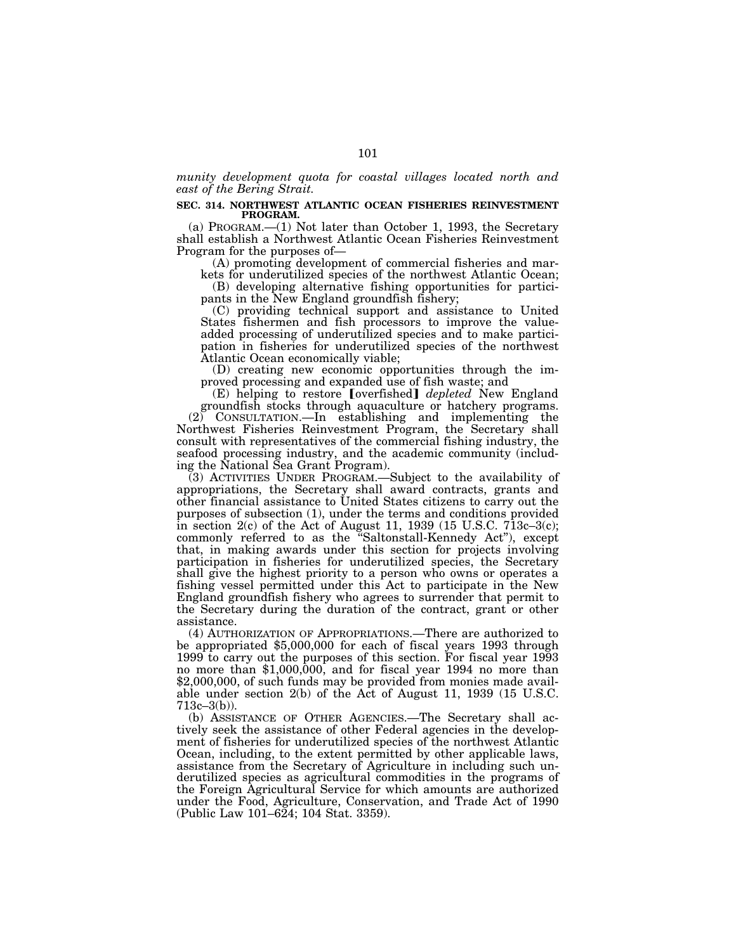*munity development quota for coastal villages located north and east of the Bering Strait.* 

### **SEC. 314. NORTHWEST ATLANTIC OCEAN FISHERIES REINVESTMENT PROGRAM.**

(a) PROGRAM.—(1) Not later than October 1, 1993, the Secretary shall establish a Northwest Atlantic Ocean Fisheries Reinvestment Program for the purposes of—

(A) promoting development of commercial fisheries and markets for underutilized species of the northwest Atlantic Ocean;

(B) developing alternative fishing opportunities for participants in the New England groundfish fishery;

(C) providing technical support and assistance to United States fishermen and fish processors to improve the valueadded processing of underutilized species and to make participation in fisheries for underutilized species of the northwest Atlantic Ocean economically viable;

(D) creating new economic opportunities through the improved processing and expanded use of fish waste; and

(E) helping to restore [overfished] *depleted* New England groundfish stocks through aquaculture or hatchery programs.

(2) CONSULTATION.—In establishing and implementing the Northwest Fisheries Reinvestment Program, the Secretary shall consult with representatives of the commercial fishing industry, the seafood processing industry, and the academic community (including the National Sea Grant Program).

(3) ACTIVITIES UNDER PROGRAM.—Subject to the availability of appropriations, the Secretary shall award contracts, grants and other financial assistance to United States citizens to carry out the purposes of subsection (1), under the terms and conditions provided in section  $2(c)$  of the Act of August 11, 1939 (15 U.S.C. 713c–3(c); commonly referred to as the ''Saltonstall-Kennedy Act''), except that, in making awards under this section for projects involving participation in fisheries for underutilized species, the Secretary shall give the highest priority to a person who owns or operates a fishing vessel permitted under this Act to participate in the New England groundfish fishery who agrees to surrender that permit to the Secretary during the duration of the contract, grant or other assistance.

(4) AUTHORIZATION OF APPROPRIATIONS.—There are authorized to be appropriated \$5,000,000 for each of fiscal years 1993 through 1999 to carry out the purposes of this section. For fiscal year 1993 no more than \$1,000,000, and for fiscal year 1994 no more than \$2,000,000, of such funds may be provided from monies made available under section 2(b) of the Act of August 11, 1939 (15 U.S.C.  $713c-3(b)$ ).

(b) ASSISTANCE OF OTHER AGENCIES.—The Secretary shall actively seek the assistance of other Federal agencies in the development of fisheries for underutilized species of the northwest Atlantic Ocean, including, to the extent permitted by other applicable laws, assistance from the Secretary of Agriculture in including such underutilized species as agricultural commodities in the programs of the Foreign Agricultural Service for which amounts are authorized under the Food, Agriculture, Conservation, and Trade Act of 1990 (Public Law 101–624; 104 Stat. 3359).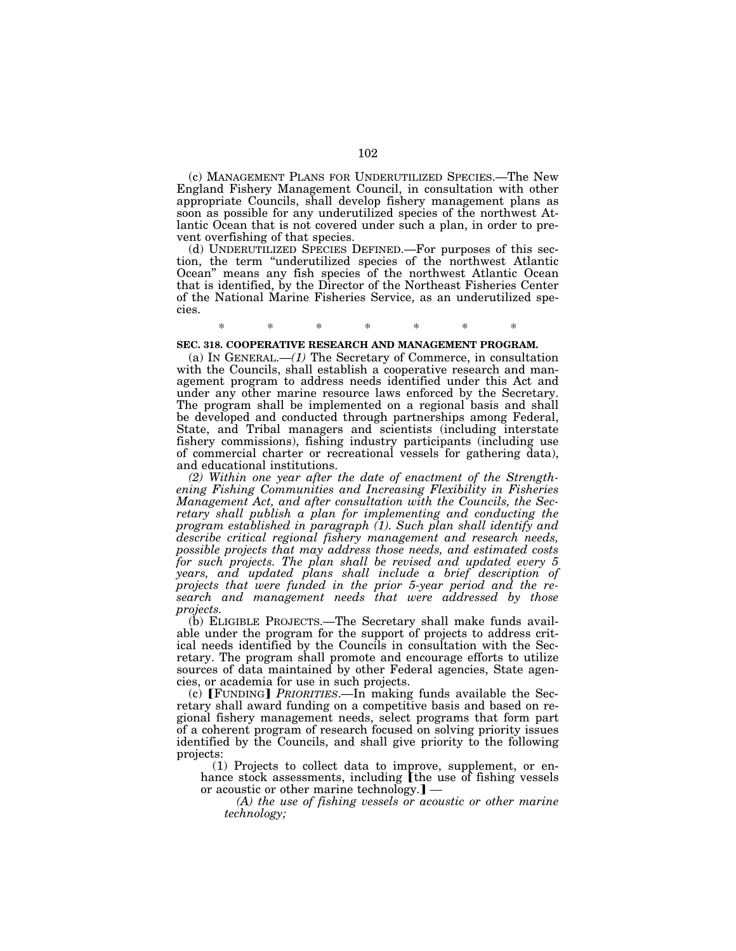(c) MANAGEMENT PLANS FOR UNDERUTILIZED SPECIES.—The New England Fishery Management Council, in consultation with other appropriate Councils, shall develop fishery management plans as soon as possible for any underutilized species of the northwest Atlantic Ocean that is not covered under such a plan, in order to prevent overfishing of that species.

(d) UNDERUTILIZED SPECIES DEFINED.—For purposes of this section, the term ''underutilized species of the northwest Atlantic Ocean'' means any fish species of the northwest Atlantic Ocean that is identified, by the Director of the Northeast Fisheries Center of the National Marine Fisheries Service, as an underutilized species.

# \* \* \* \* \* \* \*

## **SEC. 318. COOPERATIVE RESEARCH AND MANAGEMENT PROGRAM.**

(a) IN GENERAL.—*(1)* The Secretary of Commerce, in consultation with the Councils, shall establish a cooperative research and management program to address needs identified under this Act and under any other marine resource laws enforced by the Secretary. The program shall be implemented on a regional basis and shall be developed and conducted through partnerships among Federal, State, and Tribal managers and scientists (including interstate fishery commissions), fishing industry participants (including use of commercial charter or recreational vessels for gathering data), and educational institutions.

*(2) Within one year after the date of enactment of the Strengthening Fishing Communities and Increasing Flexibility in Fisheries Management Act, and after consultation with the Councils, the Secretary shall publish a plan for implementing and conducting the program established in paragraph (1). Such plan shall identify and describe critical regional fishery management and research needs, possible projects that may address those needs, and estimated costs for such projects. The plan shall be revised and updated every 5 years, and updated plans shall include a brief description of projects that were funded in the prior 5-year period and the research and management needs that were addressed by those projects.* 

(b) ELIGIBLE PROJECTS.—The Secretary shall make funds available under the program for the support of projects to address critical needs identified by the Councils in consultation with the Secretary. The program shall promote and encourage efforts to utilize sources of data maintained by other Federal agencies, State agencies, or academia for use in such projects.

(c) **[FUNDING]** *PRIORITIES*.—In making funds available the Secretary shall award funding on a competitive basis and based on regional fishery management needs, select programs that form part of a coherent program of research focused on solving priority issues identified by the Councils, and shall give priority to the following projects:

(1) Projects to collect data to improve, supplement, or enhance stock assessments, including the use of fishing vessels or acoustic or other marine technology.**]** — (*A) the use of fishing vessels or acoustic or other marine* 

*technology;*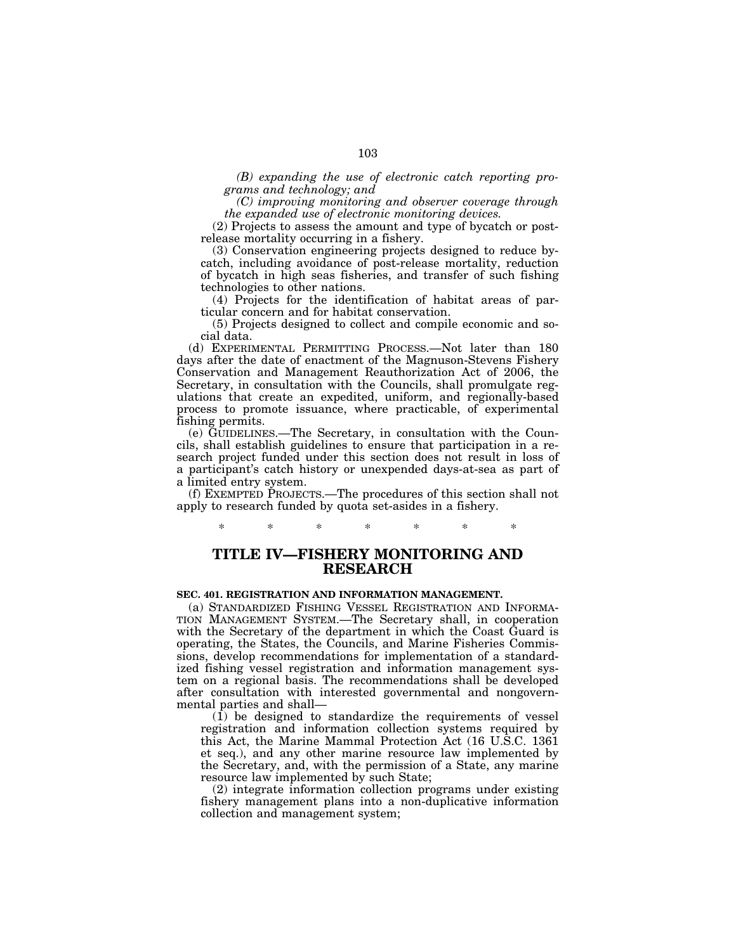*(B) expanding the use of electronic catch reporting programs and technology; and* 

*(C) improving monitoring and observer coverage through the expanded use of electronic monitoring devices.* 

(2) Projects to assess the amount and type of bycatch or postrelease mortality occurring in a fishery.

(3) Conservation engineering projects designed to reduce bycatch, including avoidance of post-release mortality, reduction of bycatch in high seas fisheries, and transfer of such fishing technologies to other nations.

(4) Projects for the identification of habitat areas of particular concern and for habitat conservation.

(5) Projects designed to collect and compile economic and social data.

(d) EXPERIMENTAL PERMITTING PROCESS.—Not later than 180 days after the date of enactment of the Magnuson-Stevens Fishery Conservation and Management Reauthorization Act of 2006, the Secretary, in consultation with the Councils, shall promulgate regulations that create an expedited, uniform, and regionally-based process to promote issuance, where practicable, of experimental fishing permits.

(e) GUIDELINES.—The Secretary, in consultation with the Councils, shall establish guidelines to ensure that participation in a research project funded under this section does not result in loss of a participant's catch history or unexpended days-at-sea as part of a limited entry system.

(f) EXEMPTED PROJECTS.—The procedures of this section shall not apply to research funded by quota set-asides in a fishery.

\* \* \* \* \* \* \*

# **TITLE IV—FISHERY MONITORING AND RESEARCH**

# **SEC. 401. REGISTRATION AND INFORMATION MANAGEMENT.**

(a) STANDARDIZED FISHING VESSEL REGISTRATION AND INFORMA-TION MANAGEMENT SYSTEM.—The Secretary shall, in cooperation with the Secretary of the department in which the Coast Guard is operating, the States, the Councils, and Marine Fisheries Commissions, develop recommendations for implementation of a standardized fishing vessel registration and information management system on a regional basis. The recommendations shall be developed after consultation with interested governmental and nongovernmental parties and shall—

(1) be designed to standardize the requirements of vessel registration and information collection systems required by this Act, the Marine Mammal Protection Act (16 U.S.C. 1361 et seq.), and any other marine resource law implemented by the Secretary, and, with the permission of a State, any marine resource law implemented by such State;

(2) integrate information collection programs under existing fishery management plans into a non-duplicative information collection and management system;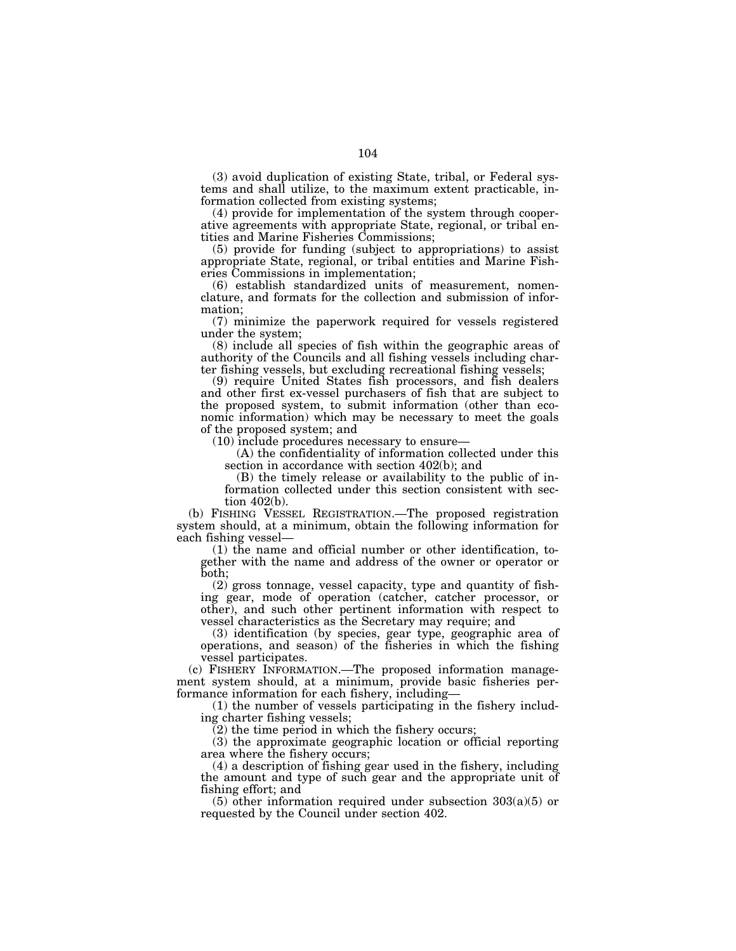(3) avoid duplication of existing State, tribal, or Federal systems and shall utilize, to the maximum extent practicable, information collected from existing systems;

(4) provide for implementation of the system through cooperative agreements with appropriate State, regional, or tribal entities and Marine Fisheries Commissions;

(5) provide for funding (subject to appropriations) to assist appropriate State, regional, or tribal entities and Marine Fisheries Commissions in implementation;

(6) establish standardized units of measurement, nomenclature, and formats for the collection and submission of information;

(7) minimize the paperwork required for vessels registered under the system;

(8) include all species of fish within the geographic areas of authority of the Councils and all fishing vessels including charter fishing vessels, but excluding recreational fishing vessels;

(9) require United States fish processors, and fish dealers and other first ex-vessel purchasers of fish that are subject to the proposed system, to submit information (other than economic information) which may be necessary to meet the goals of the proposed system; and

(10) include procedures necessary to ensure—

(A) the confidentiality of information collected under this section in accordance with section 402(b); and

(B) the timely release or availability to the public of information collected under this section consistent with section 402(b).

(b) FISHING VESSEL REGISTRATION.—The proposed registration system should, at a minimum, obtain the following information for each fishing vessel—

(1) the name and official number or other identification, together with the name and address of the owner or operator or both;

(2) gross tonnage, vessel capacity, type and quantity of fishing gear, mode of operation (catcher, catcher processor, or other), and such other pertinent information with respect to vessel characteristics as the Secretary may require; and

(3) identification (by species, gear type, geographic area of operations, and season) of the fisheries in which the fishing vessel participates.

(c) FISHERY INFORMATION.—The proposed information management system should, at a minimum, provide basic fisheries performance information for each fishery, including—

(1) the number of vessels participating in the fishery including charter fishing vessels;

(2) the time period in which the fishery occurs;

(3) the approximate geographic location or official reporting area where the fishery occurs;

(4) a description of fishing gear used in the fishery, including the amount and type of such gear and the appropriate unit of fishing effort; and

(5) other information required under subsection  $303(a)(5)$  or requested by the Council under section 402.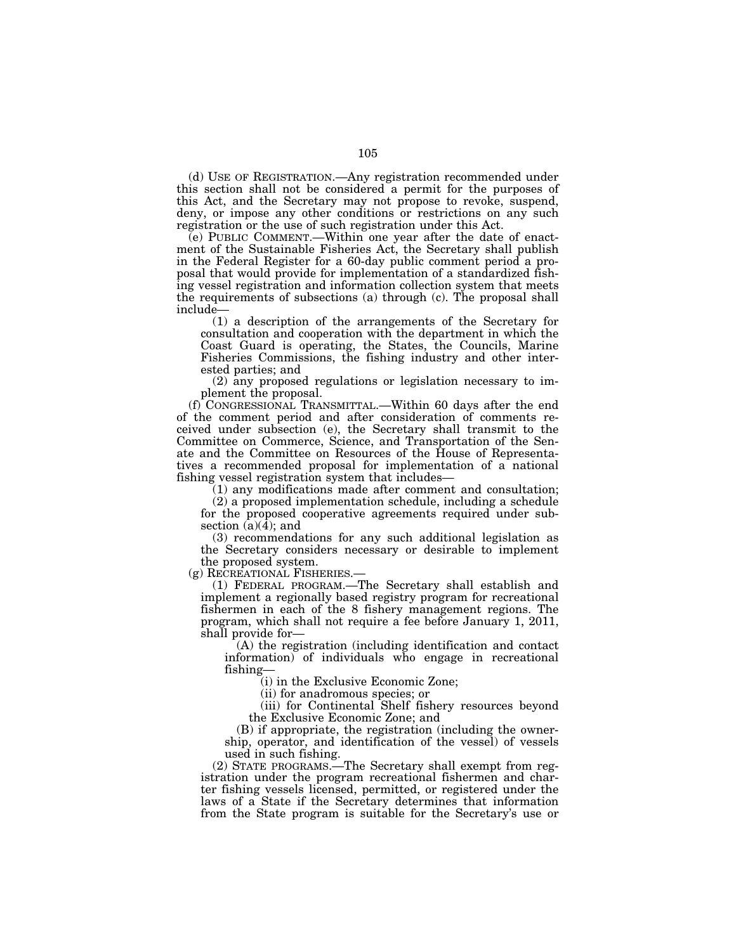(d) USE OF REGISTRATION.—Any registration recommended under this section shall not be considered a permit for the purposes of this Act, and the Secretary may not propose to revoke, suspend, deny, or impose any other conditions or restrictions on any such registration or the use of such registration under this Act.

(e) PUBLIC COMMENT.—Within one year after the date of enactment of the Sustainable Fisheries Act, the Secretary shall publish in the Federal Register for a 60-day public comment period a proposal that would provide for implementation of a standardized fishing vessel registration and information collection system that meets the requirements of subsections (a) through (c). The proposal shall include—

(1) a description of the arrangements of the Secretary for consultation and cooperation with the department in which the Coast Guard is operating, the States, the Councils, Marine Fisheries Commissions, the fishing industry and other interested parties; and

(2) any proposed regulations or legislation necessary to implement the proposal.

(f) CONGRESSIONAL TRANSMITTAL.—Within 60 days after the end of the comment period and after consideration of comments received under subsection (e), the Secretary shall transmit to the Committee on Commerce, Science, and Transportation of the Senate and the Committee on Resources of the House of Representatives a recommended proposal for implementation of a national fishing vessel registration system that includes—

(1) any modifications made after comment and consultation;

(2) a proposed implementation schedule, including a schedule for the proposed cooperative agreements required under subsection  $(a)(4)$ ; and

(3) recommendations for any such additional legislation as the Secretary considers necessary or desirable to implement the proposed system.

(g) RECREATIONAL FISHERIES.—

(1) FEDERAL PROGRAM.—The Secretary shall establish and implement a regionally based registry program for recreational fishermen in each of the 8 fishery management regions. The program, which shall not require a fee before January 1, 2011, shall provide for—

(A) the registration (including identification and contact information) of individuals who engage in recreational fishing—

(i) in the Exclusive Economic Zone;

(ii) for anadromous species; or

(iii) for Continental Shelf fishery resources beyond the Exclusive Economic Zone; and

(B) if appropriate, the registration (including the ownership, operator, and identification of the vessel) of vessels used in such fishing.

(2) STATE PROGRAMS.—The Secretary shall exempt from registration under the program recreational fishermen and charter fishing vessels licensed, permitted, or registered under the laws of a State if the Secretary determines that information from the State program is suitable for the Secretary's use or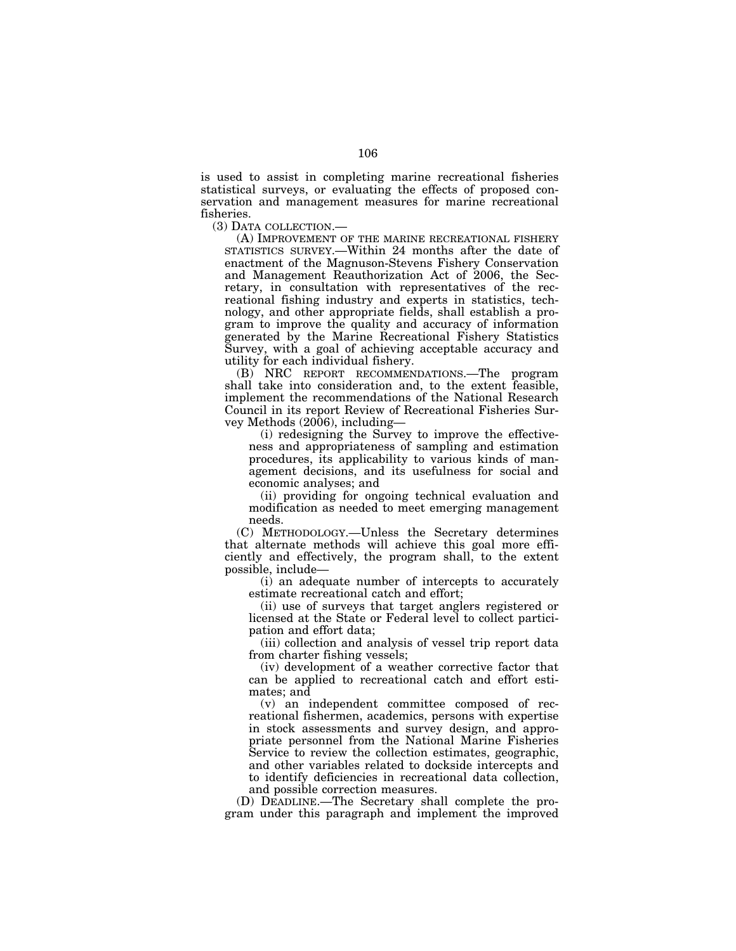is used to assist in completing marine recreational fisheries statistical surveys, or evaluating the effects of proposed conservation and management measures for marine recreational fisheries.

(3) DATA COLLECTION.—

(A) IMPROVEMENT OF THE MARINE RECREATIONAL FISHERY STATISTICS SURVEY.—Within 24 months after the date of enactment of the Magnuson-Stevens Fishery Conservation and Management Reauthorization Act of 2006, the Secretary, in consultation with representatives of the recreational fishing industry and experts in statistics, technology, and other appropriate fields, shall establish a program to improve the quality and accuracy of information generated by the Marine Recreational Fishery Statistics Survey, with a goal of achieving acceptable accuracy and utility for each individual fishery.

(B) NRC REPORT RECOMMENDATIONS.—The program shall take into consideration and, to the extent feasible, implement the recommendations of the National Research Council in its report Review of Recreational Fisheries Survey Methods (2006), including—

(i) redesigning the Survey to improve the effectiveness and appropriateness of sampling and estimation procedures, its applicability to various kinds of management decisions, and its usefulness for social and economic analyses; and

(ii) providing for ongoing technical evaluation and modification as needed to meet emerging management needs.

(C) METHODOLOGY.—Unless the Secretary determines that alternate methods will achieve this goal more efficiently and effectively, the program shall, to the extent possible, include—

(i) an adequate number of intercepts to accurately estimate recreational catch and effort;

(ii) use of surveys that target anglers registered or licensed at the State or Federal level to collect participation and effort data;

(iii) collection and analysis of vessel trip report data from charter fishing vessels;

(iv) development of a weather corrective factor that can be applied to recreational catch and effort estimates; and

(v) an independent committee composed of recreational fishermen, academics, persons with expertise in stock assessments and survey design, and appropriate personnel from the National Marine Fisheries Service to review the collection estimates, geographic, and other variables related to dockside intercepts and to identify deficiencies in recreational data collection, and possible correction measures.

(D) DEADLINE.—The Secretary shall complete the program under this paragraph and implement the improved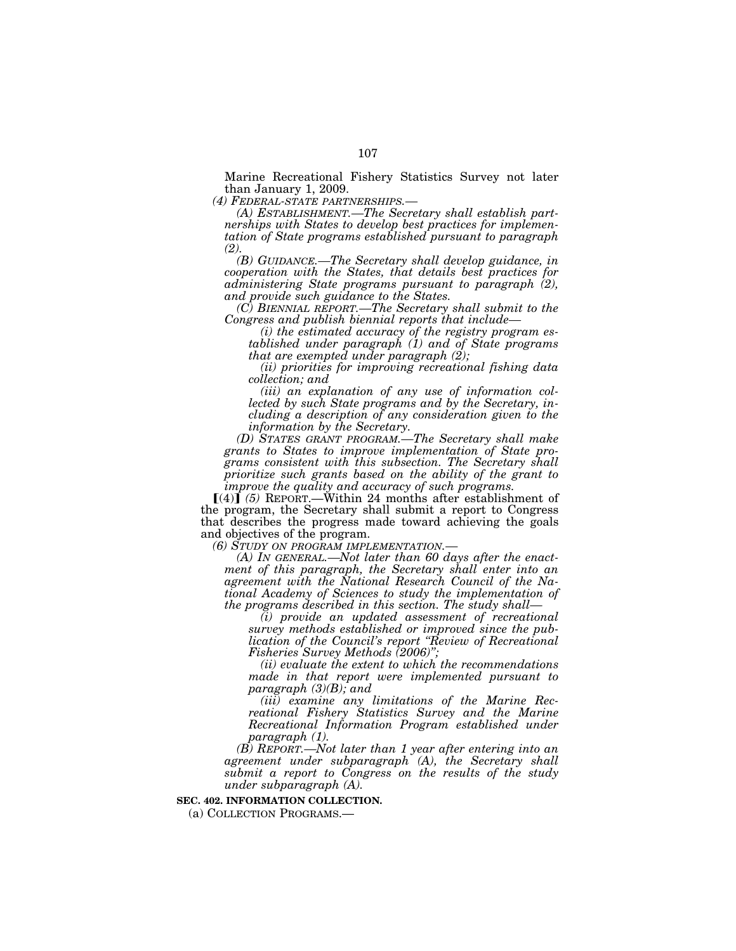Marine Recreational Fishery Statistics Survey not later than January 1, 2009.

*(4) FEDERAL-STATE PARTNERSHIPS.— (A) ESTABLISHMENT.—The Secretary shall establish partnerships with States to develop best practices for implementation of State programs established pursuant to paragraph (2).* 

*(B) GUIDANCE.—The Secretary shall develop guidance, in cooperation with the States, that details best practices for administering State programs pursuant to paragraph (2), and provide such guidance to the States.* 

*(C) BIENNIAL REPORT.—The Secretary shall submit to the Congress and publish biennial reports that include—* 

*(i) the estimated accuracy of the registry program established under paragraph (1) and of State programs that are exempted under paragraph (2);* 

*(ii) priorities for improving recreational fishing data collection; and* 

*(iii) an explanation of any use of information collected by such State programs and by the Secretary, including a description of any consideration given to the information by the Secretary.* 

*(D) STATES GRANT PROGRAM.—The Secretary shall make grants to States to improve implementation of State programs consistent with this subsection. The Secretary shall prioritize such grants based on the ability of the grant to improve the quality and accuracy of such programs.* 

 $[(4)]$  (5) REPORT.—Within 24 months after establishment of the program, the Secretary shall submit a report to Congress that describes the progress made toward achieving the goals and objectives of the program.<br>(6) STUDY ON PROGRAM IMPLEMENTATION.—

*(6) STUDY ON PROGRAM IMPLEMENTATION.— (A) IN GENERAL.—Not later than 60 days after the enactment of this paragraph, the Secretary shall enter into an agreement with the National Research Council of the National Academy of Sciences to study the implementation of the programs described in this section. The study shall—* 

*(i) provide an updated assessment of recreational survey methods established or improved since the publication of the Council's report ''Review of Recreational Fisheries Survey Methods (2006)* 

*(ii) evaluate the extent to which the recommendations made in that report were implemented pursuant to paragraph (3)(B); and* 

*(iii) examine any limitations of the Marine Recreational Fishery Statistics Survey and the Marine Recreational Information Program established under paragraph (1).* 

*(B) REPORT.—Not later than 1 year after entering into an agreement under subparagraph (A), the Secretary shall submit a report to Congress on the results of the study under subparagraph (A).* 

# **SEC. 402. INFORMATION COLLECTION.**

(a) COLLECTION PROGRAMS.—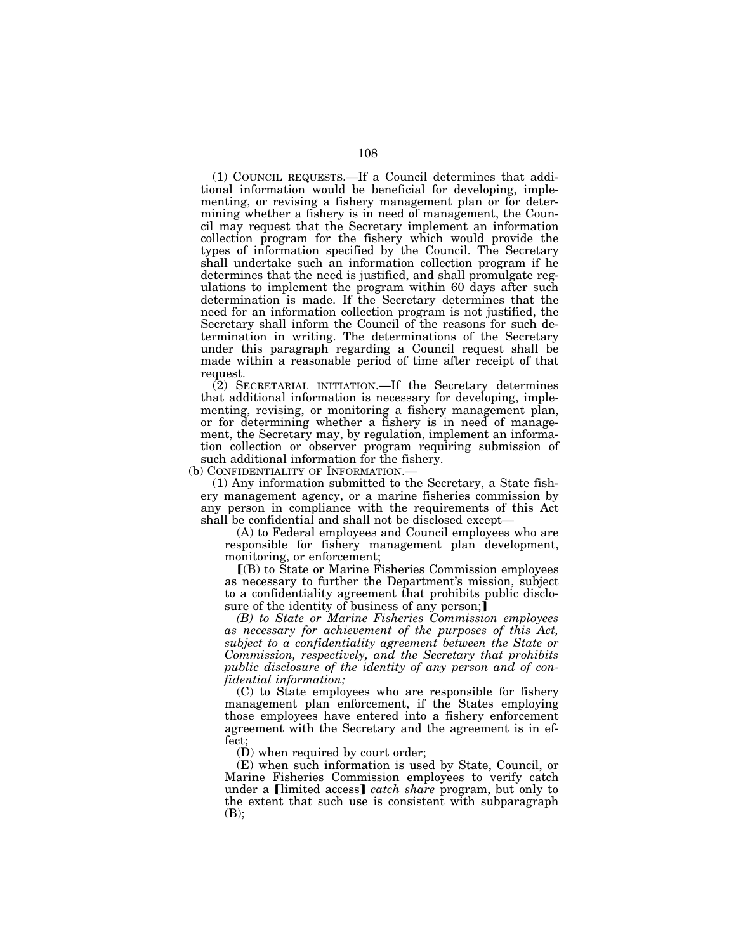(1) COUNCIL REQUESTS.—If a Council determines that additional information would be beneficial for developing, implementing, or revising a fishery management plan or for determining whether a fishery is in need of management, the Council may request that the Secretary implement an information collection program for the fishery which would provide the types of information specified by the Council. The Secretary shall undertake such an information collection program if he determines that the need is justified, and shall promulgate regulations to implement the program within 60 days after such determination is made. If the Secretary determines that the need for an information collection program is not justified, the Secretary shall inform the Council of the reasons for such determination in writing. The determinations of the Secretary under this paragraph regarding a Council request shall be made within a reasonable period of time after receipt of that request.

(2) SECRETARIAL INITIATION.—If the Secretary determines that additional information is necessary for developing, implementing, revising, or monitoring a fishery management plan, or for determining whether a fishery is in need of management, the Secretary may, by regulation, implement an information collection or observer program requiring submission of such additional information for the fishery.

(b) CONFIDENTIALITY OF INFORMATION.—

(1) Any information submitted to the Secretary, a State fishery management agency, or a marine fisheries commission by any person in compliance with the requirements of this Act shall be confidential and shall not be disclosed except—

(A) to Federal employees and Council employees who are responsible for fishery management plan development, monitoring, or enforcement;

 $(6)$  to State or Marine Fisheries Commission employees as necessary to further the Department's mission, subject to a confidentiality agreement that prohibits public disclosure of the identity of business of any person;

*(B) to State or Marine Fisheries Commission employees as necessary for achievement of the purposes of this Act, subject to a confidentiality agreement between the State or Commission, respectively, and the Secretary that prohibits public disclosure of the identity of any person and of confidential information;* 

(C) to State employees who are responsible for fishery management plan enforcement, if the States employing those employees have entered into a fishery enforcement agreement with the Secretary and the agreement is in effect;

(D) when required by court order;

(E) when such information is used by State, Council, or Marine Fisheries Commission employees to verify catch under a limited access] *catch share* program, but only to the extent that such use is consistent with subparagraph (B);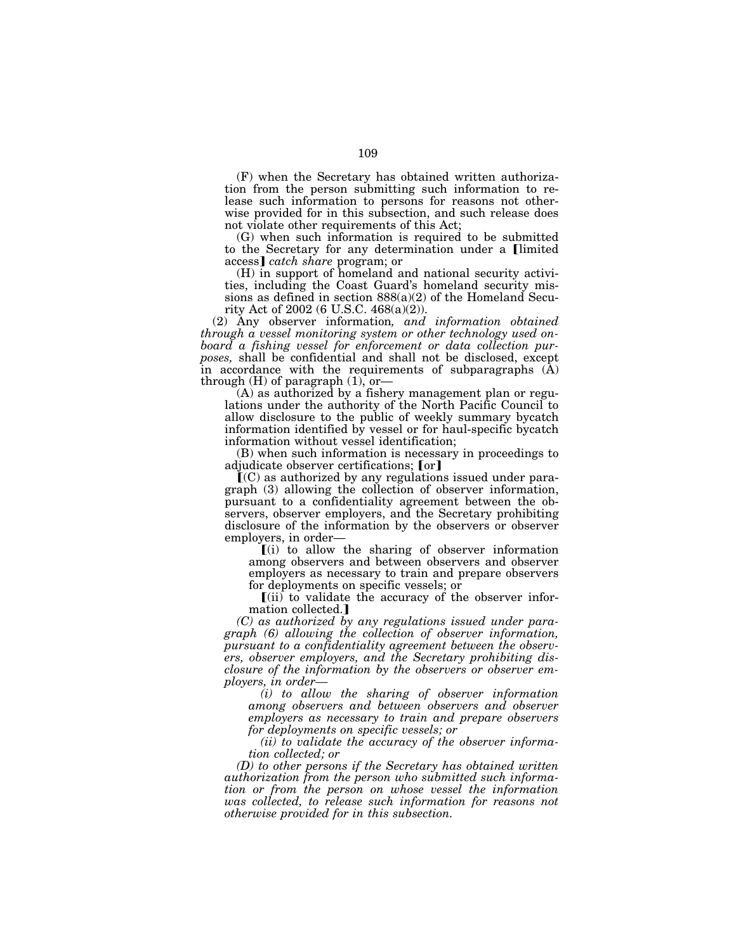(F) when the Secretary has obtained written authorization from the person submitting such information to release such information to persons for reasons not otherwise provided for in this subsection, and such release does not violate other requirements of this Act;

(G) when such information is required to be submitted to the Secretary for any determination under a llimited access¿ *catch share* program; or

(H) in support of homeland and national security activities, including the Coast Guard's homeland security missions as defined in section 888(a)(2) of the Homeland Security Act of 2002 (6 U.S.C. 468(a)(2)).

(2) Any observer information*, and information obtained through a vessel monitoring system or other technology used onboard a fishing vessel for enforcement or data collection purposes,* shall be confidential and shall not be disclosed, except in accordance with the requirements of subparagraphs (A) through  $(H)$  of paragraph  $(1)$ , or-

(A) as authorized by a fishery management plan or regulations under the authority of the North Pacific Council to allow disclosure to the public of weekly summary bycatch information identified by vessel or for haul-specific bycatch information without vessel identification;

(B) when such information is necessary in proceedings to adjudicate observer certifications;  $\lceil \text{or} \rceil$ 

 $\mathcal{L}(\mathcal{C})$  as authorized by any regulations issued under paragraph (3) allowing the collection of observer information, pursuant to a confidentiality agreement between the observers, observer employers, and the Secretary prohibiting disclosure of the information by the observers or observer employers, in order—

 $(i)$  to allow the sharing of observer information among observers and between observers and observer employers as necessary to train and prepare observers for deployments on specific vessels; or

 $\lceil$ (ii) to validate the accuracy of the observer information collected.

*(C) as authorized by any regulations issued under paragraph (6) allowing the collection of observer information, pursuant to a confidentiality agreement between the observers, observer employers, and the Secretary prohibiting disclosure of the information by the observers or observer employers, in order—* 

*(i) to allow the sharing of observer information among observers and between observers and observer employers as necessary to train and prepare observers for deployments on specific vessels; or* 

*(ii) to validate the accuracy of the observer information collected; or* 

*(D) to other persons if the Secretary has obtained written authorization from the person who submitted such information or from the person on whose vessel the information was collected, to release such information for reasons not otherwise provided for in this subsection.*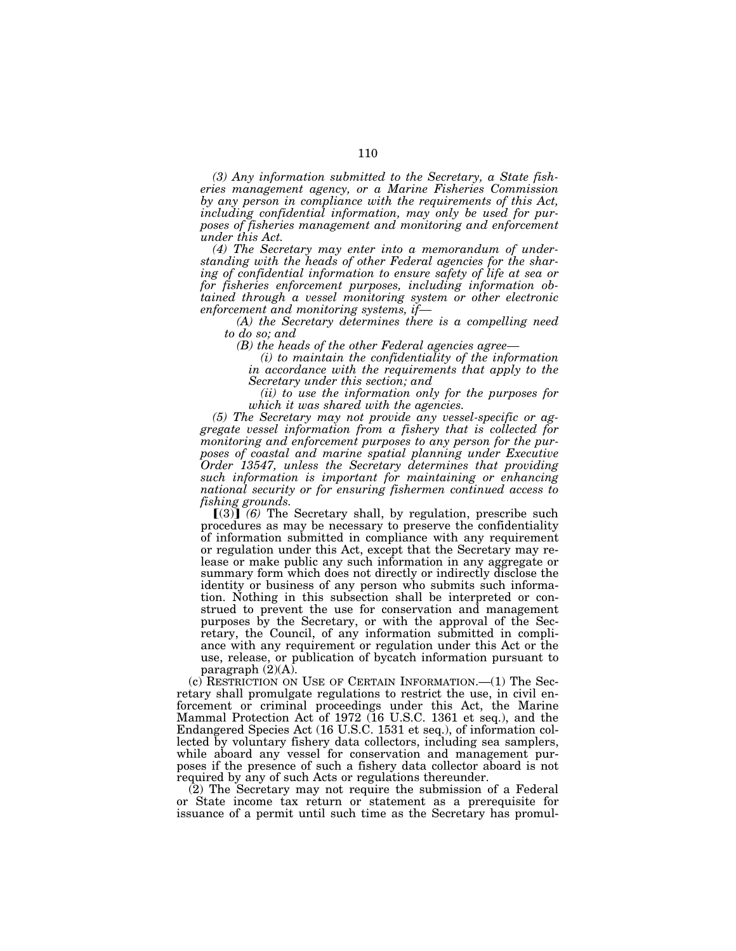*(3) Any information submitted to the Secretary, a State fisheries management agency, or a Marine Fisheries Commission by any person in compliance with the requirements of this Act, including confidential information, may only be used for purposes of fisheries management and monitoring and enforcement under this Act.* 

*(4) The Secretary may enter into a memorandum of understanding with the heads of other Federal agencies for the sharing of confidential information to ensure safety of life at sea or for fisheries enforcement purposes, including information obtained through a vessel monitoring system or other electronic enforcement and monitoring systems, if—* 

*(A) the Secretary determines there is a compelling need to do so; and* 

*(B) the heads of the other Federal agencies agree—* 

*(i) to maintain the confidentiality of the information in accordance with the requirements that apply to the Secretary under this section; and* 

*(ii) to use the information only for the purposes for which it was shared with the agencies.* 

*(5) The Secretary may not provide any vessel-specific or aggregate vessel information from a fishery that is collected for monitoring and enforcement purposes to any person for the purposes of coastal and marine spatial planning under Executive Order 13547, unless the Secretary determines that providing such information is important for maintaining or enhancing national security or for ensuring fishermen continued access to fishing grounds.* 

 $[(3)]$   $(6)$  The Secretary shall, by regulation, prescribe such procedures as may be necessary to preserve the confidentiality of information submitted in compliance with any requirement or regulation under this Act, except that the Secretary may release or make public any such information in any aggregate or summary form which does not directly or indirectly disclose the identity or business of any person who submits such information. Nothing in this subsection shall be interpreted or construed to prevent the use for conservation and management purposes by the Secretary, or with the approval of the Secretary, the Council, of any information submitted in compliance with any requirement or regulation under this Act or the use, release, or publication of bycatch information pursuant to paragraph  $(2)(A)$ .

(c) RESTRICTION ON USE OF CERTAIN INFORMATION.—(1) The Secretary shall promulgate regulations to restrict the use, in civil enforcement or criminal proceedings under this Act, the Marine Mammal Protection Act of 1972 (16 U.S.C. 1361 et seq.), and the Endangered Species Act (16 U.S.C. 1531 et seq.), of information collected by voluntary fishery data collectors, including sea samplers, while aboard any vessel for conservation and management purposes if the presence of such a fishery data collector aboard is not required by any of such Acts or regulations thereunder.

(2) The Secretary may not require the submission of a Federal or State income tax return or statement as a prerequisite for issuance of a permit until such time as the Secretary has promul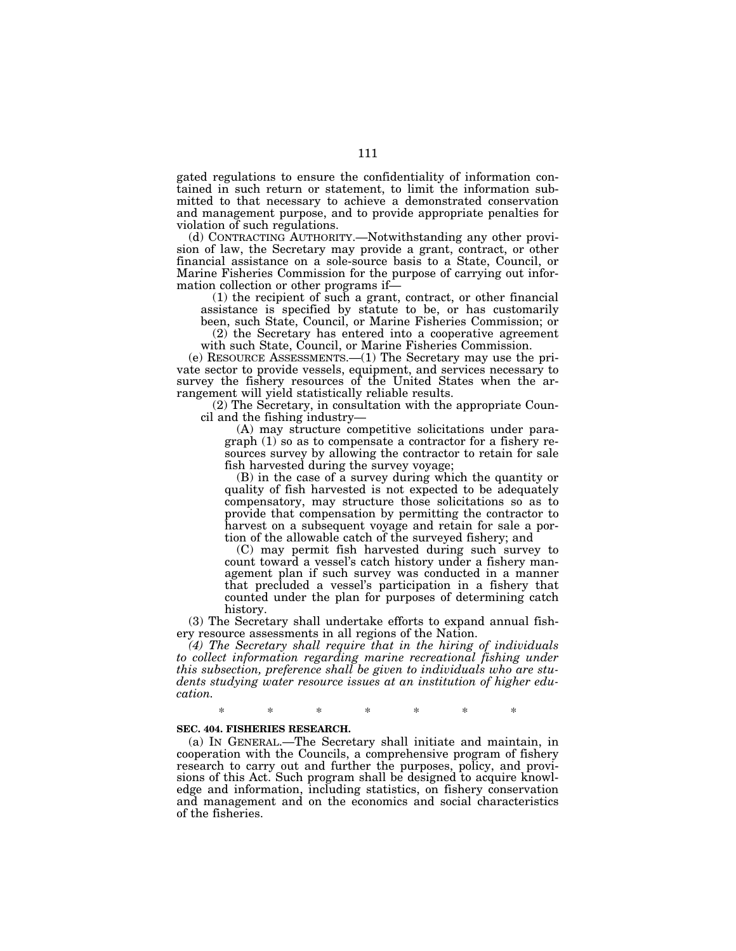gated regulations to ensure the confidentiality of information contained in such return or statement, to limit the information submitted to that necessary to achieve a demonstrated conservation and management purpose, and to provide appropriate penalties for violation of such regulations.

(d) CONTRACTING AUTHORITY.—Notwithstanding any other provision of law, the Secretary may provide a grant, contract, or other financial assistance on a sole-source basis to a State, Council, or Marine Fisheries Commission for the purpose of carrying out information collection or other programs if—

(1) the recipient of such a grant, contract, or other financial assistance is specified by statute to be, or has customarily been, such State, Council, or Marine Fisheries Commission; or

(2) the Secretary has entered into a cooperative agreement with such State, Council, or Marine Fisheries Commission.

(e) RESOURCE ASSESSMENTS.—(1) The Secretary may use the private sector to provide vessels, equipment, and services necessary to survey the fishery resources of the United States when the arrangement will yield statistically reliable results.

(2) The Secretary, in consultation with the appropriate Council and the fishing industry—

(A) may structure competitive solicitations under paragraph (1) so as to compensate a contractor for a fishery resources survey by allowing the contractor to retain for sale fish harvested during the survey voyage;

(B) in the case of a survey during which the quantity or quality of fish harvested is not expected to be adequately compensatory, may structure those solicitations so as to provide that compensation by permitting the contractor to harvest on a subsequent voyage and retain for sale a portion of the allowable catch of the surveyed fishery; and

(C) may permit fish harvested during such survey to count toward a vessel's catch history under a fishery management plan if such survey was conducted in a manner that precluded a vessel's participation in a fishery that counted under the plan for purposes of determining catch history.

(3) The Secretary shall undertake efforts to expand annual fishery resource assessments in all regions of the Nation.

*(4) The Secretary shall require that in the hiring of individuals*  to collect information regarding marine recreational fishing under *this subsection, preference shall be given to individuals who are students studying water resource issues at an institution of higher education.* 

\* \* \* \* \* \* \*

#### **SEC. 404. FISHERIES RESEARCH.**

(a) IN GENERAL.—The Secretary shall initiate and maintain, in cooperation with the Councils, a comprehensive program of fishery research to carry out and further the purposes, policy, and provisions of this Act. Such program shall be designed to acquire knowledge and information, including statistics, on fishery conservation and management and on the economics and social characteristics of the fisheries.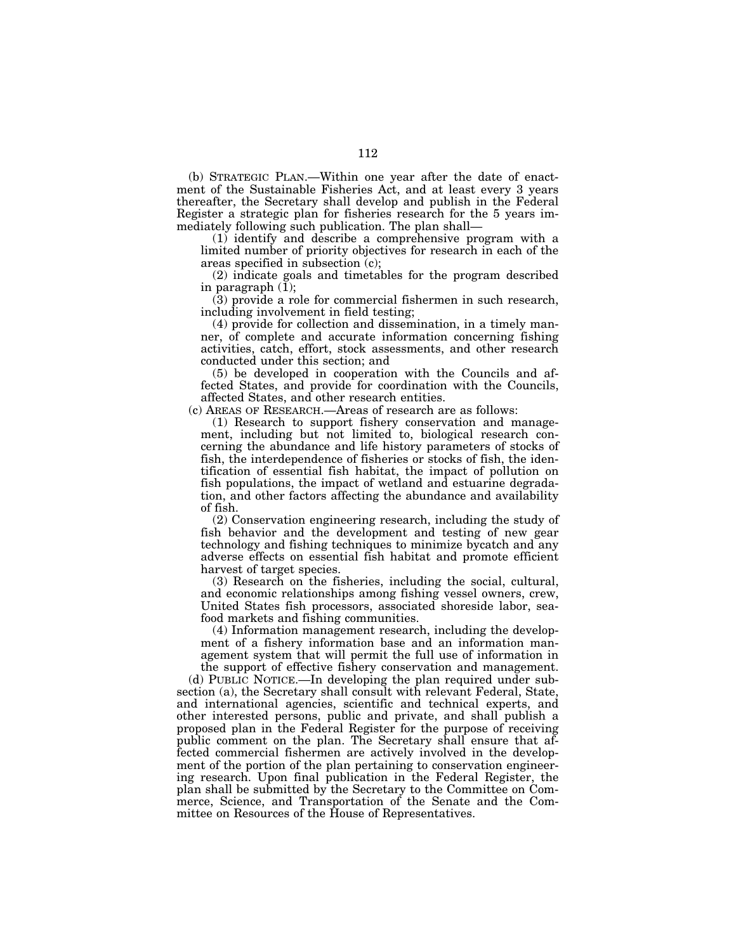(b) STRATEGIC PLAN.—Within one year after the date of enactment of the Sustainable Fisheries Act, and at least every 3 years thereafter, the Secretary shall develop and publish in the Federal Register a strategic plan for fisheries research for the 5 years immediately following such publication. The plan shall—

(1) identify and describe a comprehensive program with a limited number of priority objectives for research in each of the areas specified in subsection (c);

(2) indicate goals and timetables for the program described in paragraph (1);

(3) provide a role for commercial fishermen in such research, including involvement in field testing;

(4) provide for collection and dissemination, in a timely manner, of complete and accurate information concerning fishing activities, catch, effort, stock assessments, and other research conducted under this section; and

(5) be developed in cooperation with the Councils and affected States, and provide for coordination with the Councils, affected States, and other research entities.

(c) AREAS OF RESEARCH.—Areas of research are as follows:

(1) Research to support fishery conservation and management, including but not limited to, biological research concerning the abundance and life history parameters of stocks of fish, the interdependence of fisheries or stocks of fish, the identification of essential fish habitat, the impact of pollution on fish populations, the impact of wetland and estuarine degradation, and other factors affecting the abundance and availability of fish.

(2) Conservation engineering research, including the study of fish behavior and the development and testing of new gear technology and fishing techniques to minimize bycatch and any adverse effects on essential fish habitat and promote efficient harvest of target species.

(3) Research on the fisheries, including the social, cultural, and economic relationships among fishing vessel owners, crew, United States fish processors, associated shoreside labor, seafood markets and fishing communities.

(4) Information management research, including the development of a fishery information base and an information management system that will permit the full use of information in the support of effective fishery conservation and management.

(d) PUBLIC NOTICE.—In developing the plan required under subsection (a), the Secretary shall consult with relevant Federal, State, and international agencies, scientific and technical experts, and other interested persons, public and private, and shall publish a proposed plan in the Federal Register for the purpose of receiving public comment on the plan. The Secretary shall ensure that affected commercial fishermen are actively involved in the development of the portion of the plan pertaining to conservation engineering research. Upon final publication in the Federal Register, the plan shall be submitted by the Secretary to the Committee on Commerce, Science, and Transportation of the Senate and the Committee on Resources of the House of Representatives.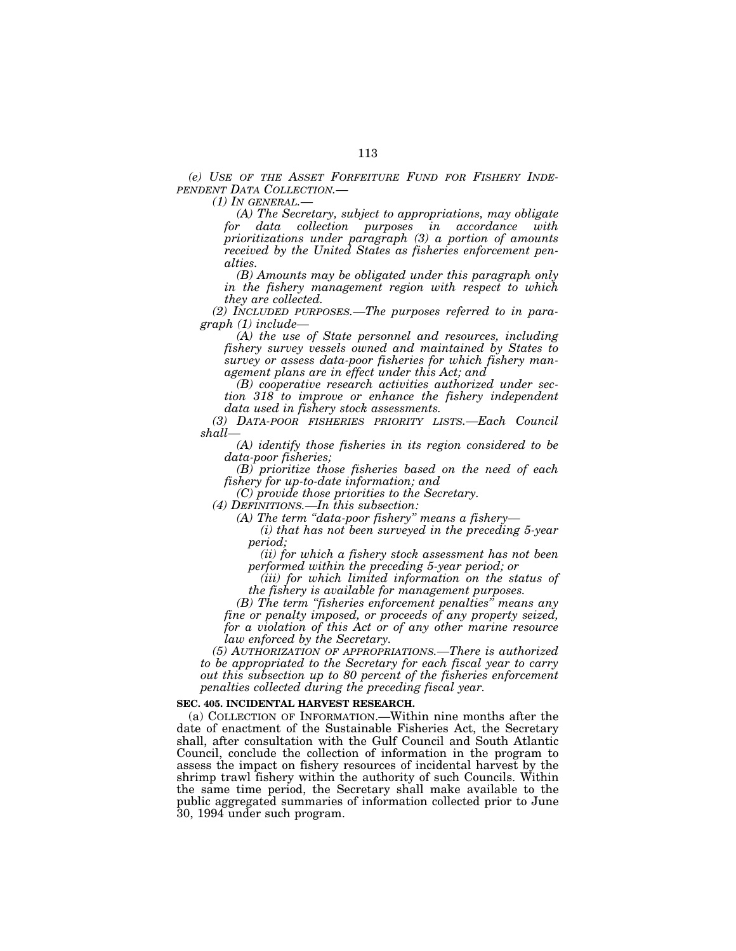*(e) USE OF THE ASSET FORFEITURE FUND FOR FISHERY INDE-PENDENT DATA COLLECTION.—* 

*(1) IN GENERAL.—* 

*(A) The Secretary, subject to appropriations, may obligate for data collection purposes in accordance with prioritizations under paragraph (3) a portion of amounts received by the United States as fisheries enforcement penalties.* 

*(B) Amounts may be obligated under this paragraph only in the fishery management region with respect to which they are collected.* 

*(2) INCLUDED PURPOSES.—The purposes referred to in paragraph (1) include—* 

*(A) the use of State personnel and resources, including fishery survey vessels owned and maintained by States to survey or assess data-poor fisheries for which fishery management plans are in effect under this Act; and* 

*(B) cooperative research activities authorized under section 318 to improve or enhance the fishery independent data used in fishery stock assessments.* 

*(3) DATA-POOR FISHERIES PRIORITY LISTS.—Each Council shall—* 

*(A) identify those fisheries in its region considered to be data-poor fisheries;* 

*(B) prioritize those fisheries based on the need of each fishery for up-to-date information; and* 

*(C) provide those priorities to the Secretary.* 

*(4) DEFINITIONS.—In this subsection:* 

*(A) The term ''data-poor fishery'' means a fishery—* 

*(i) that has not been surveyed in the preceding 5-year period;* 

*(ii) for which a fishery stock assessment has not been performed within the preceding 5-year period; or* 

*(iii) for which limited information on the status of the fishery is available for management purposes.* 

*(B) The term ''fisheries enforcement penalties'' means any fine or penalty imposed, or proceeds of any property seized, for a violation of this Act or of any other marine resource law enforced by the Secretary.* 

*(5) AUTHORIZATION OF APPROPRIATIONS.—There is authorized to be appropriated to the Secretary for each fiscal year to carry out this subsection up to 80 percent of the fisheries enforcement penalties collected during the preceding fiscal year.* 

# **SEC. 405. INCIDENTAL HARVEST RESEARCH.**

(a) COLLECTION OF INFORMATION.—Within nine months after the date of enactment of the Sustainable Fisheries Act, the Secretary shall, after consultation with the Gulf Council and South Atlantic Council, conclude the collection of information in the program to assess the impact on fishery resources of incidental harvest by the shrimp trawl fishery within the authority of such Councils. Within the same time period, the Secretary shall make available to the public aggregated summaries of information collected prior to June 30, 1994 under such program.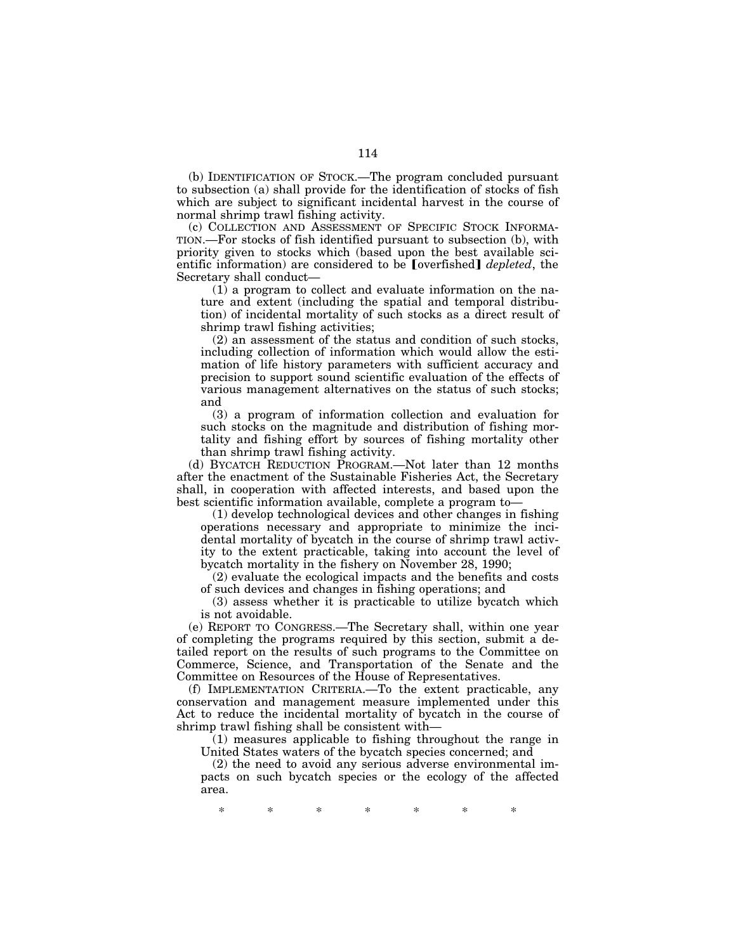(b) IDENTIFICATION OF STOCK.—The program concluded pursuant to subsection (a) shall provide for the identification of stocks of fish which are subject to significant incidental harvest in the course of normal shrimp trawl fishing activity.

(c) COLLECTION AND ASSESSMENT OF SPECIFIC STOCK INFORMA-TION.—For stocks of fish identified pursuant to subsection (b), with priority given to stocks which (based upon the best available scientific information) are considered to be [overfished] *depleted*, the Secretary shall conduct—

(1) a program to collect and evaluate information on the nature and extent (including the spatial and temporal distribution) of incidental mortality of such stocks as a direct result of shrimp trawl fishing activities;

(2) an assessment of the status and condition of such stocks, including collection of information which would allow the estimation of life history parameters with sufficient accuracy and precision to support sound scientific evaluation of the effects of various management alternatives on the status of such stocks; and

(3) a program of information collection and evaluation for such stocks on the magnitude and distribution of fishing mortality and fishing effort by sources of fishing mortality other than shrimp trawl fishing activity.

(d) BYCATCH REDUCTION PROGRAM.—Not later than 12 months after the enactment of the Sustainable Fisheries Act, the Secretary shall, in cooperation with affected interests, and based upon the best scientific information available, complete a program to—

(1) develop technological devices and other changes in fishing operations necessary and appropriate to minimize the incidental mortality of bycatch in the course of shrimp trawl activity to the extent practicable, taking into account the level of bycatch mortality in the fishery on November 28, 1990;

(2) evaluate the ecological impacts and the benefits and costs of such devices and changes in fishing operations; and

(3) assess whether it is practicable to utilize bycatch which is not avoidable.

(e) REPORT TO CONGRESS.—The Secretary shall, within one year of completing the programs required by this section, submit a detailed report on the results of such programs to the Committee on Commerce, Science, and Transportation of the Senate and the Committee on Resources of the House of Representatives.

(f) IMPLEMENTATION CRITERIA.—To the extent practicable, any conservation and management measure implemented under this Act to reduce the incidental mortality of bycatch in the course of shrimp trawl fishing shall be consistent with—

(1) measures applicable to fishing throughout the range in United States waters of the bycatch species concerned; and

(2) the need to avoid any serious adverse environmental impacts on such bycatch species or the ecology of the affected area.

\* \* \* \* \* \* \*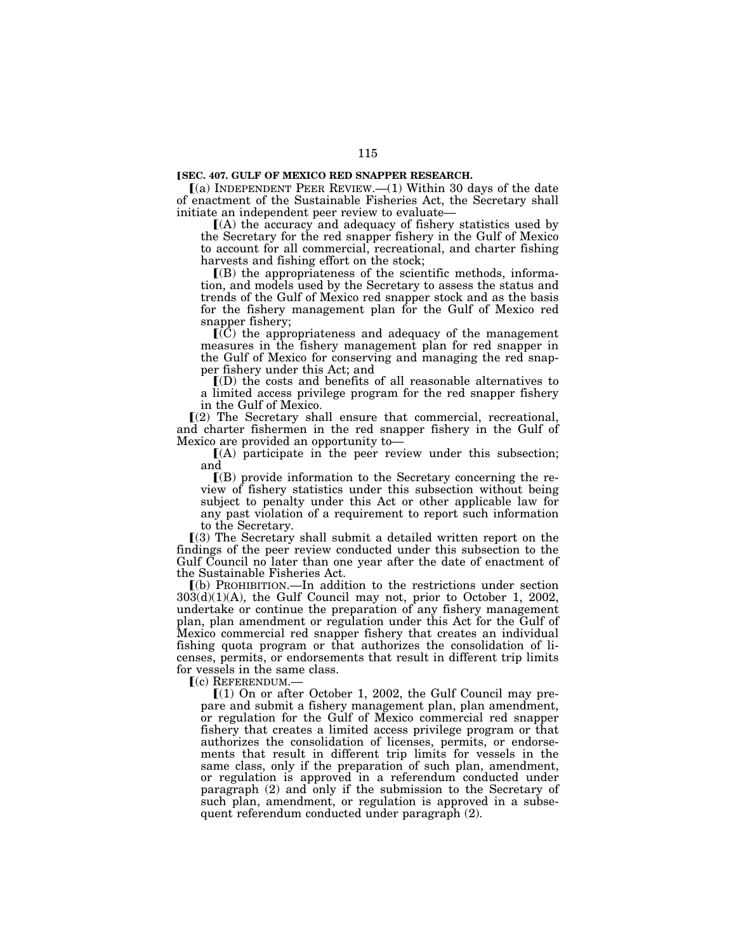#### **[SEC. 407. GULF OF MEXICO RED SNAPPER RESEARCH.**

 $(a)$  INDEPENDENT PEER REVIEW.—(1) Within 30 days of the date of enactment of the Sustainable Fisheries Act, the Secretary shall initiate an independent peer review to evaluate—

 $(A)$  the accuracy and adequacy of fishery statistics used by the Secretary for the red snapper fishery in the Gulf of Mexico to account for all commercial, recreational, and charter fishing harvests and fishing effort on the stock;

 $($ B) the appropriateness of the scientific methods, information, and models used by the Secretary to assess the status and trends of the Gulf of Mexico red snapper stock and as the basis for the fishery management plan for the Gulf of Mexico red snapper fishery;

 $\mathbb{I}(C)$  the appropriateness and adequacy of the management measures in the fishery management plan for red snapper in the Gulf of Mexico for conserving and managing the red snapper fishery under this Act; and

 $I(D)$  the costs and benefits of all reasonable alternatives to a limited access privilege program for the red snapper fishery in the Gulf of Mexico.

 $(2)$  The Secretary shall ensure that commercial, recreational, and charter fishermen in the red snapper fishery in the Gulf of Mexico are provided an opportunity to—

 $[(A)$  participate in the peer review under this subsection; and

ø(B) provide information to the Secretary concerning the review of fishery statistics under this subsection without being subject to penalty under this Act or other applicable law for any past violation of a requirement to report such information to the Secretary.

 $(3)$  The Secretary shall submit a detailed written report on the findings of the peer review conducted under this subsection to the Gulf Council no later than one year after the date of enactment of the Sustainable Fisheries Act.

ø(b) PROHIBITION.—In addition to the restrictions under section  $303(d)(1)(A)$ , the Gulf Council may not, prior to October 1, 2002, undertake or continue the preparation of any fishery management plan, plan amendment or regulation under this Act for the Gulf of Mexico commercial red snapper fishery that creates an individual fishing quota program or that authorizes the consolidation of licenses, permits, or endorsements that result in different trip limits for vessels in the same class.

 $[(c)$  REFERENDUM.—<br> $[(1)$  On or after October 1, 2002, the Gulf Council may prepare and submit a fishery management plan, plan amendment, or regulation for the Gulf of Mexico commercial red snapper fishery that creates a limited access privilege program or that authorizes the consolidation of licenses, permits, or endorsements that result in different trip limits for vessels in the same class, only if the preparation of such plan, amendment, or regulation is approved in a referendum conducted under paragraph (2) and only if the submission to the Secretary of such plan, amendment, or regulation is approved in a subsequent referendum conducted under paragraph (2).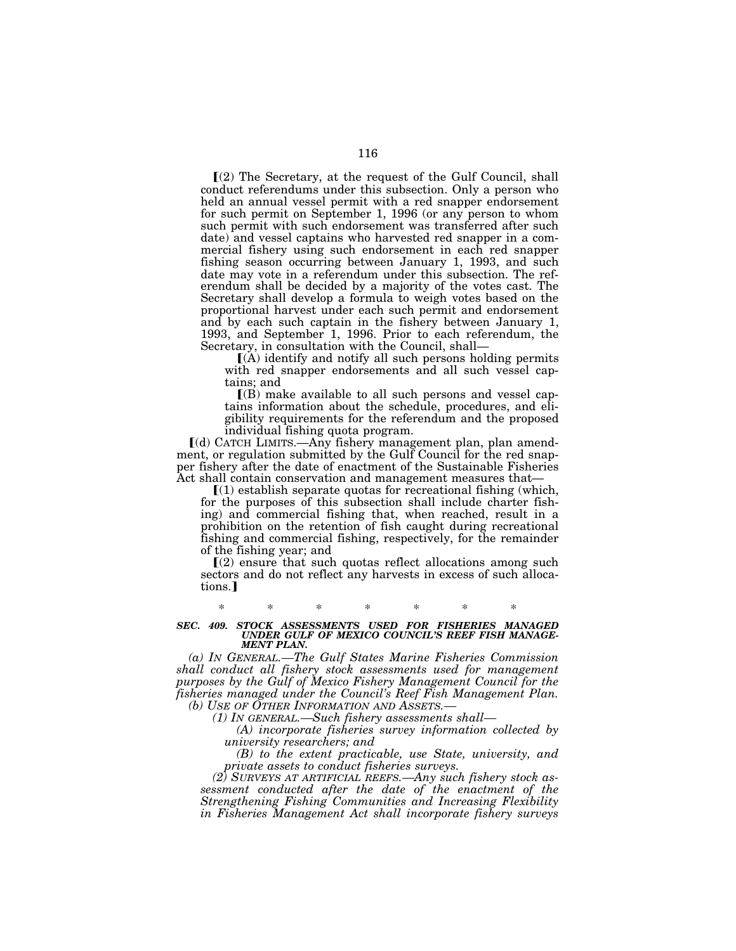$\Gamma(2)$  The Secretary, at the request of the Gulf Council, shall conduct referendums under this subsection. Only a person who held an annual vessel permit with a red snapper endorsement for such permit on September 1, 1996 (or any person to whom such permit with such endorsement was transferred after such date) and vessel captains who harvested red snapper in a commercial fishery using such endorsement in each red snapper fishing season occurring between January 1, 1993, and such date may vote in a referendum under this subsection. The referendum shall be decided by a majority of the votes cast. The Secretary shall develop a formula to weigh votes based on the proportional harvest under each such permit and endorsement and by each such captain in the fishery between January 1, 1993, and September 1, 1996. Prior to each referendum, the Secretary, in consultation with the Council, shall—

 $\Gamma(A)$  identify and notify all such persons holding permits with red snapper endorsements and all such vessel captains; and

 $($ B) make available to all such persons and vessel captains information about the schedule, procedures, and eligibility requirements for the referendum and the proposed individual fishing quota program.

ø(d) CATCH LIMITS.—Any fishery management plan, plan amendment, or regulation submitted by the Gulf Council for the red snapper fishery after the date of enactment of the Sustainable Fisheries Act shall contain conservation and management measures that—

 $(1)$  establish separate quotas for recreational fishing (which, for the purposes of this subsection shall include charter fishing) and commercial fishing that, when reached, result in a prohibition on the retention of fish caught during recreational fishing and commercial fishing, respectively, for the remainder of the fishing year; and

 $\Gamma(2)$  ensure that such quotas reflect allocations among such sectors and do not reflect any harvests in excess of such allocations.]

\* \* \* \* \* \* \*

#### *SEC. 409. STOCK ASSESSMENTS USED FOR FISHERIES MANAGED UNDER GULF OF MEXICO COUNCIL'S REEF FISH MANAGE-MENT PLAN.*

*(a) IN GENERAL.—The Gulf States Marine Fisheries Commission shall conduct all fishery stock assessments used for management purposes by the Gulf of Mexico Fishery Management Council for the fisheries managed under the Council's Reef Fish Management Plan. (b) USE OF OTHER INFORMATION AND ASSETS.—* 

*(1) IN GENERAL.—Such fishery assessments shall—* 

*(A) incorporate fisheries survey information collected by university researchers; and* 

*(B) to the extent practicable, use State, university, and private assets to conduct fisheries surveys.* 

*(2) SURVEYS AT ARTIFICIAL REEFS.—Any such fishery stock assessment conducted after the date of the enactment of the Strengthening Fishing Communities and Increasing Flexibility in Fisheries Management Act shall incorporate fishery surveys*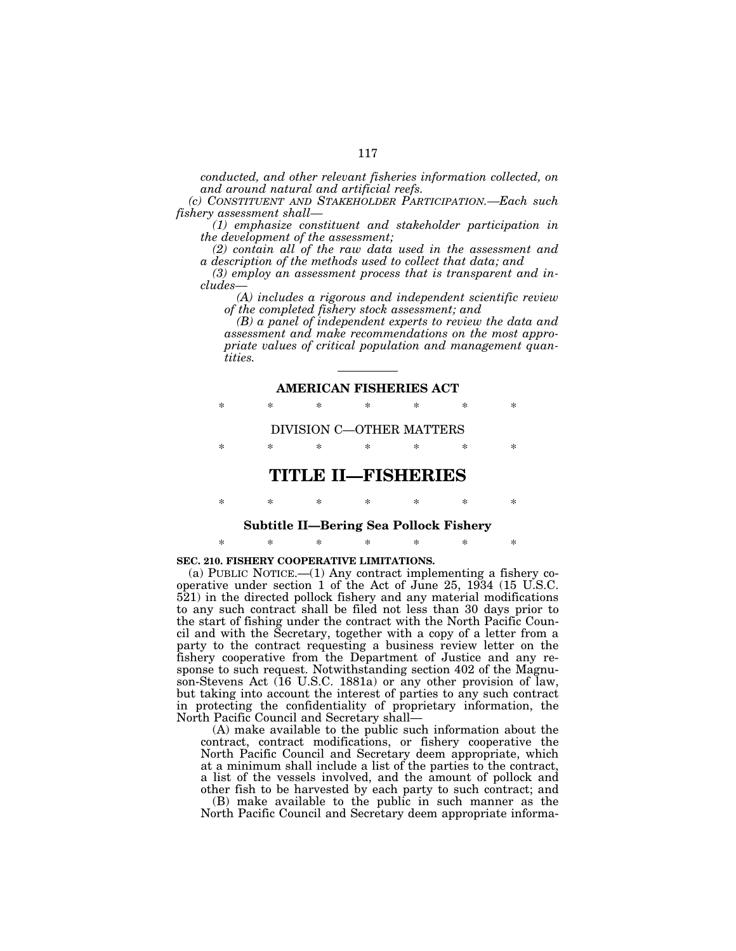*conducted, and other relevant fisheries information collected, on and around natural and artificial reefs.* 

*(c) CONSTITUENT AND STAKEHOLDER PARTICIPATION.—Each such fishery assessment shall—* 

*(1) emphasize constituent and stakeholder participation in the development of the assessment;* 

*(2) contain all of the raw data used in the assessment and a description of the methods used to collect that data; and* 

*(3) employ an assessment process that is transparent and includes—* 

*(A) includes a rigorous and independent scientific review of the completed fishery stock assessment; and* 

*(B) a panel of independent experts to review the data and assessment and make recommendations on the most appropriate values of critical population and management quantities.* 

#### **AMERICAN FISHERIES ACT**

\* \* \* \* \* \* \*

# DIVISION C—OTHER MATTERS

\* \* \* \* \* \* \*

# **TITLE II—FISHERIES**

\* \* \* \* \* \* \*

## **Subtitle II—Bering Sea Pollock Fishery**

\* \* \* \* \* \* \*

# **SEC. 210. FISHERY COOPERATIVE LIMITATIONS.**

(a) PUBLIC NOTICE.—(1) Any contract implementing a fishery cooperative under section 1 of the Act of June 25, 1934 (15 U.S.C. 521) in the directed pollock fishery and any material modifications to any such contract shall be filed not less than 30 days prior to the start of fishing under the contract with the North Pacific Council and with the Secretary, together with a copy of a letter from a party to the contract requesting a business review letter on the fishery cooperative from the Department of Justice and any response to such request. Notwithstanding section 402 of the Magnuson-Stevens Act (16 U.S.C. 1881a) or any other provision of law, but taking into account the interest of parties to any such contract in protecting the confidentiality of proprietary information, the North Pacific Council and Secretary shall—

(A) make available to the public such information about the contract, contract modifications, or fishery cooperative the North Pacific Council and Secretary deem appropriate, which at a minimum shall include a list of the parties to the contract, a list of the vessels involved, and the amount of pollock and other fish to be harvested by each party to such contract; and

(B) make available to the public in such manner as the North Pacific Council and Secretary deem appropriate informa-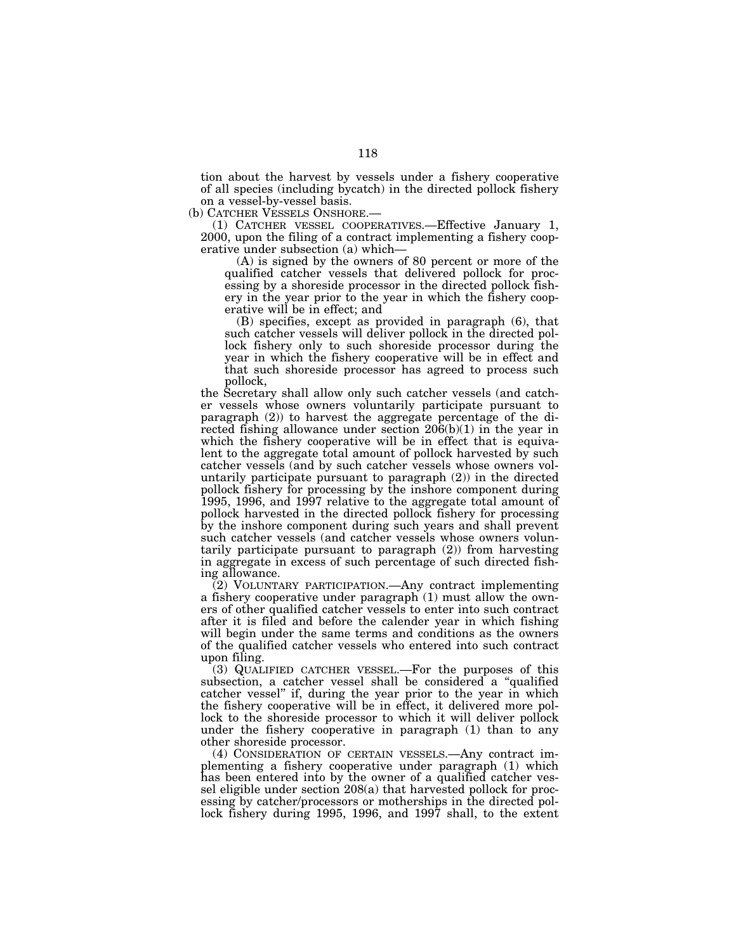tion about the harvest by vessels under a fishery cooperative of all species (including bycatch) in the directed pollock fishery on a vessel-by-vessel basis.

(1) CATCHER VESSEL COOPERATIVES.— Effective January 1, 2000, upon the filing of a contract implementing a fishery cooperative under subsection (a) which—

(A) is signed by the owners of 80 percent or more of the qualified catcher vessels that delivered pollock for processing by a shoreside processor in the directed pollock fishery in the year prior to the year in which the fishery cooperative will be in effect; and

(B) specifies, except as provided in paragraph (6), that such catcher vessels will deliver pollock in the directed pollock fishery only to such shoreside processor during the year in which the fishery cooperative will be in effect and that such shoreside processor has agreed to process such pollock,

the Secretary shall allow only such catcher vessels (and catcher vessels whose owners voluntarily participate pursuant to paragraph (2)) to harvest the aggregate percentage of the directed fishing allowance under section 206(b)(1) in the year in which the fishery cooperative will be in effect that is equivalent to the aggregate total amount of pollock harvested by such catcher vessels (and by such catcher vessels whose owners voluntarily participate pursuant to paragraph (2)) in the directed pollock fishery for processing by the inshore component during 1995, 1996, and 1997 relative to the aggregate total amount of pollock harvested in the directed pollock fishery for processing by the inshore component during such years and shall prevent such catcher vessels (and catcher vessels whose owners voluntarily participate pursuant to paragraph (2)) from harvesting in aggregate in excess of such percentage of such directed fishing allowance.

(2) VOLUNTARY PARTICIPATION.—Any contract implementing a fishery cooperative under paragraph (1) must allow the owners of other qualified catcher vessels to enter into such contract after it is filed and before the calender year in which fishing will begin under the same terms and conditions as the owners of the qualified catcher vessels who entered into such contract upon filing.

(3) QUALIFIED CATCHER VESSEL.—For the purposes of this subsection, a catcher vessel shall be considered a ''qualified catcher vessel'' if, during the year prior to the year in which the fishery cooperative will be in effect, it delivered more pollock to the shoreside processor to which it will deliver pollock under the fishery cooperative in paragraph (1) than to any other shoreside processor.

(4) CONSIDERATION OF CERTAIN VESSELS.—Any contract implementing a fishery cooperative under paragraph (1) which has been entered into by the owner of a qualified catcher vessel eligible under section 208(a) that harvested pollock for processing by catcher/processors or motherships in the directed pollock fishery during 1995, 1996, and 1997 shall, to the extent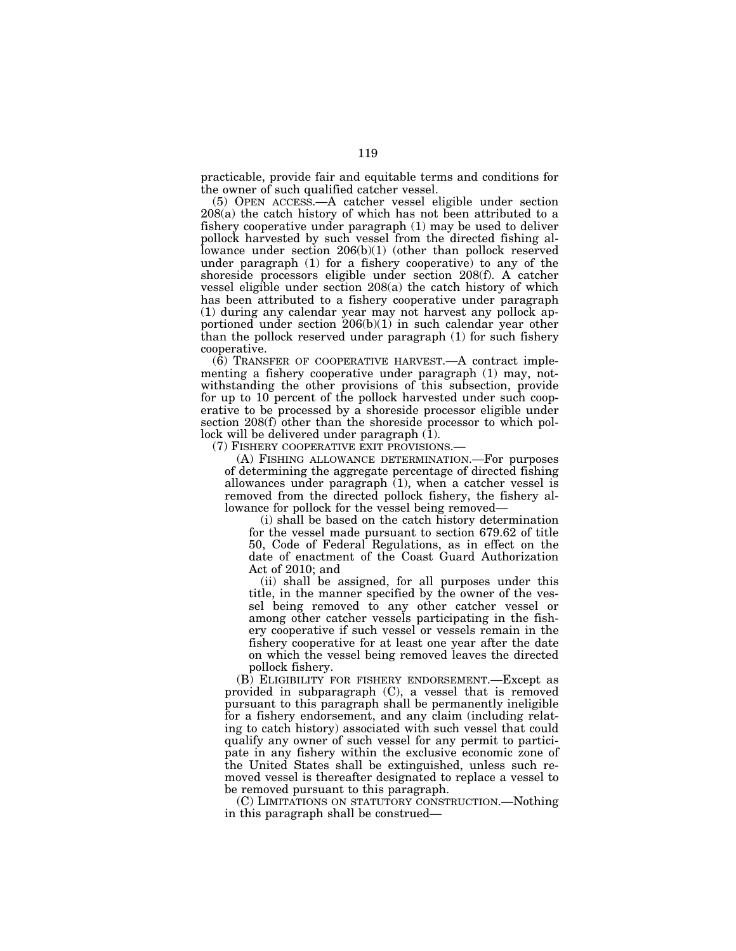practicable, provide fair and equitable terms and conditions for the owner of such qualified catcher vessel.

(5) OPEN ACCESS.—A catcher vessel eligible under section 208(a) the catch history of which has not been attributed to a fishery cooperative under paragraph (1) may be used to deliver pollock harvested by such vessel from the directed fishing allowance under section 206(b)(1) (other than pollock reserved under paragraph (1) for a fishery cooperative) to any of the shoreside processors eligible under section 208(f). A catcher vessel eligible under section 208(a) the catch history of which has been attributed to a fishery cooperative under paragraph (1) during any calendar year may not harvest any pollock apportioned under section 206(b)(1) in such calendar year other than the pollock reserved under paragraph (1) for such fishery cooperative.

(6) TRANSFER OF COOPERATIVE HARVEST.—A contract implementing a fishery cooperative under paragraph (1) may, notwithstanding the other provisions of this subsection, provide for up to 10 percent of the pollock harvested under such cooperative to be processed by a shoreside processor eligible under section 208(f) other than the shoreside processor to which pollock will be delivered under paragraph  $(1)$ .

(7) FISHERY COOPERATIVE EXIT PROVISIONS.—

(A) FISHING ALLOWANCE DETERMINATION.—For purposes of determining the aggregate percentage of directed fishing allowances under paragraph  $(1)$ , when a catcher vessel is removed from the directed pollock fishery, the fishery allowance for pollock for the vessel being removed—

(i) shall be based on the catch history determination for the vessel made pursuant to section 679.62 of title 50, Code of Federal Regulations, as in effect on the date of enactment of the Coast Guard Authorization Act of 2010; and

(ii) shall be assigned, for all purposes under this title, in the manner specified by the owner of the vessel being removed to any other catcher vessel or among other catcher vessels participating in the fishery cooperative if such vessel or vessels remain in the fishery cooperative for at least one year after the date on which the vessel being removed leaves the directed pollock fishery.

(B) ELIGIBILITY FOR FISHERY ENDORSEMENT.—Except as provided in subparagraph (C), a vessel that is removed pursuant to this paragraph shall be permanently ineligible for a fishery endorsement, and any claim (including relating to catch history) associated with such vessel that could qualify any owner of such vessel for any permit to participate in any fishery within the exclusive economic zone of the United States shall be extinguished, unless such removed vessel is thereafter designated to replace a vessel to be removed pursuant to this paragraph.

(C) LIMITATIONS ON STATUTORY CONSTRUCTION.—Nothing in this paragraph shall be construed—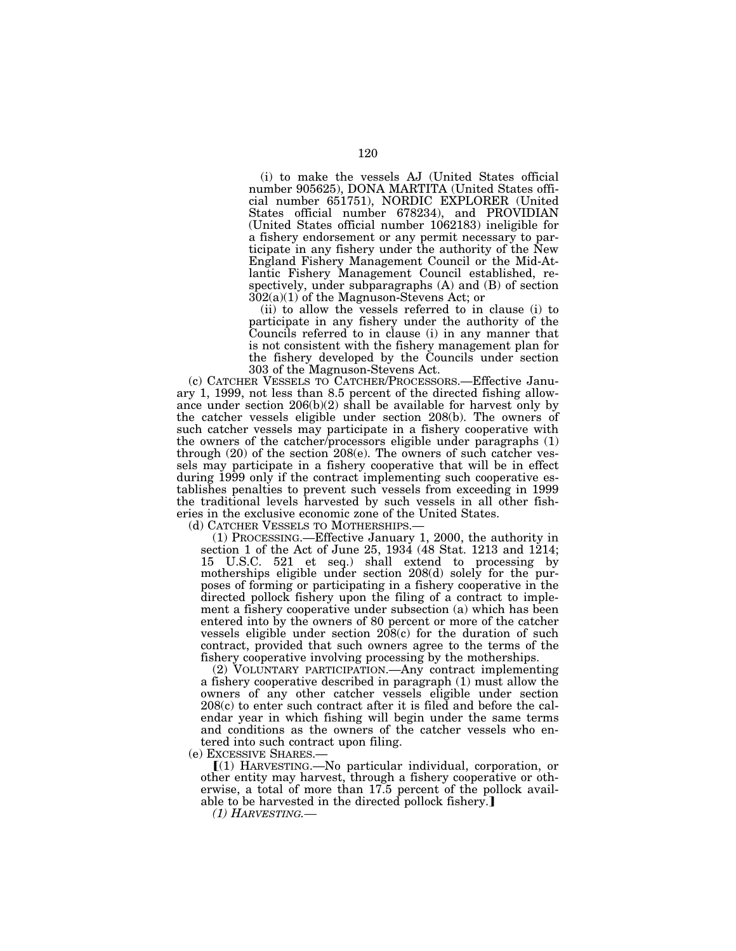(i) to make the vessels AJ (United States official number 905625), DONA MARTITA (United States official number 651751), NORDIC EXPLORER (United States official number 678234), and PROVIDIAN (United States official number 1062183) ineligible for a fishery endorsement or any permit necessary to participate in any fishery under the authority of the New England Fishery Management Council or the Mid-Atlantic Fishery Management Council established, respectively, under subparagraphs (A) and (B) of section 302(a)(1) of the Magnuson-Stevens Act; or

(ii) to allow the vessels referred to in clause (i) to participate in any fishery under the authority of the Councils referred to in clause (i) in any manner that is not consistent with the fishery management plan for the fishery developed by the Councils under section 303 of the Magnuson-Stevens Act.

(c) CATCHER VESSELS TO CATCHER/PROCESSORS.—Effective January 1, 1999, not less than 8.5 percent of the directed fishing allowance under section 206(b)(2) shall be available for harvest only by the catcher vessels eligible under section 208(b). The owners of such catcher vessels may participate in a fishery cooperative with the owners of the catcher/processors eligible under paragraphs (1) through (20) of the section 208(e). The owners of such catcher vessels may participate in a fishery cooperative that will be in effect during 1999 only if the contract implementing such cooperative establishes penalties to prevent such vessels from exceeding in 1999 the traditional levels harvested by such vessels in all other fisheries in the exclusive economic zone of the United States.

(d) CATCHER VESSELS TO MOTHERSHIPS.—

(1) PROCESSING.—Effective January 1, 2000, the authority in section 1 of the Act of June 25, 1934 (48 Stat. 1213 and 1214; 15 U.S.C. 521 et seq.) shall extend to processing by motherships eligible under section 208(d) solely for the purposes of forming or participating in a fishery cooperative in the directed pollock fishery upon the filing of a contract to implement a fishery cooperative under subsection (a) which has been entered into by the owners of 80 percent or more of the catcher vessels eligible under section 208(c) for the duration of such contract, provided that such owners agree to the terms of the fishery cooperative involving processing by the motherships.

(2) VOLUNTARY PARTICIPATION.—Any contract implementing a fishery cooperative described in paragraph (1) must allow the owners of any other catcher vessels eligible under section 208(c) to enter such contract after it is filed and before the calendar year in which fishing will begin under the same terms and conditions as the owners of the catcher vessels who entered into such contract upon filing.

(e) EXCESSIVE SHARES.—<br> $[(1)$  HARVESTING.—No particular individual, corporation, or other entity may harvest, through a fishery cooperative or otherwise, a total of more than 17.5 percent of the pollock available to be harvested in the directed pollock fishery.]

*(1) HARVESTING.—*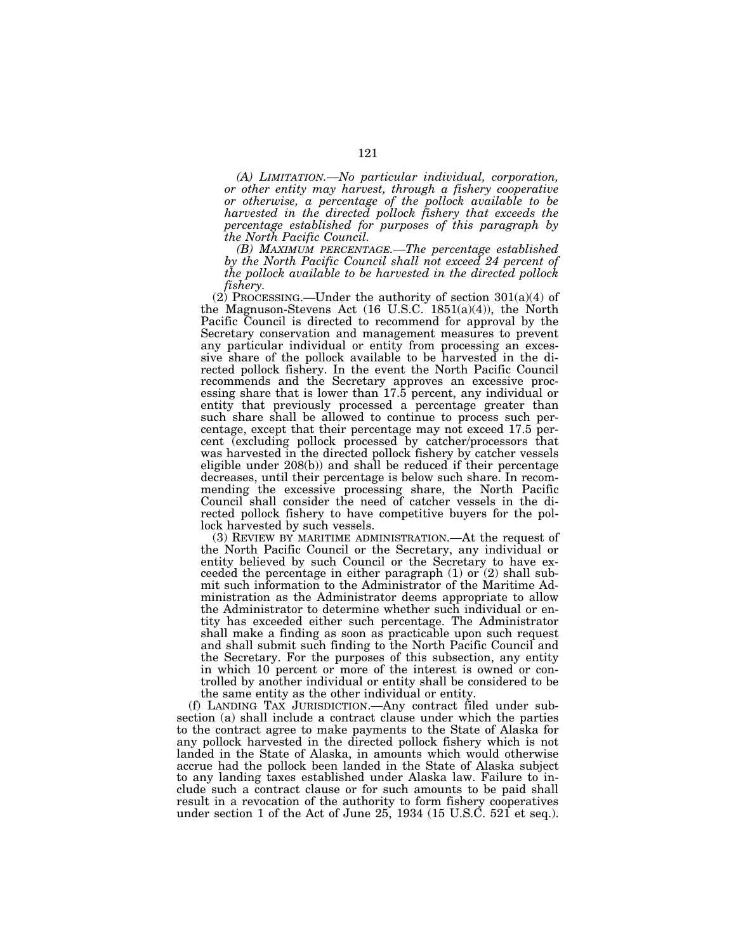*(A) LIMITATION.—No particular individual, corporation, or other entity may harvest, through a fishery cooperative or otherwise, a percentage of the pollock available to be harvested in the directed pollock fishery that exceeds the percentage established for purposes of this paragraph by the North Pacific Council.* 

*(B) MAXIMUM PERCENTAGE.—The percentage established by the North Pacific Council shall not exceed 24 percent of the pollock available to be harvested in the directed pollock fishery.* 

(2) PROCESSING.—Under the authority of section  $301(a)(4)$  of the Magnuson-Stevens Act  $(16 \text{ U.S.C. } 1851(a)(4))$ , the North Pacific Council is directed to recommend for approval by the Secretary conservation and management measures to prevent any particular individual or entity from processing an excessive share of the pollock available to be harvested in the directed pollock fishery. In the event the North Pacific Council recommends and the Secretary approves an excessive processing share that is lower than 17.5 percent, any individual or entity that previously processed a percentage greater than such share shall be allowed to continue to process such percentage, except that their percentage may not exceed 17.5 percent (excluding pollock processed by catcher/processors that was harvested in the directed pollock fishery by catcher vessels eligible under 208(b)) and shall be reduced if their percentage decreases, until their percentage is below such share. In recommending the excessive processing share, the North Pacific Council shall consider the need of catcher vessels in the directed pollock fishery to have competitive buyers for the pollock harvested by such vessels.

(3) REVIEW BY MARITIME ADMINISTRATION.—At the request of the North Pacific Council or the Secretary, any individual or entity believed by such Council or the Secretary to have exceeded the percentage in either paragraph  $(1)$  or  $(2)$  shall submit such information to the Administrator of the Maritime Administration as the Administrator deems appropriate to allow the Administrator to determine whether such individual or entity has exceeded either such percentage. The Administrator shall make a finding as soon as practicable upon such request and shall submit such finding to the North Pacific Council and the Secretary. For the purposes of this subsection, any entity in which 10 percent or more of the interest is owned or controlled by another individual or entity shall be considered to be the same entity as the other individual or entity.

(f) LANDING TAX JURISDICTION.—Any contract filed under subsection (a) shall include a contract clause under which the parties to the contract agree to make payments to the State of Alaska for any pollock harvested in the directed pollock fishery which is not landed in the State of Alaska, in amounts which would otherwise accrue had the pollock been landed in the State of Alaska subject to any landing taxes established under Alaska law. Failure to include such a contract clause or for such amounts to be paid shall result in a revocation of the authority to form fishery cooperatives under section 1 of the Act of June 25, 1934 (15 U.S.C. 521 et seq.).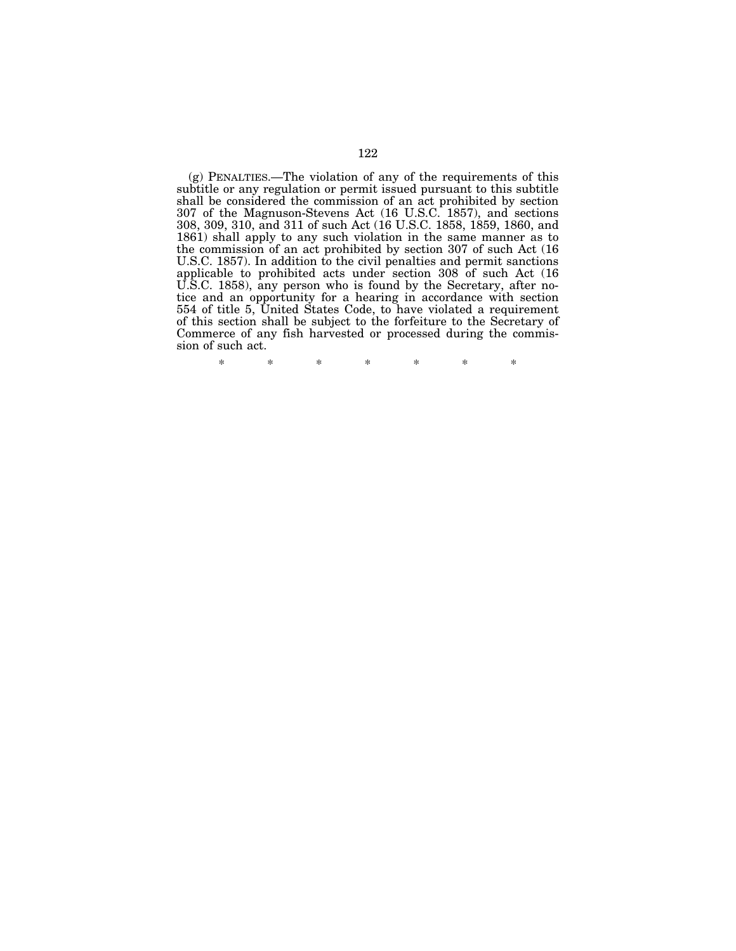(g) PENALTIES.—The violation of any of the requirements of this subtitle or any regulation or permit issued pursuant to this subtitle shall be considered the commission of an act prohibited by section 307 of the Magnuson-Stevens Act (16 U.S.C. 1857), and sections 308, 309, 310, and 311 of such Act (16 U.S.C. 1858, 1859, 1860, and 1861) shall apply to any such violation in the same manner as to the commission of an act prohibited by section 307 of such Act (16 U.S.C. 1857). In addition to the civil penalties and permit sanctions applicable to prohibited acts under section 308 of such Act (16 U.S.C. 1858), any person who is found by the Secretary, after notice and an opportunity for a hearing in accordance with section 554 of title 5, United States Code, to have violated a requirement of this section shall be subject to the forfeiture to the Secretary of Commerce of any fish harvested or processed during the commission of such act.

\* \* \* \* \* \* \*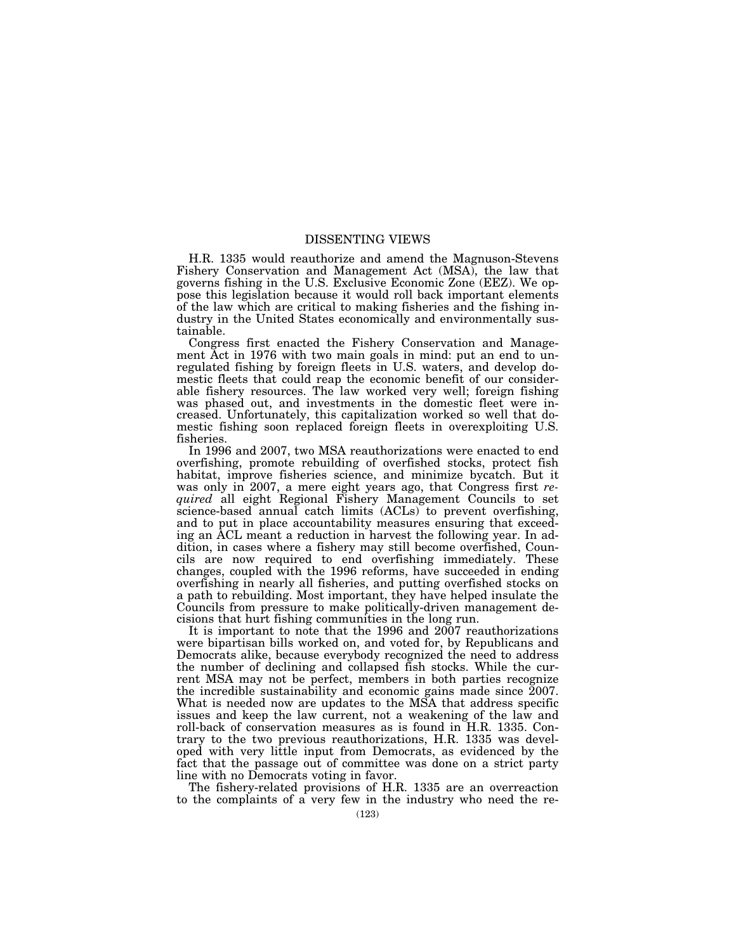## DISSENTING VIEWS

H.R. 1335 would reauthorize and amend the Magnuson-Stevens Fishery Conservation and Management Act (MSA), the law that governs fishing in the U.S. Exclusive Economic Zone (EEZ). We oppose this legislation because it would roll back important elements of the law which are critical to making fisheries and the fishing industry in the United States economically and environmentally sustainable.

Congress first enacted the Fishery Conservation and Management Act in 1976 with two main goals in mind: put an end to unregulated fishing by foreign fleets in U.S. waters, and develop domestic fleets that could reap the economic benefit of our considerable fishery resources. The law worked very well; foreign fishing was phased out, and investments in the domestic fleet were increased. Unfortunately, this capitalization worked so well that domestic fishing soon replaced foreign fleets in overexploiting U.S. fisheries.

In 1996 and 2007, two MSA reauthorizations were enacted to end overfishing, promote rebuilding of overfished stocks, protect fish habitat, improve fisheries science, and minimize bycatch. But it was only in 2007, a mere eight years ago, that Congress first *required* all eight Regional Fishery Management Councils to set science-based annual catch limits (ACLs) to prevent overfishing, and to put in place accountability measures ensuring that exceeding an ACL meant a reduction in harvest the following year. In addition, in cases where a fishery may still become overfished, Councils are now required to end overfishing immediately. These changes, coupled with the 1996 reforms, have succeeded in ending overfishing in nearly all fisheries, and putting overfished stocks on a path to rebuilding. Most important, they have helped insulate the Councils from pressure to make politically-driven management decisions that hurt fishing communities in the long run.

It is important to note that the 1996 and 2007 reauthorizations were bipartisan bills worked on, and voted for, by Republicans and Democrats alike, because everybody recognized the need to address the number of declining and collapsed fish stocks. While the current MSA may not be perfect, members in both parties recognize the incredible sustainability and economic gains made since 2007. What is needed now are updates to the MSA that address specific issues and keep the law current, not a weakening of the law and roll-back of conservation measures as is found in H.R. 1335. Contrary to the two previous reauthorizations, H.R. 1335 was developed with very little input from Democrats, as evidenced by the fact that the passage out of committee was done on a strict party line with no Democrats voting in favor.

The fishery-related provisions of H.R. 1335 are an overreaction to the complaints of a very few in the industry who need the re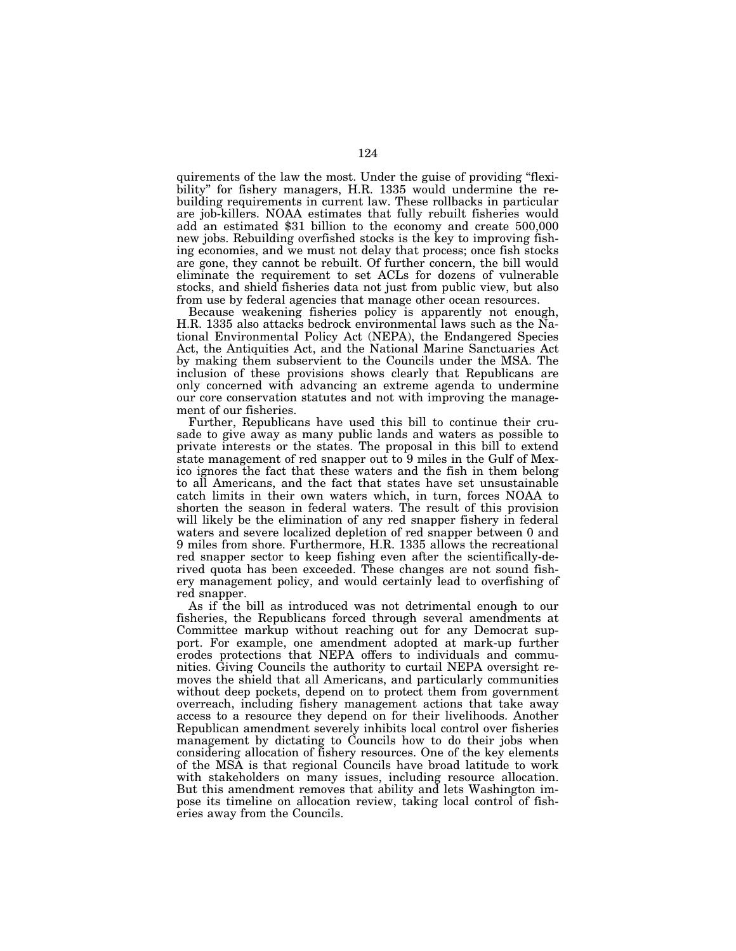quirements of the law the most. Under the guise of providing ''flexibility'' for fishery managers, H.R. 1335 would undermine the rebuilding requirements in current law. These rollbacks in particular are job-killers. NOAA estimates that fully rebuilt fisheries would add an estimated \$31 billion to the economy and create 500,000 new jobs. Rebuilding overfished stocks is the key to improving fishing economies, and we must not delay that process; once fish stocks are gone, they cannot be rebuilt. Of further concern, the bill would eliminate the requirement to set ACLs for dozens of vulnerable stocks, and shield fisheries data not just from public view, but also from use by federal agencies that manage other ocean resources.

Because weakening fisheries policy is apparently not enough, H.R. 1335 also attacks bedrock environmental laws such as the National Environmental Policy Act (NEPA), the Endangered Species Act, the Antiquities Act, and the National Marine Sanctuaries Act by making them subservient to the Councils under the MSA. The inclusion of these provisions shows clearly that Republicans are only concerned with advancing an extreme agenda to undermine our core conservation statutes and not with improving the management of our fisheries.

Further, Republicans have used this bill to continue their crusade to give away as many public lands and waters as possible to private interests or the states. The proposal in this bill to extend state management of red snapper out to 9 miles in the Gulf of Mexico ignores the fact that these waters and the fish in them belong to all Americans, and the fact that states have set unsustainable catch limits in their own waters which, in turn, forces NOAA to shorten the season in federal waters. The result of this provision will likely be the elimination of any red snapper fishery in federal waters and severe localized depletion of red snapper between 0 and 9 miles from shore. Furthermore, H.R. 1335 allows the recreational red snapper sector to keep fishing even after the scientifically-derived quota has been exceeded. These changes are not sound fishery management policy, and would certainly lead to overfishing of red snapper.

As if the bill as introduced was not detrimental enough to our fisheries, the Republicans forced through several amendments at Committee markup without reaching out for any Democrat support. For example, one amendment adopted at mark-up further erodes protections that NEPA offers to individuals and communities. Giving Councils the authority to curtail NEPA oversight removes the shield that all Americans, and particularly communities without deep pockets, depend on to protect them from government overreach, including fishery management actions that take away access to a resource they depend on for their livelihoods. Another Republican amendment severely inhibits local control over fisheries management by dictating to Councils how to do their jobs when considering allocation of fishery resources. One of the key elements of the MSA is that regional Councils have broad latitude to work with stakeholders on many issues, including resource allocation. But this amendment removes that ability and lets Washington impose its timeline on allocation review, taking local control of fisheries away from the Councils.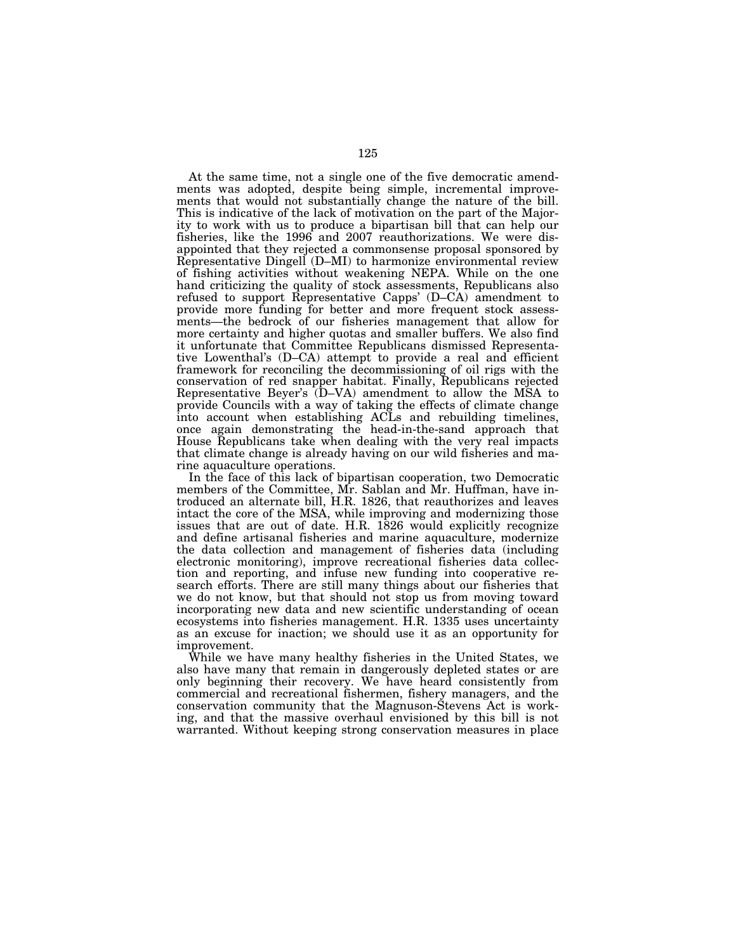At the same time, not a single one of the five democratic amendments was adopted, despite being simple, incremental improvements that would not substantially change the nature of the bill. This is indicative of the lack of motivation on the part of the Majority to work with us to produce a bipartisan bill that can help our fisheries, like the 1996 and 2007 reauthorizations. We were disappointed that they rejected a commonsense proposal sponsored by Representative Dingell (D–MI) to harmonize environmental review of fishing activities without weakening NEPA. While on the one hand criticizing the quality of stock assessments, Republicans also refused to support Representative Capps' (D–CA) amendment to provide more funding for better and more frequent stock assessments—the bedrock of our fisheries management that allow for more certainty and higher quotas and smaller buffers. We also find it unfortunate that Committee Republicans dismissed Representative Lowenthal's (D–CA) attempt to provide a real and efficient framework for reconciling the decommissioning of oil rigs with the conservation of red snapper habitat. Finally, Republicans rejected Representative Beyer's (D–VA) amendment to allow the MSA to provide Councils with a way of taking the effects of climate change into account when establishing ACLs and rebuilding timelines, once again demonstrating the head-in-the-sand approach that House Republicans take when dealing with the very real impacts that climate change is already having on our wild fisheries and marine aquaculture operations.

In the face of this lack of bipartisan cooperation, two Democratic members of the Committee, Mr. Sablan and Mr. Huffman, have introduced an alternate bill, H.R. 1826, that reauthorizes and leaves intact the core of the MSA, while improving and modernizing those issues that are out of date. H.R. 1826 would explicitly recognize and define artisanal fisheries and marine aquaculture, modernize the data collection and management of fisheries data (including electronic monitoring), improve recreational fisheries data collection and reporting, and infuse new funding into cooperative research efforts. There are still many things about our fisheries that we do not know, but that should not stop us from moving toward incorporating new data and new scientific understanding of ocean ecosystems into fisheries management. H.R. 1335 uses uncertainty as an excuse for inaction; we should use it as an opportunity for improvement.

While we have many healthy fisheries in the United States, we also have many that remain in dangerously depleted states or are only beginning their recovery. We have heard consistently from commercial and recreational fishermen, fishery managers, and the conservation community that the Magnuson-Stevens Act is working, and that the massive overhaul envisioned by this bill is not warranted. Without keeping strong conservation measures in place